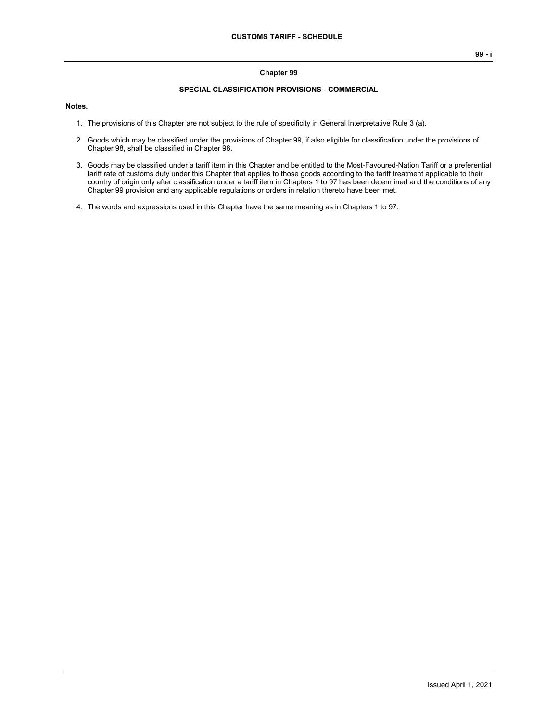#### **Chapter 99**

#### **SPECIAL CLASSIFICATION PROVISIONS - COMMERCIAL**

#### **Notes.**

- 1. The provisions of this Chapter are not subject to the rule of specificity in General Interpretative Rule 3 (a).
- 2. Goods which may be classified under the provisions of Chapter 99, if also eligible for classification under the provisions of Chapter 98, shall be classified in Chapter 98.
- 3. Goods may be classified under a tariff item in this Chapter and be entitled to the Most-Favoured-Nation Tariff or a preferential tariff rate of customs duty under this Chapter that applies to those goods according to the tariff treatment applicable to their country of origin only after classification under a tariff item in Chapters 1 to 97 has been determined and the conditions of any Chapter 99 provision and any applicable regulations or orders in relation thereto have been met.
- 4. The words and expressions used in this Chapter have the same meaning as in Chapters 1 to 97.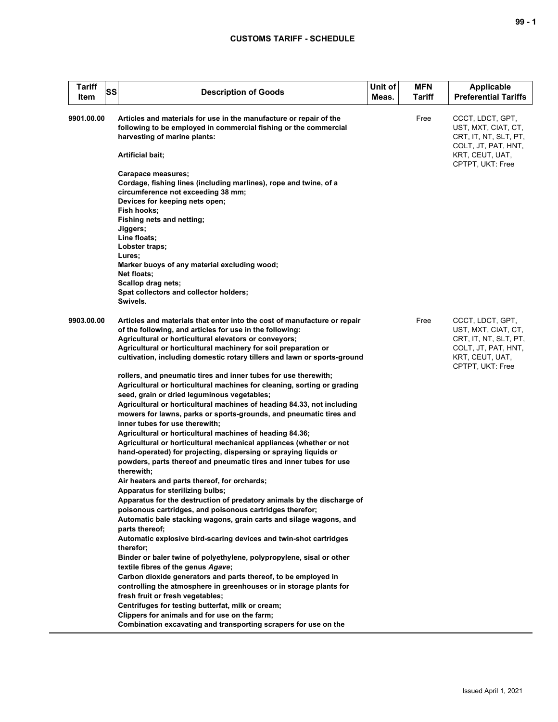| <b>Tariff</b><br>SS<br>Item | <b>Description of Goods</b>                                                                                                                                                                                                                                      | Unit of<br>Meas. | <b>MFN</b><br>Tariff | <b>Applicable</b><br><b>Preferential Tariffs</b>                                                           |
|-----------------------------|------------------------------------------------------------------------------------------------------------------------------------------------------------------------------------------------------------------------------------------------------------------|------------------|----------------------|------------------------------------------------------------------------------------------------------------|
| 9901.00.00                  | Articles and materials for use in the manufacture or repair of the<br>following to be employed in commercial fishing or the commercial<br>harvesting of marine plants:<br>Artificial bait;                                                                       |                  | Free                 | CCCT, LDCT, GPT,<br>UST, MXT, CIAT, CT,<br>CRT, IT, NT, SLT, PT,<br>COLT, JT, PAT, HNT,<br>KRT, CEUT, UAT, |
|                             |                                                                                                                                                                                                                                                                  |                  |                      | CPTPT, UKT: Free                                                                                           |
|                             | Carapace measures;<br>Cordage, fishing lines (including marlines), rope and twine, of a<br>circumference not exceeding 38 mm;<br>Devices for keeping nets open;                                                                                                  |                  |                      |                                                                                                            |
|                             | Fish hooks:<br>Fishing nets and netting;<br>Jiggers;<br>Line floats:                                                                                                                                                                                             |                  |                      |                                                                                                            |
|                             | Lobster traps;<br>Lures;<br>Marker buoys of any material excluding wood;                                                                                                                                                                                         |                  |                      |                                                                                                            |
|                             | <b>Net floats;</b><br>Scallop drag nets;<br>Spat collectors and collector holders;<br>Swivels.                                                                                                                                                                   |                  |                      |                                                                                                            |
| 9903.00.00                  | Articles and materials that enter into the cost of manufacture or repair<br>of the following, and articles for use in the following:<br>Agricultural or horticultural elevators or conveyors;<br>Agricultural or horticultural machinery for soil preparation or |                  | Free                 | CCCT, LDCT, GPT,<br>UST, MXT, CIAT, CT,<br>CRT, IT, NT, SLT, PT,<br>COLT, JT, PAT, HNT,                    |
|                             | cultivation, including domestic rotary tillers and lawn or sports-ground                                                                                                                                                                                         |                  |                      | KRT, CEUT, UAT,<br>CPTPT, UKT: Free                                                                        |
|                             | rollers, and pneumatic tires and inner tubes for use therewith;<br>Agricultural or horticultural machines for cleaning, sorting or grading                                                                                                                       |                  |                      |                                                                                                            |
|                             | seed, grain or dried leguminous vegetables;<br>Agricultural or horticultural machines of heading 84.33, not including<br>mowers for lawns, parks or sports-grounds, and pneumatic tires and<br>inner tubes for use therewith;                                    |                  |                      |                                                                                                            |
|                             | Agricultural or horticultural machines of heading 84.36;<br>Agricultural or horticultural mechanical appliances (whether or not                                                                                                                                  |                  |                      |                                                                                                            |
|                             | hand-operated) for projecting, dispersing or spraying liquids or<br>powders, parts thereof and pneumatic tires and inner tubes for use<br>therewith;                                                                                                             |                  |                      |                                                                                                            |
|                             | Air heaters and parts thereof, for orchards;<br>Apparatus for sterilizing bulbs;                                                                                                                                                                                 |                  |                      |                                                                                                            |
|                             | Apparatus for the destruction of predatory animals by the discharge of<br>poisonous cartridges, and poisonous cartridges therefor;<br>Automatic bale stacking wagons, grain carts and silage wagons, and                                                         |                  |                      |                                                                                                            |
|                             | parts thereof;<br>Automatic explosive bird-scaring devices and twin-shot cartridges<br>therefor;                                                                                                                                                                 |                  |                      |                                                                                                            |
|                             | Binder or baler twine of polyethylene, polypropylene, sisal or other<br>textile fibres of the genus Agave;                                                                                                                                                       |                  |                      |                                                                                                            |
|                             | Carbon dioxide generators and parts thereof, to be employed in<br>controlling the atmosphere in greenhouses or in storage plants for<br>fresh fruit or fresh vegetables;                                                                                         |                  |                      |                                                                                                            |
|                             | Centrifuges for testing butterfat, milk or cream;                                                                                                                                                                                                                |                  |                      |                                                                                                            |
|                             | Clippers for animals and for use on the farm;<br>Combination excavating and transporting scrapers for use on the                                                                                                                                                 |                  |                      |                                                                                                            |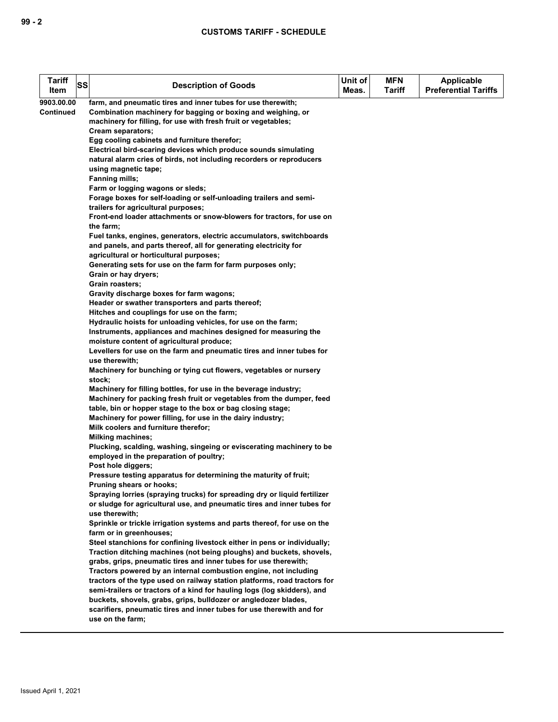| <b>Tariff</b> | SS | <b>Description of Goods</b>                                                                | Unit of | <b>MFN</b>    | Applicable                  |
|---------------|----|--------------------------------------------------------------------------------------------|---------|---------------|-----------------------------|
| Item          |    |                                                                                            | Meas.   | <b>Tariff</b> | <b>Preferential Tariffs</b> |
| 9903.00.00    |    | farm, and pneumatic tires and inner tubes for use therewith;                               |         |               |                             |
| Continued     |    | Combination machinery for bagging or boxing and weighing, or                               |         |               |                             |
|               |    | machinery for filling, for use with fresh fruit or vegetables;                             |         |               |                             |
|               |    | Cream separators;                                                                          |         |               |                             |
|               |    | Egg cooling cabinets and furniture therefor;                                               |         |               |                             |
|               |    | Electrical bird-scaring devices which produce sounds simulating                            |         |               |                             |
|               |    | natural alarm cries of birds, not including recorders or reproducers                       |         |               |                             |
|               |    | using magnetic tape;                                                                       |         |               |                             |
|               |    | <b>Fanning mills;</b>                                                                      |         |               |                             |
|               |    | Farm or logging wagons or sleds;                                                           |         |               |                             |
|               |    | Forage boxes for self-loading or self-unloading trailers and semi-                         |         |               |                             |
|               |    | trailers for agricultural purposes;                                                        |         |               |                             |
|               |    | Front-end loader attachments or snow-blowers for tractors, for use on                      |         |               |                             |
|               |    | the farm;                                                                                  |         |               |                             |
|               |    | Fuel tanks, engines, generators, electric accumulators, switchboards                       |         |               |                             |
|               |    | and panels, and parts thereof, all for generating electricity for                          |         |               |                             |
|               |    | agricultural or horticultural purposes;                                                    |         |               |                             |
|               |    | Generating sets for use on the farm for farm purposes only;                                |         |               |                             |
|               |    | Grain or hay dryers;<br>Grain roasters:                                                    |         |               |                             |
|               |    | Gravity discharge boxes for farm wagons;                                                   |         |               |                             |
|               |    | Header or swather transporters and parts thereof;                                          |         |               |                             |
|               |    | Hitches and couplings for use on the farm;                                                 |         |               |                             |
|               |    | Hydraulic hoists for unloading vehicles, for use on the farm;                              |         |               |                             |
|               |    | Instruments, appliances and machines designed for measuring the                            |         |               |                             |
|               |    | moisture content of agricultural produce;                                                  |         |               |                             |
|               |    | Levellers for use on the farm and pneumatic tires and inner tubes for                      |         |               |                             |
|               |    | use therewith;                                                                             |         |               |                             |
|               |    | Machinery for bunching or tying cut flowers, vegetables or nursery                         |         |               |                             |
|               |    | stock;                                                                                     |         |               |                             |
|               |    | Machinery for filling bottles, for use in the beverage industry;                           |         |               |                             |
|               |    | Machinery for packing fresh fruit or vegetables from the dumper, feed                      |         |               |                             |
|               |    | table, bin or hopper stage to the box or bag closing stage;                                |         |               |                             |
|               |    | Machinery for power filling, for use in the dairy industry;                                |         |               |                             |
|               |    | Milk coolers and furniture therefor;                                                       |         |               |                             |
|               |    | <b>Milking machines;</b>                                                                   |         |               |                             |
|               |    | Plucking, scalding, washing, singeing or eviscerating machinery to be                      |         |               |                             |
|               |    | employed in the preparation of poultry;                                                    |         |               |                             |
|               |    | Post hole diggers;                                                                         |         |               |                             |
|               |    | Pressure testing apparatus for determining the maturity of fruit;                          |         |               |                             |
|               |    | Pruning shears or hooks;                                                                   |         |               |                             |
|               |    | Spraying lorries (spraying trucks) for spreading dry or liquid fertilizer                  |         |               |                             |
|               |    | or sludge for agricultural use, and pneumatic tires and inner tubes for                    |         |               |                             |
|               |    | use therewith;<br>Sprinkle or trickle irrigation systems and parts thereof, for use on the |         |               |                             |
|               |    | farm or in greenhouses;                                                                    |         |               |                             |
|               |    | Steel stanchions for confining livestock either in pens or individually;                   |         |               |                             |
|               |    | Traction ditching machines (not being ploughs) and buckets, shovels,                       |         |               |                             |
|               |    | grabs, grips, pneumatic tires and inner tubes for use therewith;                           |         |               |                             |
|               |    | Tractors powered by an internal combustion engine, not including                           |         |               |                             |
|               |    | tractors of the type used on railway station platforms, road tractors for                  |         |               |                             |
|               |    | semi-trailers or tractors of a kind for hauling logs (log skidders), and                   |         |               |                             |
|               |    | buckets, shovels, grabs, grips, bulldozer or angledozer blades,                            |         |               |                             |
|               |    | scarifiers, pneumatic tires and inner tubes for use therewith and for                      |         |               |                             |
|               |    | use on the farm;                                                                           |         |               |                             |
|               |    |                                                                                            |         |               |                             |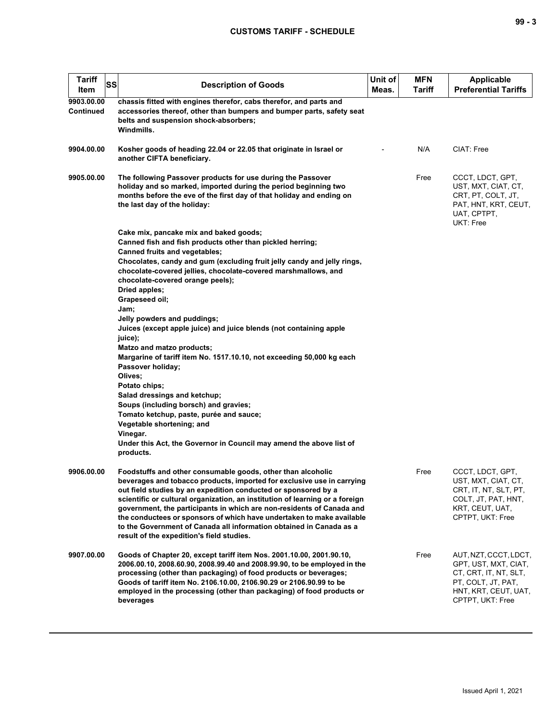| <b>Tariff</b><br>Item          | SS | <b>Description of Goods</b>                                                                                                                                                                                                                                                                                                                                                                                                                                                                                                                                   | Unit of<br>Meas. | MFN<br>Tariff | <b>Applicable</b><br><b>Preferential Tariffs</b>                                                                                         |
|--------------------------------|----|---------------------------------------------------------------------------------------------------------------------------------------------------------------------------------------------------------------------------------------------------------------------------------------------------------------------------------------------------------------------------------------------------------------------------------------------------------------------------------------------------------------------------------------------------------------|------------------|---------------|------------------------------------------------------------------------------------------------------------------------------------------|
| 9903.00.00<br><b>Continued</b> |    | chassis fitted with engines therefor, cabs therefor, and parts and<br>accessories thereof, other than bumpers and bumper parts, safety seat<br>belts and suspension shock-absorbers;<br>Windmills.                                                                                                                                                                                                                                                                                                                                                            |                  |               |                                                                                                                                          |
| 9904.00.00                     |    | Kosher goods of heading 22.04 or 22.05 that originate in Israel or<br>another CIFTA beneficiary.                                                                                                                                                                                                                                                                                                                                                                                                                                                              |                  | N/A           | CIAT: Free                                                                                                                               |
| 9905.00.00                     |    | The following Passover products for use during the Passover<br>holiday and so marked, imported during the period beginning two<br>months before the eve of the first day of that holiday and ending on<br>the last day of the holiday:                                                                                                                                                                                                                                                                                                                        |                  | Free          | CCCT, LDCT, GPT,<br>UST, MXT, CIAT, CT,<br>CRT, PT, COLT, JT,<br>PAT, HNT, KRT, CEUT,<br>UAT, CPTPT,<br>UKT: Free                        |
|                                |    | Cake mix, pancake mix and baked goods;                                                                                                                                                                                                                                                                                                                                                                                                                                                                                                                        |                  |               |                                                                                                                                          |
|                                |    | Canned fish and fish products other than pickled herring;<br><b>Canned fruits and vegetables;</b>                                                                                                                                                                                                                                                                                                                                                                                                                                                             |                  |               |                                                                                                                                          |
|                                |    | Chocolates, candy and gum (excluding fruit jelly candy and jelly rings,<br>chocolate-covered jellies, chocolate-covered marshmallows, and<br>chocolate-covered orange peels);<br>Dried apples;                                                                                                                                                                                                                                                                                                                                                                |                  |               |                                                                                                                                          |
|                                |    | Grapeseed oil;                                                                                                                                                                                                                                                                                                                                                                                                                                                                                                                                                |                  |               |                                                                                                                                          |
|                                |    | Jam;                                                                                                                                                                                                                                                                                                                                                                                                                                                                                                                                                          |                  |               |                                                                                                                                          |
|                                |    | Jelly powders and puddings;                                                                                                                                                                                                                                                                                                                                                                                                                                                                                                                                   |                  |               |                                                                                                                                          |
|                                |    | Juices (except apple juice) and juice blends (not containing apple<br>juice);                                                                                                                                                                                                                                                                                                                                                                                                                                                                                 |                  |               |                                                                                                                                          |
|                                |    | Matzo and matzo products;                                                                                                                                                                                                                                                                                                                                                                                                                                                                                                                                     |                  |               |                                                                                                                                          |
|                                |    | Margarine of tariff item No. 1517.10.10, not exceeding 50,000 kg each                                                                                                                                                                                                                                                                                                                                                                                                                                                                                         |                  |               |                                                                                                                                          |
|                                |    | Passover holiday;<br>Olives;                                                                                                                                                                                                                                                                                                                                                                                                                                                                                                                                  |                  |               |                                                                                                                                          |
|                                |    | Potato chips;                                                                                                                                                                                                                                                                                                                                                                                                                                                                                                                                                 |                  |               |                                                                                                                                          |
|                                |    | Salad dressings and ketchup;                                                                                                                                                                                                                                                                                                                                                                                                                                                                                                                                  |                  |               |                                                                                                                                          |
|                                |    | Soups (including borsch) and gravies;                                                                                                                                                                                                                                                                                                                                                                                                                                                                                                                         |                  |               |                                                                                                                                          |
|                                |    | Tomato ketchup, paste, purée and sauce;<br>Vegetable shortening; and                                                                                                                                                                                                                                                                                                                                                                                                                                                                                          |                  |               |                                                                                                                                          |
|                                |    | Vinegar.                                                                                                                                                                                                                                                                                                                                                                                                                                                                                                                                                      |                  |               |                                                                                                                                          |
|                                |    | Under this Act, the Governor in Council may amend the above list of                                                                                                                                                                                                                                                                                                                                                                                                                                                                                           |                  |               |                                                                                                                                          |
|                                |    | products.                                                                                                                                                                                                                                                                                                                                                                                                                                                                                                                                                     |                  |               |                                                                                                                                          |
| 9906.00.00                     |    | Foodstuffs and other consumable goods, other than alcoholic<br>beverages and tobacco products, imported for exclusive use in carrying<br>out field studies by an expedition conducted or sponsored by a<br>scientific or cultural organization, an institution of learning or a foreign<br>government, the participants in which are non-residents of Canada and<br>the conductees or sponsors of which have undertaken to make available<br>to the Government of Canada all information obtained in Canada as a<br>result of the expedition's field studies. |                  | Free          | CCCT, LDCT, GPT,<br>UST, MXT, CIAT, CT,<br>CRT, IT, NT, SLT, PT,<br>COLT, JT, PAT, HNT,<br>KRT, CEUT, UAT,<br>CPTPT, UKT: Free           |
| 9907.00.00                     |    | Goods of Chapter 20, except tariff item Nos. 2001.10.00, 2001.90.10,<br>2006.00.10, 2008.60.90, 2008.99.40 and 2008.99.90, to be employed in the<br>processing (other than packaging) of food products or beverages;<br>Goods of tariff item No. 2106.10.00, 2106.90.29 or 2106.90.99 to be<br>employed in the processing (other than packaging) of food products or<br>beverages                                                                                                                                                                             |                  | Free          | AUT, NZT, CCCT, LDCT,<br>GPT, UST, MXT, CIAT,<br>CT, CRT, IT, NT, SLT,<br>PT, COLT, JT, PAT,<br>HNT, KRT, CEUT, UAT,<br>CPTPT, UKT: Free |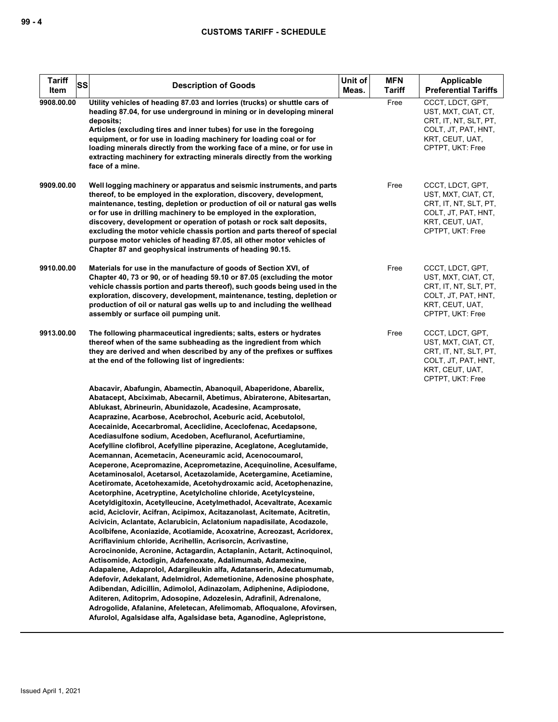| <b>Tariff</b><br>SS<br>Item | <b>Description of Goods</b>                                                                                                                                                                                                                                                                                                                                                                                                                                                                                                                                                                                                                                                                                                                                                                                                                                                                                                                                                                                                                                                                                                                                                                                                                                                                                                                                                                                                                                                                                                                                                                                                                                                                                                                                                                      | Unit of<br>Meas. | <b>MFN</b><br><b>Tariff</b> | Applicable<br><b>Preferential Tariffs</b>                                                                                      |
|-----------------------------|--------------------------------------------------------------------------------------------------------------------------------------------------------------------------------------------------------------------------------------------------------------------------------------------------------------------------------------------------------------------------------------------------------------------------------------------------------------------------------------------------------------------------------------------------------------------------------------------------------------------------------------------------------------------------------------------------------------------------------------------------------------------------------------------------------------------------------------------------------------------------------------------------------------------------------------------------------------------------------------------------------------------------------------------------------------------------------------------------------------------------------------------------------------------------------------------------------------------------------------------------------------------------------------------------------------------------------------------------------------------------------------------------------------------------------------------------------------------------------------------------------------------------------------------------------------------------------------------------------------------------------------------------------------------------------------------------------------------------------------------------------------------------------------------------|------------------|-----------------------------|--------------------------------------------------------------------------------------------------------------------------------|
| 9908.00.00                  | Utility vehicles of heading 87.03 and lorries (trucks) or shuttle cars of<br>heading 87.04, for use underground in mining or in developing mineral<br>deposits;<br>Articles (excluding tires and inner tubes) for use in the foregoing<br>equipment, or for use in loading machinery for loading coal or for<br>loading minerals directly from the working face of a mine, or for use in<br>extracting machinery for extracting minerals directly from the working<br>face of a mine.                                                                                                                                                                                                                                                                                                                                                                                                                                                                                                                                                                                                                                                                                                                                                                                                                                                                                                                                                                                                                                                                                                                                                                                                                                                                                                            |                  | Free                        | CCCT, LDCT, GPT,<br>UST, MXT, CIAT, CT,<br>CRT. IT. NT. SLT. PT.<br>COLT, JT, PAT, HNT,<br>KRT, CEUT, UAT,<br>CPTPT, UKT: Free |
| 9909.00.00                  | Well logging machinery or apparatus and seismic instruments, and parts<br>thereof, to be employed in the exploration, discovery, development,<br>maintenance, testing, depletion or production of oil or natural gas wells<br>or for use in drilling machinery to be employed in the exploration,<br>discovery, development or operation of potash or rock salt deposits,<br>excluding the motor vehicle chassis portion and parts thereof of special<br>purpose motor vehicles of heading 87.05, all other motor vehicles of<br>Chapter 87 and geophysical instruments of heading 90.15.                                                                                                                                                                                                                                                                                                                                                                                                                                                                                                                                                                                                                                                                                                                                                                                                                                                                                                                                                                                                                                                                                                                                                                                                        |                  | Free                        | CCCT, LDCT, GPT,<br>UST, MXT, CIAT, CT,<br>CRT, IT, NT, SLT, PT,<br>COLT, JT, PAT, HNT,<br>KRT, CEUT, UAT,<br>CPTPT, UKT: Free |
| 9910.00.00                  | Materials for use in the manufacture of goods of Section XVI, of<br>Chapter 40, 73 or 90, or of heading 59.10 or 87.05 (excluding the motor<br>vehicle chassis portion and parts thereof), such goods being used in the<br>exploration, discovery, development, maintenance, testing, depletion or<br>production of oil or natural gas wells up to and including the wellhead<br>assembly or surface oil pumping unit.                                                                                                                                                                                                                                                                                                                                                                                                                                                                                                                                                                                                                                                                                                                                                                                                                                                                                                                                                                                                                                                                                                                                                                                                                                                                                                                                                                           |                  | Free                        | CCCT, LDCT, GPT,<br>UST, MXT, CIAT, CT,<br>CRT, IT, NT, SLT, PT,<br>COLT, JT, PAT, HNT,<br>KRT, CEUT, UAT,<br>CPTPT, UKT: Free |
| 9913.00.00                  | The following pharmaceutical ingredients; salts, esters or hydrates<br>thereof when of the same subheading as the ingredient from which<br>they are derived and when described by any of the prefixes or suffixes<br>at the end of the following list of ingredients:                                                                                                                                                                                                                                                                                                                                                                                                                                                                                                                                                                                                                                                                                                                                                                                                                                                                                                                                                                                                                                                                                                                                                                                                                                                                                                                                                                                                                                                                                                                            |                  | Free                        | CCCT, LDCT, GPT,<br>UST, MXT, CIAT, CT,<br>CRT, IT, NT, SLT, PT,<br>COLT, JT, PAT, HNT,<br>KRT, CEUT, UAT,<br>CPTPT, UKT: Free |
|                             | Abacavir, Abafungin, Abamectin, Abanoquil, Abaperidone, Abarelix,<br>Abatacept, Abciximab, Abecarnil, Abetimus, Abiraterone, Abitesartan,<br>Ablukast, Abrineurin, Abunidazole, Acadesine, Acamprosate,<br>Acaprazine, Acarbose, Acebrochol, Aceburic acid, Acebutolol,<br>Acecainide, Acecarbromal, Aceclidine, Aceclofenac, Acedapsone,<br>Acediasulfone sodium, Acedoben, Acefluranol, Acefurtiamine,<br>Acefylline clofibrol, Acefylline piperazine, Aceglatone, Aceglutamide,<br>Acemannan, Acemetacin, Aceneuramic acid, Acenocoumarol,<br>Aceperone, Acepromazine, Aceprometazine, Acequinoline, Acesulfame,<br>Acetaminosalol, Acetarsol, Acetazolamide, Acetergamine, Acetiamine,<br>Acetiromate, Acetohexamide, Acetohydroxamic acid, Acetophenazine,<br>Acetorphine, Acetryptine, Acetylcholine chloride, Acetylcysteine,<br>Acetyldigitoxin, Acetylleucine, Acetylmethadol, Acevaltrate, Acexamic<br>acid, Aciclovir, Acifran, Acipimox, Acitazanolast, Acitemate, Acitretin,<br>Acivicin, Aclantate, Aclarubicin, Aclatonium napadisilate, Acodazole,<br>Acolbifene, Aconiazide, Acotiamide, Acoxatrine, Acreozast, Acridorex,<br>Acriflavinium chloride, Acrihellin, Acrisorcin, Acrivastine,<br>Acrocinonide, Acronine, Actagardin, Actaplanin, Actarit, Actinoquinol,<br>Actisomide, Actodigin, Adafenoxate, Adalimumab, Adamexine,<br>Adapalene, Adaprolol, Adargileukin alfa, Adatanserin, Adecatumumab,<br>Adefovir, Adekalant, Adelmidrol, Ademetionine, Adenosine phosphate,<br>Adibendan, Adicillin, Adimolol, Adinazolam, Adiphenine, Adipiodone,<br>Aditeren, Aditoprim, Adosopine, Adozelesin, Adrafinil, Adrenalone,<br>Adrogolide, Afalanine, Afeletecan, Afelimomab, Afloqualone, Afovirsen,<br>Afurolol, Agalsidase alfa, Agalsidase beta, Aganodine, Aglepristone, |                  |                             |                                                                                                                                |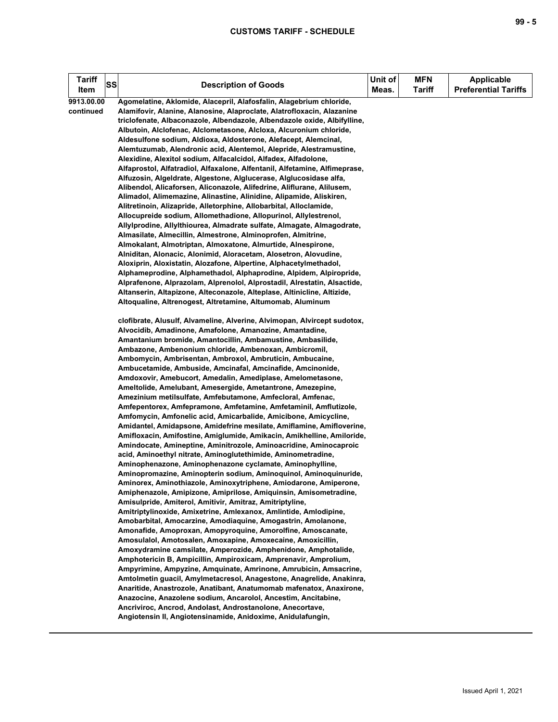| <b>Tariff</b>           | SS | <b>Description of Goods</b>                                                                                                                                                                                               | Unit of | <b>MFN</b> | <b>Applicable</b><br><b>Preferential Tariffs</b> |
|-------------------------|----|---------------------------------------------------------------------------------------------------------------------------------------------------------------------------------------------------------------------------|---------|------------|--------------------------------------------------|
| Item                    |    |                                                                                                                                                                                                                           | Meas.   | Tariff     |                                                  |
| 9913.00.00<br>continued |    | Agomelatine, Aklomide, Alacepril, Alafosfalin, Alagebrium chloride,<br>Alamifovir, Alanine, Alanosine, Alaproclate, Alatrofloxacin, Alazanine<br>triclofenate, Albaconazole, Albendazole, Albendazole oxide, Albifylline, |         |            |                                                  |
|                         |    | Albutoin, Alclofenac, Alclometasone, Alcloxa, Alcuronium chloride,                                                                                                                                                        |         |            |                                                  |
|                         |    | Aldesulfone sodium, Aldioxa, Aldosterone, Alefacept, Alemcinal,                                                                                                                                                           |         |            |                                                  |
|                         |    | Alemtuzumab, Alendronic acid, Alentemol, Alepride, Alestramustine,                                                                                                                                                        |         |            |                                                  |
|                         |    | Alexidine, Alexitol sodium, Alfacalcidol, Alfadex, Alfadolone,                                                                                                                                                            |         |            |                                                  |
|                         |    | Alfaprostol, Alfatradiol, Alfaxalone, Alfentanil, Alfetamine, Alfimeprase,                                                                                                                                                |         |            |                                                  |
|                         |    | Alfuzosin, Algeldrate, Algestone, Alglucerase, Alglucosidase alfa,                                                                                                                                                        |         |            |                                                  |
|                         |    | Alibendol, Alicaforsen, Aliconazole, Alifedrine, Aliflurane, Alilusem,                                                                                                                                                    |         |            |                                                  |
|                         |    | Alimadol, Alimemazine, Alinastine, Alinidine, Alipamide, Aliskiren,                                                                                                                                                       |         |            |                                                  |
|                         |    | Alitretinoin, Alizapride, Alletorphine, Allobarbital, Alloclamide,                                                                                                                                                        |         |            |                                                  |
|                         |    | Allocupreide sodium, Allomethadione, Allopurinol, Allylestrenol,                                                                                                                                                          |         |            |                                                  |
|                         |    | Allylprodine, Allylthiourea, Almadrate sulfate, Almagate, Almagodrate,                                                                                                                                                    |         |            |                                                  |
|                         |    | Almasilate, Almecillin, Almestrone, Alminoprofen, Almitrine,                                                                                                                                                              |         |            |                                                  |
|                         |    | Almokalant, Almotriptan, Almoxatone, Almurtide, Alnespirone,                                                                                                                                                              |         |            |                                                  |
|                         |    | Alniditan, Alonacic, Alonimid, Aloracetam, Alosetron, Alovudine,                                                                                                                                                          |         |            |                                                  |
|                         |    | Aloxiprin, Aloxistatin, Alozafone, Alpertine, Alphacetylmethadol,                                                                                                                                                         |         |            |                                                  |
|                         |    | Alphameprodine, Alphamethadol, Alphaprodine, Alpidem, Alpiropride,                                                                                                                                                        |         |            |                                                  |
|                         |    | Alprafenone, Alprazolam, Alprenolol, Alprostadil, Alrestatin, Alsactide,                                                                                                                                                  |         |            |                                                  |
|                         |    | Altanserin, Altapizone, Alteconazole, Alteplase, Altinicline, Altizide,                                                                                                                                                   |         |            |                                                  |
|                         |    | Altoqualine, Altrenogest, Altretamine, Altumomab, Aluminum                                                                                                                                                                |         |            |                                                  |
|                         |    | clofibrate, Alusulf, Alvameline, Alverine, Alvimopan, Alvircept sudotox,                                                                                                                                                  |         |            |                                                  |
|                         |    | Alvocidib, Amadinone, Amafolone, Amanozine, Amantadine,                                                                                                                                                                   |         |            |                                                  |
|                         |    | Amantanium bromide, Amantocillin, Ambamustine, Ambasilide,                                                                                                                                                                |         |            |                                                  |
|                         |    | Ambazone, Ambenonium chloride, Ambenoxan, Ambicromil,                                                                                                                                                                     |         |            |                                                  |
|                         |    | Ambomycin, Ambrisentan, Ambroxol, Ambruticin, Ambucaine,                                                                                                                                                                  |         |            |                                                  |
|                         |    | Ambucetamide, Ambuside, Amcinafal, Amcinafide, Amcinonide,                                                                                                                                                                |         |            |                                                  |
|                         |    | Amdoxovir, Amebucort, Amedalin, Amediplase, Amelometasone,                                                                                                                                                                |         |            |                                                  |
|                         |    | Ameltolide, Amelubant, Amesergide, Ametantrone, Amezepine,                                                                                                                                                                |         |            |                                                  |
|                         |    | Amezinium metilsulfate, Amfebutamone, Amfecloral, Amfenac,                                                                                                                                                                |         |            |                                                  |
|                         |    | Amfepentorex, Amfepramone, Amfetamine, Amfetaminil, Amflutizole,                                                                                                                                                          |         |            |                                                  |
|                         |    | Amfomycin, Amfonelic acid, Amicarbalide, Amicibone, Amicycline,                                                                                                                                                           |         |            |                                                  |
|                         |    | Amidantel, Amidapsone, Amidefrine mesilate, Amiflamine, Amifloverine,                                                                                                                                                     |         |            |                                                  |
|                         |    | Amifloxacin, Amifostine, Amiglumide, Amikacin, Amikhelline, Amiloride,                                                                                                                                                    |         |            |                                                  |
|                         |    | Amindocate, Amineptine, Aminitrozole, Aminoacridine, Aminocaproic                                                                                                                                                         |         |            |                                                  |
|                         |    | acid, Aminoethyl nitrate, Aminoglutethimide, Aminometradine,                                                                                                                                                              |         |            |                                                  |
|                         |    | Aminophenazone, Aminophenazone cyclamate, Aminophylline,<br>Aminopromazine, Aminopterin sodium, Aminoquinol, Aminoquinuride,                                                                                              |         |            |                                                  |
|                         |    | Aminorex, Aminothiazole, Aminoxytriphene, Amiodarone, Amiperone,                                                                                                                                                          |         |            |                                                  |
|                         |    | Amiphenazole, Amipizone, Amiprilose, Amiquinsin, Amisometradine,                                                                                                                                                          |         |            |                                                  |
|                         |    | Amisulpride, Amiterol, Amitivir, Amitraz, Amitriptyline,                                                                                                                                                                  |         |            |                                                  |
|                         |    | Amitriptylinoxide, Amixetrine, Amlexanox, Amlintide, Amlodipine,                                                                                                                                                          |         |            |                                                  |
|                         |    | Amobarbital, Amocarzine, Amodiaquine, Amogastrin, Amolanone,                                                                                                                                                              |         |            |                                                  |
|                         |    | Amonafide, Amoproxan, Amopyroquine, Amorolfine, Amoscanate,                                                                                                                                                               |         |            |                                                  |
|                         |    | Amosulalol, Amotosalen, Amoxapine, Amoxecaine, Amoxicillin,                                                                                                                                                               |         |            |                                                  |
|                         |    | Amoxydramine camsilate, Amperozide, Amphenidone, Amphotalide,                                                                                                                                                             |         |            |                                                  |
|                         |    | Amphotericin B, Ampicillin, Ampiroxicam, Amprenavir, Amprolium,                                                                                                                                                           |         |            |                                                  |
|                         |    | Ampyrimine, Ampyzine, Amquinate, Amrinone, Amrubicin, Amsacrine,                                                                                                                                                          |         |            |                                                  |
|                         |    | Amtolmetin guacil, Amylmetacresol, Anagestone, Anagrelide, Anakinra,                                                                                                                                                      |         |            |                                                  |
|                         |    | Anaritide, Anastrozole, Anatibant, Anatumomab mafenatox, Anaxirone,                                                                                                                                                       |         |            |                                                  |
|                         |    | Anazocine, Anazolene sodium, Ancarolol, Ancestim, Ancitabine,                                                                                                                                                             |         |            |                                                  |
|                         |    | Ancriviroc, Ancrod, Andolast, Androstanolone, Anecortave,                                                                                                                                                                 |         |            |                                                  |
|                         |    | Angiotensin II, Angiotensinamide, Anidoxime, Anidulafungin,                                                                                                                                                               |         |            |                                                  |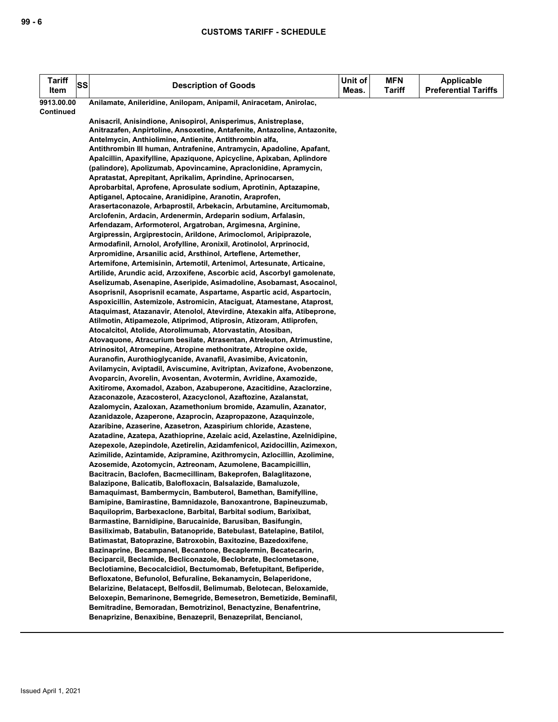| <b>Tariff</b><br>Item          | SS | <b>Description of Goods</b>                                                                                                        | Unit of<br>Meas. | <b>MFN</b><br><b>Tariff</b> | <b>Applicable</b><br><b>Preferential Tariffs</b> |
|--------------------------------|----|------------------------------------------------------------------------------------------------------------------------------------|------------------|-----------------------------|--------------------------------------------------|
|                                |    |                                                                                                                                    |                  |                             |                                                  |
| 9913.00.00<br><b>Continued</b> |    | Anilamate, Anileridine, Anilopam, Anipamil, Aniracetam, Anirolac,                                                                  |                  |                             |                                                  |
|                                |    | Anisacril, Anisindione, Anisopirol, Anisperimus, Anistreplase,                                                                     |                  |                             |                                                  |
|                                |    | Anitrazafen, Anpirtoline, Ansoxetine, Antafenite, Antazoline, Antazonite,                                                          |                  |                             |                                                  |
|                                |    | Antelmycin, Anthiolimine, Antienite, Antithrombin alfa,                                                                            |                  |                             |                                                  |
|                                |    | Antithrombin III human, Antrafenine, Antramycin, Apadoline, Apafant,                                                               |                  |                             |                                                  |
|                                |    | Apalcillin, Apaxifylline, Apaziquone, Apicycline, Apixaban, Aplindore                                                              |                  |                             |                                                  |
|                                |    | (palindore), Apolizumab, Apovincamine, Apraclonidine, Apramycin,                                                                   |                  |                             |                                                  |
|                                |    | Apratastat, Aprepitant, Aprikalim, Aprindine, Aprinocarsen,                                                                        |                  |                             |                                                  |
|                                |    | Aprobarbital, Aprofene, Aprosulate sodium, Aprotinin, Aptazapine,                                                                  |                  |                             |                                                  |
|                                |    | Aptiganel, Aptocaine, Aranidipine, Aranotin, Araprofen,                                                                            |                  |                             |                                                  |
|                                |    | Arasertaconazole, Arbaprostil, Arbekacin, Arbutamine, Arcitumomab,                                                                 |                  |                             |                                                  |
|                                |    | Arclofenin, Ardacin, Ardenermin, Ardeparin sodium, Arfalasin,                                                                      |                  |                             |                                                  |
|                                |    | Arfendazam, Arformoterol, Argatroban, Argimesna, Arginine,                                                                         |                  |                             |                                                  |
|                                |    | Argipressin, Argiprestocin, Arildone, Arimoclomol, Aripiprazole,                                                                   |                  |                             |                                                  |
|                                |    | Armodafinil, Arnolol, Arofylline, Aronixil, Arotinolol, Arprinocid,                                                                |                  |                             |                                                  |
|                                |    | Arpromidine, Arsanilic acid, Arsthinol, Arteflene, Artemether,                                                                     |                  |                             |                                                  |
|                                |    | Artemifone, Artemisinin, Artemotil, Artenimol, Artesunate, Articaine,                                                              |                  |                             |                                                  |
|                                |    | Artilide, Arundic acid, Arzoxifene, Ascorbic acid, Ascorbyl gamolenate,                                                            |                  |                             |                                                  |
|                                |    | Aselizumab, Asenapine, Aseripide, Asimadoline, Asobamast, Asocainol,                                                               |                  |                             |                                                  |
|                                |    | Asoprisnil, Asoprisnil ecamate, Aspartame, Aspartic acid, Aspartocin,                                                              |                  |                             |                                                  |
|                                |    | Aspoxicillin, Astemizole, Astromicin, Ataciguat, Atamestane, Ataprost,                                                             |                  |                             |                                                  |
|                                |    | Ataquimast, Atazanavir, Atenolol, Atevirdine, Atexakin alfa, Atibeprone,                                                           |                  |                             |                                                  |
|                                |    | Atilmotin, Atipamezole, Atiprimod, Atiprosin, Atizoram, Atliprofen,<br>Atocalcitol, Atolide, Atorolimumab, Atorvastatin, Atosiban, |                  |                             |                                                  |
|                                |    | Atovaquone, Atracurium besilate, Atrasentan, Atreleuton, Atrimustine,                                                              |                  |                             |                                                  |
|                                |    | Atrinositol, Atromepine, Atropine methonitrate, Atropine oxide,                                                                    |                  |                             |                                                  |
|                                |    | Auranofin, Aurothioglycanide, Avanafil, Avasimibe, Avicatonin,                                                                     |                  |                             |                                                  |
|                                |    | Avilamycin, Aviptadil, Aviscumine, Avitriptan, Avizafone, Avobenzone,                                                              |                  |                             |                                                  |
|                                |    | Avoparcin, Avorelin, Avosentan, Avotermin, Avridine, Axamozide,                                                                    |                  |                             |                                                  |
|                                |    | Axitirome, Axomadol, Azabon, Azabuperone, Azacitidine, Azaclorzine,                                                                |                  |                             |                                                  |
|                                |    | Azaconazole, Azacosterol, Azacyclonol, Azaftozine, Azalanstat,                                                                     |                  |                             |                                                  |
|                                |    | Azalomycin, Azaloxan, Azamethonium bromide, Azamulin, Azanator,                                                                    |                  |                             |                                                  |
|                                |    | Azanidazole, Azaperone, Azaprocin, Azapropazone, Azaquinzole,                                                                      |                  |                             |                                                  |
|                                |    | Azaribine, Azaserine, Azasetron, Azaspirium chloride, Azastene,                                                                    |                  |                             |                                                  |
|                                |    | Azatadine, Azatepa, Azathioprine, Azelaic acid, Azelastine, Azelnidipine,                                                          |                  |                             |                                                  |
|                                |    | Azepexole, Azepindole, Azetirelin, Azidamfenicol, Azidocillin, Azimexon,                                                           |                  |                             |                                                  |
|                                |    | Azimilide, Azintamide, Azipramine, Azithromycin, Azlocillin, Azolimine,                                                            |                  |                             |                                                  |
|                                |    | Azosemide, Azotomycin, Aztreonam, Azumolene, Bacampicillin,                                                                        |                  |                             |                                                  |
|                                |    | Bacitracin, Baclofen, Bacmecillinam, Bakeprofen, Balaglitazone,                                                                    |                  |                             |                                                  |
|                                |    | Balazipone, Balicatib, Balofloxacin, Balsalazide, Bamaluzole,                                                                      |                  |                             |                                                  |
|                                |    | Bamaquimast, Bambermycin, Bambuterol, Bamethan, Bamifylline,                                                                       |                  |                             |                                                  |
|                                |    | Bamipine, Bamirastine, Bamnidazole, Banoxantrone, Bapineuzumab,                                                                    |                  |                             |                                                  |
|                                |    | Baquiloprim, Barbexaclone, Barbital, Barbital sodium, Barixibat,<br>Barmastine, Barnidipine, Barucainide, Barusiban, Basifungin,   |                  |                             |                                                  |
|                                |    | Basiliximab, Batabulin, Batanopride, Batebulast, Batelapine, Batilol,                                                              |                  |                             |                                                  |
|                                |    | Batimastat, Batoprazine, Batroxobin, Baxitozine, Bazedoxifene,                                                                     |                  |                             |                                                  |
|                                |    | Bazinaprine, Becampanel, Becantone, Becaplermin, Becatecarin,                                                                      |                  |                             |                                                  |
|                                |    | Beciparcil, Beclamide, Becliconazole, Beclobrate, Beclometasone,                                                                   |                  |                             |                                                  |
|                                |    | Beclotiamine, Becocalcidiol, Bectumomab, Befetupitant, Befiperide,                                                                 |                  |                             |                                                  |
|                                |    | Befloxatone, Befunolol, Befuraline, Bekanamycin, Belaperidone,                                                                     |                  |                             |                                                  |
|                                |    | Belarizine, Belatacept, Belfosdil, Belimumab, Belotecan, Beloxamide,                                                               |                  |                             |                                                  |
|                                |    | Beloxepin, Bemarinone, Bemegride, Bemesetron, Bemetizide, Beminafil,                                                               |                  |                             |                                                  |
|                                |    | Bemitradine, Bemoradan, Bemotrizinol, Benactyzine, Benafentrine,                                                                   |                  |                             |                                                  |
|                                |    | Benaprizine, Benaxibine, Benazepril, Benazeprilat, Bencianol,                                                                      |                  |                             |                                                  |
|                                |    |                                                                                                                                    |                  |                             |                                                  |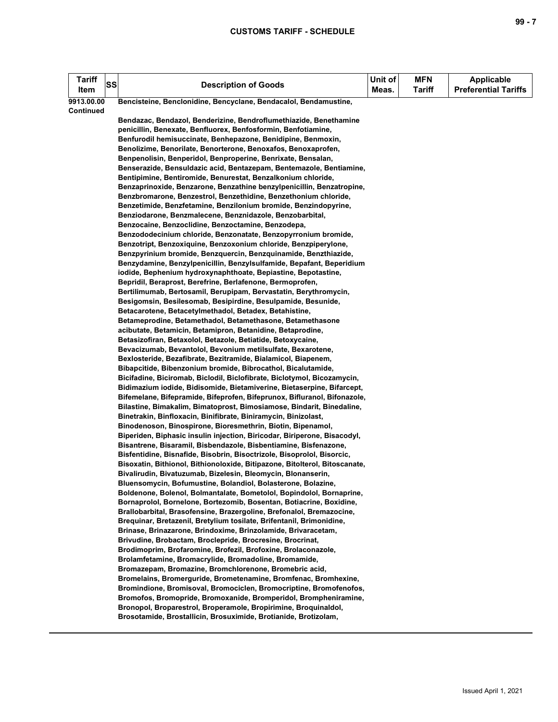| <b>Tariff</b><br>Item | SS | <b>Description of Goods</b>                                                                                                                        | Unit of<br>Meas. | <b>MFN</b><br><b>Tariff</b> | Applicable<br><b>Preferential Tariffs</b> |
|-----------------------|----|----------------------------------------------------------------------------------------------------------------------------------------------------|------------------|-----------------------------|-------------------------------------------|
| 9913.00.00            |    | Bencisteine, Benclonidine, Bencyclane, Bendacalol, Bendamustine,                                                                                   |                  |                             |                                           |
| Continued             |    |                                                                                                                                                    |                  |                             |                                           |
|                       |    | Bendazac, Bendazol, Benderizine, Bendroflumethiazide, Benethamine                                                                                  |                  |                             |                                           |
|                       |    | penicillin, Benexate, Benfluorex, Benfosformin, Benfotiamine,                                                                                      |                  |                             |                                           |
|                       |    | Benfurodil hemisuccinate, Benhepazone, Benidipine, Benmoxin,                                                                                       |                  |                             |                                           |
|                       |    | Benolizime, Benorilate, Benorterone, Benoxafos, Benoxaprofen,<br>Benpenolisin, Benperidol, Benproperine, Benrixate, Bensalan,                      |                  |                             |                                           |
|                       |    | Benserazide, Bensuldazic acid, Bentazepam, Bentemazole, Bentiamine,                                                                                |                  |                             |                                           |
|                       |    | Bentipimine, Bentiromide, Benurestat, Benzalkonium chloride,                                                                                       |                  |                             |                                           |
|                       |    | Benzaprinoxide, Benzarone, Benzathine benzylpenicillin, Benzatropine,                                                                              |                  |                             |                                           |
|                       |    | Benzbromarone, Benzestrol, Benzethidine, Benzethonium chloride,                                                                                    |                  |                             |                                           |
|                       |    | Benzetimide, Benzfetamine, Benzilonium bromide, Benzindopyrine,                                                                                    |                  |                             |                                           |
|                       |    | Benziodarone, Benzmalecene, Benznidazole, Benzobarbital,                                                                                           |                  |                             |                                           |
|                       |    | Benzocaine, Benzoclidine, Benzoctamine, Benzodepa,                                                                                                 |                  |                             |                                           |
|                       |    | Benzododecinium chloride, Benzonatate, Benzopyrronium bromide,                                                                                     |                  |                             |                                           |
|                       |    | Benzotript, Benzoxiquine, Benzoxonium chloride, Benzpiperylone,                                                                                    |                  |                             |                                           |
|                       |    | Benzpyrinium bromide, Benzquercin, Benzquinamide, Benzthiazide,                                                                                    |                  |                             |                                           |
|                       |    | Benzydamine, Benzylpenicillin, Benzylsulfamide, Bepafant, Beperidium                                                                               |                  |                             |                                           |
|                       |    | iodide, Bephenium hydroxynaphthoate, Bepiastine, Bepotastine,<br>Bepridil, Beraprost, Berefrine, Berlafenone, Bermoprofen,                         |                  |                             |                                           |
|                       |    | Bertilimumab, Bertosamil, Berupipam, Bervastatin, Berythromycin,                                                                                   |                  |                             |                                           |
|                       |    | Besigomsin, Besilesomab, Besipirdine, Besulpamide, Besunide,                                                                                       |                  |                             |                                           |
|                       |    | Betacarotene, Betacetylmethadol, Betadex, Betahistine,                                                                                             |                  |                             |                                           |
|                       |    | Betameprodine, Betamethadol, Betamethasone, Betamethasone                                                                                          |                  |                             |                                           |
|                       |    | acibutate, Betamicin, Betamipron, Betanidine, Betaprodine,                                                                                         |                  |                             |                                           |
|                       |    | Betasizofiran, Betaxolol, Betazole, Betiatide, Betoxycaine,                                                                                        |                  |                             |                                           |
|                       |    | Bevacizumab, Bevantolol, Bevonium metilsulfate, Bexarotene,                                                                                        |                  |                             |                                           |
|                       |    | Bexlosteride, Bezafibrate, Bezitramide, Bialamicol, Biapenem,                                                                                      |                  |                             |                                           |
|                       |    | Bibapcitide, Bibenzonium bromide, Bibrocathol, Bicalutamide,                                                                                       |                  |                             |                                           |
|                       |    | Bicifadine, Biciromab, Biclodil, Biclofibrate, Biclotymol, Bicozamycin,                                                                            |                  |                             |                                           |
|                       |    | Bidimazium iodide, Bidisomide, Bietamiverine, Bietaserpine, Bifarcept,<br>Bifemelane, Bifepramide, Bifeprofen, Bifeprunox, Bifluranol, Bifonazole, |                  |                             |                                           |
|                       |    | Bilastine, Bimakalim, Bimatoprost, Bimosiamose, Bindarit, Binedaline,                                                                              |                  |                             |                                           |
|                       |    | Binetrakin, Binfloxacin, Binifibrate, Biniramycin, Binizolast,                                                                                     |                  |                             |                                           |
|                       |    | Binodenoson, Binospirone, Bioresmethrin, Biotin, Bipenamol,                                                                                        |                  |                             |                                           |
|                       |    | Biperiden, Biphasic insulin injection, Biricodar, Biriperone, Bisacodyl,                                                                           |                  |                             |                                           |
|                       |    | Bisantrene, Bisaramil, Bisbendazole, Bisbentiamine, Bisfenazone,                                                                                   |                  |                             |                                           |
|                       |    | Bisfentidine, Bisnafide, Bisobrin, Bisoctrizole, Bisoprolol, Bisorcic,                                                                             |                  |                             |                                           |
|                       |    | Bisoxatin, Bithionol, Bithionoloxide, Bitipazone, Bitolterol, Bitoscanate,                                                                         |                  |                             |                                           |
|                       |    | Bivalirudin, Bivatuzumab, Bizelesin, Bleomycin, Blonanserin,                                                                                       |                  |                             |                                           |
|                       |    | Bluensomycin, Bofumustine, Bolandiol, Bolasterone, Bolazine,                                                                                       |                  |                             |                                           |
|                       |    | Boldenone, Bolenol, Bolmantalate, Bometolol, Bopindolol, Bornaprine,                                                                               |                  |                             |                                           |
|                       |    | Bornaprolol, Bornelone, Bortezomib, Bosentan, Botiacrine, Boxidine,<br>Brallobarbital, Brasofensine, Brazergoline, Brefonalol, Bremazocine,        |                  |                             |                                           |
|                       |    | Brequinar, Bretazenil, Bretylium tosilate, Brifentanil, Brimonidine,                                                                               |                  |                             |                                           |
|                       |    | Brinase, Brinazarone, Brindoxime, Brinzolamide, Brivaracetam,                                                                                      |                  |                             |                                           |
|                       |    | Brivudine, Brobactam, Broclepride, Brocresine, Brocrinat,                                                                                          |                  |                             |                                           |
|                       |    | Brodimoprim, Brofaromine, Brofezil, Brofoxine, Brolaconazole,                                                                                      |                  |                             |                                           |
|                       |    | Brolamfetamine, Bromacrylide, Bromadoline, Bromamide,                                                                                              |                  |                             |                                           |
|                       |    | Bromazepam, Bromazine, Bromchlorenone, Bromebric acid,                                                                                             |                  |                             |                                           |
|                       |    | Bromelains, Bromerguride, Brometenamine, Bromfenac, Bromhexine,                                                                                    |                  |                             |                                           |
|                       |    | Bromindione, Bromisoval, Bromociclen, Bromocriptine, Bromofenofos,                                                                                 |                  |                             |                                           |
|                       |    | Bromofos, Bromopride, Bromoxanide, Bromperidol, Brompheniramine,                                                                                   |                  |                             |                                           |
|                       |    | Bronopol, Broparestrol, Broperamole, Bropirimine, Broquinaldol,                                                                                    |                  |                             |                                           |
|                       |    | Brosotamide, Brostallicin, Brosuximide, Brotianide, Brotizolam,                                                                                    |                  |                             |                                           |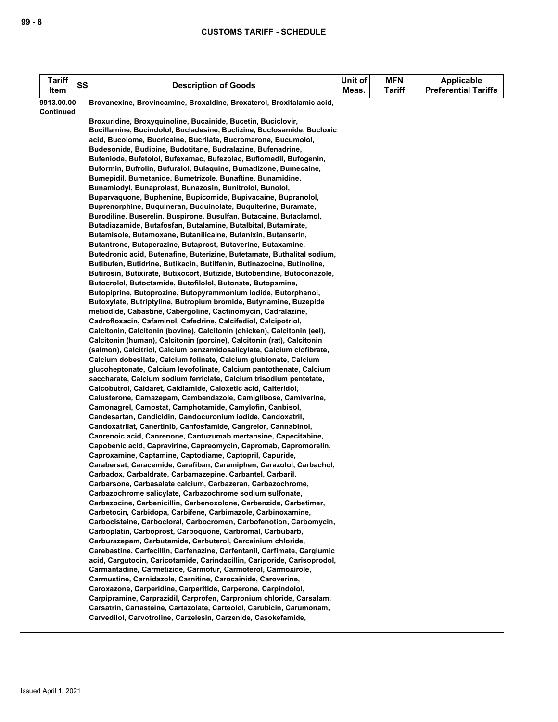| <b>Tariff</b><br>Item | SS | <b>Description of Goods</b>                                                                                                             | Unit of<br>Meas. | <b>MFN</b><br><b>Tariff</b> | <b>Applicable</b><br><b>Preferential Tariffs</b> |
|-----------------------|----|-----------------------------------------------------------------------------------------------------------------------------------------|------------------|-----------------------------|--------------------------------------------------|
| 9913.00.00            |    | Brovanexine, Brovincamine, Broxaldine, Broxaterol, Broxitalamic acid,                                                                   |                  |                             |                                                  |
| Continued             |    |                                                                                                                                         |                  |                             |                                                  |
|                       |    | Broxuridine, Broxyquinoline, Bucainide, Bucetin, Buciclovir,                                                                            |                  |                             |                                                  |
|                       |    | Bucillamine, Bucindolol, Bucladesine, Buclizine, Buclosamide, Bucloxic                                                                  |                  |                             |                                                  |
|                       |    | acid, Bucolome, Bucricaine, Bucrilate, Bucromarone, Bucumolol,                                                                          |                  |                             |                                                  |
|                       |    | Budesonide, Budipine, Budotitane, Budralazine, Bufenadrine,<br>Bufeniode, Bufetolol, Bufexamac, Bufezolac, Buflomedil, Bufogenin,       |                  |                             |                                                  |
|                       |    | Buformin, Bufrolin, Bufuralol, Bulaquine, Bumadizone, Bumecaine,                                                                        |                  |                             |                                                  |
|                       |    | Bumepidil, Bumetanide, Bumetrizole, Bunaftine, Bunamidine,                                                                              |                  |                             |                                                  |
|                       |    | Bunamiodyl, Bunaprolast, Bunazosin, Bunitrolol, Bunolol,                                                                                |                  |                             |                                                  |
|                       |    | Buparvaguone, Buphenine, Bupicomide, Bupivacaine, Bupranolol,                                                                           |                  |                             |                                                  |
|                       |    | Buprenorphine, Buquineran, Buquinolate, Buquiterine, Buramate,                                                                          |                  |                             |                                                  |
|                       |    | Burodiline, Buserelin, Buspirone, Busulfan, Butacaine, Butaclamol,                                                                      |                  |                             |                                                  |
|                       |    | Butadiazamide, Butafosfan, Butalamine, Butalbital, Butamirate,                                                                          |                  |                             |                                                  |
|                       |    | Butamisole, Butamoxane, Butanilicaine, Butanixin, Butanserin,                                                                           |                  |                             |                                                  |
|                       |    | Butantrone, Butaperazine, Butaprost, Butaverine, Butaxamine,                                                                            |                  |                             |                                                  |
|                       |    | Butedronic acid, Butenafine, Buterizine, Butetamate, Buthalital sodium,                                                                 |                  |                             |                                                  |
|                       |    | Butibufen, Butidrine, Butikacin, Butilfenin, Butinazocine, Butinoline,                                                                  |                  |                             |                                                  |
|                       |    | Butirosin, Butixirate, Butixocort, Butizide, Butobendine, Butoconazole,<br>Butocrolol, Butoctamide, Butofilolol, Butonate, Butopamine,  |                  |                             |                                                  |
|                       |    | Butopiprine, Butoprozine, Butopyrammonium iodide, Butorphanol,                                                                          |                  |                             |                                                  |
|                       |    | Butoxylate, Butriptyline, Butropium bromide, Butynamine, Buzepide                                                                       |                  |                             |                                                  |
|                       |    | metiodide, Cabastine, Cabergoline, Cactinomycin, Cadralazine,                                                                           |                  |                             |                                                  |
|                       |    | Cadrofloxacin, Cafaminol, Cafedrine, Calcifediol, Calcipotriol,                                                                         |                  |                             |                                                  |
|                       |    | Calcitonin, Calcitonin (bovine), Calcitonin (chicken), Calcitonin (eel),                                                                |                  |                             |                                                  |
|                       |    | Calcitonin (human), Calcitonin (porcine), Calcitonin (rat), Calcitonin                                                                  |                  |                             |                                                  |
|                       |    | (salmon), Calcitriol, Calcium benzamidosalicylate, Calcium clofibrate,                                                                  |                  |                             |                                                  |
|                       |    | Calcium dobesilate, Calcium folinate, Calcium glubionate, Calcium                                                                       |                  |                             |                                                  |
|                       |    | glucoheptonate, Calcium levofolinate, Calcium pantothenate, Calcium                                                                     |                  |                             |                                                  |
|                       |    | saccharate, Calcium sodium ferriclate, Calcium trisodium pentetate,                                                                     |                  |                             |                                                  |
|                       |    | Calcobutrol, Caldaret, Caldiamide, Caloxetic acid, Calteridol,<br>Calusterone, Camazepam, Cambendazole, Camiglibose, Camiverine,        |                  |                             |                                                  |
|                       |    | Camonagrel, Camostat, Camphotamide, Camylofin, Canbisol,                                                                                |                  |                             |                                                  |
|                       |    | Candesartan, Candicidin, Candocuronium iodide, Candoxatril,                                                                             |                  |                             |                                                  |
|                       |    | Candoxatrilat, Canertinib, Canfosfamide, Cangrelor, Cannabinol,                                                                         |                  |                             |                                                  |
|                       |    | Canrenoic acid, Canrenone, Cantuzumab mertansine, Capecitabine,                                                                         |                  |                             |                                                  |
|                       |    | Capobenic acid, Capravirine, Capreomycin, Capromab, Capromorelin,                                                                       |                  |                             |                                                  |
|                       |    | Caproxamine, Captamine, Captodiame, Captopril, Capuride,                                                                                |                  |                             |                                                  |
|                       |    | Carabersat, Caracemide, Carafiban, Caramiphen, Carazolol, Carbachol,                                                                    |                  |                             |                                                  |
|                       |    | Carbadox, Carbaldrate, Carbamazepine, Carbantel, Carbaril,                                                                              |                  |                             |                                                  |
|                       |    | Carbarsone, Carbasalate calcium, Carbazeran, Carbazochrome,                                                                             |                  |                             |                                                  |
|                       |    | Carbazochrome salicylate, Carbazochrome sodium sulfonate,<br>Carbazocine, Carbenicillin, Carbenoxolone, Carbenzide, Carbetimer,         |                  |                             |                                                  |
|                       |    | Carbetocin, Carbidopa, Carbifene, Carbimazole, Carbinoxamine,                                                                           |                  |                             |                                                  |
|                       |    | Carbocisteine, Carbocloral, Carbocromen, Carbofenotion, Carbomycin,                                                                     |                  |                             |                                                  |
|                       |    | Carboplatin, Carboprost, Carboquone, Carbromal, Carbubarb,                                                                              |                  |                             |                                                  |
|                       |    | Carburazepam, Carbutamide, Carbuterol, Carcainium chloride,                                                                             |                  |                             |                                                  |
|                       |    | Carebastine, Carfecillin, Carfenazine, Carfentanil, Carfimate, Carglumic                                                                |                  |                             |                                                  |
|                       |    | acid, Cargutocin, Caricotamide, Carindacillin, Cariporide, Carisoprodol,                                                                |                  |                             |                                                  |
|                       |    | Carmantadine, Carmetizide, Carmofur, Carmoterol, Carmoxirole,                                                                           |                  |                             |                                                  |
|                       |    | Carmustine, Carnidazole, Carnitine, Carocainide, Caroverine,                                                                            |                  |                             |                                                  |
|                       |    | Caroxazone, Carperidine, Carperitide, Carperone, Carpindolol,                                                                           |                  |                             |                                                  |
|                       |    | Carpipramine, Carprazidil, Carprofen, Carpronium chloride, Carsalam,                                                                    |                  |                             |                                                  |
|                       |    | Carsatrin, Cartasteine, Cartazolate, Carteolol, Carubicin, Carumonam,<br>Carvedilol, Carvotroline, Carzelesin, Carzenide, Casokefamide, |                  |                             |                                                  |
|                       |    |                                                                                                                                         |                  |                             |                                                  |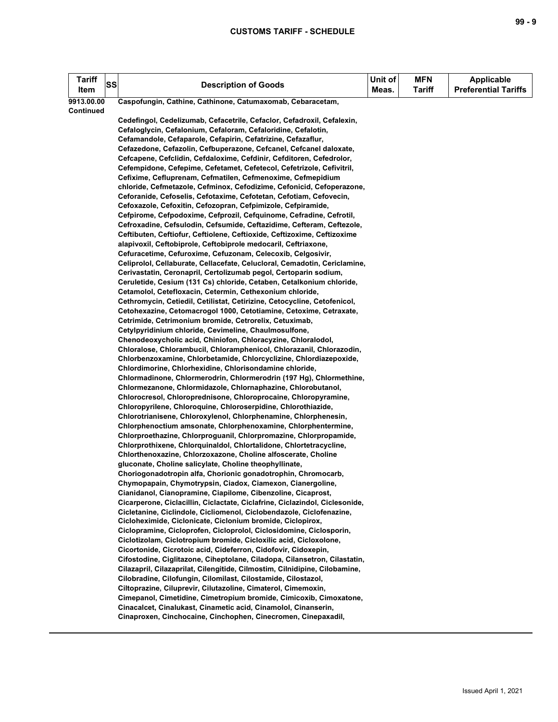| Tariff<br>Item | SS | <b>Description of Goods</b>                                                                                                                   | Unit of<br>Meas. | MFN<br><b>Tariff</b> | Applicable<br><b>Preferential Tariffs</b> |
|----------------|----|-----------------------------------------------------------------------------------------------------------------------------------------------|------------------|----------------------|-------------------------------------------|
| 9913.00.00     |    | Caspofungin, Cathine, Cathinone, Catumaxomab, Cebaracetam,                                                                                    |                  |                      |                                           |
| Continued      |    |                                                                                                                                               |                  |                      |                                           |
|                |    | Cedefingol, Cedelizumab, Cefacetrile, Cefaclor, Cefadroxil, Cefalexin,                                                                        |                  |                      |                                           |
|                |    | Cefaloglycin, Cefalonium, Cefaloram, Cefaloridine, Cefalotin,                                                                                 |                  |                      |                                           |
|                |    | Cefamandole, Cefaparole, Cefapirin, Cefatrizine, Cefazaflur,                                                                                  |                  |                      |                                           |
|                |    | Cefazedone, Cefazolin, Cefbuperazone, Cefcanel, Cefcanel daloxate,                                                                            |                  |                      |                                           |
|                |    | Cefcapene, Cefclidin, Cefdaloxime, Cefdinir, Cefditoren, Cefedrolor,<br>Cefempidone, Cefepime, Cefetamet, Cefetecol, Cefetrizole, Cefivitril, |                  |                      |                                           |
|                |    | Cefixime, Cefluprenam, Cefmatilen, Cefmenoxime, Cefmepidium                                                                                   |                  |                      |                                           |
|                |    | chloride, Cefmetazole, Cefminox, Cefodizime, Cefonicid, Cefoperazone,                                                                         |                  |                      |                                           |
|                |    | Ceforanide, Cefoselis, Cefotaxime, Cefotetan, Cefotiam, Cefovecin,                                                                            |                  |                      |                                           |
|                |    | Cefoxazole, Cefoxitin, Cefozopran, Cefpimizole, Cefpiramide,                                                                                  |                  |                      |                                           |
|                |    | Cefpirome, Cefpodoxime, Cefprozil, Cefquinome, Cefradine, Cefrotil,                                                                           |                  |                      |                                           |
|                |    | Cefroxadine, Cefsulodin, Cefsumide, Ceftazidime, Cefteram, Ceftezole,                                                                         |                  |                      |                                           |
|                |    | Ceftibuten, Ceftiofur, Ceftiolene, Ceftioxide, Ceftizoxime, Ceftizoxime                                                                       |                  |                      |                                           |
|                |    | alapivoxil, Ceftobiprole, Ceftobiprole medocaril, Ceftriaxone,                                                                                |                  |                      |                                           |
|                |    | Cefuracetime, Cefuroxime, Cefuzonam, Celecoxib, Celgosivir,                                                                                   |                  |                      |                                           |
|                |    | Celiprolol, Cellaburate, Cellacefate, Celucloral, Cemadotin, Cericlamine,                                                                     |                  |                      |                                           |
|                |    | Cerivastatin, Ceronapril, Certolizumab pegol, Certoparin sodium,                                                                              |                  |                      |                                           |
|                |    | Ceruletide, Cesium (131 Cs) chloride, Cetaben, Cetalkonium chloride,<br>Cetamolol, Cetefloxacin, Cetermin, Cethexonium chloride,              |                  |                      |                                           |
|                |    | Cethromycin, Cetiedil, Cetilistat, Cetirizine, Cetocycline, Cetofenicol,                                                                      |                  |                      |                                           |
|                |    | Cetohexazine, Cetomacrogol 1000, Cetotiamine, Cetoxime, Cetraxate,                                                                            |                  |                      |                                           |
|                |    | Cetrimide, Cetrimonium bromide, Cetrorelix, Cetuximab,                                                                                        |                  |                      |                                           |
|                |    | Cetylpyridinium chloride, Cevimeline, Chaulmosulfone,                                                                                         |                  |                      |                                           |
|                |    | Chenodeoxycholic acid, Chiniofon, Chloracyzine, Chloralodol,                                                                                  |                  |                      |                                           |
|                |    | Chloralose, Chlorambucil, Chloramphenicol, Chlorazanil, Chlorazodin,                                                                          |                  |                      |                                           |
|                |    | Chlorbenzoxamine, Chlorbetamide, Chlorcyclizine, Chlordiazepoxide,                                                                            |                  |                      |                                           |
|                |    | Chlordimorine, Chlorhexidine, Chlorisondamine chloride,                                                                                       |                  |                      |                                           |
|                |    | Chlormadinone, Chlormerodrin, Chlormerodrin (197 Hg), Chlormethine,                                                                           |                  |                      |                                           |
|                |    | Chlormezanone, Chlormidazole, Chlornaphazine, Chlorobutanol,                                                                                  |                  |                      |                                           |
|                |    | Chlorocresol, Chloroprednisone, Chloroprocaine, Chloropyramine,                                                                               |                  |                      |                                           |
|                |    | Chloropyrilene, Chloroquine, Chloroserpidine, Chlorothiazide,<br>Chlorotrianisene, Chloroxylenol, Chlorphenamine, Chlorphenesin,              |                  |                      |                                           |
|                |    | Chlorphenoctium amsonate, Chlorphenoxamine, Chlorphentermine,                                                                                 |                  |                      |                                           |
|                |    | Chlorproethazine, Chlorproguanil, Chlorpromazine, Chlorpropamide,                                                                             |                  |                      |                                           |
|                |    | Chlorprothixene, Chlorquinaldol, Chlortalidone, Chlortetracycline,                                                                            |                  |                      |                                           |
|                |    | Chlorthenoxazine, Chlorzoxazone, Choline alfoscerate, Choline                                                                                 |                  |                      |                                           |
|                |    | gluconate, Choline salicylate, Choline theophyllinate,                                                                                        |                  |                      |                                           |
|                |    | Choriogonadotropin alfa, Chorionic gonadotrophin, Chromocarb,                                                                                 |                  |                      |                                           |
|                |    | Chymopapain, Chymotrypsin, Ciadox, Ciamexon, Cianergoline,                                                                                    |                  |                      |                                           |
|                |    | Cianidanol, Cianopramine, Ciapilome, Cibenzoline, Cicaprost,                                                                                  |                  |                      |                                           |
|                |    | Cicarperone, Ciclacillin, Ciclactate, Ciclafrine, Ciclazindol, Ciclesonide,                                                                   |                  |                      |                                           |
|                |    | Cicletanine, Ciclindole, Cicliomenol, Ciclobendazole, Ciclofenazine,                                                                          |                  |                      |                                           |
|                |    | Cicloheximide, Ciclonicate, Ciclonium bromide, Ciclopirox,<br>Ciclopramine, Cicloprofen, Cicloprolol, Ciclosidomine, Ciclosporin,             |                  |                      |                                           |
|                |    | Ciclotizolam, Ciclotropium bromide, Cicloxilic acid, Cicloxolone,                                                                             |                  |                      |                                           |
|                |    | Cicortonide, Cicrotoic acid, Cideferron, Cidofovir, Cidoxepin,                                                                                |                  |                      |                                           |
|                |    | Cifostodine, Ciglitazone, Ciheptolane, Ciladopa, Cilansetron, Cilastatin,                                                                     |                  |                      |                                           |
|                |    | Cilazapril, Cilazaprilat, Cilengitide, Cilmostim, Cilnidipine, Cilobamine,                                                                    |                  |                      |                                           |
|                |    | Cilobradine, Cilofungin, Cilomilast, Cilostamide, Cilostazol,                                                                                 |                  |                      |                                           |
|                |    | Ciltoprazine, Ciluprevir, Cilutazoline, Cimaterol, Cimemoxin,                                                                                 |                  |                      |                                           |
|                |    | Cimepanol, Cimetidine, Cimetropium bromide, Cimicoxib, Cimoxatone,                                                                            |                  |                      |                                           |
|                |    | Cinacalcet, Cinalukast, Cinametic acid, Cinamolol, Cinanserin,                                                                                |                  |                      |                                           |
|                |    | Cinaproxen, Cinchocaine, Cinchophen, Cinecromen, Cinepaxadil,                                                                                 |                  |                      |                                           |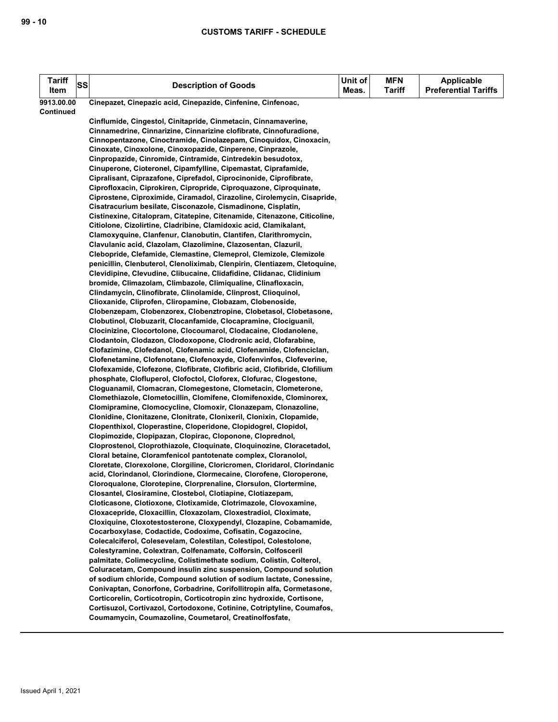| <b>Tariff</b> | <b>SS</b> | <b>Description of Goods</b>                                                                                                               | Unit of | <b>MFN</b>    | <b>Applicable</b>           |
|---------------|-----------|-------------------------------------------------------------------------------------------------------------------------------------------|---------|---------------|-----------------------------|
| Item          |           |                                                                                                                                           | Meas.   | <b>Tariff</b> | <b>Preferential Tariffs</b> |
| 9913.00.00    |           | Cinepazet, Cinepazic acid, Cinepazide, Cinfenine, Cinfenoac,                                                                              |         |               |                             |
| Continued     |           |                                                                                                                                           |         |               |                             |
|               |           | Cinflumide, Cingestol, Cinitapride, Cinmetacin, Cinnamaverine,                                                                            |         |               |                             |
|               |           | Cinnamedrine, Cinnarizine, Cinnarizine clofibrate, Cinnofuradione,                                                                        |         |               |                             |
|               |           | Cinnopentazone, Cinoctramide, Cinolazepam, Cinoquidox, Cinoxacin,                                                                         |         |               |                             |
|               |           | Cinoxate, Cinoxolone, Cinoxopazide, Cinperene, Cinprazole,                                                                                |         |               |                             |
|               |           | Cinpropazide, Cinromide, Cintramide, Cintredekin besudotox,<br>Cinuperone, Cioteronel, Cipamfylline, Cipemastat, Ciprafamide,             |         |               |                             |
|               |           | Cipralisant, Ciprazafone, Ciprefadol, Ciprocinonide, Ciprofibrate,                                                                        |         |               |                             |
|               |           | Ciprofloxacin, Ciprokiren, Cipropride, Ciproquazone, Ciproquinate,                                                                        |         |               |                             |
|               |           | Ciprostene, Ciproximide, Ciramadol, Cirazoline, Cirolemycin, Cisapride,                                                                   |         |               |                             |
|               |           | Cisatracurium besilate, Cisconazole, Cismadinone, Cisplatin,                                                                              |         |               |                             |
|               |           | Cistinexine, Citalopram, Citatepine, Citenamide, Citenazone, Citicoline,                                                                  |         |               |                             |
|               |           | Citiolone, Cizolirtine, Cladribine, Clamidoxic acid, Clamikalant,                                                                         |         |               |                             |
|               |           | Clamoxyquine, Clanfenur, Clanobutin, Clantifen, Clarithromycin,                                                                           |         |               |                             |
|               |           | Clavulanic acid, Clazolam, Clazolimine, Clazosentan, Clazuril,                                                                            |         |               |                             |
|               |           | Clebopride, Clefamide, Clemastine, Clemeprol, Clemizole, Clemizole                                                                        |         |               |                             |
|               |           | penicillin, Clenbuterol, Clenoliximab, Clenpirin, Clentiazem, Cletoquine,                                                                 |         |               |                             |
|               |           | Clevidipine, Clevudine, Clibucaine, Clidafidine, Clidanac, Clidinium                                                                      |         |               |                             |
|               |           | bromide, Climazolam, Climbazole, Climiqualine, Clinafloxacin,                                                                             |         |               |                             |
|               |           | Clindamycin, Clinofibrate, Clinolamide, Clinprost, Clioquinol,                                                                            |         |               |                             |
|               |           | Clioxanide, Cliprofen, Cliropamine, Clobazam, Clobenoside,                                                                                |         |               |                             |
|               |           | Clobenzepam, Clobenzorex, Clobenztropine, Clobetasol, Clobetasone,                                                                        |         |               |                             |
|               |           | Clobutinol, Clobuzarit, Clocanfamide, Clocapramine, Clociguanil,                                                                          |         |               |                             |
|               |           | Clocinizine, Clocortolone, Clocoumarol, Clodacaine, Clodanolene,<br>Clodantoin, Clodazon, Clodoxopone, Clodronic acid, Clofarabine,       |         |               |                             |
|               |           | Clofazimine, Clofedanol, Clofenamic acid, Clofenamide, Clofenciclan,                                                                      |         |               |                             |
|               |           | Clofenetamine, Clofenotane, Clofenoxyde, Clofenvinfos, Clofeverine,                                                                       |         |               |                             |
|               |           | Clofexamide, Clofezone, Clofibrate, Clofibric acid, Clofibride, Clofilium                                                                 |         |               |                             |
|               |           | phosphate, Clofluperol, Clofoctol, Cloforex, Clofurac, Clogestone,                                                                        |         |               |                             |
|               |           | Cloguanamil, Clomacran, Clomegestone, Clometacin, Clometerone,                                                                            |         |               |                             |
|               |           | Clomethiazole, Clometocillin, Clomifene, Clomifenoxide, Clominorex,                                                                       |         |               |                             |
|               |           | Clomipramine, Clomocycline, Clomoxir, Clonazepam, Clonazoline,                                                                            |         |               |                             |
|               |           | Clonidine, Clonitazene, Clonitrate, Clonixeril, Clonixin, Clopamide,                                                                      |         |               |                             |
|               |           | Clopenthixol, Cloperastine, Cloperidone, Clopidogrel, Clopidol,                                                                           |         |               |                             |
|               |           | Clopimozide, Clopipazan, Clopirac, Cloponone, Cloprednol,                                                                                 |         |               |                             |
|               |           | Cloprostenol, Cloprothiazole, Cloquinate, Cloquinozine, Cloracetadol,                                                                     |         |               |                             |
|               |           | Cloral betaine, Cloramfenicol pantotenate complex, Cloranolol,                                                                            |         |               |                             |
|               |           | Cloretate, Clorexolone, Clorgiline, Cloricromen, Cloridarol, Clorindanic                                                                  |         |               |                             |
|               |           | acid, Clorindanol, Clorindione, Clormecaine, Clorofene, Cloroperone,<br>Cloroqualone, Clorotepine, Clorprenaline, Clorsulon, Clortermine, |         |               |                             |
|               |           | Closantel, Closiramine, Clostebol, Clotiapine, Clotiazepam,                                                                               |         |               |                             |
|               |           | Cloticasone, Clotioxone, Clotixamide, Clotrimazole, Clovoxamine,                                                                          |         |               |                             |
|               |           | Cloxacepride, Cloxacillin, Cloxazolam, Cloxestradiol, Cloximate,                                                                          |         |               |                             |
|               |           | Cloxiquine, Cloxotestosterone, Cloxypendyl, Clozapine, Cobamamide,                                                                        |         |               |                             |
|               |           | Cocarboxylase, Codactide, Codoxime, Cofisatin, Cogazocine,                                                                                |         |               |                             |
|               |           | Colecalciferol, Colesevelam, Colestilan, Colestipol, Colestolone,                                                                         |         |               |                             |
|               |           | Colestyramine, Colextran, Colfenamate, Colforsin, Colfosceril                                                                             |         |               |                             |
|               |           | palmitate, Colimecycline, Colistimethate sodium, Colistin, Colterol,                                                                      |         |               |                             |
|               |           | Coluracetam, Compound insulin zinc suspension, Compound solution                                                                          |         |               |                             |
|               |           | of sodium chloride, Compound solution of sodium lactate, Conessine,                                                                       |         |               |                             |
|               |           | Conivaptan, Conorfone, Corbadrine, Corifollitropin alfa, Cormetasone,                                                                     |         |               |                             |
|               |           | Corticorelin, Corticotropin, Corticotropin zinc hydroxide, Cortisone,                                                                     |         |               |                             |
|               |           | Cortisuzol, Cortivazol, Cortodoxone, Cotinine, Cotriptyline, Coumafos,                                                                    |         |               |                             |
|               |           | Coumamycin, Coumazoline, Coumetarol, Creatinolfosfate,                                                                                    |         |               |                             |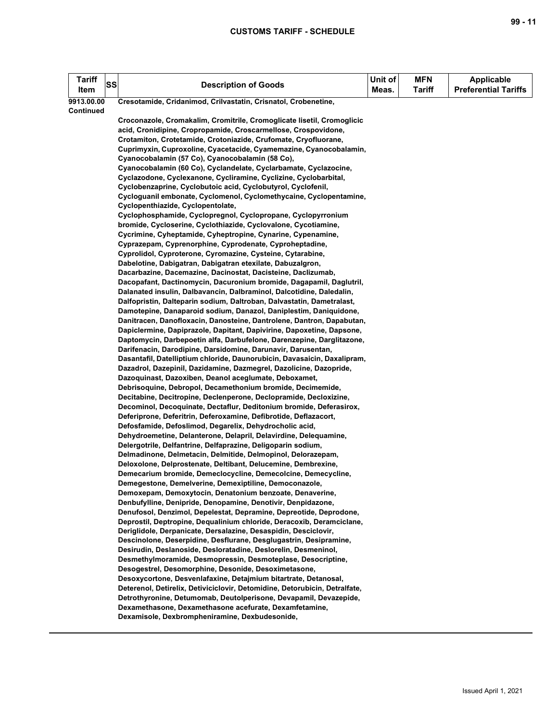| <b>Tariff</b><br>Item | SS | <b>Description of Goods</b>                                                                                                    | Unit of<br>Meas. | <b>MFN</b><br><b>Tariff</b> | <b>Applicable</b><br><b>Preferential Tariffs</b> |
|-----------------------|----|--------------------------------------------------------------------------------------------------------------------------------|------------------|-----------------------------|--------------------------------------------------|
| 9913.00.00            |    | Cresotamide, Cridanimod, Crilvastatin, Crisnatol, Crobenetine,                                                                 |                  |                             |                                                  |
| <b>Continued</b>      |    |                                                                                                                                |                  |                             |                                                  |
|                       |    | Croconazole, Cromakalim, Cromitrile, Cromoglicate lisetil, Cromoglicic                                                         |                  |                             |                                                  |
|                       |    | acid, Cronidipine, Cropropamide, Croscarmellose, Crospovidone,                                                                 |                  |                             |                                                  |
|                       |    | Crotamiton, Crotetamide, Crotoniazide, Crufomate, Cryofluorane,                                                                |                  |                             |                                                  |
|                       |    | Cuprimyxin, Cuproxoline, Cyacetacide, Cyamemazine, Cyanocobalamin,                                                             |                  |                             |                                                  |
|                       |    | Cyanocobalamin (57 Co), Cyanocobalamin (58 Co),                                                                                |                  |                             |                                                  |
|                       |    | Cyanocobalamin (60 Co), Cyclandelate, Cyclarbamate, Cyclazocine,                                                               |                  |                             |                                                  |
|                       |    | Cyclazodone, Cyclexanone, Cycliramine, Cyclizine, Cyclobarbital,                                                               |                  |                             |                                                  |
|                       |    | Cyclobenzaprine, Cyclobutoic acid, Cyclobutyrol, Cyclofenil,                                                                   |                  |                             |                                                  |
|                       |    | Cycloguanil embonate, Cyclomenol, Cyclomethycaine, Cyclopentamine,                                                             |                  |                             |                                                  |
|                       |    | Cyclopenthiazide, Cyclopentolate,<br>Cyclophosphamide, Cyclopregnol, Cyclopropane, Cyclopyrronium                              |                  |                             |                                                  |
|                       |    | bromide, Cycloserine, Cyclothiazide, Cyclovalone, Cycotiamine,                                                                 |                  |                             |                                                  |
|                       |    | Cycrimine, Cyheptamide, Cyheptropine, Cynarine, Cypenamine,                                                                    |                  |                             |                                                  |
|                       |    | Cyprazepam, Cyprenorphine, Cyprodenate, Cyproheptadine,                                                                        |                  |                             |                                                  |
|                       |    | Cyprolidol, Cyproterone, Cyromazine, Cysteine, Cytarabine,                                                                     |                  |                             |                                                  |
|                       |    | Dabelotine, Dabigatran, Dabigatran etexilate, Dabuzalgron,                                                                     |                  |                             |                                                  |
|                       |    | Dacarbazine, Dacemazine, Dacinostat, Dacisteine, Daclizumab,                                                                   |                  |                             |                                                  |
|                       |    | Dacopafant, Dactinomycin, Dacuronium bromide, Dagapamil, Daglutril,                                                            |                  |                             |                                                  |
|                       |    | Dalanated insulin, Dalbavancin, Dalbraminol, Dalcotidine, Daledalin,                                                           |                  |                             |                                                  |
|                       |    | Dalfopristin, Dalteparin sodium, Daltroban, Dalvastatin, Dametralast,                                                          |                  |                             |                                                  |
|                       |    | Damotepine, Danaparoid sodium, Danazol, Daniplestim, Daniquidone,                                                              |                  |                             |                                                  |
|                       |    | Danitracen, Danofloxacin, Danosteine, Dantrolene, Dantron, Dapabutan,                                                          |                  |                             |                                                  |
|                       |    | Dapiclermine, Dapiprazole, Dapitant, Dapivirine, Dapoxetine, Dapsone,                                                          |                  |                             |                                                  |
|                       |    | Daptomycin, Darbepoetin alfa, Darbufelone, Darenzepine, Darglitazone,                                                          |                  |                             |                                                  |
|                       |    | Darifenacin, Darodipine, Darsidomine, Darunavir, Darusentan,                                                                   |                  |                             |                                                  |
|                       |    | Dasantafil, Datelliptium chloride, Daunorubicin, Davasaicin, Daxalipram,                                                       |                  |                             |                                                  |
|                       |    | Dazadrol, Dazepinil, Dazidamine, Dazmegrel, Dazolicine, Dazopride,                                                             |                  |                             |                                                  |
|                       |    | Dazoquinast, Dazoxiben, Deanol aceglumate, Deboxamet,                                                                          |                  |                             |                                                  |
|                       |    | Debrisoquine, Debropol, Decamethonium bromide, Decimemide,                                                                     |                  |                             |                                                  |
|                       |    | Decitabine, Decitropine, Declenperone, Declopramide, Decloxizine,                                                              |                  |                             |                                                  |
|                       |    | Decominol, Decoquinate, Dectaflur, Deditonium bromide, Deferasirox,                                                            |                  |                             |                                                  |
|                       |    | Deferiprone, Deferitrin, Deferoxamine, Defibrotide, Deflazacort,                                                               |                  |                             |                                                  |
|                       |    | Defosfamide, Defoslimod, Degarelix, Dehydrocholic acid,                                                                        |                  |                             |                                                  |
|                       |    | Dehydroemetine, Delanterone, Delapril, Delavirdine, Delequamine,                                                               |                  |                             |                                                  |
|                       |    | Delergotrile, Delfantrine, Delfaprazine, Deligoparin sodium,                                                                   |                  |                             |                                                  |
|                       |    | Delmadinone, Delmetacin, Delmitide, Delmopinol, Delorazepam,                                                                   |                  |                             |                                                  |
|                       |    | Deloxolone, Delprostenate, Deltibant, Delucemine, Dembrexine,<br>Demecarium bromide, Demeclocycline, Demecolcine, Demecycline, |                  |                             |                                                  |
|                       |    | Demegestone, Demelverine, Demexiptiline, Democonazole,                                                                         |                  |                             |                                                  |
|                       |    | Demoxepam, Demoxytocin, Denatonium benzoate, Denaverine,                                                                       |                  |                             |                                                  |
|                       |    | Denbufylline, Denipride, Denopamine, Denotivir, Denpidazone,                                                                   |                  |                             |                                                  |
|                       |    | Denufosol, Denzimol, Depelestat, Depramine, Depreotide, Deprodone,                                                             |                  |                             |                                                  |
|                       |    | Deprostil, Deptropine, Dequalinium chloride, Deracoxib, Deramciclane,                                                          |                  |                             |                                                  |
|                       |    | Deriglidole, Derpanicate, Dersalazine, Desaspidin, Desciclovir,                                                                |                  |                             |                                                  |
|                       |    | Descinolone, Deserpidine, Desflurane, Desglugastrin, Desipramine,                                                              |                  |                             |                                                  |
|                       |    | Desirudin, Deslanoside, Desloratadine, Deslorelin, Desmeninol,                                                                 |                  |                             |                                                  |
|                       |    | Desmethylmoramide, Desmopressin, Desmoteplase, Desocriptine,                                                                   |                  |                             |                                                  |
|                       |    | Desogestrel, Desomorphine, Desonide, Desoximetasone,                                                                           |                  |                             |                                                  |
|                       |    | Desoxycortone, Desvenlafaxine, Detajmium bitartrate, Detanosal,                                                                |                  |                             |                                                  |
|                       |    | Deterenol, Detirelix, Detiviciclovir, Detomidine, Detorubicin, Detralfate,                                                     |                  |                             |                                                  |
|                       |    | Detrothyronine, Detumomab, Deutolperisone, Devapamil, Devazepide,                                                              |                  |                             |                                                  |
|                       |    | Dexamethasone, Dexamethasone acefurate, Dexamfetamine,                                                                         |                  |                             |                                                  |
|                       |    | Dexamisole, Dexbrompheniramine, Dexbudesonide,                                                                                 |                  |                             |                                                  |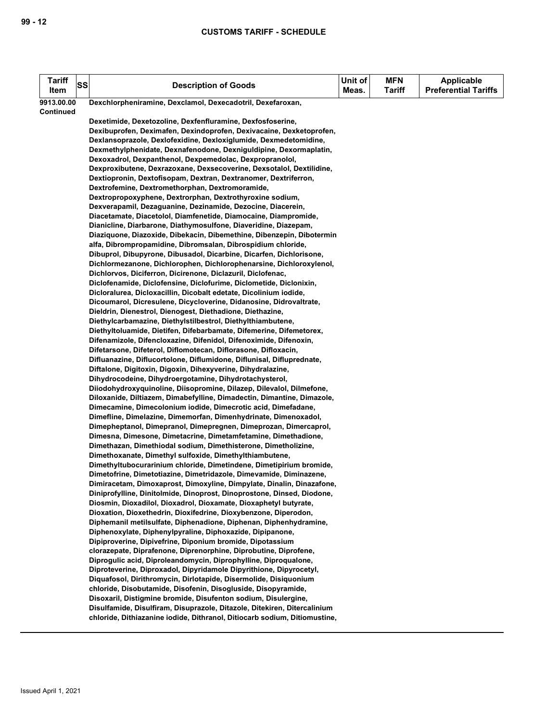| <b>Tariff</b> | <b>SS</b> | <b>Description of Goods</b>                                                                                                                 | Unit of | <b>MFN</b>    | <b>Applicable</b><br><b>Preferential Tariffs</b> |
|---------------|-----------|---------------------------------------------------------------------------------------------------------------------------------------------|---------|---------------|--------------------------------------------------|
| Item          |           |                                                                                                                                             | Meas.   | <b>Tariff</b> |                                                  |
| 9913.00.00    |           | Dexchlorpheniramine, Dexclamol, Dexecadotril, Dexefaroxan,                                                                                  |         |               |                                                  |
| Continued     |           | Dexetimide, Dexetozoline, Dexfenfluramine, Dexfosfoserine,                                                                                  |         |               |                                                  |
|               |           | Dexibuprofen, Deximafen, Dexindoprofen, Dexivacaine, Dexketoprofen,                                                                         |         |               |                                                  |
|               |           | Dexlansoprazole, Dexlofexidine, Dexloxiglumide, Dexmedetomidine,                                                                            |         |               |                                                  |
|               |           | Dexmethylphenidate, Dexnafenodone, Dexniguldipine, Dexormaplatin,                                                                           |         |               |                                                  |
|               |           | Dexoxadrol, Dexpanthenol, Dexpemedolac, Dexpropranolol,                                                                                     |         |               |                                                  |
|               |           | Dexproxibutene, Dexrazoxane, Dexsecoverine, Dexsotalol, Dextilidine,                                                                        |         |               |                                                  |
|               |           | Dextiopronin, Dextofisopam, Dextran, Dextranomer, Dextriferron,                                                                             |         |               |                                                  |
|               |           | Dextrofemine, Dextromethorphan, Dextromoramide,                                                                                             |         |               |                                                  |
|               |           | Dextropropoxyphene, Dextrorphan, Dextrothyroxine sodium,                                                                                    |         |               |                                                  |
|               |           | Dexverapamil, Dezaguanine, Dezinamide, Dezocine, Diacerein,                                                                                 |         |               |                                                  |
|               |           | Diacetamate, Diacetolol, Diamfenetide, Diamocaine, Diampromide,                                                                             |         |               |                                                  |
|               |           | Dianicline, Diarbarone, Diathymosulfone, Diaveridine, Diazepam,                                                                             |         |               |                                                  |
|               |           | Diaziquone, Diazoxide, Dibekacin, Dibemethine, Dibenzepin, Dibotermin                                                                       |         |               |                                                  |
|               |           | alfa, Dibrompropamidine, Dibromsalan, Dibrospidium chloride,<br>Dibuprol, Dibupyrone, Dibusadol, Dicarbine, Dicarfen, Dichlorisone,         |         |               |                                                  |
|               |           | Dichlormezanone, Dichlorophen, Dichlorophenarsine, Dichloroxylenol,                                                                         |         |               |                                                  |
|               |           | Dichlorvos, Diciferron, Dicirenone, Diclazuril, Diclofenac,                                                                                 |         |               |                                                  |
|               |           | Diclofenamide, Diclofensine, Diclofurime, Diclometide, Diclonixin,                                                                          |         |               |                                                  |
|               |           | Dicloralurea, Dicloxacillin, Dicobalt edetate, Dicolinium iodide,                                                                           |         |               |                                                  |
|               |           | Dicoumarol, Dicresulene, Dicycloverine, Didanosine, Didrovaltrate,                                                                          |         |               |                                                  |
|               |           | Dieldrin, Dienestrol, Dienogest, Diethadione, Diethazine,                                                                                   |         |               |                                                  |
|               |           | Diethylcarbamazine, Diethylstilbestrol, Diethylthiambutene,                                                                                 |         |               |                                                  |
|               |           | Diethyltoluamide, Dietifen, Difebarbamate, Difemerine, Difemetorex,                                                                         |         |               |                                                  |
|               |           | Difenamizole, Difencloxazine, Difenidol, Difenoximide, Difenoxin,                                                                           |         |               |                                                  |
|               |           | Difetarsone, Difeterol, Diflomotecan, Diflorasone, Difloxacin,                                                                              |         |               |                                                  |
|               |           | Difluanazine, Diflucortolone, Diflumidone, Diflunisal, Difluprednate,                                                                       |         |               |                                                  |
|               |           | Diftalone, Digitoxin, Digoxin, Dihexyverine, Dihydralazine,<br>Dihydrocodeine, Dihydroergotamine, Dihydrotachysterol,                       |         |               |                                                  |
|               |           | Diiodohydroxyquinoline, Diisopromine, Dilazep, Dilevalol, Dilmefone,                                                                        |         |               |                                                  |
|               |           | Diloxanide, Diltiazem, Dimabefylline, Dimadectin, Dimantine, Dimazole,                                                                      |         |               |                                                  |
|               |           | Dimecamine, Dimecolonium iodide, Dimecrotic acid, Dimefadane,                                                                               |         |               |                                                  |
|               |           | Dimefline, Dimelazine, Dimemorfan, Dimenhydrinate, Dimenoxadol,                                                                             |         |               |                                                  |
|               |           | Dimepheptanol, Dimepranol, Dimepregnen, Dimeprozan, Dimercaprol,                                                                            |         |               |                                                  |
|               |           | Dimesna, Dimesone, Dimetacrine, Dimetamfetamine, Dimethadione,                                                                              |         |               |                                                  |
|               |           | Dimethazan, Dimethiodal sodium, Dimethisterone, Dimetholizine,                                                                              |         |               |                                                  |
|               |           | Dimethoxanate, Dimethyl sulfoxide, Dimethylthiambutene,                                                                                     |         |               |                                                  |
|               |           | Dimethyltubocurarinium chloride, Dimetindene, Dimetipirium bromide,                                                                         |         |               |                                                  |
|               |           | Dimetofrine, Dimetotiazine, Dimetridazole, Dimevamide, Diminazene,<br>Dimiracetam, Dimoxaprost, Dimoxyline, Dimpylate, Dinalin, Dinazafone, |         |               |                                                  |
|               |           | Diniprofylline, Dinitolmide, Dinoprost, Dinoprostone, Dinsed, Diodone,                                                                      |         |               |                                                  |
|               |           | Diosmin, Dioxadilol, Dioxadrol, Dioxamate, Dioxaphetyl butyrate,                                                                            |         |               |                                                  |
|               |           | Dioxation, Dioxethedrin, Dioxifedrine, Dioxybenzone, Diperodon,                                                                             |         |               |                                                  |
|               |           | Diphemanil metilsulfate, Diphenadione, Diphenan, Diphenhydramine,                                                                           |         |               |                                                  |
|               |           | Diphenoxylate, Diphenylpyraline, Diphoxazide, Dipipanone,                                                                                   |         |               |                                                  |
|               |           | Dipiproverine, Dipivefrine, Diponium bromide, Dipotassium                                                                                   |         |               |                                                  |
|               |           | clorazepate, Diprafenone, Diprenorphine, Diprobutine, Diprofene,                                                                            |         |               |                                                  |
|               |           | Diprogulic acid, Diproleandomycin, Diprophylline, Diproqualone,                                                                             |         |               |                                                  |
|               |           | Diproteverine, Diproxadol, Dipyridamole Dipyrithione, Dipyrocetyl,                                                                          |         |               |                                                  |
|               |           | Diquafosol, Dirithromycin, Dirlotapide, Disermolide, Disiquonium                                                                            |         |               |                                                  |
|               |           | chloride, Disobutamide, Disofenin, Disogluside, Disopyramide,<br>Disoxaril, Distigmine bromide, Disufenton sodium, Disulergine,             |         |               |                                                  |
|               |           | Disulfamide, Disulfiram, Disuprazole, Ditazole, Ditekiren, Ditercalinium                                                                    |         |               |                                                  |
|               |           | chloride, Dithiazanine iodide, Dithranol, Ditiocarb sodium, Ditiomustine,                                                                   |         |               |                                                  |
|               |           |                                                                                                                                             |         |               |                                                  |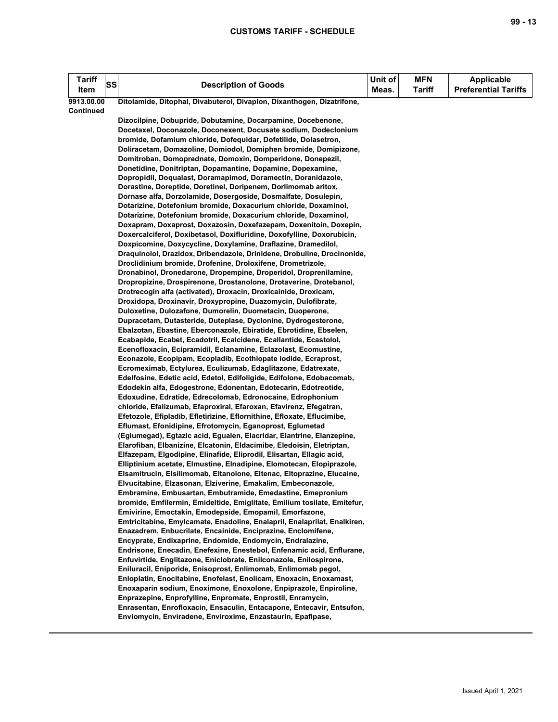| <b>Tariff</b><br>Item | <b>SS</b> | <b>Description of Goods</b>                                                                                                           | Unit of<br>Meas. | <b>MFN</b><br><b>Tariff</b> | <b>Applicable</b><br><b>Preferential Tariffs</b> |
|-----------------------|-----------|---------------------------------------------------------------------------------------------------------------------------------------|------------------|-----------------------------|--------------------------------------------------|
| 9913.00.00            |           | Ditolamide, Ditophal, Divabuterol, Divaplon, Dixanthogen, Dizatrifone,                                                                |                  |                             |                                                  |
| Continued             |           |                                                                                                                                       |                  |                             |                                                  |
|                       |           | Dizocilpine, Dobupride, Dobutamine, Docarpamine, Docebenone,                                                                          |                  |                             |                                                  |
|                       |           | Docetaxel, Doconazole, Doconexent, Docusate sodium, Dodeclonium                                                                       |                  |                             |                                                  |
|                       |           | bromide, Dofamium chloride, Dofequidar, Dofetilide, Dolasetron,                                                                       |                  |                             |                                                  |
|                       |           | Doliracetam, Domazoline, Domiodol, Domiphen bromide, Domipizone,                                                                      |                  |                             |                                                  |
|                       |           | Domitroban, Domoprednate, Domoxin, Domperidone, Donepezil,                                                                            |                  |                             |                                                  |
|                       |           | Donetidine, Donitriptan, Dopamantine, Dopamine, Dopexamine,<br>Dopropidil, Doqualast, Doramapimod, Doramectin, Doranidazole,          |                  |                             |                                                  |
|                       |           | Dorastine, Doreptide, Doretinel, Doripenem, Dorlimomab aritox,                                                                        |                  |                             |                                                  |
|                       |           | Dornase alfa, Dorzolamide, Dosergoside, Dosmalfate, Dosulepin,                                                                        |                  |                             |                                                  |
|                       |           | Dotarizine, Dotefonium bromide, Doxacurium chloride, Doxaminol,                                                                       |                  |                             |                                                  |
|                       |           | Dotarizine, Dotefonium bromide, Doxacurium chloride, Doxaminol,                                                                       |                  |                             |                                                  |
|                       |           | Doxapram, Doxaprost, Doxazosin, Doxefazepam, Doxenitoin, Doxepin,                                                                     |                  |                             |                                                  |
|                       |           | Doxercalciferol, Doxibetasol, Doxifluridine, Doxofylline, Doxorubicin,                                                                |                  |                             |                                                  |
|                       |           | Doxpicomine, Doxycycline, Doxylamine, Draflazine, Dramedilol,                                                                         |                  |                             |                                                  |
|                       |           | Draquinolol, Drazidox, Dribendazole, Drinidene, Drobuline, Drocinonide,                                                               |                  |                             |                                                  |
|                       |           | Droclidinium bromide, Drofenine, Droloxifene, Drometrizole,                                                                           |                  |                             |                                                  |
|                       |           | Dronabinol, Dronedarone, Dropempine, Droperidol, Droprenilamine,                                                                      |                  |                             |                                                  |
|                       |           | Dropropizine, Drospirenone, Drostanolone, Drotaverine, Drotebanol,                                                                    |                  |                             |                                                  |
|                       |           | Drotrecogin alfa (activated), Droxacin, Droxicainide, Droxicam,                                                                       |                  |                             |                                                  |
|                       |           | Droxidopa, Droxinavir, Droxypropine, Duazomycin, Dulofibrate,                                                                         |                  |                             |                                                  |
|                       |           | Duloxetine, Dulozafone, Dumorelin, Duometacin, Duoperone,                                                                             |                  |                             |                                                  |
|                       |           | Dupracetam, Dutasteride, Duteplase, Dyclonine, Dydrogesterone,                                                                        |                  |                             |                                                  |
|                       |           | Ebalzotan, Ebastine, Eberconazole, Ebiratide, Ebrotidine, Ebselen,                                                                    |                  |                             |                                                  |
|                       |           | Ecabapide, Ecabet, Ecadotril, Ecalcidene, Ecallantide, Ecastolol,                                                                     |                  |                             |                                                  |
|                       |           | Ecenofloxacin, Ecipramidil, Eclanamine, Eclazolast, Ecomustine,                                                                       |                  |                             |                                                  |
|                       |           | Econazole, Ecopipam, Ecopladib, Ecothiopate iodide, Ecraprost,                                                                        |                  |                             |                                                  |
|                       |           | Ecromeximab, Ectylurea, Eculizumab, Edaglitazone, Edatrexate,<br>Edelfosine, Edetic acid, Edetol, Edifoligide, Edifolone, Edobacomab, |                  |                             |                                                  |
|                       |           | Edodekin alfa, Edogestrone, Edonentan, Edotecarin, Edotreotide,                                                                       |                  |                             |                                                  |
|                       |           | Edoxudine, Edratide, Edrecolomab, Edronocaine, Edrophonium                                                                            |                  |                             |                                                  |
|                       |           | chloride, Efalizumab, Efaproxiral, Efaroxan, Efavirenz, Efegatran,                                                                    |                  |                             |                                                  |
|                       |           | Efetozole, Efipladib, Efletirizine, Eflornithine, Efloxate, Eflucimibe,                                                               |                  |                             |                                                  |
|                       |           | Eflumast, Efonidipine, Efrotomycin, Eganoprost, Eglumetad                                                                             |                  |                             |                                                  |
|                       |           | (Eglumegad), Egtazic acid, Egualen, Elacridar, Elantrine, Elanzepine,                                                                 |                  |                             |                                                  |
|                       |           | Elarofiban, Elbanizine, Elcatonin, Eldacimibe, Eledoisin, Eletriptan,                                                                 |                  |                             |                                                  |
|                       |           | Elfazepam, Elgodipine, Elinafide, Eliprodil, Elisartan, Ellagic acid,                                                                 |                  |                             |                                                  |
|                       |           | Elliptinium acetate, Elmustine, Elnadipine, Elomotecan, Elopiprazole,                                                                 |                  |                             |                                                  |
|                       |           | Elsamitrucin, Elsilimomab, Eltanolone, Eltenac, Eltoprazine, Elucaine,                                                                |                  |                             |                                                  |
|                       |           | Elvucitabine, Elzasonan, Elziverine, Emakalim, Embeconazole,                                                                          |                  |                             |                                                  |
|                       |           | Embramine, Embusartan, Embutramide, Emedastine, Emepronium                                                                            |                  |                             |                                                  |
|                       |           | bromide, Emfilermin, Emideltide, Emiglitate, Emilium tosilate, Emitefur,                                                              |                  |                             |                                                  |
|                       |           | Emivirine, Emoctakin, Emodepside, Emopamil, Emorfazone,                                                                               |                  |                             |                                                  |
|                       |           | Emtricitabine, Emylcamate, Enadoline, Enalapril, Enalaprilat, Enalkiren,                                                              |                  |                             |                                                  |
|                       |           | Enazadrem, Enbucrilate, Encainide, Enciprazine, Enclomifene,<br>Encyprate, Endixaprine, Endomide, Endomycin, Endralazine,             |                  |                             |                                                  |
|                       |           | Endrisone, Enecadin, Enefexine, Enestebol, Enfenamic acid, Enflurane,                                                                 |                  |                             |                                                  |
|                       |           | Enfuvirtide, Englitazone, Eniclobrate, Enilconazole, Enilospirone,                                                                    |                  |                             |                                                  |
|                       |           | Eniluracil, Eniporide, Enisoprost, Enlimomab, Enlimomab pegol,                                                                        |                  |                             |                                                  |
|                       |           | Enloplatin, Enocitabine, Enofelast, Enolicam, Enoxacin, Enoxamast,                                                                    |                  |                             |                                                  |
|                       |           | Enoxaparin sodium, Enoximone, Enoxolone, Enpiprazole, Enpiroline,                                                                     |                  |                             |                                                  |
|                       |           | Enprazepine, Enprofylline, Enpromate, Enprostil, Enramycin,                                                                           |                  |                             |                                                  |
|                       |           | Enrasentan, Enrofloxacin, Ensaculin, Entacapone, Entecavir, Entsufon,                                                                 |                  |                             |                                                  |
|                       |           | Enviomycin, Enviradene, Enviroxime, Enzastaurin, Epafipase,                                                                           |                  |                             |                                                  |
|                       |           |                                                                                                                                       |                  |                             |                                                  |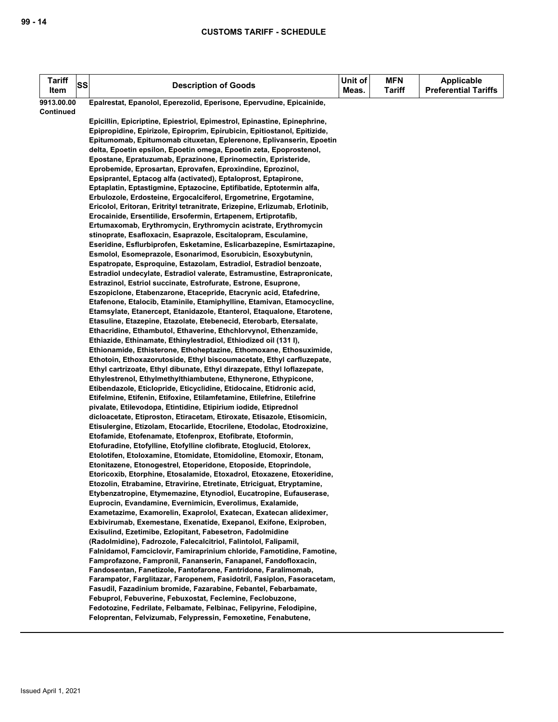| <b>Tariff</b><br>Item | SS | <b>Description of Goods</b>                                                                                                                      | Unit of<br>Meas. | <b>MFN</b><br><b>Tariff</b> | Applicable<br><b>Preferential Tariffs</b> |
|-----------------------|----|--------------------------------------------------------------------------------------------------------------------------------------------------|------------------|-----------------------------|-------------------------------------------|
| 9913.00.00            |    | Epalrestat, Epanolol, Eperezolid, Eperisone, Epervudine, Epicainide,                                                                             |                  |                             |                                           |
| Continued             |    |                                                                                                                                                  |                  |                             |                                           |
|                       |    | Epicillin, Epicriptine, Epiestriol, Epimestrol, Epinastine, Epinephrine,                                                                         |                  |                             |                                           |
|                       |    | Epipropidine, Epirizole, Epiroprim, Epirubicin, Epitiostanol, Epitizide,                                                                         |                  |                             |                                           |
|                       |    | Epitumomab, Epitumomab cituxetan, Eplerenone, Eplivanserin, Epoetin                                                                              |                  |                             |                                           |
|                       |    | delta, Epoetin epsilon, Epoetin omega, Epoetin zeta, Epoprostenol,                                                                               |                  |                             |                                           |
|                       |    | Epostane, Epratuzumab, Eprazinone, Eprinomectin, Epristeride,                                                                                    |                  |                             |                                           |
|                       |    | Eprobemide, Eprosartan, Eprovafen, Eproxindine, Eprozinol,                                                                                       |                  |                             |                                           |
|                       |    | Epsiprantel, Eptacog alfa (activated), Eptaloprost, Eptapirone,<br>Eptaplatin, Eptastigmine, Eptazocine, Eptifibatide, Eptotermin alfa,          |                  |                             |                                           |
|                       |    | Erbulozole, Erdosteine, Ergocalciferol, Ergometrine, Ergotamine,                                                                                 |                  |                             |                                           |
|                       |    | Ericolol, Eritoran, Eritrityl tetranitrate, Erizepine, Erlizumab, Erlotinib,                                                                     |                  |                             |                                           |
|                       |    | Erocainide, Ersentilide, Ersofermin, Ertapenem, Ertiprotafib,<br>Ertumaxomab, Erythromycin, Erythromycin acistrate, Erythromycin                 |                  |                             |                                           |
|                       |    | stinoprate, Esafloxacin, Esaprazole, Escitalopram, Esculamine,                                                                                   |                  |                             |                                           |
|                       |    | Eseridine, Esflurbiprofen, Esketamine, Eslicarbazepine, Esmirtazapine,                                                                           |                  |                             |                                           |
|                       |    | Esmolol, Esomeprazole, Esonarimod, Esorubicin, Esoxybutynin,                                                                                     |                  |                             |                                           |
|                       |    | Espatropate, Esproquine, Estazolam, Estradiol, Estradiol benzoate,                                                                               |                  |                             |                                           |
|                       |    | Estradiol undecylate, Estradiol valerate, Estramustine, Estrapronicate,                                                                          |                  |                             |                                           |
|                       |    | Estrazinol, Estriol succinate, Estrofurate, Estrone, Esuprone,                                                                                   |                  |                             |                                           |
|                       |    | Eszopiclone, Etabenzarone, Etacepride, Etacrynic acid, Etafedrine,                                                                               |                  |                             |                                           |
|                       |    | Etafenone, Etalocib, Etaminile, Etamiphylline, Etamivan, Etamocycline,                                                                           |                  |                             |                                           |
|                       |    | Etamsylate, Etanercept, Etanidazole, Etanterol, Etaqualone, Etarotene,                                                                           |                  |                             |                                           |
|                       |    | Etasuline, Etazepine, Etazolate, Etebenecid, Eterobarb, Etersalate,                                                                              |                  |                             |                                           |
|                       |    | Ethacridine, Ethambutol, Ethaverine, Ethchlorvynol, Ethenzamide,                                                                                 |                  |                             |                                           |
|                       |    | Ethiazide, Ethinamate, Ethinylestradiol, Ethiodized oil (131 l),                                                                                 |                  |                             |                                           |
|                       |    | Ethionamide, Ethisterone, Ethoheptazine, Ethomoxane, Ethosuximide,                                                                               |                  |                             |                                           |
|                       |    | Ethotoin, Ethoxazorutoside, Ethyl biscoumacetate, Ethyl carfluzepate,<br>Ethyl cartrizoate, Ethyl dibunate, Ethyl dirazepate, Ethyl loflazepate, |                  |                             |                                           |
|                       |    | Ethylestrenol, Ethylmethylthiambutene, Ethynerone, Ethypicone,                                                                                   |                  |                             |                                           |
|                       |    | Etibendazole, Eticlopride, Eticyclidine, Etidocaine, Etidronic acid,                                                                             |                  |                             |                                           |
|                       |    | Etifelmine, Etifenin, Etifoxine, Etilamfetamine, Etilefrine, Etilefrine                                                                          |                  |                             |                                           |
|                       |    | pivalate, Etilevodopa, Etintidine, Etipirium iodide, Etiprednol                                                                                  |                  |                             |                                           |
|                       |    | dicloacetate, Etiproston, Etiracetam, Etiroxate, Etisazole, Etisomicin,                                                                          |                  |                             |                                           |
|                       |    | Etisulergine, Etizolam, Etocarlide, Etocrilene, Etodolac, Etodroxizine,                                                                          |                  |                             |                                           |
|                       |    | Etofamide, Etofenamate, Etofenprox, Etofibrate, Etoformin,                                                                                       |                  |                             |                                           |
|                       |    | Etofuradine, Etofylline, Etofylline clofibrate, Etoglucid, Etolorex,                                                                             |                  |                             |                                           |
|                       |    | Etolotifen, Etoloxamine, Etomidate, Etomidoline, Etomoxir, Etonam,                                                                               |                  |                             |                                           |
|                       |    | Etonitazene, Etonogestrel, Etoperidone, Etoposide, Etoprindole,                                                                                  |                  |                             |                                           |
|                       |    | Etoricoxib, Etorphine, Etosalamide, Etoxadrol, Etoxazene, Etoxeridine,<br>Etozolin, Etrabamine, Etravirine, Etretinate, Etriciguat, Etryptamine, |                  |                             |                                           |
|                       |    | Etybenzatropine, Etymemazine, Etynodiol, Eucatropine, Eufauserase,                                                                               |                  |                             |                                           |
|                       |    | Euprocin, Evandamine, Evernimicin, Everolimus, Exalamide,                                                                                        |                  |                             |                                           |
|                       |    | Exametazime, Examorelin, Exaprolol, Exatecan, Exatecan alideximer,                                                                               |                  |                             |                                           |
|                       |    | Exbivirumab, Exemestane, Exenatide, Exepanol, Exifone, Exiproben,                                                                                |                  |                             |                                           |
|                       |    | Exisulind, Ezetimibe, Ezlopitant, Fabesetron, Fadolmidine                                                                                        |                  |                             |                                           |
|                       |    | (Radolmidine), Fadrozole, Falecalcitriol, Falintolol, Falipamil,                                                                                 |                  |                             |                                           |
|                       |    | Falnidamol, Famciclovir, Famiraprinium chloride, Famotidine, Famotine,                                                                           |                  |                             |                                           |
|                       |    | Famprofazone, Fampronil, Fananserin, Fanapanel, Fandofloxacin,                                                                                   |                  |                             |                                           |
|                       |    | Fandosentan, Fanetizole, Fantofarone, Fantridone, Faralimomab,                                                                                   |                  |                             |                                           |
|                       |    | Farampator, Farglitazar, Faropenem, Fasidotril, Fasiplon, Fasoracetam,                                                                           |                  |                             |                                           |
|                       |    | Fasudil, Fazadinium bromide, Fazarabine, Febantel, Febarbamate,<br>Febuprol, Febuverine, Febuxostat, Feclemine, Feclobuzone,                     |                  |                             |                                           |
|                       |    | Fedotozine, Fedrilate, Felbamate, Felbinac, Felipyrine, Felodipine,                                                                              |                  |                             |                                           |
|                       |    | Feloprentan, Felvizumab, Felypressin, Femoxetine, Fenabutene,                                                                                    |                  |                             |                                           |
|                       |    |                                                                                                                                                  |                  |                             |                                           |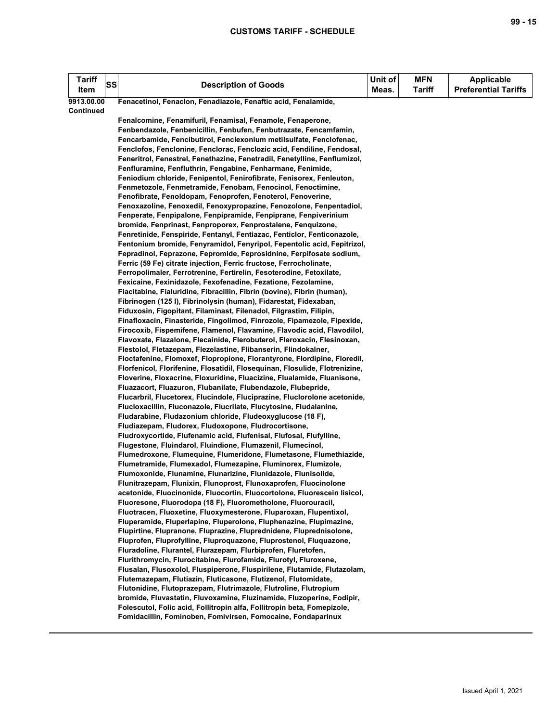| <b>Tariff</b><br>Item | <b>SS</b> | <b>Description of Goods</b>                                                                                                                        | Unit of<br>Meas. | <b>MFN</b><br><b>Tariff</b> | <b>Applicable</b><br><b>Preferential Tariffs</b> |
|-----------------------|-----------|----------------------------------------------------------------------------------------------------------------------------------------------------|------------------|-----------------------------|--------------------------------------------------|
| 9913.00.00            |           | Fenacetinol, Fenaclon, Fenadiazole, Fenaftic acid, Fenalamide,                                                                                     |                  |                             |                                                  |
| <b>Continued</b>      |           |                                                                                                                                                    |                  |                             |                                                  |
|                       |           | Fenalcomine, Fenamifuril, Fenamisal, Fenamole, Fenaperone,                                                                                         |                  |                             |                                                  |
|                       |           | Fenbendazole, Fenbenicillin, Fenbufen, Fenbutrazate, Fencamfamin,                                                                                  |                  |                             |                                                  |
|                       |           | Fencarbamide, Fencibutirol, Fenclexonium metilsulfate, Fenclofenac,                                                                                |                  |                             |                                                  |
|                       |           | Fenclofos, Fenclonine, Fenclorac, Fenclozic acid, Fendiline, Fendosal,                                                                             |                  |                             |                                                  |
|                       |           | Feneritrol, Fenestrel, Fenethazine, Fenetradil, Fenetylline, Fenflumizol,                                                                          |                  |                             |                                                  |
|                       |           | Fenfluramine, Fenfluthrin, Fengabine, Fenharmane, Fenimide,                                                                                        |                  |                             |                                                  |
|                       |           | Feniodium chloride, Fenipentol, Fenirofibrate, Fenisorex, Fenleuton,                                                                               |                  |                             |                                                  |
|                       |           | Fenmetozole, Fenmetramide, Fenobam, Fenocinol, Fenoctimine,                                                                                        |                  |                             |                                                  |
|                       |           | Fenofibrate, Fenoldopam, Fenoprofen, Fenoterol, Fenoverine,                                                                                        |                  |                             |                                                  |
|                       |           | Fenoxazoline, Fenoxedil, Fenoxypropazine, Fenozolone, Fenpentadiol,                                                                                |                  |                             |                                                  |
|                       |           | Fenperate, Fenpipalone, Fenpipramide, Fenpiprane, Fenpiverinium                                                                                    |                  |                             |                                                  |
|                       |           | bromide, Fenprinast, Fenproporex, Fenprostalene, Fenquizone,                                                                                       |                  |                             |                                                  |
|                       |           | Fenretinide, Fenspiride, Fentanyl, Fentiazac, Fenticlor, Fenticonazole,<br>Fentonium bromide, Fenyramidol, Fenyripol, Fepentolic acid, Fepitrizol, |                  |                             |                                                  |
|                       |           | Fepradinol, Feprazone, Fepromide, Feprosidnine, Ferpifosate sodium,                                                                                |                  |                             |                                                  |
|                       |           | Ferric (59 Fe) citrate injection, Ferric fructose, Ferrocholinate,                                                                                 |                  |                             |                                                  |
|                       |           | Ferropolimaler, Ferrotrenine, Fertirelin, Fesoterodine, Fetoxilate,                                                                                |                  |                             |                                                  |
|                       |           | Fexicaine, Fexinidazole, Fexofenadine, Fezatione, Fezolamine,                                                                                      |                  |                             |                                                  |
|                       |           | Fiacitabine, Fialuridine, Fibracillin, Fibrin (bovine), Fibrin (human),                                                                            |                  |                             |                                                  |
|                       |           | Fibrinogen (125 I), Fibrinolysin (human), Fidarestat, Fidexaban,                                                                                   |                  |                             |                                                  |
|                       |           | Fiduxosin, Figopitant, Filaminast, Filenadol, Filgrastim, Filipin,                                                                                 |                  |                             |                                                  |
|                       |           | Finafloxacin, Finasteride, Fingolimod, Finrozole, Fipamezole, Fipexide,                                                                            |                  |                             |                                                  |
|                       |           | Firocoxib, Fispemifene, Flamenol, Flavamine, Flavodic acid, Flavodilol,                                                                            |                  |                             |                                                  |
|                       |           | Flavoxate, Flazalone, Flecainide, Flerobuterol, Fleroxacin, Flesinoxan,                                                                            |                  |                             |                                                  |
|                       |           | Flestolol, Fletazepam, Flezelastine, Flibanserin, Flindokalner,                                                                                    |                  |                             |                                                  |
|                       |           | Floctafenine, Flomoxef, Flopropione, Florantyrone, Flordipine, Floredil,                                                                           |                  |                             |                                                  |
|                       |           | Florfenicol, Florifenine, Flosatidil, Flosequinan, Flosulide, Flotrenizine,                                                                        |                  |                             |                                                  |
|                       |           | Floverine, Floxacrine, Floxuridine, Fluacizine, Flualamide, Fluanisone,                                                                            |                  |                             |                                                  |
|                       |           | Fluazacort, Fluazuron, Flubanilate, Flubendazole, Flubepride,                                                                                      |                  |                             |                                                  |
|                       |           | Flucarbril, Flucetorex, Flucindole, Fluciprazine, Fluclorolone acetonide,                                                                          |                  |                             |                                                  |
|                       |           | Flucloxacillin, Fluconazole, Flucrilate, Flucytosine, Fludalanine,                                                                                 |                  |                             |                                                  |
|                       |           | Fludarabine, Fludazonium chloride, Fludeoxyglucose (18 F),                                                                                         |                  |                             |                                                  |
|                       |           | Fludiazepam, Fludorex, Fludoxopone, Fludrocortisone,                                                                                               |                  |                             |                                                  |
|                       |           | Fludroxycortide, Flufenamic acid, Flufenisal, Flufosal, Flufylline,<br>Flugestone, Fluindarol, Fluindione, Flumazenil, Flumecinol,                 |                  |                             |                                                  |
|                       |           | Flumedroxone, Flumequine, Flumeridone, Flumetasone, Flumethiazide,                                                                                 |                  |                             |                                                  |
|                       |           | Flumetramide, Flumexadol, Flumezapine, Fluminorex, Flumizole,                                                                                      |                  |                             |                                                  |
|                       |           | Flumoxonide, Flunamine, Flunarizine, Flunidazole, Flunisolide,                                                                                     |                  |                             |                                                  |
|                       |           | Flunitrazepam, Flunixin, Flunoprost, Flunoxaprofen, Fluocinolone                                                                                   |                  |                             |                                                  |
|                       |           | acetonide, Fluocinonide, Fluocortin, Fluocortolone, Fluorescein lisicol,                                                                           |                  |                             |                                                  |
|                       |           | Fluoresone, Fluorodopa (18 F), Fluorometholone, Fluorouracil,                                                                                      |                  |                             |                                                  |
|                       |           | Fluotracen, Fluoxetine, Fluoxymesterone, Fluparoxan, Flupentixol,                                                                                  |                  |                             |                                                  |
|                       |           | Fluperamide, Fluperlapine, Fluperolone, Fluphenazine, Flupimazine,                                                                                 |                  |                             |                                                  |
|                       |           | Flupirtine, Flupranone, Fluprazine, Fluprednidene, Fluprednisolone,                                                                                |                  |                             |                                                  |
|                       |           | Fluprofen, Fluprofylline, Fluproquazone, Fluprostenol, Fluquazone,                                                                                 |                  |                             |                                                  |
|                       |           | Fluradoline, Flurantel, Flurazepam, Flurbiprofen, Fluretofen,                                                                                      |                  |                             |                                                  |
|                       |           | Flurithromycin, Flurocitabine, Flurofamide, Flurotyl, Fluroxene,                                                                                   |                  |                             |                                                  |
|                       |           | Flusalan, Flusoxolol, Fluspiperone, Fluspirilene, Flutamide, Flutazolam,                                                                           |                  |                             |                                                  |
|                       |           | Flutemazepam, Flutiazin, Fluticasone, Flutizenol, Flutomidate,                                                                                     |                  |                             |                                                  |
|                       |           | Flutonidine, Flutoprazepam, Flutrimazole, Flutroline, Flutropium                                                                                   |                  |                             |                                                  |
|                       |           | bromide, Fluvastatin, Fluvoxamine, Fluzinamide, Fluzoperine, Fodipir,<br>Folescutol, Folic acid, Follitropin alfa, Follitropin beta, Fomepizole,   |                  |                             |                                                  |
|                       |           | Fomidacillin, Fominoben, Fomivirsen, Fomocaine, Fondaparinux                                                                                       |                  |                             |                                                  |
|                       |           |                                                                                                                                                    |                  |                             |                                                  |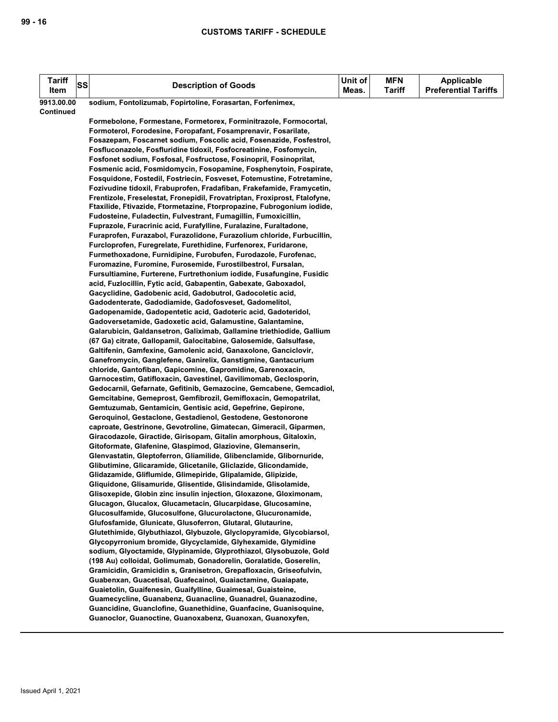| <b>Tariff</b><br>Item   | SS | <b>Description of Goods</b>                                                                                                                 | Unit of<br>Meas. | <b>MFN</b><br>Tariff | <b>Applicable</b><br><b>Preferential Tariffs</b> |
|-------------------------|----|---------------------------------------------------------------------------------------------------------------------------------------------|------------------|----------------------|--------------------------------------------------|
| 9913.00.00<br>Continued |    | sodium, Fontolizumab, Fopirtoline, Forasartan, Forfenimex,                                                                                  |                  |                      |                                                  |
|                         |    | Formebolone, Formestane, Formetorex, Forminitrazole, Formocortal,                                                                           |                  |                      |                                                  |
|                         |    | Formoterol, Forodesine, Foropafant, Fosamprenavir, Fosarilate,                                                                              |                  |                      |                                                  |
|                         |    | Fosazepam, Foscarnet sodium, Foscolic acid, Fosenazide, Fosfestrol,                                                                         |                  |                      |                                                  |
|                         |    | Fosfluconazole, Fosfluridine tidoxil, Fosfocreatinine, Fosfomycin,                                                                          |                  |                      |                                                  |
|                         |    | Fosfonet sodium, Fosfosal, Fosfructose, Fosinopril, Fosinoprilat,                                                                           |                  |                      |                                                  |
|                         |    | Fosmenic acid, Fosmidomycin, Fosopamine, Fosphenytoin, Fospirate,                                                                           |                  |                      |                                                  |
|                         |    | Fosquidone, Fostedil, Fostriecin, Fosveset, Fotemustine, Fotretamine,                                                                       |                  |                      |                                                  |
|                         |    | Fozivudine tidoxil, Frabuprofen, Fradafiban, Frakefamide, Framycetin,                                                                       |                  |                      |                                                  |
|                         |    | Frentizole, Freselestat, Fronepidil, Frovatriptan, Froxiprost, Ftalofyne,                                                                   |                  |                      |                                                  |
|                         |    | Ftaxilide, Ftivazide, Ftormetazine, Ftorpropazine, Fubrogonium iodide,                                                                      |                  |                      |                                                  |
|                         |    | Fudosteine, Fuladectin, Fulvestrant, Fumagillin, Fumoxicillin,                                                                              |                  |                      |                                                  |
|                         |    | Fuprazole, Furacrinic acid, Furafylline, Furalazine, Furaltadone,                                                                           |                  |                      |                                                  |
|                         |    | Furaprofen, Furazabol, Furazolidone, Furazolium chloride, Furbucillin,                                                                      |                  |                      |                                                  |
|                         |    | Furcloprofen, Furegrelate, Furethidine, Furfenorex, Furidarone,                                                                             |                  |                      |                                                  |
|                         |    | Furmethoxadone, Furnidipine, Furobufen, Furodazole, Furofenac,                                                                              |                  |                      |                                                  |
|                         |    | Furomazine, Furomine, Furosemide, Furostilbestrol, Fursalan,                                                                                |                  |                      |                                                  |
|                         |    | Fursultiamine, Furterene, Furtrethonium iodide, Fusafungine, Fusidic                                                                        |                  |                      |                                                  |
|                         |    | acid, Fuzlocillin, Fytic acid, Gabapentin, Gabexate, Gaboxadol,                                                                             |                  |                      |                                                  |
|                         |    | Gacyclidine, Gadobenic acid, Gadobutrol, Gadocoletic acid,                                                                                  |                  |                      |                                                  |
|                         |    | Gadodenterate, Gadodiamide, Gadofosveset, Gadomelitol,                                                                                      |                  |                      |                                                  |
|                         |    | Gadopenamide, Gadopentetic acid, Gadoteric acid, Gadoteridol,                                                                               |                  |                      |                                                  |
|                         |    | Gadoversetamide, Gadoxetic acid, Galamustine, Galantamine,                                                                                  |                  |                      |                                                  |
|                         |    | Galarubicin, Galdansetron, Galiximab, Gallamine triethiodide, Gallium<br>(67 Ga) citrate, Gallopamil, Galocitabine, Galosemide, Galsulfase, |                  |                      |                                                  |
|                         |    | Galtifenin, Gamfexine, Gamolenic acid, Ganaxolone, Ganciclovir,                                                                             |                  |                      |                                                  |
|                         |    | Ganefromycin, Ganglefene, Ganirelix, Ganstigmine, Gantacurium                                                                               |                  |                      |                                                  |
|                         |    | chloride, Gantofiban, Gapicomine, Gapromidine, Garenoxacin,                                                                                 |                  |                      |                                                  |
|                         |    | Garnocestim, Gatifloxacin, Gavestinel, Gavilimomab, Geclosporin,                                                                            |                  |                      |                                                  |
|                         |    | Gedocarnil, Gefarnate, Gefitinib, Gemazocine, Gemcabene, Gemcadiol,                                                                         |                  |                      |                                                  |
|                         |    | Gemcitabine, Gemeprost, Gemfibrozil, Gemifloxacin, Gemopatrilat,                                                                            |                  |                      |                                                  |
|                         |    | Gemtuzumab, Gentamicin, Gentisic acid, Gepefrine, Gepirone,                                                                                 |                  |                      |                                                  |
|                         |    | Geroquinol, Gestaclone, Gestadienol, Gestodene, Gestonorone                                                                                 |                  |                      |                                                  |
|                         |    | caproate, Gestrinone, Gevotroline, Gimatecan, Gimeracil, Giparmen,                                                                          |                  |                      |                                                  |
|                         |    | Giracodazole, Giractide, Girisopam, Gitalin amorphous, Gitaloxin,                                                                           |                  |                      |                                                  |
|                         |    | Gitoformate, Glafenine, Glaspimod, Glaziovine, Glemanserin,                                                                                 |                  |                      |                                                  |
|                         |    | Glenvastatin, Gleptoferron, Gliamilide, Glibenclamide, Glibornuride,                                                                        |                  |                      |                                                  |
|                         |    | Glibutimine, Glicaramide, Glicetanile, Gliclazide, Glicondamide,                                                                            |                  |                      |                                                  |
|                         |    | Glidazamide, Gliflumide, Glimepiride, Glipalamide, Glipizide,                                                                               |                  |                      |                                                  |
|                         |    | Gliquidone, Glisamuride, Glisentide, Glisindamide, Glisolamide,                                                                             |                  |                      |                                                  |
|                         |    | Glisoxepide, Globin zinc insulin injection, Gloxazone, Gloximonam,                                                                          |                  |                      |                                                  |
|                         |    | Glucagon, Glucalox, Glucametacin, Glucarpidase, Glucosamine,                                                                                |                  |                      |                                                  |
|                         |    | Glucosulfamide, Glucosulfone, Glucurolactone, Glucuronamide,                                                                                |                  |                      |                                                  |
|                         |    | Glufosfamide, Glunicate, Glusoferron, Glutaral, Glutaurine,                                                                                 |                  |                      |                                                  |
|                         |    | Glutethimide, Glybuthiazol, Glybuzole, Glyclopyramide, Glycobiarsol,<br>Glycopyrronium bromide, Glycyclamide, Glyhexamide, Glymidine        |                  |                      |                                                  |
|                         |    | sodium, Glyoctamide, Glypinamide, Glyprothiazol, Glysobuzole, Gold                                                                          |                  |                      |                                                  |
|                         |    | (198 Au) colloidal, Golimumab, Gonadorelin, Goralatide, Goserelin,                                                                          |                  |                      |                                                  |
|                         |    | Gramicidin, Gramicidin s, Granisetron, Grepafloxacin, Griseofulvin,                                                                         |                  |                      |                                                  |
|                         |    | Guabenxan, Guacetisal, Guafecainol, Guaiactamine, Guaiapate,                                                                                |                  |                      |                                                  |
|                         |    | Guaietolin, Guaifenesin, Guaifylline, Guaimesal, Guaisteine,                                                                                |                  |                      |                                                  |
|                         |    | Guamecycline, Guanabenz, Guanacline, Guanadrel, Guanazodine,                                                                                |                  |                      |                                                  |
|                         |    | Guancidine, Guanclofine, Guanethidine, Guanfacine, Guanisoquine,                                                                            |                  |                      |                                                  |
|                         |    | Guanoclor, Guanoctine, Guanoxabenz, Guanoxan, Guanoxyfen,                                                                                   |                  |                      |                                                  |
|                         |    |                                                                                                                                             |                  |                      |                                                  |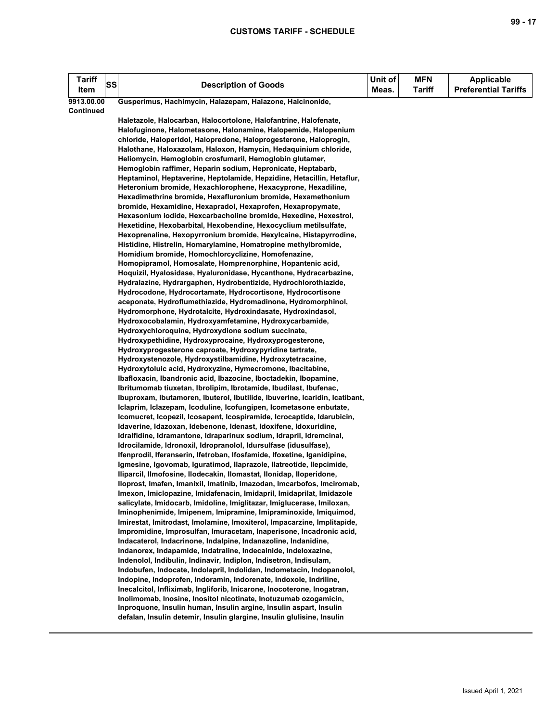| Tariff<br>Item   | SS | <b>Description of Goods</b>                                                                                                                  | Unit of<br>Meas. | <b>MFN</b><br><b>Tariff</b> | <b>Applicable</b><br><b>Preferential Tariffs</b> |
|------------------|----|----------------------------------------------------------------------------------------------------------------------------------------------|------------------|-----------------------------|--------------------------------------------------|
| 9913.00.00       |    | Gusperimus, Hachimycin, Halazepam, Halazone, Halcinonide,                                                                                    |                  |                             |                                                  |
| <b>Continued</b> |    |                                                                                                                                              |                  |                             |                                                  |
|                  |    | Haletazole, Halocarban, Halocortolone, Halofantrine, Halofenate,                                                                             |                  |                             |                                                  |
|                  |    | Halofuginone, Halometasone, Halonamine, Halopemide, Halopenium                                                                               |                  |                             |                                                  |
|                  |    | chloride, Haloperidol, Halopredone, Haloprogesterone, Haloprogin,                                                                            |                  |                             |                                                  |
|                  |    | Halothane, Haloxazolam, Haloxon, Hamycin, Hedaquinium chloride,                                                                              |                  |                             |                                                  |
|                  |    | Heliomycin, Hemoglobin crosfumaril, Hemoglobin glutamer,                                                                                     |                  |                             |                                                  |
|                  |    | Hemoglobin raffimer, Heparin sodium, Hepronicate, Heptabarb,                                                                                 |                  |                             |                                                  |
|                  |    | Heptaminol, Heptaverine, Heptolamide, Hepzidine, Hetacillin, Hetaflur,                                                                       |                  |                             |                                                  |
|                  |    | Heteronium bromide, Hexachlorophene, Hexacyprone, Hexadiline,                                                                                |                  |                             |                                                  |
|                  |    | Hexadimethrine bromide, Hexafluronium bromide, Hexamethonium                                                                                 |                  |                             |                                                  |
|                  |    | bromide, Hexamidine, Hexapradol, Hexaprofen, Hexapropymate,                                                                                  |                  |                             |                                                  |
|                  |    | Hexasonium iodide, Hexcarbacholine bromide, Hexedine, Hexestrol,                                                                             |                  |                             |                                                  |
|                  |    | Hexetidine, Hexobarbital, Hexobendine, Hexocyclium metilsulfate,<br>Hexoprenaline, Hexopyrronium bromide, Hexylcaine, Histapyrrodine,        |                  |                             |                                                  |
|                  |    | Histidine, Histrelin, Homarylamine, Homatropine methylbromide,                                                                               |                  |                             |                                                  |
|                  |    | Homidium bromide, Homochlorcyclizine, Homofenazine,                                                                                          |                  |                             |                                                  |
|                  |    | Homopipramol, Homosalate, Homprenorphine, Hopantenic acid,                                                                                   |                  |                             |                                                  |
|                  |    | Hoquizil, Hyalosidase, Hyaluronidase, Hycanthone, Hydracarbazine,                                                                            |                  |                             |                                                  |
|                  |    | Hydralazine, Hydrargaphen, Hydrobentizide, Hydrochlorothiazide,                                                                              |                  |                             |                                                  |
|                  |    | Hydrocodone, Hydrocortamate, Hydrocortisone, Hydrocortisone                                                                                  |                  |                             |                                                  |
|                  |    | aceponate, Hydroflumethiazide, Hydromadinone, Hydromorphinol,                                                                                |                  |                             |                                                  |
|                  |    | Hydromorphone, Hydrotalcite, Hydroxindasate, Hydroxindasol,                                                                                  |                  |                             |                                                  |
|                  |    | Hydroxocobalamin, Hydroxyamfetamine, Hydroxycarbamide,                                                                                       |                  |                             |                                                  |
|                  |    | Hydroxychloroquine, Hydroxydione sodium succinate,                                                                                           |                  |                             |                                                  |
|                  |    | Hydroxypethidine, Hydroxyprocaine, Hydroxyprogesterone,                                                                                      |                  |                             |                                                  |
|                  |    | Hydroxyprogesterone caproate, Hydroxypyridine tartrate,                                                                                      |                  |                             |                                                  |
|                  |    | Hydroxystenozole, Hydroxystilbamidine, Hydroxytetracaine,                                                                                    |                  |                             |                                                  |
|                  |    | Hydroxytoluic acid, Hydroxyzine, Hymecromone, Ibacitabine,                                                                                   |                  |                             |                                                  |
|                  |    | Ibafloxacin, Ibandronic acid, Ibazocine, Iboctadekin, Ibopamine,                                                                             |                  |                             |                                                  |
|                  |    | Ibritumomab tiuxetan, Ibrolipim, Ibrotamide, Ibudilast, Ibufenac,                                                                            |                  |                             |                                                  |
|                  |    | Ibuproxam, Ibutamoren, Ibuterol, Ibutilide, Ibuverine, Icaridin, Icatibant,                                                                  |                  |                             |                                                  |
|                  |    | Iclaprim, Iclazepam, Icoduline, Icofungipen, Icometasone enbutate,                                                                           |                  |                             |                                                  |
|                  |    | Icomucret, Icopezil, Icosapent, Icospiramide, Icrocaptide, Idarubicin,                                                                       |                  |                             |                                                  |
|                  |    | Idaverine, Idazoxan, Idebenone, Idenast, Idoxifene, Idoxuridine,                                                                             |                  |                             |                                                  |
|                  |    | Idralfidine, Idramantone, Idraparinux sodium, Idrapril, Idremcinal,                                                                          |                  |                             |                                                  |
|                  |    | Idrocilamide, Idronoxil, Idropranolol, Idursulfase (idusulfase),                                                                             |                  |                             |                                                  |
|                  |    | Ifenprodil, Iferanserin, Ifetroban, Ifosfamide, Ifoxetine, Iganidipine,                                                                      |                  |                             |                                                  |
|                  |    | Igmesine, Igovomab, Iguratimod, Ilaprazole, Ilatreotide, Ilepcimide,<br>Iliparcil, Ilmofosine, Ilodecakin, Ilomastat, Ilonidap, Iloperidone, |                  |                             |                                                  |
|                  |    | Iloprost, Imafen, Imanixil, Imatinib, Imazodan, Imcarbofos, Imciromab,                                                                       |                  |                             |                                                  |
|                  |    | Imexon, Imiclopazine, Imidafenacin, Imidapril, Imidaprilat, Imidazole                                                                        |                  |                             |                                                  |
|                  |    | salicylate, Imidocarb, Imidoline, Imiglitazar, Imiglucerase, Imiloxan,                                                                       |                  |                             |                                                  |
|                  |    | Iminophenimide, Imipenem, Imipramine, Imipraminoxide, Imiquimod,                                                                             |                  |                             |                                                  |
|                  |    | Imirestat, Imitrodast, Imolamine, Imoxiterol, Impacarzine, Implitapide,                                                                      |                  |                             |                                                  |
|                  |    | Impromidine, Improsulfan, Imuracetam, Inaperisone, Incadronic acid,                                                                          |                  |                             |                                                  |
|                  |    | Indacaterol, Indacrinone, Indalpine, Indanazoline, Indanidine,                                                                               |                  |                             |                                                  |
|                  |    | Indanorex, Indapamide, Indatraline, Indecainide, Indeloxazine,                                                                               |                  |                             |                                                  |
|                  |    | Indenolol, Indibulin, Indinavir, Indiplon, Indisetron, Indisulam,                                                                            |                  |                             |                                                  |
|                  |    | Indobufen, Indocate, Indolapril, Indolidan, Indometacin, Indopanolol,                                                                        |                  |                             |                                                  |
|                  |    | Indopine, Indoprofen, Indoramin, Indorenate, Indoxole, Indriline,                                                                            |                  |                             |                                                  |
|                  |    | Inecalcitol, Infliximab, Ingliforib, Inicarone, Inocoterone, Inogatran,                                                                      |                  |                             |                                                  |
|                  |    | Inolimomab, Inosine, Inositol nicotinate, Inotuzumab ozogamicin,                                                                             |                  |                             |                                                  |
|                  |    | Inproquone, Insulin human, Insulin argine, Insulin aspart, Insulin                                                                           |                  |                             |                                                  |
|                  |    | defalan, Insulin detemir, Insulin glargine, Insulin glulisine, Insulin                                                                       |                  |                             |                                                  |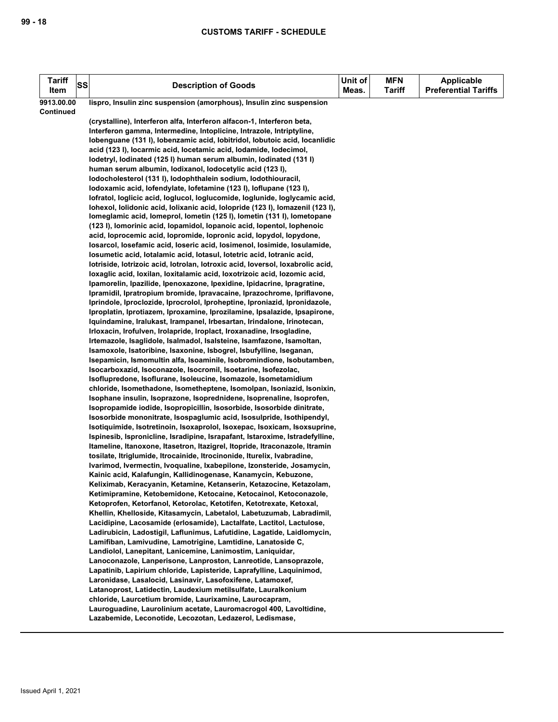| <b>Tariff</b><br>Item | SS | <b>Description of Goods</b>                                                                                                                                                                                                                                                                                                                                                                                                                                                                                                                                                                                                                                                                                                                                                                                                                                                                                                                                                                                                                                                                                                                                                                                                                                                                                                                                                                                                                                                                                                                                                                                                                                                                                                                                                                                                                                                                                                                                                                                                                                                                                                                                                                                                                                                                                                                                                                                                                                                                                                                                                                                                                                                                                                                                                                                                                                                                                                                                                                                                                                                                                                                                                                                                                                                 | Unit of<br>Meas. | <b>MFN</b><br>Tariff | <b>Applicable</b><br><b>Preferential Tariffs</b> |
|-----------------------|----|-----------------------------------------------------------------------------------------------------------------------------------------------------------------------------------------------------------------------------------------------------------------------------------------------------------------------------------------------------------------------------------------------------------------------------------------------------------------------------------------------------------------------------------------------------------------------------------------------------------------------------------------------------------------------------------------------------------------------------------------------------------------------------------------------------------------------------------------------------------------------------------------------------------------------------------------------------------------------------------------------------------------------------------------------------------------------------------------------------------------------------------------------------------------------------------------------------------------------------------------------------------------------------------------------------------------------------------------------------------------------------------------------------------------------------------------------------------------------------------------------------------------------------------------------------------------------------------------------------------------------------------------------------------------------------------------------------------------------------------------------------------------------------------------------------------------------------------------------------------------------------------------------------------------------------------------------------------------------------------------------------------------------------------------------------------------------------------------------------------------------------------------------------------------------------------------------------------------------------------------------------------------------------------------------------------------------------------------------------------------------------------------------------------------------------------------------------------------------------------------------------------------------------------------------------------------------------------------------------------------------------------------------------------------------------------------------------------------------------------------------------------------------------------------------------------------------------------------------------------------------------------------------------------------------------------------------------------------------------------------------------------------------------------------------------------------------------------------------------------------------------------------------------------------------------------------------------------------------------------------------------------------------------|------------------|----------------------|--------------------------------------------------|
| 9913.00.00            |    | lispro, Insulin zinc suspension (amorphous), Insulin zinc suspension                                                                                                                                                                                                                                                                                                                                                                                                                                                                                                                                                                                                                                                                                                                                                                                                                                                                                                                                                                                                                                                                                                                                                                                                                                                                                                                                                                                                                                                                                                                                                                                                                                                                                                                                                                                                                                                                                                                                                                                                                                                                                                                                                                                                                                                                                                                                                                                                                                                                                                                                                                                                                                                                                                                                                                                                                                                                                                                                                                                                                                                                                                                                                                                                        |                  |                      |                                                  |
| <b>Continued</b>      |    | (crystalline), Interferon alfa, Interferon alfacon-1, Interferon beta,<br>Interferon gamma, Intermedine, Intoplicine, Intrazole, Intriptyline,<br>lobenguane (131), lobenzamic acid, lobitridol, lobutoic acid, locanlidic<br>acid (123 I), locarmic acid, locetamic acid, lodamide, lodecimol,<br>lodetryl, lodinated (125 l) human serum albumin, lodinated (131 l)<br>human serum albumin, lodixanol, lodocetylic acid (123 l),<br>lodocholesterol (131 l), lodophthalein sodium, lodothiouracil,<br>lodoxamic acid, lofendylate, lofetamine (123 l), loflupane (123 l),<br>lofratol, loglicic acid, loglucol, loglucomide, loglunide, loglycamic acid,<br>Iohexol, Iolidonic acid, Iolixanic acid, Iolopride (1231), Iomazenil (1231),<br>Iomeglamic acid, Iomeprol, Iometin (125 I), Iometin (131 I), Iometopane<br>(123 I), lomorinic acid, lopamidol, lopanoic acid, lopentol, lophenoic<br>acid, loprocemic acid, lopromide, lopronic acid, lopydol, lopydone,<br>losarcol, losefamic acid, loseric acid, losimenol, losimide, losulamide,<br>losumetic acid, lotalamic acid, lotasul, lotetric acid, lotranic acid,<br>lotriside, lotrizoic acid, lotrolan, lotroxic acid, loversol, loxabrolic acid,<br>loxaglic acid, loxilan, loxitalamic acid, loxotrizoic acid, lozomic acid,<br>Ipamorelin, Ipazilide, Ipenoxazone, Ipexidine, Ipidacrine, Ipragratine,<br>Ipramidil, Ipratropium bromide, Ipravacaine, Iprazochrome, Ipriflavone,<br>Iprindole, Iproclozide, Iprocrolol, Iproheptine, Iproniazid, Ipronidazole,<br>Iproplatin, Iprotiazem, Iproxamine, Iprozilamine, Ipsalazide, Ipsapirone,<br>Iquindamine, Iralukast, Irampanel, Irbesartan, Irindalone, Irinotecan,<br>Irloxacin, Irofulven, Irolapride, Iroplact, Iroxanadine, Irsogladine,<br>Irtemazole, Isaglidole, Isalmadol, Isalsteine, Isamfazone, Isamoltan,<br>Isamoxole, Isatoribine, Isaxonine, Isbogrel, Isbufylline, Iseganan,<br>Isepamicin, Ismomultin alfa, Isoaminile, Isobromindione, Isobutamben,<br>Isocarboxazid, Isoconazole, Isocromil, Isoetarine, Isofezolac,<br>Isoflupredone, Isoflurane, Isoleucine, Isomazole, Isometamidium<br>chloride, Isomethadone, Isometheptene, Isomolpan, Isoniazid, Isonixin,<br>Isophane insulin, Isoprazone, Isoprednidene, Isoprenaline, Isoprofen,<br>Isopropamide iodide, Isopropicillin, Isosorbide, Isosorbide dinitrate,<br>Isosorbide mononitrate, Isospaglumic acid, Isosulpride, Isothipendyl,<br>Isotiquimide, Isotretinoin, Isoxaprolol, Isoxepac, Isoxicam, Isoxsuprine,<br>Ispinesib, Ispronicline, Isradipine, Israpafant, Istaroxime, Istradefylline,<br>Itameline, Itanoxone, Itasetron, Itazigrel, Itopride, Itraconazole, Itramin<br>tosilate, Itriglumide, Itrocainide, Itrocinonide, Iturelix, Ivabradine,<br>Ivarimod, Ivermectin, Ivoqualine, Ixabepilone, Izonsteride, Josamycin,<br>Kainic acid, Kalafungin, Kallidinogenase, Kanamycin, Kebuzone,<br>Keliximab, Keracyanin, Ketamine, Ketanserin, Ketazocine, Ketazolam,<br>Ketimipramine, Ketobemidone, Ketocaine, Ketocainol, Ketoconazole,<br>Ketoprofen, Ketorfanol, Ketorolac, Ketotifen, Ketotrexate, Ketoxal,<br>Khellin, Khelloside, Kitasamycin, Labetalol, Labetuzumab, Labradimil,<br>Lacidipine, Lacosamide (erlosamide), Lactalfate, Lactitol, Lactulose, |                  |                      |                                                  |
|                       |    |                                                                                                                                                                                                                                                                                                                                                                                                                                                                                                                                                                                                                                                                                                                                                                                                                                                                                                                                                                                                                                                                                                                                                                                                                                                                                                                                                                                                                                                                                                                                                                                                                                                                                                                                                                                                                                                                                                                                                                                                                                                                                                                                                                                                                                                                                                                                                                                                                                                                                                                                                                                                                                                                                                                                                                                                                                                                                                                                                                                                                                                                                                                                                                                                                                                                             |                  |                      |                                                  |
|                       |    | Ladirubicin, Ladostigil, Laflunimus, Lafutidine, Lagatide, Laidlomycin,                                                                                                                                                                                                                                                                                                                                                                                                                                                                                                                                                                                                                                                                                                                                                                                                                                                                                                                                                                                                                                                                                                                                                                                                                                                                                                                                                                                                                                                                                                                                                                                                                                                                                                                                                                                                                                                                                                                                                                                                                                                                                                                                                                                                                                                                                                                                                                                                                                                                                                                                                                                                                                                                                                                                                                                                                                                                                                                                                                                                                                                                                                                                                                                                     |                  |                      |                                                  |
|                       |    | Lamifiban, Lamivudine, Lamotrigine, Lamtidine, Lanatoside C,<br>Landiolol, Lanepitant, Lanicemine, Lanimostim, Laniquidar,                                                                                                                                                                                                                                                                                                                                                                                                                                                                                                                                                                                                                                                                                                                                                                                                                                                                                                                                                                                                                                                                                                                                                                                                                                                                                                                                                                                                                                                                                                                                                                                                                                                                                                                                                                                                                                                                                                                                                                                                                                                                                                                                                                                                                                                                                                                                                                                                                                                                                                                                                                                                                                                                                                                                                                                                                                                                                                                                                                                                                                                                                                                                                  |                  |                      |                                                  |
|                       |    | Lanoconazole, Lanperisone, Lanproston, Lanreotide, Lansoprazole,<br>Lapatinib, Lapirium chloride, Lapisteride, Laprafylline, Laquinimod,                                                                                                                                                                                                                                                                                                                                                                                                                                                                                                                                                                                                                                                                                                                                                                                                                                                                                                                                                                                                                                                                                                                                                                                                                                                                                                                                                                                                                                                                                                                                                                                                                                                                                                                                                                                                                                                                                                                                                                                                                                                                                                                                                                                                                                                                                                                                                                                                                                                                                                                                                                                                                                                                                                                                                                                                                                                                                                                                                                                                                                                                                                                                    |                  |                      |                                                  |
|                       |    | Laronidase, Lasalocid, Lasinavir, Lasofoxifene, Latamoxef,                                                                                                                                                                                                                                                                                                                                                                                                                                                                                                                                                                                                                                                                                                                                                                                                                                                                                                                                                                                                                                                                                                                                                                                                                                                                                                                                                                                                                                                                                                                                                                                                                                                                                                                                                                                                                                                                                                                                                                                                                                                                                                                                                                                                                                                                                                                                                                                                                                                                                                                                                                                                                                                                                                                                                                                                                                                                                                                                                                                                                                                                                                                                                                                                                  |                  |                      |                                                  |
|                       |    | Latanoprost, Latidectin, Laudexium metilsulfate, Lauralkonium<br>chloride, Laurcetium bromide, Laurixamine, Laurocapram,                                                                                                                                                                                                                                                                                                                                                                                                                                                                                                                                                                                                                                                                                                                                                                                                                                                                                                                                                                                                                                                                                                                                                                                                                                                                                                                                                                                                                                                                                                                                                                                                                                                                                                                                                                                                                                                                                                                                                                                                                                                                                                                                                                                                                                                                                                                                                                                                                                                                                                                                                                                                                                                                                                                                                                                                                                                                                                                                                                                                                                                                                                                                                    |                  |                      |                                                  |
|                       |    | Lauroguadine, Laurolinium acetate, Lauromacrogol 400, Lavoltidine,<br>Lazabemide, Leconotide, Lecozotan, Ledazerol, Ledismase,                                                                                                                                                                                                                                                                                                                                                                                                                                                                                                                                                                                                                                                                                                                                                                                                                                                                                                                                                                                                                                                                                                                                                                                                                                                                                                                                                                                                                                                                                                                                                                                                                                                                                                                                                                                                                                                                                                                                                                                                                                                                                                                                                                                                                                                                                                                                                                                                                                                                                                                                                                                                                                                                                                                                                                                                                                                                                                                                                                                                                                                                                                                                              |                  |                      |                                                  |
|                       |    |                                                                                                                                                                                                                                                                                                                                                                                                                                                                                                                                                                                                                                                                                                                                                                                                                                                                                                                                                                                                                                                                                                                                                                                                                                                                                                                                                                                                                                                                                                                                                                                                                                                                                                                                                                                                                                                                                                                                                                                                                                                                                                                                                                                                                                                                                                                                                                                                                                                                                                                                                                                                                                                                                                                                                                                                                                                                                                                                                                                                                                                                                                                                                                                                                                                                             |                  |                      |                                                  |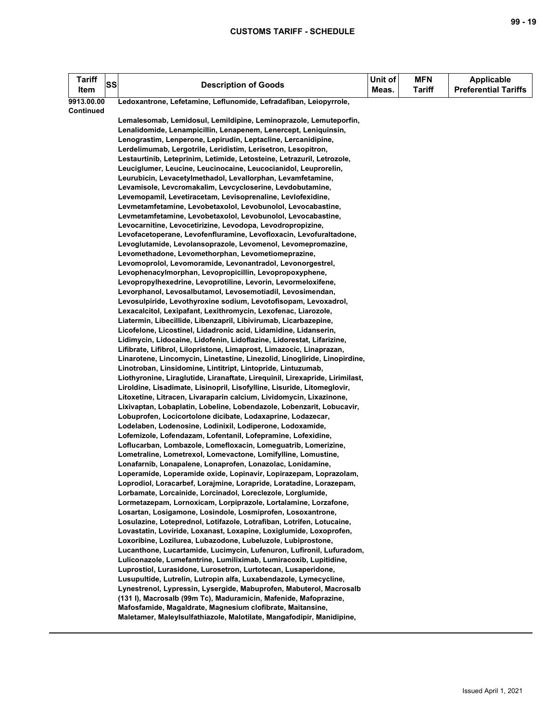| <b>Tariff</b><br>Item | SS | <b>Description of Goods</b>                                                                                                     | Unit of<br>Meas. | <b>MFN</b><br><b>Tariff</b> | <b>Applicable</b><br><b>Preferential Tariffs</b> |
|-----------------------|----|---------------------------------------------------------------------------------------------------------------------------------|------------------|-----------------------------|--------------------------------------------------|
| 9913.00.00            |    | Ledoxantrone, Lefetamine, Leflunomide, Lefradafiban, Leiopyrrole,                                                               |                  |                             |                                                  |
| Continued             |    |                                                                                                                                 |                  |                             |                                                  |
|                       |    | Lemalesomab, Lemidosul, Lemildipine, Leminoprazole, Lemuteporfin,                                                               |                  |                             |                                                  |
|                       |    | Lenalidomide, Lenampicillin, Lenapenem, Lenercept, Leniquinsin,                                                                 |                  |                             |                                                  |
|                       |    | Lenograstim, Lenperone, Lepirudin, Leptacline, Lercanidipine,                                                                   |                  |                             |                                                  |
|                       |    | Lerdelimumab, Lergotrile, Leridistim, Lerisetron, Lesopitron,                                                                   |                  |                             |                                                  |
|                       |    | Lestaurtinib, Leteprinim, Letimide, Letosteine, Letrazuril, Letrozole,                                                          |                  |                             |                                                  |
|                       |    | Leuciglumer, Leucine, Leucinocaine, Leucocianidol, Leuprorelin,                                                                 |                  |                             |                                                  |
|                       |    | Leurubicin, Levacetylmethadol, Levallorphan, Levamfetamine,                                                                     |                  |                             |                                                  |
|                       |    | Levamisole, Levcromakalim, Levcycloserine, Levdobutamine,                                                                       |                  |                             |                                                  |
|                       |    | Levemopamil, Levetiracetam, Levisoprenaline, Levlofexidine,                                                                     |                  |                             |                                                  |
|                       |    | Levmetamfetamine, Levobetaxolol, Levobunolol, Levocabastine,<br>Levmetamfetamine, Levobetaxolol, Levobunolol, Levocabastine,    |                  |                             |                                                  |
|                       |    | Levocarnitine, Levocetirizine, Levodopa, Levodropropizine,                                                                      |                  |                             |                                                  |
|                       |    | Levofacetoperane, Levofenfluramine, Levofloxacin, Levofuraltadone,                                                              |                  |                             |                                                  |
|                       |    | Levoglutamide, Levolansoprazole, Levomenol, Levomepromazine,                                                                    |                  |                             |                                                  |
|                       |    | Levomethadone, Levomethorphan, Levometiomeprazine,                                                                              |                  |                             |                                                  |
|                       |    | Levomoprolol, Levomoramide, Levonantradol, Levonorgestrel,                                                                      |                  |                             |                                                  |
|                       |    | Levophenacylmorphan, Levopropicillin, Levopropoxyphene,                                                                         |                  |                             |                                                  |
|                       |    | Levopropylhexedrine, Levoprotiline, Levorin, Levormeloxifene,                                                                   |                  |                             |                                                  |
|                       |    | Levorphanol, Levosalbutamol, Levosemotiadil, Levosimendan,                                                                      |                  |                             |                                                  |
|                       |    | Levosulpiride, Levothyroxine sodium, Levotofisopam, Levoxadrol,                                                                 |                  |                             |                                                  |
|                       |    | Lexacalcitol, Lexipafant, Lexithromycin, Lexofenac, Liarozole,                                                                  |                  |                             |                                                  |
|                       |    | Liatermin, Libecillide, Libenzapril, Libivirumab, Licarbazepine,                                                                |                  |                             |                                                  |
|                       |    | Licofelone, Licostinel, Lidadronic acid, Lidamidine, Lidanserin,                                                                |                  |                             |                                                  |
|                       |    | Lidimycin, Lidocaine, Lidofenin, Lidoflazine, Lidorestat, Lifarizine,                                                           |                  |                             |                                                  |
|                       |    | Lifibrate, Lifibrol, Lilopristone, Limaprost, Limazocic, Linaprazan,                                                            |                  |                             |                                                  |
|                       |    | Linarotene, Lincomycin, Linetastine, Linezolid, Linogliride, Linopirdine,                                                       |                  |                             |                                                  |
|                       |    | Linotroban, Linsidomine, Lintitript, Lintopride, Lintuzumab,                                                                    |                  |                             |                                                  |
|                       |    | Liothyronine, Liraglutide, Liranaftate, Lirequinil, Lirexapride, Lirimilast,                                                    |                  |                             |                                                  |
|                       |    | Liroldine, Lisadimate, Lisinopril, Lisofylline, Lisuride, Litomeglovir,                                                         |                  |                             |                                                  |
|                       |    | Litoxetine, Litracen, Livaraparin calcium, Lividomycin, Lixazinone,                                                             |                  |                             |                                                  |
|                       |    | Lixivaptan, Lobaplatin, Lobeline, Lobendazole, Lobenzarit, Lobucavir,                                                           |                  |                             |                                                  |
|                       |    | Lobuprofen, Locicortolone dicibate, Lodaxaprine, Lodazecar,                                                                     |                  |                             |                                                  |
|                       |    | Lodelaben, Lodenosine, Lodinixil, Lodiperone, Lodoxamide,                                                                       |                  |                             |                                                  |
|                       |    | Lofemizole, Lofendazam, Lofentanil, Lofepramine, Lofexidine,                                                                    |                  |                             |                                                  |
|                       |    | Loflucarban, Lombazole, Lomefloxacin, Lomeguatrib, Lomerizine,<br>Lometraline, Lometrexol, Lomevactone, Lomifylline, Lomustine, |                  |                             |                                                  |
|                       |    | Lonafarnib, Lonapalene, Lonaprofen, Lonazolac, Lonidamine,                                                                      |                  |                             |                                                  |
|                       |    | Loperamide, Loperamide oxide, Lopinavir, Lopirazepam, Loprazolam,                                                               |                  |                             |                                                  |
|                       |    | Loprodiol, Loracarbef, Lorajmine, Lorapride, Loratadine, Lorazepam,                                                             |                  |                             |                                                  |
|                       |    | Lorbamate, Lorcainide, Lorcinadol, Loreclezole, Lorglumide,                                                                     |                  |                             |                                                  |
|                       |    | Lormetazepam, Lornoxicam, Lorpiprazole, Lortalamine, Lorzafone,                                                                 |                  |                             |                                                  |
|                       |    | Losartan, Losigamone, Losindole, Losmiprofen, Losoxantrone,                                                                     |                  |                             |                                                  |
|                       |    | Losulazine, Loteprednol, Lotifazole, Lotrafiban, Lotrifen, Lotucaine,                                                           |                  |                             |                                                  |
|                       |    | Lovastatin, Loviride, Loxanast, Loxapine, Loxiglumide, Loxoprofen,                                                              |                  |                             |                                                  |
|                       |    | Loxoribine, Lozilurea, Lubazodone, Lubeluzole, Lubiprostone,                                                                    |                  |                             |                                                  |
|                       |    | Lucanthone, Lucartamide, Lucimycin, Lufenuron, Lufironil, Lufuradom,                                                            |                  |                             |                                                  |
|                       |    | Luliconazole, Lumefantrine, Lumiliximab, Lumiracoxib, Lupitidine,                                                               |                  |                             |                                                  |
|                       |    | Luprostiol, Lurasidone, Lurosetron, Lurtotecan, Lusaperidone,                                                                   |                  |                             |                                                  |
|                       |    | Lusupultide, Lutrelin, Lutropin alfa, Luxabendazole, Lymecycline,                                                               |                  |                             |                                                  |
|                       |    | Lynestrenol, Lypressin, Lysergide, Mabuprofen, Mabuterol, Macrosalb                                                             |                  |                             |                                                  |
|                       |    | (131 I), Macrosalb (99m Tc), Maduramicin, Mafenide, Mafoprazine,                                                                |                  |                             |                                                  |
|                       |    | Mafosfamide, Magaldrate, Magnesium clofibrate, Maitansine,                                                                      |                  |                             |                                                  |
|                       |    | Maletamer, Maleylsulfathiazole, Malotilate, Mangafodipir, Manidipine,                                                           |                  |                             |                                                  |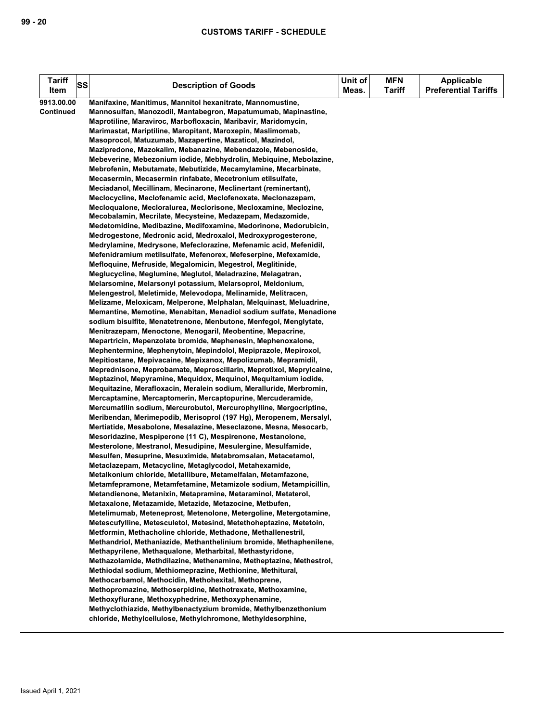| <b>Tariff</b><br>Item | <b>SS</b> | <b>Description of Goods</b>                                                                                              | Unit of<br>Meas. | <b>MFN</b><br>Tariff | <b>Applicable</b><br><b>Preferential Tariffs</b> |
|-----------------------|-----------|--------------------------------------------------------------------------------------------------------------------------|------------------|----------------------|--------------------------------------------------|
| 9913.00.00            |           | Manifaxine, Manitimus, Mannitol hexanitrate, Mannomustine,                                                               |                  |                      |                                                  |
| Continued             |           | Mannosulfan, Manozodil, Mantabegron, Mapatumumab, Mapinastine,                                                           |                  |                      |                                                  |
|                       |           | Maprotiline, Maraviroc, Marbofloxacin, Maribavir, Maridomycin,                                                           |                  |                      |                                                  |
|                       |           | Marimastat, Mariptiline, Maropitant, Maroxepin, Maslimomab,                                                              |                  |                      |                                                  |
|                       |           | Masoprocol, Matuzumab, Mazapertine, Mazaticol, Mazindol,                                                                 |                  |                      |                                                  |
|                       |           | Mazipredone, Mazokalim, Mebanazine, Mebendazole, Mebenoside,                                                             |                  |                      |                                                  |
|                       |           | Mebeverine, Mebezonium iodide, Mebhydrolin, Mebiquine, Mebolazine,                                                       |                  |                      |                                                  |
|                       |           | Mebrofenin, Mebutamate, Mebutizide, Mecamylamine, Mecarbinate,                                                           |                  |                      |                                                  |
|                       |           | Mecasermin, Mecasermin rinfabate, Mecetronium etilsulfate,                                                               |                  |                      |                                                  |
|                       |           | Meciadanol, Mecillinam, Mecinarone, Meclinertant (reminertant),                                                          |                  |                      |                                                  |
|                       |           | Meclocycline, Meclofenamic acid, Meclofenoxate, Meclonazepam,                                                            |                  |                      |                                                  |
|                       |           | Mecloqualone, Mecloralurea, Meclorisone, Mecloxamine, Meclozine,                                                         |                  |                      |                                                  |
|                       |           | Mecobalamin, Mecrilate, Mecysteine, Medazepam, Medazomide,                                                               |                  |                      |                                                  |
|                       |           | Medetomidine, Medibazine, Medifoxamine, Medorinone, Medorubicin,                                                         |                  |                      |                                                  |
|                       |           | Medrogestone, Medronic acid, Medroxalol, Medroxyprogesterone,                                                            |                  |                      |                                                  |
|                       |           | Medrylamine, Medrysone, Mefeclorazine, Mefenamic acid, Mefenidil,                                                        |                  |                      |                                                  |
|                       |           | Mefenidramium metilsulfate, Mefenorex, Mefeserpine, Mefexamide,                                                          |                  |                      |                                                  |
|                       |           | Mefloquine, Mefruside, Megalomicin, Megestrol, Meglitinide,                                                              |                  |                      |                                                  |
|                       |           | Meglucycline, Meglumine, Meglutol, Meladrazine, Melagatran,                                                              |                  |                      |                                                  |
|                       |           | Melarsomine, Melarsonyl potassium, Melarsoprol, Meldonium,                                                               |                  |                      |                                                  |
|                       |           | Melengestrol, Meletimide, Melevodopa, Melinamide, Melitracen,                                                            |                  |                      |                                                  |
|                       |           | Melizame, Meloxicam, Melperone, Melphalan, Melquinast, Meluadrine,                                                       |                  |                      |                                                  |
|                       |           | Memantine, Memotine, Menabitan, Menadiol sodium sulfate, Menadione                                                       |                  |                      |                                                  |
|                       |           | sodium bisulfite, Menatetrenone, Menbutone, Menfegol, Menglytate,                                                        |                  |                      |                                                  |
|                       |           | Menitrazepam, Menoctone, Menogaril, Meobentine, Mepacrine,                                                               |                  |                      |                                                  |
|                       |           | Mepartricin, Mepenzolate bromide, Mephenesin, Mephenoxalone,                                                             |                  |                      |                                                  |
|                       |           | Mephentermine, Mephenytoin, Mepindolol, Mepiprazole, Mepiroxol,                                                          |                  |                      |                                                  |
|                       |           | Mepitiostane, Mepivacaine, Mepixanox, Mepolizumab, Mepramidil,                                                           |                  |                      |                                                  |
|                       |           | Meprednisone, Meprobamate, Meproscillarin, Meprotixol, Meprylcaine,                                                      |                  |                      |                                                  |
|                       |           | Meptazinol, Mepyramine, Mequidox, Mequinol, Mequitamium iodide,                                                          |                  |                      |                                                  |
|                       |           | Mequitazine, Merafloxacin, Meralein sodium, Meralluride, Merbromin,                                                      |                  |                      |                                                  |
|                       |           | Mercaptamine, Mercaptomerin, Mercaptopurine, Mercuderamide,                                                              |                  |                      |                                                  |
|                       |           | Mercumatilin sodium, Mercurobutol, Mercurophylline, Mergocriptine,                                                       |                  |                      |                                                  |
|                       |           | Meribendan, Merimepodib, Merisoprol (197 Hg), Meropenem, Mersalyl,                                                       |                  |                      |                                                  |
|                       |           | Mertiatide, Mesabolone, Mesalazine, Meseclazone, Mesna, Mesocarb,                                                        |                  |                      |                                                  |
|                       |           | Mesoridazine, Mespiperone (11 C), Mespirenone, Mestanolone,                                                              |                  |                      |                                                  |
|                       |           | Mesterolone, Mestranol, Mesudipine, Mesulergine, Mesulfamide,                                                            |                  |                      |                                                  |
|                       |           | Mesulfen, Mesuprine, Mesuximide, Metabromsalan, Metacetamol,                                                             |                  |                      |                                                  |
|                       |           | Metaclazepam, Metacycline, Metaglycodol, Metahexamide,                                                                   |                  |                      |                                                  |
|                       |           | Metalkonium chloride, Metallibure, Metamelfalan, Metamfazone,                                                            |                  |                      |                                                  |
|                       |           | Metamfepramone, Metamfetamine, Metamizole sodium, Metampicillin,                                                         |                  |                      |                                                  |
|                       |           | Metandienone, Metanixin, Metapramine, Metaraminol, Metaterol,<br>Metaxalone, Metazamide, Metazide, Metazocine, Metbufen, |                  |                      |                                                  |
|                       |           | Metelimumab, Meteneprost, Metenolone, Metergoline, Metergotamine,                                                        |                  |                      |                                                  |
|                       |           | Metescufylline, Metesculetol, Metesind, Metethoheptazine, Metetoin,                                                      |                  |                      |                                                  |
|                       |           | Metformin, Methacholine chloride, Methadone, Methallenestril,                                                            |                  |                      |                                                  |
|                       |           | Methandriol, Methaniazide, Methanthelinium bromide, Methaphenilene,                                                      |                  |                      |                                                  |
|                       |           | Methapyrilene, Methaqualone, Metharbital, Methastyridone,                                                                |                  |                      |                                                  |
|                       |           | Methazolamide, Methdilazine, Methenamine, Metheptazine, Methestrol,                                                      |                  |                      |                                                  |
|                       |           | Methiodal sodium, Methiomeprazine, Methionine, Methitural,                                                               |                  |                      |                                                  |
|                       |           | Methocarbamol, Methocidin, Methohexital, Methoprene,                                                                     |                  |                      |                                                  |
|                       |           | Methopromazine, Methoserpidine, Methotrexate, Methoxamine,                                                               |                  |                      |                                                  |
|                       |           | Methoxyflurane, Methoxyphedrine, Methoxyphenamine,                                                                       |                  |                      |                                                  |
|                       |           | Methyclothiazide, Methylbenactyzium bromide, Methylbenzethonium                                                          |                  |                      |                                                  |
|                       |           | chloride, Methylcellulose, Methylchromone, Methyldesorphine,                                                             |                  |                      |                                                  |
|                       |           |                                                                                                                          |                  |                      |                                                  |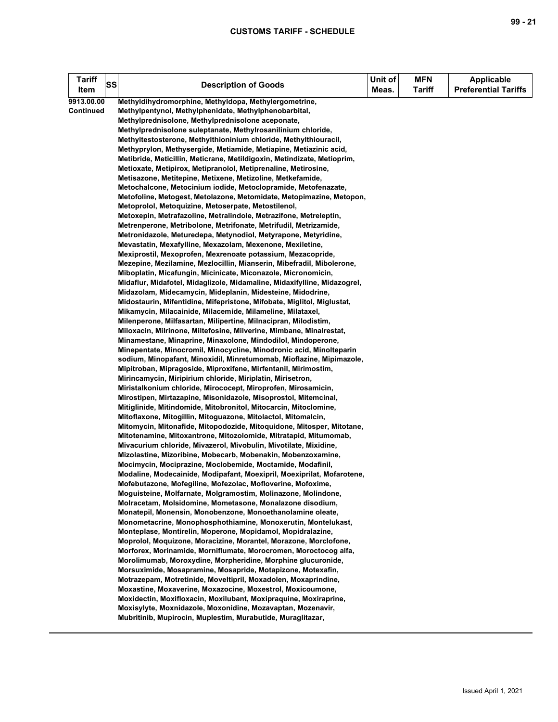| <b>Tariff</b><br>Item | SS | <b>Description of Goods</b>                                                                                                          | Unit of<br>Meas. | <b>MFN</b><br><b>Tariff</b> | <b>Applicable</b><br><b>Preferential Tariffs</b> |
|-----------------------|----|--------------------------------------------------------------------------------------------------------------------------------------|------------------|-----------------------------|--------------------------------------------------|
| 9913.00.00            |    | Methyldihydromorphine, Methyldopa, Methylergometrine,                                                                                |                  |                             |                                                  |
| <b>Continued</b>      |    | Methylpentynol, Methylphenidate, Methylphenobarbital,                                                                                |                  |                             |                                                  |
|                       |    | Methylprednisolone, Methylprednisolone aceponate,                                                                                    |                  |                             |                                                  |
|                       |    | Methylprednisolone suleptanate, Methylrosanilinium chloride,                                                                         |                  |                             |                                                  |
|                       |    | Methyltestosterone, Methylthioninium chloride, Methylthiouracil,                                                                     |                  |                             |                                                  |
|                       |    | Methyprylon, Methysergide, Metiamide, Metiapine, Metiazinic acid,                                                                    |                  |                             |                                                  |
|                       |    | Metibride, Meticillin, Meticrane, Metildigoxin, Metindizate, Metioprim,                                                              |                  |                             |                                                  |
|                       |    | Metioxate, Metipirox, Metipranolol, Metiprenaline, Metirosine,                                                                       |                  |                             |                                                  |
|                       |    | Metisazone, Metitepine, Metixene, Metizoline, Metkefamide,<br>Metochalcone, Metocinium iodide, Metoclopramide, Metofenazate,         |                  |                             |                                                  |
|                       |    | Metofoline, Metogest, Metolazone, Metomidate, Metopimazine, Metopon,                                                                 |                  |                             |                                                  |
|                       |    | Metoprolol, Metoquizine, Metoserpate, Metostilenol,                                                                                  |                  |                             |                                                  |
|                       |    | Metoxepin, Metrafazoline, Metralindole, Metrazifone, Metreleptin,                                                                    |                  |                             |                                                  |
|                       |    | Metrenperone, Metribolone, Metrifonate, Metrifudil, Metrizamide,                                                                     |                  |                             |                                                  |
|                       |    | Metronidazole, Meturedepa, Metynodiol, Metyrapone, Metyridine,                                                                       |                  |                             |                                                  |
|                       |    | Mevastatin, Mexafylline, Mexazolam, Mexenone, Mexiletine,                                                                            |                  |                             |                                                  |
|                       |    | Mexiprostil, Mexoprofen, Mexrenoate potassium, Mezacopride,                                                                          |                  |                             |                                                  |
|                       |    | Mezepine, Mezilamine, Mezlocillin, Mianserin, Mibefradil, Mibolerone,                                                                |                  |                             |                                                  |
|                       |    | Miboplatin, Micafungin, Micinicate, Miconazole, Micronomicin,                                                                        |                  |                             |                                                  |
|                       |    | Midaflur, Midafotel, Midaglizole, Midamaline, Midaxifylline, Midazogrel,                                                             |                  |                             |                                                  |
|                       |    | Midazolam, Midecamycin, Mideplanin, Midesteine, Midodrine,                                                                           |                  |                             |                                                  |
|                       |    | Midostaurin, Mifentidine, Mifepristone, Mifobate, Miglitol, Miglustat,                                                               |                  |                             |                                                  |
|                       |    | Mikamycin, Milacainide, Milacemide, Milameline, Milataxel,                                                                           |                  |                             |                                                  |
|                       |    | Milenperone, Milfasartan, Milipertine, Milnacipran, Milodistim,                                                                      |                  |                             |                                                  |
|                       |    | Miloxacin, Milrinone, Miltefosine, Milverine, Mimbane, Minalrestat,                                                                  |                  |                             |                                                  |
|                       |    | Minamestane, Minaprine, Minaxolone, Mindodilol, Mindoperone,<br>Minepentate, Minocromil, Minocycline, Minodronic acid, Minolteparin  |                  |                             |                                                  |
|                       |    | sodium, Minopafant, Minoxidil, Minretumomab, Mioflazine, Mipimazole,                                                                 |                  |                             |                                                  |
|                       |    | Mipitroban, Mipragoside, Miproxifene, Mirfentanil, Mirimostim,                                                                       |                  |                             |                                                  |
|                       |    | Mirincamycin, Miripirium chloride, Miriplatin, Mirisetron,                                                                           |                  |                             |                                                  |
|                       |    | Miristalkonium chloride, Mirococept, Miroprofen, Mirosamicin,                                                                        |                  |                             |                                                  |
|                       |    | Mirostipen, Mirtazapine, Misonidazole, Misoprostol, Mitemcinal,                                                                      |                  |                             |                                                  |
|                       |    | Mitiglinide, Mitindomide, Mitobronitol, Mitocarcin, Mitoclomine,                                                                     |                  |                             |                                                  |
|                       |    | Mitoflaxone, Mitogillin, Mitoguazone, Mitolactol, Mitomalcin,                                                                        |                  |                             |                                                  |
|                       |    | Mitomycin, Mitonafide, Mitopodozide, Mitoquidone, Mitosper, Mitotane,                                                                |                  |                             |                                                  |
|                       |    | Mitotenamine, Mitoxantrone, Mitozolomide, Mitratapid, Mitumomab,                                                                     |                  |                             |                                                  |
|                       |    | Mivacurium chloride, Mivazerol, Mivobulin, Mivotilate, Mixidine,                                                                     |                  |                             |                                                  |
|                       |    | Mizolastine, Mizoribine, Mobecarb, Mobenakin, Mobenzoxamine,                                                                         |                  |                             |                                                  |
|                       |    | Mocimycin, Mociprazine, Moclobemide, Moctamide, Modafinil,<br>Modaline, Modecainide, Modipafant, Moexipril, Moexiprilat, Mofarotene, |                  |                             |                                                  |
|                       |    | Mofebutazone, Mofegiline, Mofezolac, Mofloverine, Mofoxime,                                                                          |                  |                             |                                                  |
|                       |    | Moguisteine, Molfarnate, Molgramostim, Molinazone, Molindone,                                                                        |                  |                             |                                                  |
|                       |    | Molracetam, Molsidomine, Mometasone, Monalazone disodium,                                                                            |                  |                             |                                                  |
|                       |    | Monatepil, Monensin, Monobenzone, Monoethanolamine oleate,                                                                           |                  |                             |                                                  |
|                       |    | Monometacrine, Monophosphothiamine, Monoxerutin, Montelukast,                                                                        |                  |                             |                                                  |
|                       |    | Monteplase, Montirelin, Moperone, Mopidamol, Mopidralazine,                                                                          |                  |                             |                                                  |
|                       |    | Moprolol, Moquizone, Moracizine, Morantel, Morazone, Morclofone,                                                                     |                  |                             |                                                  |
|                       |    | Morforex, Morinamide, Morniflumate, Morocromen, Moroctocog alfa,                                                                     |                  |                             |                                                  |
|                       |    | Morolimumab, Moroxydine, Morpheridine, Morphine glucuronide,                                                                         |                  |                             |                                                  |
|                       |    | Morsuximide, Mosapramine, Mosapride, Motapizone, Motexafin,                                                                          |                  |                             |                                                  |
|                       |    | Motrazepam, Motretinide, Moveltipril, Moxadolen, Moxaprindine,                                                                       |                  |                             |                                                  |
|                       |    | Moxastine, Moxaverine, Moxazocine, Moxestrol, Moxicoumone,                                                                           |                  |                             |                                                  |
|                       |    | Moxidectin, Moxifloxacin, Moxilubant, Moxipraquine, Moxiraprine,<br>Moxisylyte, Moxnidazole, Moxonidine, Mozavaptan, Mozenavir,      |                  |                             |                                                  |
|                       |    | Mubritinib, Mupirocin, Muplestim, Murabutide, Muraglitazar,                                                                          |                  |                             |                                                  |
|                       |    |                                                                                                                                      |                  |                             |                                                  |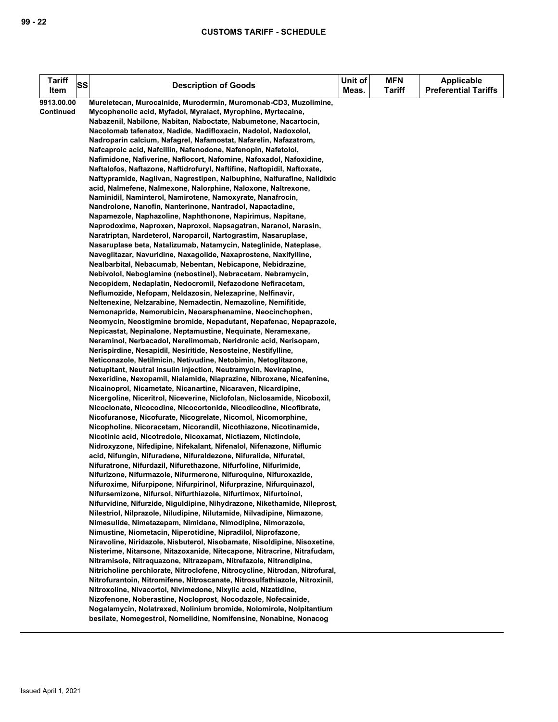| Tariff     | <b>SS</b> | <b>Description of Goods</b>                                                                                                              |       | <b>MFN</b>    | <b>Applicable</b>           |
|------------|-----------|------------------------------------------------------------------------------------------------------------------------------------------|-------|---------------|-----------------------------|
| Item       |           |                                                                                                                                          | Meas. | <b>Tariff</b> | <b>Preferential Tariffs</b> |
| 9913.00.00 |           | Mureletecan, Murocainide, Murodermin, Muromonab-CD3, Muzolimine,                                                                         |       |               |                             |
| Continued  |           | Mycophenolic acid, Myfadol, Myralact, Myrophine, Myrtecaine,                                                                             |       |               |                             |
|            |           | Nabazenil, Nabilone, Nabitan, Naboctate, Nabumetone, Nacartocin,                                                                         |       |               |                             |
|            |           | Nacolomab tafenatox, Nadide, Nadifloxacin, Nadolol, Nadoxolol,                                                                           |       |               |                             |
|            |           | Nadroparin calcium, Nafagrel, Nafamostat, Nafarelin, Nafazatrom,                                                                         |       |               |                             |
|            |           | Nafcaproic acid, Nafcillin, Nafenodone, Nafenopin, Nafetolol,                                                                            |       |               |                             |
|            |           | Nafimidone, Nafiverine, Naflocort, Nafomine, Nafoxadol, Nafoxidine,                                                                      |       |               |                             |
|            |           | Naftalofos, Naftazone, Naftidrofuryl, Naftifine, Naftopidil, Naftoxate,                                                                  |       |               |                             |
|            |           | Naftypramide, Naglivan, Nagrestipen, Nalbuphine, Nalfurafine, Nalidixic                                                                  |       |               |                             |
|            |           | acid, Nalmefene, Nalmexone, Nalorphine, Naloxone, Naltrexone,                                                                            |       |               |                             |
|            |           | Naminidil, Naminterol, Namirotene, Namoxyrate, Nanafrocin,                                                                               |       |               |                             |
|            |           | Nandrolone, Nanofin, Nanterinone, Nantradol, Napactadine,<br>Napamezole, Naphazoline, Naphthonone, Napirimus, Napitane,                  |       |               |                             |
|            |           | Naprodoxime, Naproxen, Naproxol, Napsagatran, Naranol, Narasin,                                                                          |       |               |                             |
|            |           | Naratriptan, Nardeterol, Naroparcil, Nartograstim, Nasaruplase,                                                                          |       |               |                             |
|            |           | Nasaruplase beta, Natalizumab, Natamycin, Nateglinide, Nateplase,                                                                        |       |               |                             |
|            |           | Naveglitazar, Navuridine, Naxagolide, Naxaprostene, Naxifylline,                                                                         |       |               |                             |
|            |           | Nealbarbital, Nebacumab, Nebentan, Nebicapone, Nebidrazine,                                                                              |       |               |                             |
|            |           | Nebivolol, Neboglamine (nebostinel), Nebracetam, Nebramycin,                                                                             |       |               |                             |
|            |           | Necopidem, Nedaplatin, Nedocromil, Nefazodone Nefiracetam,                                                                               |       |               |                             |
|            |           | Neflumozide, Nefopam, Neldazosin, Nelezaprine, Nelfinavir,                                                                               |       |               |                             |
|            |           | Neltenexine, Nelzarabine, Nemadectin, Nemazoline, Nemifitide,                                                                            |       |               |                             |
|            |           | Nemonapride, Nemorubicin, Neoarsphenamine, Neocinchophen,                                                                                |       |               |                             |
|            |           | Neomycin, Neostigmine bromide, Nepadutant, Nepafenac, Nepaprazole,                                                                       |       |               |                             |
|            |           | Nepicastat, Nepinalone, Neptamustine, Nequinate, Neramexane,                                                                             |       |               |                             |
|            |           | Neraminol, Nerbacadol, Nerelimomab, Neridronic acid, Nerisopam,                                                                          |       |               |                             |
|            |           | Nerispirdine, Nesapidil, Nesiritide, Nesosteine, Nestifylline,                                                                           |       |               |                             |
|            |           | Neticonazole, Netilmicin, Netivudine, Netobimin, Netoglitazone,                                                                          |       |               |                             |
|            |           | Netupitant, Neutral insulin injection, Neutramycin, Nevirapine,                                                                          |       |               |                             |
|            |           | Nexeridine, Nexopamil, Nialamide, Niaprazine, Nibroxane, Nicafenine,                                                                     |       |               |                             |
|            |           | Nicainoprol, Nicametate, Nicanartine, Nicaraven, Nicardipine,                                                                            |       |               |                             |
|            |           | Nicergoline, Niceritrol, Niceverine, Niclofolan, Niclosamide, Nicoboxil,                                                                 |       |               |                             |
|            |           | Nicoclonate, Nicocodine, Nicocortonide, Nicodicodine, Nicofibrate,                                                                       |       |               |                             |
|            |           | Nicofuranose, Nicofurate, Nicogrelate, Nicomol, Nicomorphine,<br>Nicopholine, Nicoracetam, Nicorandil, Nicothiazone, Nicotinamide,       |       |               |                             |
|            |           | Nicotinic acid, Nicotredole, Nicoxamat, Nictiazem, Nictindole,                                                                           |       |               |                             |
|            |           | Nidroxyzone, Nifedipine, Nifekalant, Nifenalol, Nifenazone, Niflumic                                                                     |       |               |                             |
|            |           | acid, Nifungin, Nifuradene, Nifuraldezone, Nifuralide, Nifuratel,                                                                        |       |               |                             |
|            |           | Nifuratrone, Nifurdazil, Nifurethazone, Nifurfoline, Nifurimide,                                                                         |       |               |                             |
|            |           | Nifurizone, Nifurmazole, Nifurmerone, Nifuroquine, Nifuroxazide,                                                                         |       |               |                             |
|            |           | Nifuroxime, Nifurpipone, Nifurpirinol, Nifurprazine, Nifurquinazol,                                                                      |       |               |                             |
|            |           | Nifursemizone, Nifursol, Nifurthiazole, Nifurtimox, Nifurtoinol,                                                                         |       |               |                             |
|            |           | Nifurvidine, Nifurzide, Niguldipine, Nihydrazone, Nikethamide, Nileprost,                                                                |       |               |                             |
|            |           | Nilestriol, Nilprazole, Niludipine, Nilutamide, Nilvadipine, Nimazone,                                                                   |       |               |                             |
|            |           | Nimesulide, Nimetazepam, Nimidane, Nimodipine, Nimorazole,                                                                               |       |               |                             |
|            |           | Nimustine, Niometacin, Niperotidine, Nipradilol, Niprofazone,                                                                            |       |               |                             |
|            |           | Niravoline, Niridazole, Nisbuterol, Nisobamate, Nisoldipine, Nisoxetine,                                                                 |       |               |                             |
|            |           | Nisterime, Nitarsone, Nitazoxanide, Nitecapone, Nitracrine, Nitrafudam,                                                                  |       |               |                             |
|            |           | Nitramisole, Nitraguazone, Nitrazepam, Nitrefazole, Nitrendipine,                                                                        |       |               |                             |
|            |           | Nitricholine perchlorate, Nitroclofene, Nitrocycline, Nitrodan, Nitrofural,                                                              |       |               |                             |
|            |           | Nitrofurantoin, Nitromifene, Nitroscanate, Nitrosulfathiazole, Nitroxinil,                                                               |       |               |                             |
|            |           | Nitroxoline, Nivacortol, Nivimedone, Nixylic acid, Nizatidine,                                                                           |       |               |                             |
|            |           | Nizofenone, Noberastine, Nocloprost, Nocodazole, Nofecainide,                                                                            |       |               |                             |
|            |           | Nogalamycin, Nolatrexed, Nolinium bromide, Nolomirole, Nolpitantium<br>besilate, Nomegestrol, Nomelidine, Nomifensine, Nonabine, Nonacog |       |               |                             |
|            |           |                                                                                                                                          |       |               |                             |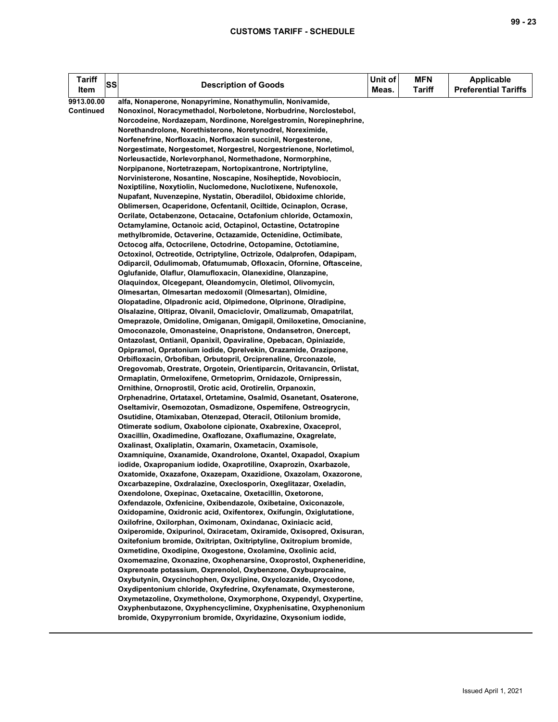| Tariff<br>Item          | SS | <b>Description of Goods</b>                                                                                                                                                                                                                                                                                                                                                                                                                                                                                                                                                                                                                                                                                                                                                                                                                                                                                                                                                                                                                                                                                                                                                                                                                                                                                                                                                                                                                                                                                                                                                                                                                                                                                                                                                                                                                                                                                                                                                                                                                                                                                                                                                                                                                                                                                                                                                                                                                                                                                                                                                                                                                                                                                                                                                                                                                                                                                                                                                                                                                                                                                                                                                                                                                                                                                                                                                                                                                                              | Unit of<br>Meas. | <b>MFN</b><br><b>Tariff</b> | <b>Applicable</b><br><b>Preferential Tariffs</b> |
|-------------------------|----|--------------------------------------------------------------------------------------------------------------------------------------------------------------------------------------------------------------------------------------------------------------------------------------------------------------------------------------------------------------------------------------------------------------------------------------------------------------------------------------------------------------------------------------------------------------------------------------------------------------------------------------------------------------------------------------------------------------------------------------------------------------------------------------------------------------------------------------------------------------------------------------------------------------------------------------------------------------------------------------------------------------------------------------------------------------------------------------------------------------------------------------------------------------------------------------------------------------------------------------------------------------------------------------------------------------------------------------------------------------------------------------------------------------------------------------------------------------------------------------------------------------------------------------------------------------------------------------------------------------------------------------------------------------------------------------------------------------------------------------------------------------------------------------------------------------------------------------------------------------------------------------------------------------------------------------------------------------------------------------------------------------------------------------------------------------------------------------------------------------------------------------------------------------------------------------------------------------------------------------------------------------------------------------------------------------------------------------------------------------------------------------------------------------------------------------------------------------------------------------------------------------------------------------------------------------------------------------------------------------------------------------------------------------------------------------------------------------------------------------------------------------------------------------------------------------------------------------------------------------------------------------------------------------------------------------------------------------------------------------------------------------------------------------------------------------------------------------------------------------------------------------------------------------------------------------------------------------------------------------------------------------------------------------------------------------------------------------------------------------------------------------------------------------------------------------------------------------------------|------------------|-----------------------------|--------------------------------------------------|
| 9913.00.00<br>Continued |    | alfa, Nonaperone, Nonapyrimine, Nonathymulin, Nonivamide,<br>Nonoxinol, Noracymethadol, Norboletone, Norbudrine, Norclostebol,<br>Norcodeine, Nordazepam, Nordinone, Norelgestromin, Norepinephrine,<br>Norethandrolone, Norethisterone, Noretynodrel, Noreximide,<br>Norfenefrine, Norfloxacin, Norfloxacin succinil, Norgesterone,<br>Norgestimate, Norgestomet, Norgestrel, Norgestrienone, Norletimol,<br>Norleusactide, Norlevorphanol, Normethadone, Normorphine,<br>Norpipanone, Nortetrazepam, Nortopixantrone, Nortriptyline,<br>Norvinisterone, Nosantine, Noscapine, Nosiheptide, Novobiocin,<br>Noxiptiline, Noxytiolin, Nuclomedone, Nuclotixene, Nufenoxole,<br>Nupafant, Nuvenzepine, Nystatin, Oberadilol, Obidoxime chloride,<br>Oblimersen, Ocaperidone, Ocfentanil, Ociltide, Ocinaplon, Ocrase,<br>Ocrilate, Octabenzone, Octacaine, Octafonium chloride, Octamoxin,<br>Octamylamine, Octanoic acid, Octapinol, Octastine, Octatropine<br>methylbromide, Octaverine, Octazamide, Octenidine, Octimibate,<br>Octocog alfa, Octocrilene, Octodrine, Octopamine, Octotiamine,<br>Octoxinol, Octreotide, Octriptyline, Octrizole, Odalprofen, Odapipam,<br>Odiparcil, Odulimomab, Ofatumumab, Ofloxacin, Ofornine, Oftasceine,<br>Oglufanide, Olaflur, Olamufloxacin, Olanexidine, Olanzapine,<br>Olaquindox, Olcegepant, Oleandomycin, Oletimol, Olivomycin,<br>Olmesartan, Olmesartan medoxomil (Olmesartan), Olmidine,<br>Olopatadine, Olpadronic acid, Olpimedone, Olprinone, Olradipine,<br>Olsalazine, Oltipraz, Olvanil, Omaciclovir, Omalizumab, Omapatrilat,<br>Omeprazole, Omidoline, Omiganan, Omigapil, Omiloxetine, Omocianine,<br>Omoconazole, Omonasteine, Onapristone, Ondansetron, Onercept,<br>Ontazolast, Ontianil, Opanixil, Opaviraline, Opebacan, Opiniazide,<br>Opipramol, Opratonium iodide, Oprelvekin, Orazamide, Orazipone,<br>Orbifloxacin, Orbofiban, Orbutopril, Orciprenaline, Orconazole,<br>Oregovomab, Orestrate, Orgotein, Orientiparcin, Oritavancin, Orlistat,<br>Ormaplatin, Ormeloxifene, Ormetoprim, Ornidazole, Ornipressin,<br>Ornithine, Ornoprostil, Orotic acid, Orotirelin, Orpanoxin,<br>Orphenadrine, Ortataxel, Ortetamine, Osalmid, Osanetant, Osaterone,<br>Oseltamivir, Osemozotan, Osmadizone, Ospemifene, Ostreogrycin,<br>Osutidine, Otamixaban, Otenzepad, Oteracil, Otilonium bromide,<br>Otimerate sodium, Oxabolone cipionate, Oxabrexine, Oxaceprol,<br>Oxacillin, Oxadimedine, Oxaflozane, Oxaflumazine, Oxagrelate,<br>Oxalinast, Oxaliplatin, Oxamarin, Oxametacin, Oxamisole,<br>Oxamniquine, Oxanamide, Oxandrolone, Oxantel, Oxapadol, Oxapium<br>iodide, Oxapropanium iodide, Oxaprotiline, Oxaprozin, Oxarbazole,<br>Oxatomide, Oxazafone, Oxazepam, Oxazidione, Oxazolam, Oxazorone,<br>Oxcarbazepine, Oxdralazine, Oxeclosporin, Oxeglitazar, Oxeladin,<br>Oxendolone, Oxepinac, Oxetacaine, Oxetacillin, Oxetorone,<br>Oxfendazole, Oxfenicine, Oxibendazole, Oxibetaine, Oxiconazole,<br>Oxidopamine, Oxidronic acid, Oxifentorex, Oxifungin, Oxiglutatione,<br>Oxilofrine, Oxilorphan, Oximonam, Oxindanac, Oxiniacic acid,<br>Oxiperomide, Oxipurinol, Oxiracetam, Oxiramide, Oxisopred, Oxisuran,<br>Oxitefonium bromide, Oxitriptan, Oxitriptyline, Oxitropium bromide,<br>Oxmetidine, Oxodipine, Oxogestone, Oxolamine, Oxolinic acid,<br>Oxomemazine, Oxonazine, Oxophenarsine, Oxoprostol, Oxpheneridine,<br>Oxprenoate potassium, Oxprenolol, Oxybenzone, Oxybuprocaine, |                  |                             |                                                  |
|                         |    | Oxybutynin, Oxycinchophen, Oxyclipine, Oxyclozanide, Oxycodone,<br>Oxydipentonium chloride, Oxyfedrine, Oxyfenamate, Oxymesterone,<br>Oxymetazoline, Oxymetholone, Oxymorphone, Oxypendyl, Oxypertine,<br>Oxyphenbutazone, Oxyphencyclimine, Oxyphenisatine, Oxyphenonium                                                                                                                                                                                                                                                                                                                                                                                                                                                                                                                                                                                                                                                                                                                                                                                                                                                                                                                                                                                                                                                                                                                                                                                                                                                                                                                                                                                                                                                                                                                                                                                                                                                                                                                                                                                                                                                                                                                                                                                                                                                                                                                                                                                                                                                                                                                                                                                                                                                                                                                                                                                                                                                                                                                                                                                                                                                                                                                                                                                                                                                                                                                                                                                                |                  |                             |                                                  |
|                         |    | bromide, Oxypyrronium bromide, Oxyridazine, Oxysonium iodide,                                                                                                                                                                                                                                                                                                                                                                                                                                                                                                                                                                                                                                                                                                                                                                                                                                                                                                                                                                                                                                                                                                                                                                                                                                                                                                                                                                                                                                                                                                                                                                                                                                                                                                                                                                                                                                                                                                                                                                                                                                                                                                                                                                                                                                                                                                                                                                                                                                                                                                                                                                                                                                                                                                                                                                                                                                                                                                                                                                                                                                                                                                                                                                                                                                                                                                                                                                                                            |                  |                             |                                                  |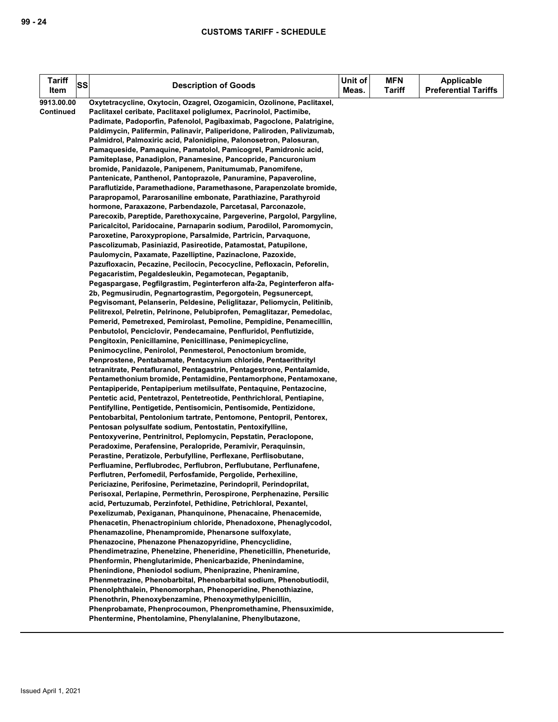| <b>Tariff</b>    | SS | <b>Description of Goods</b>                                                                                                       | Unit of | <b>MFN</b>    | <b>Applicable</b>           |
|------------------|----|-----------------------------------------------------------------------------------------------------------------------------------|---------|---------------|-----------------------------|
| Item             |    |                                                                                                                                   | Meas.   | <b>Tariff</b> | <b>Preferential Tariffs</b> |
| 9913.00.00       |    | Oxytetracycline, Oxytocin, Ozagrel, Ozogamicin, Ozolinone, Paclitaxel,                                                            |         |               |                             |
| <b>Continued</b> |    | Paclitaxel ceribate, Paclitaxel poliglumex, Pacrinolol, Pactimibe,                                                                |         |               |                             |
|                  |    | Padimate, Padoporfin, Pafenolol, Pagibaximab, Pagoclone, Palatrigine,                                                             |         |               |                             |
|                  |    | Paldimycin, Palifermin, Palinavir, Paliperidone, Paliroden, Palivizumab,                                                          |         |               |                             |
|                  |    | Palmidrol, Palmoxiric acid, Palonidipine, Palonosetron, Palosuran,                                                                |         |               |                             |
|                  |    | Pamaqueside, Pamaquine, Pamatolol, Pamicogrel, Pamidronic acid,                                                                   |         |               |                             |
|                  |    | Pamiteplase, Panadiplon, Panamesine, Pancopride, Pancuronium                                                                      |         |               |                             |
|                  |    | bromide, Panidazole, Panipenem, Panitumumab, Panomifene,                                                                          |         |               |                             |
|                  |    | Pantenicate, Panthenol, Pantoprazole, Panuramine, Papaveroline,                                                                   |         |               |                             |
|                  |    | Paraflutizide, Paramethadione, Paramethasone, Parapenzolate bromide,                                                              |         |               |                             |
|                  |    | Parapropamol, Pararosaniline embonate, Parathiazine, Parathyroid                                                                  |         |               |                             |
|                  |    | hormone, Paraxazone, Parbendazole, Parcetasal, Parconazole,                                                                       |         |               |                             |
|                  |    | Parecoxib, Pareptide, Parethoxycaine, Pargeverine, Pargolol, Pargyline,                                                           |         |               |                             |
|                  |    | Paricalcitol, Paridocaine, Parnaparin sodium, Parodilol, Paromomycin,                                                             |         |               |                             |
|                  |    | Paroxetine, Paroxypropione, Parsalmide, Partricin, Parvaguone,<br>Pascolizumab, Pasiniazid, Pasireotide, Patamostat, Patupilone,  |         |               |                             |
|                  |    | Paulomycin, Paxamate, Pazelliptine, Pazinaclone, Pazoxide,                                                                        |         |               |                             |
|                  |    | Pazufloxacin, Pecazine, Pecilocin, Pecocycline, Pefloxacin, Peforelin,                                                            |         |               |                             |
|                  |    | Pegacaristim, Pegaldesleukin, Pegamotecan, Pegaptanib,                                                                            |         |               |                             |
|                  |    | Pegaspargase, Pegfilgrastim, Peginterferon alfa-2a, Peginterferon alfa-                                                           |         |               |                             |
|                  |    | 2b, Pegmusirudin, Pegnartograstim, Pegorgotein, Pegsunercept,                                                                     |         |               |                             |
|                  |    | Pegvisomant, Pelanserin, Peldesine, Peliglitazar, Peliomycin, Pelitinib,                                                          |         |               |                             |
|                  |    | Pelitrexol, Pelretin, Pelrinone, Pelubiprofen, Pemaglitazar, Pemedolac,                                                           |         |               |                             |
|                  |    | Pemerid, Pemetrexed, Pemirolast, Pemoline, Pempidine, Penamecillin,                                                               |         |               |                             |
|                  |    | Penbutolol, Penciclovir, Pendecamaine, Penfluridol, Penflutizide,                                                                 |         |               |                             |
|                  |    | Pengitoxin, Penicillamine, Penicillinase, Penimepicycline,                                                                        |         |               |                             |
|                  |    | Penimocycline, Penirolol, Penmesterol, Penoctonium bromide,                                                                       |         |               |                             |
|                  |    | Penprostene, Pentabamate, Pentacynium chloride, Pentaerithrityl                                                                   |         |               |                             |
|                  |    | tetranitrate, Pentafluranol, Pentagastrin, Pentagestrone, Pentalamide,                                                            |         |               |                             |
|                  |    | Pentamethonium bromide, Pentamidine, Pentamorphone, Pentamoxane,                                                                  |         |               |                             |
|                  |    | Pentapiperide, Pentapiperium metilsulfate, Pentaquine, Pentazocine,                                                               |         |               |                             |
|                  |    | Pentetic acid, Pentetrazol, Pentetreotide, Penthrichloral, Pentiapine,                                                            |         |               |                             |
|                  |    | Pentifylline, Pentigetide, Pentisomicin, Pentisomide, Pentizidone,                                                                |         |               |                             |
|                  |    | Pentobarbital, Pentolonium tartrate, Pentomone, Pentopril, Pentorex,                                                              |         |               |                             |
|                  |    | Pentosan polysulfate sodium, Pentostatin, Pentoxifylline,                                                                         |         |               |                             |
|                  |    | Pentoxyverine, Pentrinitrol, Peplomycin, Pepstatin, Peraclopone,                                                                  |         |               |                             |
|                  |    | Peradoxime, Perafensine, Peralopride, Peramivir, Peraquinsin,<br>Perastine, Peratizole, Perbufylline, Perflexane, Perflisobutane, |         |               |                             |
|                  |    | Perfluamine, Perflubrodec, Perflubron, Perflubutane, Perflunafene,                                                                |         |               |                             |
|                  |    | Perflutren, Perfomedil, Perfosfamide, Pergolide, Perhexiline,                                                                     |         |               |                             |
|                  |    | Periciazine, Perifosine, Perimetazine, Perindopril, Perindoprilat,                                                                |         |               |                             |
|                  |    | Perisoxal, Perlapine, Permethrin, Perospirone, Perphenazine, Persilic                                                             |         |               |                             |
|                  |    | acid, Pertuzumab, Perzinfotel, Pethidine, Petrichloral, Pexantel,                                                                 |         |               |                             |
|                  |    | Pexelizumab, Pexiganan, Phanquinone, Phenacaine, Phenacemide,                                                                     |         |               |                             |
|                  |    | Phenacetin, Phenactropinium chloride, Phenadoxone, Phenaglycodol,                                                                 |         |               |                             |
|                  |    | Phenamazoline, Phenampromide, Phenarsone sulfoxylate,                                                                             |         |               |                             |
|                  |    | Phenazocine, Phenazone Phenazopyridine, Phencyclidine,                                                                            |         |               |                             |
|                  |    | Phendimetrazine, Phenelzine, Pheneridine, Pheneticillin, Pheneturide,                                                             |         |               |                             |
|                  |    | Phenformin, Phenglutarimide, Phenicarbazide, Phenindamine,                                                                        |         |               |                             |
|                  |    | Phenindione, Pheniodol sodium, Pheniprazine, Pheniramine,                                                                         |         |               |                             |
|                  |    | Phenmetrazine, Phenobarbital, Phenobarbital sodium, Phenobutiodil,                                                                |         |               |                             |
|                  |    | Phenolphthalein, Phenomorphan, Phenoperidine, Phenothiazine,                                                                      |         |               |                             |
|                  |    | Phenothrin, Phenoxybenzamine, Phenoxymethylpenicillin,                                                                            |         |               |                             |
|                  |    | Phenprobamate, Phenprocoumon, Phenpromethamine, Phensuximide,                                                                     |         |               |                             |
|                  |    | Phentermine, Phentolamine, Phenylalanine, Phenylbutazone,                                                                         |         |               |                             |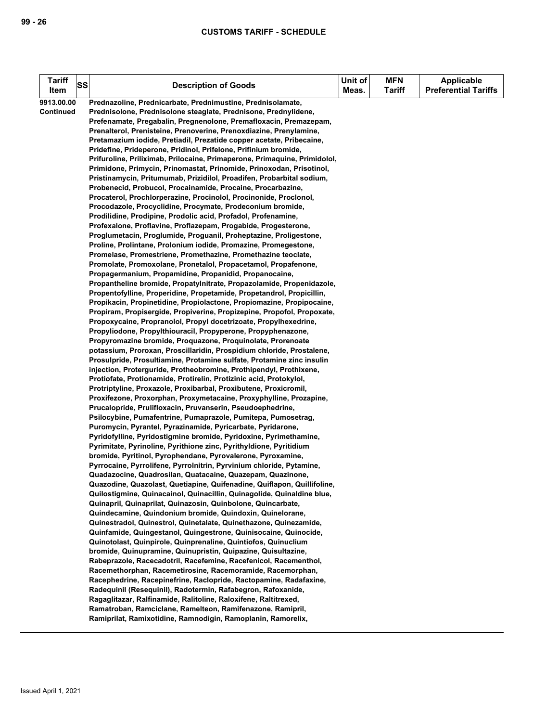| <b>Tariff</b><br>Item | <b>SS</b> | <b>Description of Goods</b>                                                                                                                    | Unit of<br>Meas. | <b>MFN</b><br><b>Tariff</b> | <b>Applicable</b><br><b>Preferential Tariffs</b> |
|-----------------------|-----------|------------------------------------------------------------------------------------------------------------------------------------------------|------------------|-----------------------------|--------------------------------------------------|
| 9913.00.00            |           | Prednazoline, Prednicarbate, Prednimustine, Prednisolamate,                                                                                    |                  |                             |                                                  |
| <b>Continued</b>      |           | Prednisolone, Prednisolone steaglate, Prednisone, Prednylidene,                                                                                |                  |                             |                                                  |
|                       |           | Prefenamate, Pregabalin, Pregnenolone, Premafloxacin, Premazepam,                                                                              |                  |                             |                                                  |
|                       |           | Prenalterol, Prenisteine, Prenoverine, Prenoxdiazine, Prenylamine,                                                                             |                  |                             |                                                  |
|                       |           | Pretamazium iodide, Pretiadil, Prezatide copper acetate, Pribecaine,                                                                           |                  |                             |                                                  |
|                       |           | Pridefine, Prideperone, Pridinol, Prifelone, Prifinium bromide,                                                                                |                  |                             |                                                  |
|                       |           | Prifuroline, Priliximab, Prilocaine, Primaperone, Primaquine, Primidolol,                                                                      |                  |                             |                                                  |
|                       |           | Primidone, Primycin, Prinomastat, Prinomide, Prinoxodan, Prisotinol,                                                                           |                  |                             |                                                  |
|                       |           | Pristinamycin, Pritumumab, Prizidilol, Proadifen, Probarbital sodium,                                                                          |                  |                             |                                                  |
|                       |           | Probenecid, Probucol, Procainamide, Procaine, Procarbazine,                                                                                    |                  |                             |                                                  |
|                       |           | Procaterol, Prochlorperazine, Procinolol, Procinonide, Proclonol,                                                                              |                  |                             |                                                  |
|                       |           | Procodazole, Procyclidine, Procymate, Prodeconium bromide,                                                                                     |                  |                             |                                                  |
|                       |           | Prodilidine, Prodipine, Prodolic acid, Profadol, Profenamine,                                                                                  |                  |                             |                                                  |
|                       |           | Profexalone, Proflavine, Proflazepam, Progabide, Progesterone,                                                                                 |                  |                             |                                                  |
|                       |           | Proglumetacin, Proglumide, Proguanil, Proheptazine, Proligestone,                                                                              |                  |                             |                                                  |
|                       |           | Proline, Prolintane, Prolonium iodide, Promazine, Promegestone,                                                                                |                  |                             |                                                  |
|                       |           | Promelase, Promestriene, Promethazine, Promethazine teoclate,                                                                                  |                  |                             |                                                  |
|                       |           | Promolate, Promoxolane, Pronetalol, Propacetamol, Propafenone,                                                                                 |                  |                             |                                                  |
|                       |           | Propagermanium, Propamidine, Propanidid, Propanocaine,                                                                                         |                  |                             |                                                  |
|                       |           | Propantheline bromide, Propatylnitrate, Propazolamide, Propenidazole,                                                                          |                  |                             |                                                  |
|                       |           | Propentofylline, Properidine, Propetamide, Propetandrol, Propicillin,<br>Propikacin, Propinetidine, Propiolactone, Propiomazine, Propipocaine, |                  |                             |                                                  |
|                       |           | Propiram, Propisergide, Propiverine, Propizepine, Propofol, Propoxate,                                                                         |                  |                             |                                                  |
|                       |           | Propoxycaine, Propranolol, Propyl docetrizoate, Propylhexedrine,                                                                               |                  |                             |                                                  |
|                       |           | Propyliodone, Propylthiouracil, Propyperone, Propyphenazone,                                                                                   |                  |                             |                                                  |
|                       |           | Propyromazine bromide, Proquazone, Proquinolate, Prorenoate                                                                                    |                  |                             |                                                  |
|                       |           | potassium, Proroxan, Proscillaridin, Prospidium chloride, Prostalene,                                                                          |                  |                             |                                                  |
|                       |           | Prosulpride, Prosultiamine, Protamine sulfate, Protamine zinc insulin                                                                          |                  |                             |                                                  |
|                       |           | injection, Proterguride, Protheobromine, Prothipendyl, Prothixene,                                                                             |                  |                             |                                                  |
|                       |           | Protiofate, Protionamide, Protirelin, Protizinic acid, Protokylol,                                                                             |                  |                             |                                                  |
|                       |           | Protriptyline, Proxazole, Proxibarbal, Proxibutene, Proxicromil,                                                                               |                  |                             |                                                  |
|                       |           | Proxifezone, Proxorphan, Proxymetacaine, Proxyphylline, Prozapine,                                                                             |                  |                             |                                                  |
|                       |           | Prucalopride, Prulifloxacin, Pruvanserin, Pseudoephedrine,                                                                                     |                  |                             |                                                  |
|                       |           | Psilocybine, Pumafentrine, Pumaprazole, Pumitepa, Pumosetrag,                                                                                  |                  |                             |                                                  |
|                       |           | Puromycin, Pyrantel, Pyrazinamide, Pyricarbate, Pyridarone,                                                                                    |                  |                             |                                                  |
|                       |           | Pyridofylline, Pyridostigmine bromide, Pyridoxine, Pyrimethamine,                                                                              |                  |                             |                                                  |
|                       |           | Pyrimitate, Pyrinoline, Pyrithione zinc, Pyrithyldione, Pyritidium                                                                             |                  |                             |                                                  |
|                       |           | bromide, Pyritinol, Pyrophendane, Pyrovalerone, Pyroxamine,                                                                                    |                  |                             |                                                  |
|                       |           | Pyrrocaine, Pyrrolifene, Pyrrolnitrin, Pyrvinium chloride, Pytamine,                                                                           |                  |                             |                                                  |
|                       |           | Quadazocine, Quadrosilan, Quatacaine, Quazepam, Quazinone,                                                                                     |                  |                             |                                                  |
|                       |           | Quazodine, Quazolast, Quetiapine, Quifenadine, Quiflapon, Quillifoline,                                                                        |                  |                             |                                                  |
|                       |           | Quilostigmine, Quinacainol, Quinacillin, Quinagolide, Quinaldine blue,                                                                         |                  |                             |                                                  |
|                       |           | Quinapril, Quinaprilat, Quinazosin, Quinbolone, Quincarbate,                                                                                   |                  |                             |                                                  |
|                       |           | Quindecamine, Quindonium bromide, Quindoxin, Quinelorane,                                                                                      |                  |                             |                                                  |
|                       |           | Quinestradol, Quinestrol, Quinetalate, Quinethazone, Quinezamide,                                                                              |                  |                             |                                                  |
|                       |           | Quinfamide, Quingestanol, Quingestrone, Quinisocaine, Quinocide,                                                                               |                  |                             |                                                  |
|                       |           | Quinotolast, Quinpirole, Quinprenaline, Quintiofos, Quinuclium                                                                                 |                  |                             |                                                  |
|                       |           | bromide, Quinupramine, Quinupristin, Quipazine, Quisultazine,                                                                                  |                  |                             |                                                  |
|                       |           | Rabeprazole, Racecadotril, Racefemine, Racefenicol, Racementhol,<br>Racemethorphan, Racemetirosine, Racemoramide, Racemorphan,                 |                  |                             |                                                  |
|                       |           | Racephedrine, Racepinefrine, Raclopride, Ractopamine, Radafaxine,                                                                              |                  |                             |                                                  |
|                       |           | Radequinil (Resequinil), Radotermin, Rafabegron, Rafoxanide,                                                                                   |                  |                             |                                                  |
|                       |           | Ragaglitazar, Ralfinamide, Ralitoline, Raloxifene, Raltitrexed,                                                                                |                  |                             |                                                  |
|                       |           | Ramatroban, Ramciclane, Ramelteon, Ramifenazone, Ramipril,                                                                                     |                  |                             |                                                  |
|                       |           | Ramiprilat, Ramixotidine, Ramnodigin, Ramoplanin, Ramorelix,                                                                                   |                  |                             |                                                  |
|                       |           |                                                                                                                                                |                  |                             |                                                  |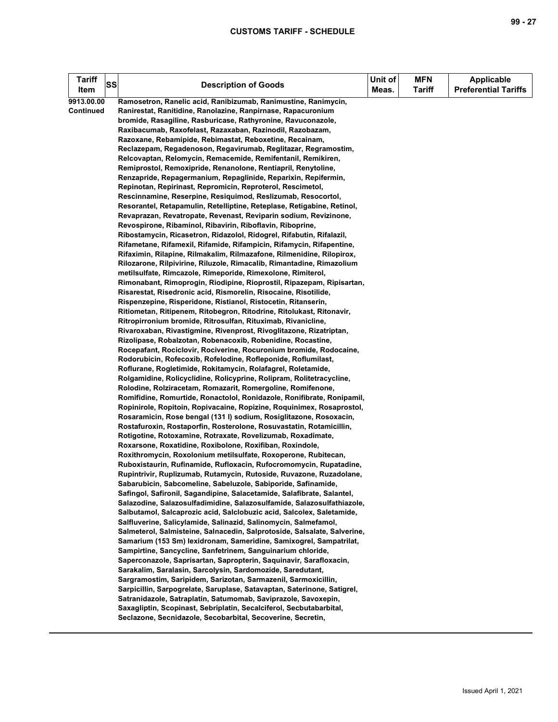| <b>Tariff</b><br>Item | SS | <b>Description of Goods</b>                                                                                                       | Unit of<br>Meas. | <b>MFN</b><br><b>Tariff</b> | <b>Applicable</b><br><b>Preferential Tariffs</b> |
|-----------------------|----|-----------------------------------------------------------------------------------------------------------------------------------|------------------|-----------------------------|--------------------------------------------------|
| 9913.00.00            |    | Ramosetron, Ranelic acid, Ranibizumab, Ranimustine, Ranimycin,                                                                    |                  |                             |                                                  |
| <b>Continued</b>      |    | Ranirestat, Ranitidine, Ranolazine, Ranpirnase, Rapacuronium                                                                      |                  |                             |                                                  |
|                       |    | bromide, Rasagiline, Rasburicase, Rathyronine, Ravuconazole,                                                                      |                  |                             |                                                  |
|                       |    | Raxibacumab, Raxofelast, Razaxaban, Razinodil, Razobazam,                                                                         |                  |                             |                                                  |
|                       |    | Razoxane, Rebamipide, Rebimastat, Reboxetine, Recainam,                                                                           |                  |                             |                                                  |
|                       |    | Reclazepam, Regadenoson, Regavirumab, Reglitazar, Regramostim,                                                                    |                  |                             |                                                  |
|                       |    | Relcovaptan, Relomycin, Remacemide, Remifentanil, Remikiren,                                                                      |                  |                             |                                                  |
|                       |    | Remiprostol, Remoxipride, Renanolone, Rentiapril, Renytoline,                                                                     |                  |                             |                                                  |
|                       |    | Renzapride, Repagermanium, Repaglinide, Reparixin, Repifermin,                                                                    |                  |                             |                                                  |
|                       |    | Repinotan, Repirinast, Repromicin, Reproterol, Rescimetol,                                                                        |                  |                             |                                                  |
|                       |    | Rescinnamine, Reserpine, Resiquimod, Reslizumab, Resocortol,                                                                      |                  |                             |                                                  |
|                       |    | Resorantel, Retapamulin, Retelliptine, Reteplase, Retigabine, Retinol,                                                            |                  |                             |                                                  |
|                       |    | Revaprazan, Revatropate, Revenast, Reviparin sodium, Revizinone,                                                                  |                  |                             |                                                  |
|                       |    | Revospirone, Ribaminol, Ribavirin, Riboflavin, Riboprine,                                                                         |                  |                             |                                                  |
|                       |    | Ribostamycin, Ricasetron, Ridazolol, Ridogrel, Rifabutin, Rifalazil,                                                              |                  |                             |                                                  |
|                       |    | Rifametane, Rifamexil, Rifamide, Rifampicin, Rifamycin, Rifapentine,                                                              |                  |                             |                                                  |
|                       |    | Rifaximin, Rilapine, Rilmakalim, Rilmazafone, Rilmenidine, Rilopirox,                                                             |                  |                             |                                                  |
|                       |    | Rilozarone, Rilpivirine, Riluzole, Rimacalib, Rimantadine, Rimazolium                                                             |                  |                             |                                                  |
|                       |    | metilsulfate, Rimcazole, Rimeporide, Rimexolone, Rimiterol,                                                                       |                  |                             |                                                  |
|                       |    | Rimonabant, Rimoprogin, Riodipine, Rioprostil, Ripazepam, Ripisartan,                                                             |                  |                             |                                                  |
|                       |    | Risarestat, Risedronic acid, Rismorelin, Risocaine, Risotilide,                                                                   |                  |                             |                                                  |
|                       |    | Rispenzepine, Risperidone, Ristianol, Ristocetin, Ritanserin,                                                                     |                  |                             |                                                  |
|                       |    | Ritiometan, Ritipenem, Ritobegron, Ritodrine, Ritolukast, Ritonavir,                                                              |                  |                             |                                                  |
|                       |    | Ritropirronium bromide, Ritrosulfan, Rituximab, Rivanicline,                                                                      |                  |                             |                                                  |
|                       |    | Rivaroxaban, Rivastigmine, Rivenprost, Rivoglitazone, Rizatriptan,                                                                |                  |                             |                                                  |
|                       |    | Rizolipase, Robalzotan, Robenacoxib, Robenidine, Rocastine,<br>Rocepafant, Rociclovir, Rociverine, Rocuronium bromide, Rodocaine, |                  |                             |                                                  |
|                       |    | Rodorubicin, Rofecoxib, Rofelodine, Rofleponide, Roflumilast,                                                                     |                  |                             |                                                  |
|                       |    | Roflurane, Rogletimide, Rokitamycin, Rolafagrel, Roletamide,                                                                      |                  |                             |                                                  |
|                       |    | Rolgamidine, Rolicyclidine, Rolicyprine, Rolipram, Rolitetracycline,                                                              |                  |                             |                                                  |
|                       |    | Rolodine, Rolziracetam, Romazarit, Romergoline, Romifenone,                                                                       |                  |                             |                                                  |
|                       |    | Romifidine, Romurtide, Ronactolol, Ronidazole, Ronifibrate, Ronipamil,                                                            |                  |                             |                                                  |
|                       |    | Ropinirole, Ropitoin, Ropivacaine, Ropizine, Roquinimex, Rosaprostol,                                                             |                  |                             |                                                  |
|                       |    | Rosaramicin, Rose bengal (131 I) sodium, Rosiglitazone, Rosoxacin,                                                                |                  |                             |                                                  |
|                       |    | Rostafuroxin, Rostaporfin, Rosterolone, Rosuvastatin, Rotamicillin,                                                               |                  |                             |                                                  |
|                       |    | Rotigotine, Rotoxamine, Rotraxate, Rovelizumab, Roxadimate,                                                                       |                  |                             |                                                  |
|                       |    | Roxarsone, Roxatidine, Roxibolone, Roxifiban, Roxindole,                                                                          |                  |                             |                                                  |
|                       |    | Roxithromycin, Roxolonium metilsulfate, Roxoperone, Rubitecan,                                                                    |                  |                             |                                                  |
|                       |    | Ruboxistaurin, Rufinamide, Rufloxacin, Rufocromomycin, Rupatadine,                                                                |                  |                             |                                                  |
|                       |    | Rupintrivir, Ruplizumab, Rutamycin, Rutoside, Ruvazone, Ruzadolane,                                                               |                  |                             |                                                  |
|                       |    | Sabarubicin, Sabcomeline, Sabeluzole, Sabiporide, Safinamide,                                                                     |                  |                             |                                                  |
|                       |    | Safingol, Safironil, Sagandipine, Salacetamide, Salafibrate, Salantel,                                                            |                  |                             |                                                  |
|                       |    | Salazodine, Salazosulfadimidine, Salazosulfamide, Salazosulfathiazole,                                                            |                  |                             |                                                  |
|                       |    | Salbutamol, Salcaprozic acid, Salclobuzic acid, Salcolex, Saletamide,                                                             |                  |                             |                                                  |
|                       |    | Salfluverine, Salicylamide, Salinazid, Salinomycin, Salmefamol,                                                                   |                  |                             |                                                  |
|                       |    | Salmeterol, Salmisteine, Salnacedin, Salprotoside, Salsalate, Salverine,                                                          |                  |                             |                                                  |
|                       |    | Samarium (153 Sm) lexidronam, Sameridine, Samixogrel, Sampatrilat,                                                                |                  |                             |                                                  |
|                       |    | Sampirtine, Sancycline, Sanfetrinem, Sanguinarium chloride,                                                                       |                  |                             |                                                  |
|                       |    | Saperconazole, Saprisartan, Sapropterin, Saquinavir, Sarafloxacin,                                                                |                  |                             |                                                  |
|                       |    | Sarakalim, Saralasin, Sarcolysin, Sardomozide, Saredutant,                                                                        |                  |                             |                                                  |
|                       |    | Sargramostim, Saripidem, Sarizotan, Sarmazenil, Sarmoxicillin,                                                                    |                  |                             |                                                  |
|                       |    | Sarpicillin, Sarpogrelate, Saruplase, Satavaptan, Saterinone, Satigrel,                                                           |                  |                             |                                                  |
|                       |    | Satranidazole, Satraplatin, Satumomab, Saviprazole, Savoxepin,                                                                    |                  |                             |                                                  |
|                       |    | Saxagliptin, Scopinast, Sebriplatin, Secalciferol, Secbutabarbital,                                                               |                  |                             |                                                  |
|                       |    | Seclazone, Secnidazole, Secobarbital, Secoverine, Secretin,                                                                       |                  |                             |                                                  |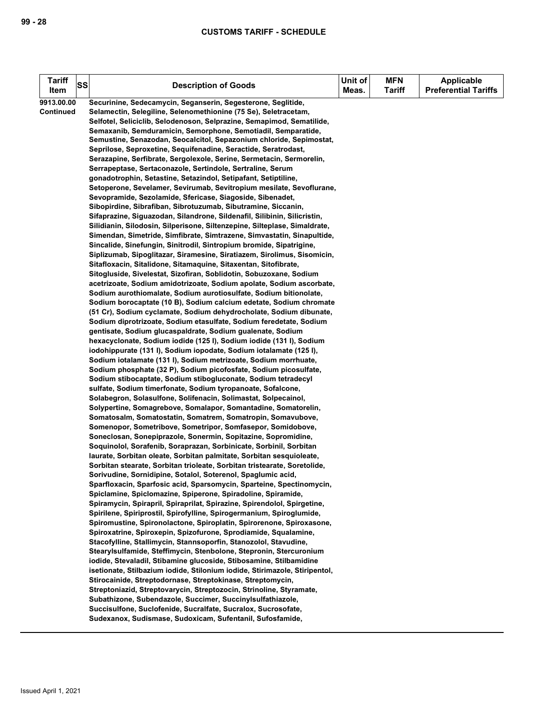| <b>Tariff</b>    | SS |                                                                                                                                           | Unit of | <b>MFN</b>    | <b>Applicable</b>           |
|------------------|----|-------------------------------------------------------------------------------------------------------------------------------------------|---------|---------------|-----------------------------|
| Item             |    | <b>Description of Goods</b>                                                                                                               | Meas.   | <b>Tariff</b> | <b>Preferential Tariffs</b> |
| 9913.00.00       |    | Securinine, Sedecamycin, Seganserin, Segesterone, Seglitide,                                                                              |         |               |                             |
| <b>Continued</b> |    | Selamectin, Selegiline, Selenomethionine (75 Se), Seletracetam,                                                                           |         |               |                             |
|                  |    | Selfotel, Seliciclib, Selodenoson, Selprazine, Semapimod, Sematilide,                                                                     |         |               |                             |
|                  |    | Semaxanib, Semduramicin, Semorphone, Semotiadil, Semparatide,                                                                             |         |               |                             |
|                  |    | Semustine, Senazodan, Seocalcitol, Sepazonium chloride, Sepimostat,                                                                       |         |               |                             |
|                  |    | Seprilose, Seproxetine, Sequifenadine, Seractide, Seratrodast,                                                                            |         |               |                             |
|                  |    | Serazapine, Serfibrate, Sergolexole, Serine, Sermetacin, Sermorelin,                                                                      |         |               |                             |
|                  |    | Serrapeptase, Sertaconazole, Sertindole, Sertraline, Serum                                                                                |         |               |                             |
|                  |    | gonadotrophin, Setastine, Setazindol, Setipafant, Setiptiline,                                                                            |         |               |                             |
|                  |    | Setoperone, Sevelamer, Sevirumab, Sevitropium mesilate, Sevoflurane,                                                                      |         |               |                             |
|                  |    | Sevopramide, Sezolamide, Sfericase, Siagoside, Sibenadet,                                                                                 |         |               |                             |
|                  |    | Sibopirdine, Sibrafiban, Sibrotuzumab, Sibutramine, Siccanin,                                                                             |         |               |                             |
|                  |    | Sifaprazine, Siguazodan, Silandrone, Sildenafil, Silibinin, Silicristin,                                                                  |         |               |                             |
|                  |    | Silidianin, Silodosin, Silperisone, Siltenzepine, Silteplase, Simaldrate,                                                                 |         |               |                             |
|                  |    | Simendan, Simetride, Simfibrate, Simtrazene, Simvastatin, Sinapultide,                                                                    |         |               |                             |
|                  |    | Sincalide, Sinefungin, Sinitrodil, Sintropium bromide, Sipatrigine,                                                                       |         |               |                             |
|                  |    | Siplizumab, Sipoglitazar, Siramesine, Siratiazem, Sirolimus, Sisomicin,                                                                   |         |               |                             |
|                  |    | Sitafloxacin, Sitalidone, Sitamaquine, Sitaxentan, Sitofibrate,                                                                           |         |               |                             |
|                  |    | Sitogluside, Sivelestat, Sizofiran, Soblidotin, Sobuzoxane, Sodium                                                                        |         |               |                             |
|                  |    | acetrizoate, Sodium amidotrizoate, Sodium apolate, Sodium ascorbate,<br>Sodium aurothiomalate, Sodium aurotiosulfate, Sodium bitionolate, |         |               |                             |
|                  |    | Sodium borocaptate (10 B), Sodium calcium edetate, Sodium chromate                                                                        |         |               |                             |
|                  |    | (51 Cr), Sodium cyclamate, Sodium dehydrocholate, Sodium dibunate,                                                                        |         |               |                             |
|                  |    | Sodium diprotrizoate, Sodium etasulfate, Sodium feredetate, Sodium                                                                        |         |               |                             |
|                  |    | gentisate, Sodium glucaspaldrate, Sodium gualenate, Sodium                                                                                |         |               |                             |
|                  |    | hexacyclonate, Sodium iodide (125 l), Sodium iodide (131 l), Sodium                                                                       |         |               |                             |
|                  |    | iodohippurate (131 I), Sodium iopodate, Sodium iotalamate (125 I),                                                                        |         |               |                             |
|                  |    | Sodium iotalamate (131 I), Sodium metrizoate, Sodium morrhuate,                                                                           |         |               |                             |
|                  |    | Sodium phosphate (32 P), Sodium picofosfate, Sodium picosulfate,                                                                          |         |               |                             |
|                  |    | Sodium stibocaptate, Sodium stibogluconate, Sodium tetradecyl                                                                             |         |               |                             |
|                  |    | sulfate, Sodium timerfonate, Sodium tyropanoate, Sofalcone,                                                                               |         |               |                             |
|                  |    | Solabegron, Solasulfone, Solifenacin, Solimastat, Solpecainol,                                                                            |         |               |                             |
|                  |    | Solypertine, Somagrebove, Somalapor, Somantadine, Somatorelin,                                                                            |         |               |                             |
|                  |    | Somatosalm, Somatostatin, Somatrem, Somatropin, Somavubove,                                                                               |         |               |                             |
|                  |    | Somenopor, Sometribove, Sometripor, Somfasepor, Somidobove,                                                                               |         |               |                             |
|                  |    | Soneclosan, Sonepiprazole, Sonermin, Sopitazine, Sopromidine,                                                                             |         |               |                             |
|                  |    | Soquinolol, Sorafenib, Soraprazan, Sorbinicate, Sorbinil, Sorbitan                                                                        |         |               |                             |
|                  |    | laurate, Sorbitan oleate, Sorbitan palmitate, Sorbitan sesquioleate,                                                                      |         |               |                             |
|                  |    | Sorbitan stearate, Sorbitan trioleate, Sorbitan tristearate, Soretolide,                                                                  |         |               |                             |
|                  |    | Sorivudine, Sornidipine, Sotalol, Soterenol, Spaglumic acid,<br>Sparfloxacin, Sparfosic acid, Sparsomycin, Sparteine, Spectinomycin,      |         |               |                             |
|                  |    | Spiclamine, Spiclomazine, Spiperone, Spiradoline, Spiramide,                                                                              |         |               |                             |
|                  |    | Spiramycin, Spirapril, Spiraprilat, Spirazine, Spirendolol, Spirgetine,                                                                   |         |               |                             |
|                  |    | Spirilene, Spiriprostil, Spirofylline, Spirogermanium, Spiroglumide,                                                                      |         |               |                             |
|                  |    | Spiromustine, Spironolactone, Spiroplatin, Spirorenone, Spiroxasone,                                                                      |         |               |                             |
|                  |    | Spiroxatrine, Spiroxepin, Spizofurone, Sprodiamide, Squalamine,                                                                           |         |               |                             |
|                  |    | Stacofylline, Stallimycin, Stannsoporfin, Stanozolol, Stavudine,                                                                          |         |               |                             |
|                  |    | Stearylsulfamide, Steffimycin, Stenbolone, Stepronin, Stercuronium                                                                        |         |               |                             |
|                  |    | iodide, Stevaladil, Stibamine glucoside, Stibosamine, Stilbamidine                                                                        |         |               |                             |
|                  |    | isetionate, Stilbazium iodide, Stilonium iodide, Stirimazole, Stiripentol,                                                                |         |               |                             |
|                  |    | Stirocainide, Streptodornase, Streptokinase, Streptomycin,                                                                                |         |               |                             |
|                  |    | Streptoniazid, Streptovarycin, Streptozocin, Strinoline, Styramate,                                                                       |         |               |                             |
|                  |    | Subathizone, Subendazole, Succimer, Succinylsulfathiazole,                                                                                |         |               |                             |
|                  |    | Succisulfone, Suclofenide, Sucralfate, Sucralox, Sucrosofate,                                                                             |         |               |                             |
|                  |    | Sudexanox, Sudismase, Sudoxicam, Sufentanil, Sufosfamide,                                                                                 |         |               |                             |
|                  |    |                                                                                                                                           |         |               |                             |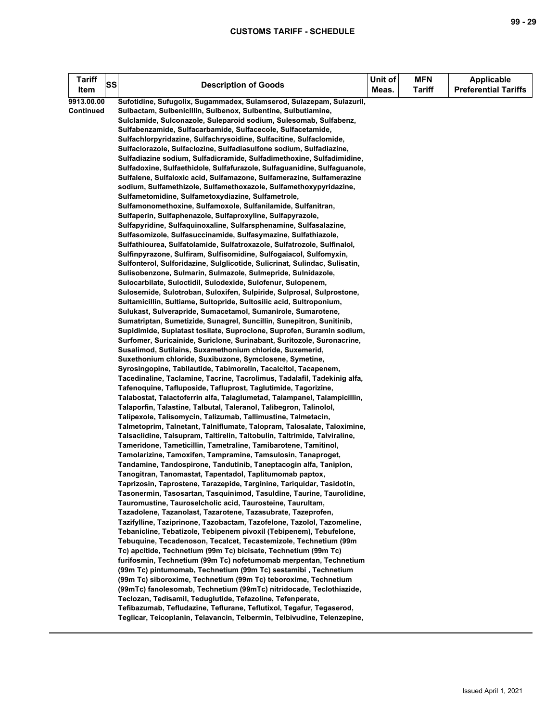| <b>Tariff</b>    | SS | <b>Description of Goods</b>                                                                                                       | Unit of<br>Meas. | <b>MFN</b><br><b>Tariff</b> | <b>Applicable</b><br><b>Preferential Tariffs</b> |
|------------------|----|-----------------------------------------------------------------------------------------------------------------------------------|------------------|-----------------------------|--------------------------------------------------|
| Item             |    |                                                                                                                                   |                  |                             |                                                  |
| 9913.00.00       |    | Sufotidine, Sufugolix, Sugammadex, Sulamserod, Sulazepam, Sulazuril,                                                              |                  |                             |                                                  |
| <b>Continued</b> |    | Sulbactam, Sulbenicillin, Sulbenox, Sulbentine, Sulbutiamine,                                                                     |                  |                             |                                                  |
|                  |    | Sulclamide, Sulconazole, Suleparoid sodium, Sulesomab, Sulfabenz,                                                                 |                  |                             |                                                  |
|                  |    | Sulfabenzamide, Sulfacarbamide, Sulfacecole, Sulfacetamide,<br>Sulfachlorpyridazine, Sulfachrysoidine, Sulfacitine, Sulfaclomide, |                  |                             |                                                  |
|                  |    | Sulfaclorazole, Sulfaclozine, Sulfadiasulfone sodium, Sulfadiazine,                                                               |                  |                             |                                                  |
|                  |    | Sulfadiazine sodium, Sulfadicramide, Sulfadimethoxine, Sulfadimidine,                                                             |                  |                             |                                                  |
|                  |    | Sulfadoxine, Sulfaethidole, Sulfafurazole, Sulfaguanidine, Sulfaguanole,                                                          |                  |                             |                                                  |
|                  |    | Sulfalene, Sulfaloxic acid, Sulfamazone, Sulfamerazine, Sulfamerazine                                                             |                  |                             |                                                  |
|                  |    | sodium, Sulfamethizole, Sulfamethoxazole, Sulfamethoxypyridazine,                                                                 |                  |                             |                                                  |
|                  |    | Sulfametomidine, Sulfametoxydiazine, Sulfametrole,                                                                                |                  |                             |                                                  |
|                  |    | Sulfamonomethoxine, Sulfamoxole, Sulfanilamide, Sulfanitran,                                                                      |                  |                             |                                                  |
|                  |    | Sulfaperin, Sulfaphenazole, Sulfaproxyline, Sulfapyrazole,                                                                        |                  |                             |                                                  |
|                  |    | Sulfapyridine, Sulfaquinoxaline, Sulfarsphenamine, Sulfasalazine,                                                                 |                  |                             |                                                  |
|                  |    | Sulfasomizole, Sulfasuccinamide, Sulfasymazine, Sulfathiazole,                                                                    |                  |                             |                                                  |
|                  |    | Sulfathiourea, Sulfatolamide, Sulfatroxazole, Sulfatrozole, Sulfinalol,                                                           |                  |                             |                                                  |
|                  |    | Sulfinpyrazone, Sulfiram, Sulfisomidine, Sulfogaiacol, Sulfomyxin,                                                                |                  |                             |                                                  |
|                  |    | Sulfonterol, Sulforidazine, Sulglicotide, Sulicrinat, Sulindac, Sulisatin,                                                        |                  |                             |                                                  |
|                  |    | Sulisobenzone, Sulmarin, Sulmazole, Sulmepride, Sulnidazole,                                                                      |                  |                             |                                                  |
|                  |    | Sulocarbilate, Suloctidil, Sulodexide, Sulofenur, Sulopenem,                                                                      |                  |                             |                                                  |
|                  |    | Sulosemide, Sulotroban, Suloxifen, Sulpiride, Sulprosal, Sulprostone,                                                             |                  |                             |                                                  |
|                  |    | Sultamicillin, Sultiame, Sultopride, Sultosilic acid, Sultroponium,                                                               |                  |                             |                                                  |
|                  |    | Sulukast, Sulverapride, Sumacetamol, Sumanirole, Sumarotene,                                                                      |                  |                             |                                                  |
|                  |    | Sumatriptan, Sumetizide, Sunagrel, Suncillin, Sunepitron, Sunitinib,                                                              |                  |                             |                                                  |
|                  |    | Supidimide, Suplatast tosilate, Suproclone, Suprofen, Suramin sodium,                                                             |                  |                             |                                                  |
|                  |    | Surfomer, Suricainide, Suriclone, Surinabant, Suritozole, Suronacrine,                                                            |                  |                             |                                                  |
|                  |    | Susalimod, Sutilains, Suxamethonium chloride, Suxemerid,                                                                          |                  |                             |                                                  |
|                  |    | Suxethonium chloride, Suxibuzone, Symclosene, Symetine,                                                                           |                  |                             |                                                  |
|                  |    | Syrosingopine, Tabilautide, Tabimorelin, Tacalcitol, Tacapenem,                                                                   |                  |                             |                                                  |
|                  |    | Tacedinaline, Taclamine, Tacrine, Tacrolimus, Tadalafil, Tadekinig alfa,                                                          |                  |                             |                                                  |
|                  |    | Tafenoquine, Tafluposide, Tafluprost, Taglutimide, Tagorizine,                                                                    |                  |                             |                                                  |
|                  |    | Talabostat, Talactoferrin alfa, Talaglumetad, Talampanel, Talampicillin,                                                          |                  |                             |                                                  |
|                  |    | Talaporfin, Talastine, Talbutal, Taleranol, Talibegron, Talinolol,                                                                |                  |                             |                                                  |
|                  |    | Talipexole, Talisomycin, Talizumab, Tallimustine, Talmetacin,                                                                     |                  |                             |                                                  |
|                  |    | Talmetoprim, Talnetant, Talniflumate, Talopram, Talosalate, Taloximine,                                                           |                  |                             |                                                  |
|                  |    | Talsaclidine, Talsupram, Taltirelin, Taltobulin, Taltrimide, Talviraline,                                                         |                  |                             |                                                  |
|                  |    | Tameridone, Tameticillin, Tametraline, Tamibarotene, Tamitinol,                                                                   |                  |                             |                                                  |
|                  |    | Tamolarizine, Tamoxifen, Tampramine, Tamsulosin, Tanaproget,                                                                      |                  |                             |                                                  |
|                  |    | Tandamine, Tandospirone, Tandutinib, Taneptacogin alfa, Taniplon,                                                                 |                  |                             |                                                  |
|                  |    | Tanogitran, Tanomastat, Tapentadol, Taplitumomab paptox,                                                                          |                  |                             |                                                  |
|                  |    | Taprizosin, Taprostene, Tarazepide, Targinine, Tariquidar, Tasidotin,                                                             |                  |                             |                                                  |
|                  |    | Tasonermin, Tasosartan, Tasquinimod, Tasuldine, Taurine, Taurolidine,                                                             |                  |                             |                                                  |
|                  |    | Tauromustine, Tauroselcholic acid, Taurosteine, Taurultam,<br>Tazadolene, Tazanolast, Tazarotene, Tazasubrate, Tazeprofen,        |                  |                             |                                                  |
|                  |    | Tazifylline, Taziprinone, Tazobactam, Tazofelone, Tazolol, Tazomeline,                                                            |                  |                             |                                                  |
|                  |    | Tebanicline, Tebatizole, Tebipenem pivoxil (Tebipenem), Tebufelone,                                                               |                  |                             |                                                  |
|                  |    | Tebuquine, Tecadenoson, Tecalcet, Tecastemizole, Technetium (99m                                                                  |                  |                             |                                                  |
|                  |    | Tc) apcitide, Technetium (99m Tc) bicisate, Technetium (99m Tc)                                                                   |                  |                             |                                                  |
|                  |    | furifosmin, Technetium (99m Tc) nofetumomab merpentan, Technetium                                                                 |                  |                             |                                                  |
|                  |    | (99m Tc) pintumomab, Technetium (99m Tc) sestamibi, Technetium                                                                    |                  |                             |                                                  |
|                  |    | (99m Tc) siboroxime, Technetium (99m Tc) teboroxime, Technetium                                                                   |                  |                             |                                                  |
|                  |    | (99mTc) fanolesomab, Technetium (99mTc) nitridocade, Teclothiazide,                                                               |                  |                             |                                                  |
|                  |    | Teclozan, Tedisamil, Teduglutide, Tefazoline, Tefenperate,                                                                        |                  |                             |                                                  |
|                  |    | Tefibazumab, Tefludazine, Teflurane, Teflutixol, Tegafur, Tegaserod,                                                              |                  |                             |                                                  |
|                  |    | Teglicar, Teicoplanin, Telavancin, Telbermin, Telbivudine, Telenzepine,                                                           |                  |                             |                                                  |
|                  |    |                                                                                                                                   |                  |                             |                                                  |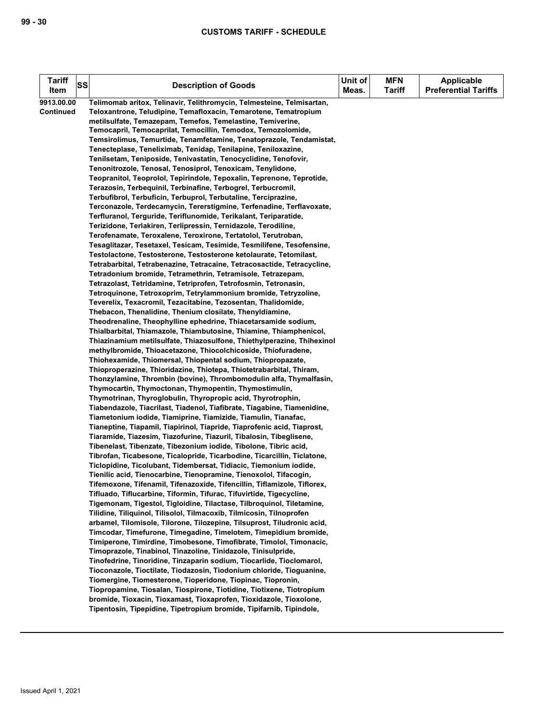| Telimomab aritox, Telinavir, Telithromycin, Telmesteine, Telmisartan,<br>9913.00.00<br>Teloxantrone, Teludipine, Temafloxacin, Temarotene, Tematropium<br><b>Continued</b><br>metilsulfate, Temazepam, Temefos, Temelastine, Temiverine,<br>Temocapril, Temocaprilat, Temocillin, Temodox, Temozolomide,<br>Temsirolimus, Temurtide, Tenamfetamine, Tenatoprazole, Tendamistat,<br>Tenecteplase, Teneliximab, Tenidap, Tenilapine, Teniloxazine,<br>Tenilsetam, Teniposide, Tenivastatin, Tenocyclidine, Tenofovir, |  |
|---------------------------------------------------------------------------------------------------------------------------------------------------------------------------------------------------------------------------------------------------------------------------------------------------------------------------------------------------------------------------------------------------------------------------------------------------------------------------------------------------------------------|--|
|                                                                                                                                                                                                                                                                                                                                                                                                                                                                                                                     |  |
|                                                                                                                                                                                                                                                                                                                                                                                                                                                                                                                     |  |
|                                                                                                                                                                                                                                                                                                                                                                                                                                                                                                                     |  |
|                                                                                                                                                                                                                                                                                                                                                                                                                                                                                                                     |  |
| Tenonitrozole, Tenosal, Tenosiprol, Tenoxicam, Tenylidone,                                                                                                                                                                                                                                                                                                                                                                                                                                                          |  |
| Teopranitol, Teoprolol, Tepirindole, Tepoxalin, Teprenone, Teprotide,                                                                                                                                                                                                                                                                                                                                                                                                                                               |  |
| Terazosin, Terbequinil, Terbinafine, Terbogrel, Terbucromil,                                                                                                                                                                                                                                                                                                                                                                                                                                                        |  |
| Terbufibrol, Terbuficin, Terbuprol, Terbutaline, Terciprazine,                                                                                                                                                                                                                                                                                                                                                                                                                                                      |  |
| Terconazole, Terdecamycin, Tererstigmine, Terfenadine, Terflavoxate,                                                                                                                                                                                                                                                                                                                                                                                                                                                |  |
| Terfluranol, Terguride, Teriflunomide, Terikalant, Teriparatide,                                                                                                                                                                                                                                                                                                                                                                                                                                                    |  |
| Terizidone, Terlakiren, Terlipressin, Ternidazole, Terodiline,                                                                                                                                                                                                                                                                                                                                                                                                                                                      |  |
| Terofenamate, Teroxalene, Teroxirone, Tertatolol, Terutroban,<br>Tesaglitazar, Tesetaxel, Tesicam, Tesimide, Tesmilifene, Tesofensine,                                                                                                                                                                                                                                                                                                                                                                              |  |
| Testolactone, Testosterone, Testosterone ketolaurate, Tetomilast,                                                                                                                                                                                                                                                                                                                                                                                                                                                   |  |
| Tetrabarbital, Tetrabenazine, Tetracaine, Tetracosactide, Tetracycline,                                                                                                                                                                                                                                                                                                                                                                                                                                             |  |
| Tetradonium bromide, Tetramethrin, Tetramisole, Tetrazepam,                                                                                                                                                                                                                                                                                                                                                                                                                                                         |  |
| Tetrazolast, Tetridamine, Tetriprofen, Tetrofosmin, Tetronasin,                                                                                                                                                                                                                                                                                                                                                                                                                                                     |  |
| Tetroquinone, Tetroxoprim, Tetrylammonium bromide, Tetryzoline,                                                                                                                                                                                                                                                                                                                                                                                                                                                     |  |
| Teverelix, Texacromil, Tezacitabine, Tezosentan, Thalidomide,                                                                                                                                                                                                                                                                                                                                                                                                                                                       |  |
| Thebacon, Thenalidine, Thenium closilate, Thenyldiamine,<br>Theodrenaline, Theophylline ephedrine, Thiacetarsamide sodium,                                                                                                                                                                                                                                                                                                                                                                                          |  |
| Thialbarbital, Thiamazole, Thiambutosine, Thiamine, Thiamphenicol,                                                                                                                                                                                                                                                                                                                                                                                                                                                  |  |
| Thiazinamium metilsulfate, Thiazosulfone, Thiethylperazine, Thihexinol                                                                                                                                                                                                                                                                                                                                                                                                                                              |  |
| methylbromide, Thioacetazone, Thiocolchicoside, Thiofuradene,                                                                                                                                                                                                                                                                                                                                                                                                                                                       |  |
| Thiohexamide, Thiomersal, Thiopental sodium, Thiopropazate,                                                                                                                                                                                                                                                                                                                                                                                                                                                         |  |
| Thioproperazine, Thioridazine, Thiotepa, Thiotetrabarbital, Thiram,                                                                                                                                                                                                                                                                                                                                                                                                                                                 |  |
| Thonzylamine, Thrombin (bovine), Thrombomodulin alfa, Thymalfasin,                                                                                                                                                                                                                                                                                                                                                                                                                                                  |  |
| Thymocartin, Thymoctonan, Thymopentin, Thymostimulin,<br>Thymotrinan, Thyroglobulin, Thyropropic acid, Thyrotrophin,                                                                                                                                                                                                                                                                                                                                                                                                |  |
| Tiabendazole, Tiacrilast, Tiadenol, Tiafibrate, Tiagabine, Tiamenidine,                                                                                                                                                                                                                                                                                                                                                                                                                                             |  |
| Tiametonium iodide, Tiamiprine, Tiamizide, Tiamulin, Tianafac,                                                                                                                                                                                                                                                                                                                                                                                                                                                      |  |
| Tianeptine, Tiapamil, Tiapirinol, Tiapride, Tiaprofenic acid, Tiaprost,                                                                                                                                                                                                                                                                                                                                                                                                                                             |  |
| Tiaramide, Tiazesim, Tiazofurine, Tiazuril, Tibalosin, Tibeglisene,                                                                                                                                                                                                                                                                                                                                                                                                                                                 |  |
| Tibenelast, Tibenzate, Tibezonium iodide, Tibolone, Tibric acid,                                                                                                                                                                                                                                                                                                                                                                                                                                                    |  |
| Tibrofan, Ticabesone, Ticalopride, Ticarbodine, Ticarcillin, Ticlatone,                                                                                                                                                                                                                                                                                                                                                                                                                                             |  |
| Ticlopidine, Ticolubant, Tidembersat, Tidiacic, Tiemonium iodide,<br>Tienilic acid, Tienocarbine, Tienopramine, Tienoxolol, Tifacogin,                                                                                                                                                                                                                                                                                                                                                                              |  |
| Tifemoxone, Tifenamil, Tifenazoxide, Tifencillin, Tiflamizole, Tiflorex,                                                                                                                                                                                                                                                                                                                                                                                                                                            |  |
| Tifluado, Tiflucarbine, Tiformin, Tifurac, Tifuvirtide, Tigecycline,                                                                                                                                                                                                                                                                                                                                                                                                                                                |  |
| Tigemonam, Tigestol, Tigloidine, Tilactase, Tilbroquinol, Tiletamine,                                                                                                                                                                                                                                                                                                                                                                                                                                               |  |
| Tilidine, Tiliquinol, Tilisolol, Tilmacoxib, Tilmicosin, Tilnoprofen                                                                                                                                                                                                                                                                                                                                                                                                                                                |  |
| arbamel, Tilomisole, Tilorone, Tilozepine, Tilsuprost, Tiludronic acid,                                                                                                                                                                                                                                                                                                                                                                                                                                             |  |
| Timcodar, Timefurone, Timegadine, Timelotem, Timepidium bromide,                                                                                                                                                                                                                                                                                                                                                                                                                                                    |  |
| Timiperone, Timirdine, Timobesone, Timofibrate, Timolol, Timonacic,<br>Timoprazole, Tinabinol, Tinazoline, Tinidazole, Tinisulpride,                                                                                                                                                                                                                                                                                                                                                                                |  |
| Tinofedrine, Tinoridine, Tinzaparin sodium, Tiocarlide, Tioclomarol,                                                                                                                                                                                                                                                                                                                                                                                                                                                |  |
| Tioconazole, Tioctilate, Tiodazosin, Tiodonium chloride, Tioguanine,                                                                                                                                                                                                                                                                                                                                                                                                                                                |  |
| Tiomergine, Tiomesterone, Tioperidone, Tiopinac, Tiopronin,                                                                                                                                                                                                                                                                                                                                                                                                                                                         |  |
| Tiopropamine, Tiosalan, Tiospirone, Tiotidine, Tiotixene, Tiotropium                                                                                                                                                                                                                                                                                                                                                                                                                                                |  |
| bromide, Tioxacin, Tioxamast, Tioxaprofen, Tioxidazole, Tioxolone,                                                                                                                                                                                                                                                                                                                                                                                                                                                  |  |
| Tipentosin, Tipepidine, Tipetropium bromide, Tipifarnib, Tipindole,                                                                                                                                                                                                                                                                                                                                                                                                                                                 |  |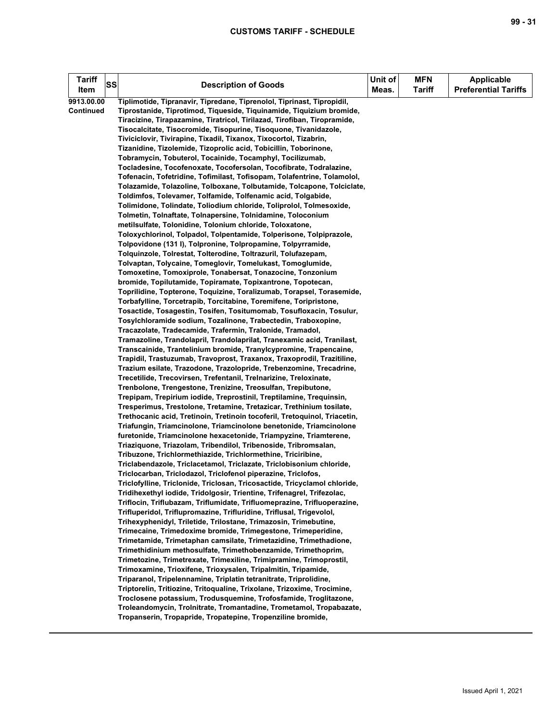| <b>Tariff</b> | SS | <b>Description of Goods</b>                                                                                              | Unit of | <b>MFN</b>    | <b>Applicable</b>           |
|---------------|----|--------------------------------------------------------------------------------------------------------------------------|---------|---------------|-----------------------------|
| Item          |    |                                                                                                                          | Meas.   | <b>Tariff</b> | <b>Preferential Tariffs</b> |
| 9913.00.00    |    | Tiplimotide, Tipranavir, Tipredane, Tiprenolol, Tiprinast, Tipropidil,                                                   |         |               |                             |
| Continued     |    | Tiprostanide, Tiprotimod, Tiqueside, Tiquinamide, Tiquizium bromide,                                                     |         |               |                             |
|               |    | Tiracizine, Tirapazamine, Tiratricol, Tirilazad, Tirofiban, Tiropramide,                                                 |         |               |                             |
|               |    | Tisocalcitate, Tisocromide, Tisopurine, Tisoquone, Tivanidazole,                                                         |         |               |                             |
|               |    | Tiviciclovir, Tivirapine, Tixadil, Tixanox, Tixocortol, Tizabrin,                                                        |         |               |                             |
|               |    | Tizanidine, Tizolemide, Tizoprolic acid, Tobicillin, Toborinone,                                                         |         |               |                             |
|               |    | Tobramycin, Tobuterol, Tocainide, Tocamphyl, Tocilizumab,                                                                |         |               |                             |
|               |    | Tocladesine, Tocofenoxate, Tocofersolan, Tocofibrate, Todralazine,                                                       |         |               |                             |
|               |    | Tofenacin, Tofetridine, Tofimilast, Tofisopam, Tolafentrine, Tolamolol,                                                  |         |               |                             |
|               |    | Tolazamide, Tolazoline, Tolboxane, Tolbutamide, Tolcapone, Tolciclate,                                                   |         |               |                             |
|               |    | Toldimfos, Tolevamer, Tolfamide, Tolfenamic acid, Tolgabide,                                                             |         |               |                             |
|               |    | Tolimidone, Tolindate, Toliodium chloride, Toliprolol, Tolmesoxide,                                                      |         |               |                             |
|               |    | Tolmetin, Tolnaftate, Tolnapersine, Tolnidamine, Toloconium                                                              |         |               |                             |
|               |    | metilsulfate, Tolonidine, Tolonium chloride, Toloxatone,                                                                 |         |               |                             |
|               |    | Toloxychlorinol, Tolpadol, Tolpentamide, Tolperisone, Tolpiprazole,                                                      |         |               |                             |
|               |    | Tolpovidone (131 I), Tolpronine, Tolpropamine, Tolpyrramide,                                                             |         |               |                             |
|               |    | Tolquinzole, Tolrestat, Tolterodine, Toltrazuril, Tolufazepam,                                                           |         |               |                             |
|               |    | Tolvaptan, Tolycaine, Tomeglovir, Tomelukast, Tomoglumide,<br>Tomoxetine, Tomoxiprole, Tonabersat, Tonazocine, Tonzonium |         |               |                             |
|               |    | bromide, Topilutamide, Topiramate, Topixantrone, Topotecan,                                                              |         |               |                             |
|               |    | Toprilidine, Topterone, Toquizine, Toralizumab, Torapsel, Torasemide,                                                    |         |               |                             |
|               |    | Torbafylline, Torcetrapib, Torcitabine, Toremifene, Toripristone,                                                        |         |               |                             |
|               |    | Tosactide, Tosagestin, Tosifen, Tositumomab, Tosufloxacin, Tosulur,                                                      |         |               |                             |
|               |    | Tosylchloramide sodium, Tozalinone, Trabectedin, Traboxopine,                                                            |         |               |                             |
|               |    | Tracazolate, Tradecamide, Trafermin, Tralonide, Tramadol,                                                                |         |               |                             |
|               |    | Tramazoline, Trandolapril, Trandolaprilat, Tranexamic acid, Tranilast,                                                   |         |               |                             |
|               |    | Transcainide, Trantelinium bromide, Tranylcypromine, Trapencaine,                                                        |         |               |                             |
|               |    | Trapidil, Trastuzumab, Travoprost, Traxanox, Traxoprodil, Trazitiline,                                                   |         |               |                             |
|               |    | Trazium esilate, Trazodone, Trazolopride, Trebenzomine, Trecadrine,                                                      |         |               |                             |
|               |    | Trecetilide, Trecovirsen, Trefentanil, Trelnarizine, Treloxinate,                                                        |         |               |                             |
|               |    | Trenbolone, Trengestone, Trenizine, Treosulfan, Trepibutone,                                                             |         |               |                             |
|               |    | Trepipam, Trepirium iodide, Treprostinil, Treptilamine, Trequinsin,                                                      |         |               |                             |
|               |    | Tresperimus, Trestolone, Tretamine, Tretazicar, Trethinium tosilate,                                                     |         |               |                             |
|               |    | Trethocanic acid, Tretinoin, Tretinoin tocoferil, Tretoquinol, Triacetin,                                                |         |               |                             |
|               |    | Triafungin, Triamcinolone, Triamcinolone benetonide, Triamcinolone                                                       |         |               |                             |
|               |    | furetonide, Triamcinolone hexacetonide, Triampyzine, Triamterene,                                                        |         |               |                             |
|               |    | Triaziquone, Triazolam, Tribendilol, Tribenoside, Tribromsalan,                                                          |         |               |                             |
|               |    | Tribuzone, Trichlormethiazide, Trichlormethine, Triciribine,                                                             |         |               |                             |
|               |    | Triclabendazole, Triclacetamol, Triclazate, Triclobisonium chloride,                                                     |         |               |                             |
|               |    | Triclocarban, Triclodazol, Triclofenol piperazine, Triclofos,                                                            |         |               |                             |
|               |    | Triclofylline, Triclonide, Triclosan, Tricosactide, Tricyclamol chloride,                                                |         |               |                             |
|               |    | Tridihexethyl iodide, Tridolgosir, Trientine, Trifenagrel, Trifezolac,                                                   |         |               |                             |
|               |    | Triflocin, Triflubazam, Triflumidate, Trifluomeprazine, Trifluoperazine,                                                 |         |               |                             |
|               |    | Trifluperidol, Triflupromazine, Trifluridine, Triflusal, Trigevolol,                                                     |         |               |                             |
|               |    | Trihexyphenidyl, Triletide, Trilostane, Trimazosin, Trimebutine,                                                         |         |               |                             |
|               |    | Trimecaine, Trimedoxime bromide, Trimegestone, Trimeperidine,                                                            |         |               |                             |
|               |    | Trimetamide, Trimetaphan camsilate, Trimetazidine, Trimethadione,                                                        |         |               |                             |
|               |    | Trimethidinium methosulfate, Trimethobenzamide, Trimethoprim,                                                            |         |               |                             |
|               |    | Trimetozine, Trimetrexate, Trimexiline, Trimipramine, Trimoprostil,                                                      |         |               |                             |
|               |    | Trimoxamine, Trioxifene, Trioxysalen, Tripalmitin, Tripamide,                                                            |         |               |                             |
|               |    | Triparanol, Tripelennamine, Triplatin tetranitrate, Triprolidine,                                                        |         |               |                             |
|               |    | Triptorelin, Tritiozine, Tritoqualine, Trixolane, Trizoxime, Trocimine,                                                  |         |               |                             |
|               |    | Troclosene potassium, Trodusquemine, Trofosfamide, Troglitazone,                                                         |         |               |                             |
|               |    | Troleandomycin, Trolnitrate, Tromantadine, Trometamol, Tropabazate,                                                      |         |               |                             |
|               |    | Tropanserin, Tropapride, Tropatepine, Tropenziline bromide,                                                              |         |               |                             |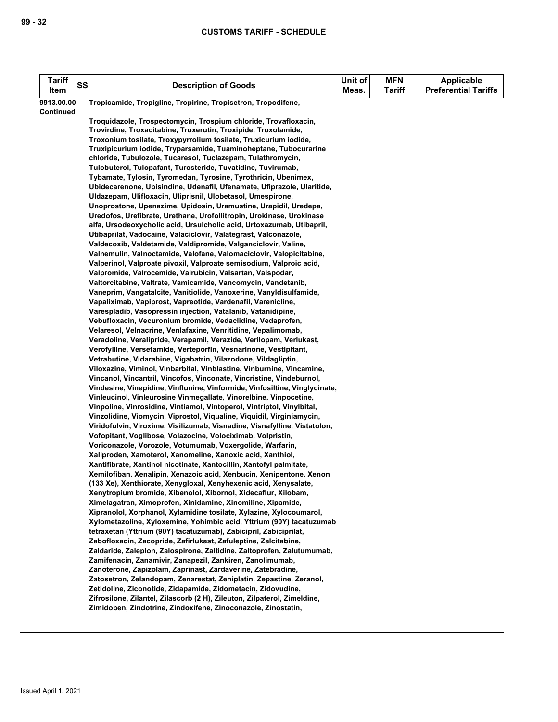| <b>Tariff</b><br>Item | <b>SS</b> | <b>Description of Goods</b>                                                                                                                     | Unit of<br>Meas. | <b>MFN</b><br><b>Tariff</b> | <b>Applicable</b><br><b>Preferential Tariffs</b> |
|-----------------------|-----------|-------------------------------------------------------------------------------------------------------------------------------------------------|------------------|-----------------------------|--------------------------------------------------|
| 9913.00.00            |           | Tropicamide, Tropigline, Tropirine, Tropisetron, Tropodifene,                                                                                   |                  |                             |                                                  |
| Continued             |           |                                                                                                                                                 |                  |                             |                                                  |
|                       |           | Troquidazole, Trospectomycin, Trospium chloride, Trovafloxacin,                                                                                 |                  |                             |                                                  |
|                       |           | Trovirdine, Troxacitabine, Troxerutin, Troxipide, Troxolamide,                                                                                  |                  |                             |                                                  |
|                       |           | Troxonium tosilate, Troxypyrrolium tosilate, Truxicurium iodide,                                                                                |                  |                             |                                                  |
|                       |           | Truxipicurium iodide, Tryparsamide, Tuaminoheptane, Tubocurarine                                                                                |                  |                             |                                                  |
|                       |           | chloride, Tubulozole, Tucaresol, Tuclazepam, Tulathromycin,                                                                                     |                  |                             |                                                  |
|                       |           | Tulobuterol, Tulopafant, Turosteride, Tuvatidine, Tuvirumab,                                                                                    |                  |                             |                                                  |
|                       |           | Tybamate, Tylosin, Tyromedan, Tyrosine, Tyrothricin, Ubenimex,                                                                                  |                  |                             |                                                  |
|                       |           | Ubidecarenone, Ubisindine, Udenafil, Ufenamate, Ufiprazole, Ularitide,                                                                          |                  |                             |                                                  |
|                       |           | Uldazepam, Ulifloxacin, Uliprisnil, Ulobetasol, Umespirone,                                                                                     |                  |                             |                                                  |
|                       |           | Unoprostone, Upenazime, Upidosin, Uramustine, Urapidil, Uredepa,                                                                                |                  |                             |                                                  |
|                       |           | Uredofos, Urefibrate, Urethane, Urofollitropin, Urokinase, Urokinase                                                                            |                  |                             |                                                  |
|                       |           | alfa, Ursodeoxycholic acid, Ursulcholic acid, Urtoxazumab, Utibapril,                                                                           |                  |                             |                                                  |
|                       |           | Utibaprilat, Vadocaine, Valaciclovir, Valategrast, Valconazole,                                                                                 |                  |                             |                                                  |
|                       |           | Valdecoxib, Valdetamide, Valdipromide, Valganciclovir, Valine,                                                                                  |                  |                             |                                                  |
|                       |           | Valnemulin, Valnoctamide, Valofane, Valomaciclovir, Valopicitabine,                                                                             |                  |                             |                                                  |
|                       |           | Valperinol, Valproate pivoxil, Valproate semisodium, Valproic acid,                                                                             |                  |                             |                                                  |
|                       |           | Valpromide, Valrocemide, Valrubicin, Valsartan, Valspodar,                                                                                      |                  |                             |                                                  |
|                       |           | Valtorcitabine, Valtrate, Vamicamide, Vancomycin, Vandetanib,                                                                                   |                  |                             |                                                  |
|                       |           | Vaneprim, Vangatalcite, Vanitiolide, Vanoxerine, Vanyldisulfamide,                                                                              |                  |                             |                                                  |
|                       |           | Vapaliximab, Vapiprost, Vapreotide, Vardenafil, Varenicline,                                                                                    |                  |                             |                                                  |
|                       |           | Varespladib, Vasopressin injection, Vatalanib, Vatanidipine,                                                                                    |                  |                             |                                                  |
|                       |           | Vebufloxacin, Vecuronium bromide, Vedaclidine, Vedaprofen,                                                                                      |                  |                             |                                                  |
|                       |           | Velaresol, Velnacrine, Venlafaxine, Venritidine, Vepalimomab,                                                                                   |                  |                             |                                                  |
|                       |           | Veradoline, Veralipride, Verapamil, Verazide, Verilopam, Verlukast,                                                                             |                  |                             |                                                  |
|                       |           | Verofylline, Versetamide, Verteporfin, Vesnarinone, Vestipitant,                                                                                |                  |                             |                                                  |
|                       |           | Vetrabutine, Vidarabine, Vigabatrin, Vilazodone, Vildagliptin,                                                                                  |                  |                             |                                                  |
|                       |           | Viloxazine, Viminol, Vinbarbital, Vinblastine, Vinburnine, Vincamine,                                                                           |                  |                             |                                                  |
|                       |           | Vincanol, Vincantril, Vincofos, Vinconate, Vincristine, Vindeburnol,                                                                            |                  |                             |                                                  |
|                       |           | Vindesine, Vinepidine, Vinflunine, Vinformide, Vinfosiltine, Vinglycinate,<br>Vinleucinol, Vinleurosine Vinmegallate, Vinorelbine, Vinpocetine, |                  |                             |                                                  |
|                       |           | Vinpoline, Vinrosidine, Vintiamol, Vintoperol, Vintriptol, Vinylbital,                                                                          |                  |                             |                                                  |
|                       |           | Vinzolidine, Viomycin, Viprostol, Viqualine, Viquidil, Virginiamycin,                                                                           |                  |                             |                                                  |
|                       |           | Viridofulvin, Viroxime, Visilizumab, Visnadine, Visnafylline, Vistatolon,                                                                       |                  |                             |                                                  |
|                       |           | Vofopitant, Voglibose, Volazocine, Volociximab, Volpristin,                                                                                     |                  |                             |                                                  |
|                       |           | Voriconazole, Vorozole, Votumumab, Voxergolide, Warfarin,                                                                                       |                  |                             |                                                  |
|                       |           | Xaliproden, Xamoterol, Xanomeline, Xanoxic acid, Xanthiol,                                                                                      |                  |                             |                                                  |
|                       |           | Xantifibrate, Xantinol nicotinate, Xantocillin, Xantofyl palmitate,                                                                             |                  |                             |                                                  |
|                       |           | Xemilofiban, Xenalipin, Xenazoic acid, Xenbucin, Xenipentone, Xenon                                                                             |                  |                             |                                                  |
|                       |           | (133 Xe), Xenthiorate, Xenygloxal, Xenyhexenic acid, Xenysalate,                                                                                |                  |                             |                                                  |
|                       |           | Xenytropium bromide, Xibenolol, Xibornol, Xidecaflur, Xilobam,                                                                                  |                  |                             |                                                  |
|                       |           | Ximelagatran, Ximoprofen, Xinidamine, Xinomiline, Xipamide,                                                                                     |                  |                             |                                                  |
|                       |           | Xipranolol, Xorphanol, Xylamidine tosilate, Xylazine, Xylocoumarol,                                                                             |                  |                             |                                                  |
|                       |           | Xylometazoline, Xyloxemine, Yohimbic acid, Yttrium (90Y) tacatuzumab                                                                            |                  |                             |                                                  |
|                       |           | tetraxetan (Yttrium (90Y) tacatuzumab), Zabicipril, Zabiciprilat,                                                                               |                  |                             |                                                  |
|                       |           | Zabofloxacin, Zacopride, Zafirlukast, Zafuleptine, Zalcitabine,                                                                                 |                  |                             |                                                  |
|                       |           | Zaldaride, Zaleplon, Zalospirone, Zaltidine, Zaltoprofen, Zalutumumab,                                                                          |                  |                             |                                                  |
|                       |           | Zamifenacin, Zanamivir, Zanapezil, Zankiren, Zanolimumab,                                                                                       |                  |                             |                                                  |
|                       |           | Zanoterone, Zapizolam, Zaprinast, Zardaverine, Zatebradine,                                                                                     |                  |                             |                                                  |
|                       |           | Zatosetron, Zelandopam, Zenarestat, Zeniplatin, Zepastine, Zeranol,                                                                             |                  |                             |                                                  |
|                       |           | Zetidoline, Ziconotide, Zidapamide, Zidometacin, Zidovudine,                                                                                    |                  |                             |                                                  |
|                       |           | Zifrosilone, Zilantel, Zilascorb (2 H), Zileuton, Zilpaterol, Zimeldine,                                                                        |                  |                             |                                                  |
|                       |           | Zimidoben, Zindotrine, Zindoxifene, Zinoconazole, Zinostatin,                                                                                   |                  |                             |                                                  |
|                       |           |                                                                                                                                                 |                  |                             |                                                  |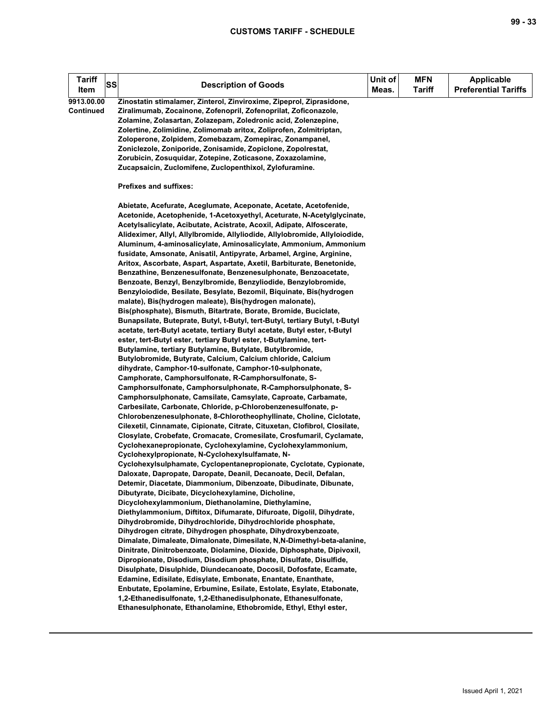| <b>Tariff</b><br><b>SS</b><br>Item | <b>Description of Goods</b>                                                                                                                                                                                                                                                                                                                                                                                                                                                                                                                                                                                                                                                                                                                                                                                                                                                                                                                                                                                                                                                                                                                                                                                                                                                                                                                                                                                                                                                                                                                                                                                                                                                                                                                                                                                                                                                                                                                                                                                                                                                                                                                                                                                                                                                                                                                                                                                                                                                                                                                                                                                                                                              | Unit of<br>Meas. | <b>MFN</b><br><b>Tariff</b> | <b>Applicable</b><br><b>Preferential Tariffs</b> |
|------------------------------------|--------------------------------------------------------------------------------------------------------------------------------------------------------------------------------------------------------------------------------------------------------------------------------------------------------------------------------------------------------------------------------------------------------------------------------------------------------------------------------------------------------------------------------------------------------------------------------------------------------------------------------------------------------------------------------------------------------------------------------------------------------------------------------------------------------------------------------------------------------------------------------------------------------------------------------------------------------------------------------------------------------------------------------------------------------------------------------------------------------------------------------------------------------------------------------------------------------------------------------------------------------------------------------------------------------------------------------------------------------------------------------------------------------------------------------------------------------------------------------------------------------------------------------------------------------------------------------------------------------------------------------------------------------------------------------------------------------------------------------------------------------------------------------------------------------------------------------------------------------------------------------------------------------------------------------------------------------------------------------------------------------------------------------------------------------------------------------------------------------------------------------------------------------------------------------------------------------------------------------------------------------------------------------------------------------------------------------------------------------------------------------------------------------------------------------------------------------------------------------------------------------------------------------------------------------------------------------------------------------------------------------------------------------------------------|------------------|-----------------------------|--------------------------------------------------|
| 9913.00.00<br><b>Continued</b>     | Zinostatin stimalamer, Zinterol, Zinviroxime, Zipeprol, Ziprasidone,<br>Ziralimumab, Zocainone, Zofenopril, Zofenoprilat, Zoficonazole,<br>Zolamine, Zolasartan, Zolazepam, Zoledronic acid, Zolenzepine,<br>Zolertine, Zolimidine, Zolimomab aritox, Zoliprofen, Zolmitriptan,<br>Zoloperone, Zolpidem, Zomebazam, Zomepirac, Zonampanel,<br>Zoniclezole, Zoniporide, Zonisamide, Zopiclone, Zopolrestat,<br>Zorubicin, Zosuquidar, Zotepine, Zoticasone, Zoxazolamine,<br>Zucapsaicin, Zuclomifene, Zuclopenthixol, Zylofuramine.                                                                                                                                                                                                                                                                                                                                                                                                                                                                                                                                                                                                                                                                                                                                                                                                                                                                                                                                                                                                                                                                                                                                                                                                                                                                                                                                                                                                                                                                                                                                                                                                                                                                                                                                                                                                                                                                                                                                                                                                                                                                                                                                      |                  |                             |                                                  |
|                                    | Prefixes and suffixes:                                                                                                                                                                                                                                                                                                                                                                                                                                                                                                                                                                                                                                                                                                                                                                                                                                                                                                                                                                                                                                                                                                                                                                                                                                                                                                                                                                                                                                                                                                                                                                                                                                                                                                                                                                                                                                                                                                                                                                                                                                                                                                                                                                                                                                                                                                                                                                                                                                                                                                                                                                                                                                                   |                  |                             |                                                  |
|                                    | Abietate, Acefurate, Aceglumate, Aceponate, Acetate, Acetofenide,<br>Acetonide, Acetophenide, 1-Acetoxyethyl, Aceturate, N-Acetylglycinate,<br>Acetylsalicylate, Acibutate, Acistrate, Acoxil, Adipate, Alfoscerate,<br>Alideximer, Allyl, Allylbromide, Allyliodide, Allylobromide, Allyloiodide,<br>Aluminum, 4-aminosalicylate, Aminosalicylate, Ammonium, Ammonium<br>fusidate, Amsonate, Anisatil, Antipyrate, Arbamel, Argine, Arginine,<br>Aritox, Ascorbate, Aspart, Aspartate, Axetil, Barbiturate, Benetonide,<br>Benzathine, Benzenesulfonate, Benzenesulphonate, Benzoacetate,<br>Benzoate, Benzyl, Benzylbromide, Benzyliodide, Benzylobromide,<br>Benzyloiodide, Besilate, Besylate, Bezomil, Biquinate, Bis(hydrogen<br>malate), Bis(hydrogen maleate), Bis(hydrogen malonate),<br>Bis(phosphate), Bismuth, Bitartrate, Borate, Bromide, Buciclate,<br>Bunapsilate, Buteprate, Butyl, t-Butyl, tert-Butyl, tertiary Butyl, t-Butyl<br>acetate, tert-Butyl acetate, tertiary Butyl acetate, Butyl ester, t-Butyl<br>ester, tert-Butyl ester, tertiary Butyl ester, t-Butylamine, tert-<br>Butylamine, tertiary Butylamine, Butylate, Butylbromide,<br>Butylobromide, Butyrate, Calcium, Calcium chloride, Calcium<br>dihydrate, Camphor-10-sulfonate, Camphor-10-sulphonate,<br>Camphorate, Camphorsulfonate, R-Camphorsulfonate, S-<br>Camphorsulfonate, Camphorsulphonate, R-Camphorsulphonate, S-<br>Camphorsulphonate, Camsilate, Camsylate, Caproate, Carbamate,<br>Carbesilate, Carbonate, Chloride, p-Chlorobenzenesulfonate, p-<br>Chlorobenzenesulphonate, 8-Chlorotheophyllinate, Choline, Ciclotate,<br>Cilexetil, Cinnamate, Cipionate, Citrate, Cituxetan, Clofibrol, Closilate,<br>Closylate, Crobefate, Cromacate, Cromesilate, Crosfumaril, Cyclamate,<br>Cyclohexanepropionate, Cyclohexylamine, Cyclohexylammonium,<br>Cyclohexylpropionate, N-Cyclohexylsulfamate, N-<br>Cyclohexylsulphamate, Cyclopentanepropionate, Cyclotate, Cypionate,<br>Daloxate, Dapropate, Daropate, Deanil, Decanoate, Decil, Defalan,<br>Detemir, Diacetate, Diammonium, Dibenzoate, Dibudinate, Dibunate,<br>Dibutyrate, Dicibate, Dicyclohexylamine, Dicholine,<br>Dicyclohexylammonium, Diethanolamine, Diethylamine,<br>Diethylammonium, Diftitox, Difumarate, Difuroate, Digolil, Dihydrate,<br>Dihydrobromide, Dihydrochloride, Dihydrochloride phosphate,<br>Dihydrogen citrate, Dihydrogen phosphate, Dihydroxybenzoate,<br>Dimalate, Dimaleate, Dimalonate, Dimesilate, N,N-Dimethyl-beta-alanine,<br>Dinitrate, Dinitrobenzoate, Diolamine, Dioxide, Diphosphate, Dipivoxil,<br>Dipropionate, Disodium, Disodium phosphate, Disulfate, Disulfide, |                  |                             |                                                  |
|                                    | Disulphate, Disulphide, Diundecanoate, Docosil, Dofosfate, Ecamate,<br>Edamine, Edisilate, Edisylate, Embonate, Enantate, Enanthate,<br>Enbutate, Epolamine, Erbumine, Esilate, Estolate, Esylate, Etabonate,<br>1,2-Ethanedisulfonate, 1,2-Ethanedisulphonate, Ethanesulfonate,                                                                                                                                                                                                                                                                                                                                                                                                                                                                                                                                                                                                                                                                                                                                                                                                                                                                                                                                                                                                                                                                                                                                                                                                                                                                                                                                                                                                                                                                                                                                                                                                                                                                                                                                                                                                                                                                                                                                                                                                                                                                                                                                                                                                                                                                                                                                                                                         |                  |                             |                                                  |
|                                    | Ethanesulphonate, Ethanolamine, Ethobromide, Ethyl, Ethyl ester,                                                                                                                                                                                                                                                                                                                                                                                                                                                                                                                                                                                                                                                                                                                                                                                                                                                                                                                                                                                                                                                                                                                                                                                                                                                                                                                                                                                                                                                                                                                                                                                                                                                                                                                                                                                                                                                                                                                                                                                                                                                                                                                                                                                                                                                                                                                                                                                                                                                                                                                                                                                                         |                  |                             |                                                  |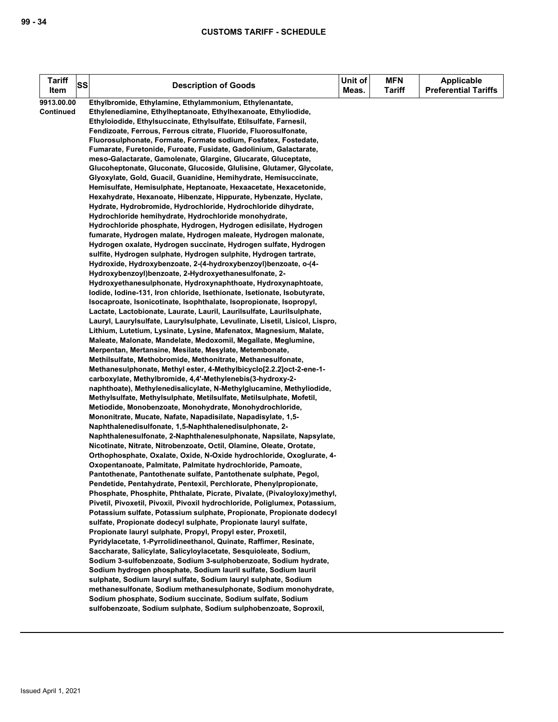| Tariff<br><b>SS</b> | <b>Description of Goods</b>                                                                                                           | Unit of | <b>MFN</b>    | <b>Applicable</b>           |
|---------------------|---------------------------------------------------------------------------------------------------------------------------------------|---------|---------------|-----------------------------|
| Item                |                                                                                                                                       | Meas.   | <b>Tariff</b> | <b>Preferential Tariffs</b> |
| 9913.00.00          | Ethylbromide, Ethylamine, Ethylammonium, Ethylenantate,                                                                               |         |               |                             |
| Continued           | Ethylenediamine, Ethylheptanoate, Ethylhexanoate, Ethyliodide,                                                                        |         |               |                             |
|                     | Ethyloiodide, Ethylsuccinate, Ethylsulfate, Etilsulfate, Farnesil,                                                                    |         |               |                             |
|                     | Fendizoate, Ferrous, Ferrous citrate, Fluoride, Fluorosulfonate,                                                                      |         |               |                             |
|                     | Fluorosulphonate, Formate, Formate sodium, Fosfatex, Fostedate,                                                                       |         |               |                             |
|                     | Fumarate, Furetonide, Furoate, Fusidate, Gadolinium, Galactarate,                                                                     |         |               |                             |
|                     | meso-Galactarate, Gamolenate, Glargine, Glucarate, Gluceptate,                                                                        |         |               |                             |
|                     | Glucoheptonate, Gluconate, Glucoside, Glulisine, Glutamer, Glycolate,                                                                 |         |               |                             |
|                     | Glyoxylate, Gold, Guacil, Guanidine, Hemihydrate, Hemisuccinate,<br>Hemisulfate, Hemisulphate, Heptanoate, Hexaacetate, Hexacetonide, |         |               |                             |
|                     | Hexahydrate, Hexanoate, Hibenzate, Hippurate, Hybenzate, Hyclate,                                                                     |         |               |                             |
|                     | Hydrate, Hydrobromide, Hydrochloride, Hydrochloride dihydrate,                                                                        |         |               |                             |
|                     | Hydrochloride hemihydrate, Hydrochloride monohydrate,                                                                                 |         |               |                             |
|                     | Hydrochloride phosphate, Hydrogen, Hydrogen edisilate, Hydrogen                                                                       |         |               |                             |
|                     | fumarate, Hydrogen malate, Hydrogen maleate, Hydrogen malonate,                                                                       |         |               |                             |
|                     | Hydrogen oxalate, Hydrogen succinate, Hydrogen sulfate, Hydrogen                                                                      |         |               |                             |
|                     | sulfite, Hydrogen sulphate, Hydrogen sulphite, Hydrogen tartrate,                                                                     |         |               |                             |
|                     | Hydroxide, Hydroxybenzoate, 2-(4-hydroxybenzoyl)benzoate, o-(4-                                                                       |         |               |                             |
|                     | Hydroxybenzoyl)benzoate, 2-Hydroxyethanesulfonate, 2-                                                                                 |         |               |                             |
|                     | Hydroxyethanesulphonate, Hydroxynaphthoate, Hydroxynaphtoate,                                                                         |         |               |                             |
|                     | lodide, lodine-131, Iron chloride, Isethionate, Isetionate, Isobutyrate,                                                              |         |               |                             |
|                     | Isocaproate, Isonicotinate, Isophthalate, Isopropionate, Isopropyl,                                                                   |         |               |                             |
|                     | Lactate, Lactobionate, Laurate, Lauril, Laurilsulfate, Laurilsulphate,                                                                |         |               |                             |
|                     | Lauryl, Laurylsulfate, Laurylsulphate, Levulinate, Lisetil, Lisicol, Lispro,                                                          |         |               |                             |
|                     | Lithium, Lutetium, Lysinate, Lysine, Mafenatox, Magnesium, Malate,                                                                    |         |               |                             |
|                     | Maleate, Malonate, Mandelate, Medoxomil, Megallate, Meglumine,                                                                        |         |               |                             |
|                     | Merpentan, Mertansine, Mesilate, Mesylate, Metembonate,                                                                               |         |               |                             |
|                     | Methilsulfate, Methobromide, Methonitrate, Methanesulfonate,                                                                          |         |               |                             |
|                     | Methanesulphonate, Methyl ester, 4-Methylbicyclo[2.2.2] oct-2-ene-1-                                                                  |         |               |                             |
|                     | carboxylate, Methylbromide, 4,4'-Methylenebis(3-hydroxy-2-                                                                            |         |               |                             |
|                     | naphthoate), Methylenedisalicylate, N-Methylglucamine, Methyliodide,                                                                  |         |               |                             |
|                     | Methylsulfate, Methylsulphate, Metilsulfate, Metilsulphate, Mofetil,                                                                  |         |               |                             |
|                     | Metiodide, Monobenzoate, Monohydrate, Monohydrochloride,                                                                              |         |               |                             |
|                     | Mononitrate, Mucate, Nafate, Napadisilate, Napadisylate, 1,5-                                                                         |         |               |                             |
|                     | Naphthalenedisulfonate, 1,5-Naphthalenedisulphonate, 2-                                                                               |         |               |                             |
|                     | Naphthalenesulfonate, 2-Naphthalenesulphonate, Napsilate, Napsylate,                                                                  |         |               |                             |
|                     | Nicotinate, Nitrate, Nitrobenzoate, Octil, Olamine, Oleate, Orotate,                                                                  |         |               |                             |
|                     | Orthophosphate, Oxalate, Oxide, N-Oxide hydrochloride, Oxoglurate, 4-                                                                 |         |               |                             |
|                     | Oxopentanoate, Palmitate, Palmitate hydrochloride, Pamoate,                                                                           |         |               |                             |
|                     | Pantothenate, Pantothenate sulfate, Pantothenate sulphate, Pegol,                                                                     |         |               |                             |
|                     | Pendetide, Pentahydrate, Pentexil, Perchlorate, Phenylpropionate,                                                                     |         |               |                             |
|                     | Phosphate, Phosphite, Phthalate, Picrate, Pivalate, (Pivaloyloxy)methyl,                                                              |         |               |                             |
|                     | Pivetil, Pivoxetil, Pivoxil, Pivoxil hydrochloride, Poliglumex, Potassium,                                                            |         |               |                             |
|                     | Potassium sulfate, Potassium sulphate, Propionate, Propionate dodecyl                                                                 |         |               |                             |
|                     | sulfate, Propionate dodecyl sulphate, Propionate lauryl sulfate,                                                                      |         |               |                             |
|                     | Propionate lauryl sulphate, Propyl, Propyl ester, Proxetil,                                                                           |         |               |                             |
|                     | Pyridylacetate, 1-Pyrrolidineethanol, Quinate, Raffimer, Resinate,                                                                    |         |               |                             |
|                     | Saccharate, Salicylate, Salicyloylacetate, Sesquioleate, Sodium,                                                                      |         |               |                             |
|                     | Sodium 3-sulfobenzoate, Sodium 3-sulphobenzoate, Sodium hydrate,                                                                      |         |               |                             |
|                     | Sodium hydrogen phosphate, Sodium lauril sulfate, Sodium lauril<br>sulphate, Sodium lauryl sulfate, Sodium lauryl sulphate, Sodium    |         |               |                             |
|                     | methanesulfonate, Sodium methanesulphonate, Sodium monohydrate,                                                                       |         |               |                             |
|                     | Sodium phosphate, Sodium succinate, Sodium sulfate, Sodium                                                                            |         |               |                             |
|                     | sulfobenzoate, Sodium sulphate, Sodium sulphobenzoate, Soproxil,                                                                      |         |               |                             |
|                     |                                                                                                                                       |         |               |                             |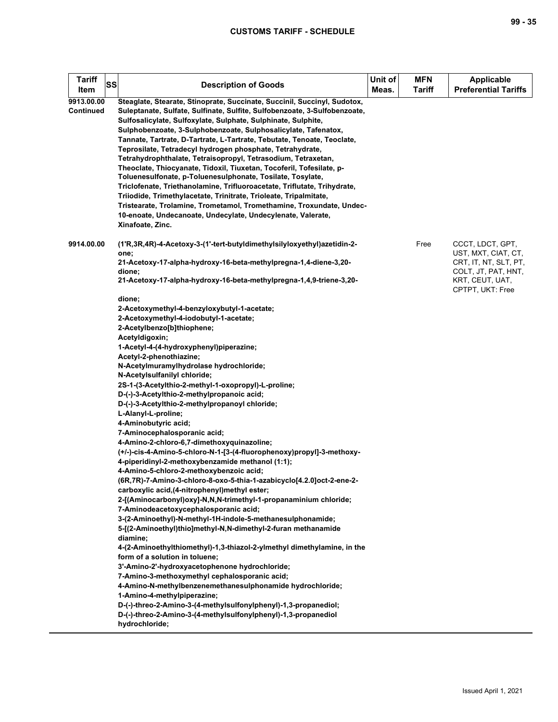| <b>Tariff</b><br>Item          | SS | <b>Description of Goods</b>                                                                                                                                                                                                                                                                                                                                                                                                                                                                                                                                                                                                                                                                                                                                                                                                                                                                                                                                                                                                                                                                                                                                                                                                                                                                                                                                                                                                                                                                                                                                                                                        | Unit of<br>Meas. | <b>MFN</b><br><b>Tariff</b> | <b>Applicable</b><br><b>Preferential Tariffs</b>                                                                               |
|--------------------------------|----|--------------------------------------------------------------------------------------------------------------------------------------------------------------------------------------------------------------------------------------------------------------------------------------------------------------------------------------------------------------------------------------------------------------------------------------------------------------------------------------------------------------------------------------------------------------------------------------------------------------------------------------------------------------------------------------------------------------------------------------------------------------------------------------------------------------------------------------------------------------------------------------------------------------------------------------------------------------------------------------------------------------------------------------------------------------------------------------------------------------------------------------------------------------------------------------------------------------------------------------------------------------------------------------------------------------------------------------------------------------------------------------------------------------------------------------------------------------------------------------------------------------------------------------------------------------------------------------------------------------------|------------------|-----------------------------|--------------------------------------------------------------------------------------------------------------------------------|
| 9913.00.00<br><b>Continued</b> |    | Steaglate, Stearate, Stinoprate, Succinate, Succinil, Succinyl, Sudotox,<br>Suleptanate, Sulfate, Sulfinate, Sulfite, Sulfobenzoate, 3-Sulfobenzoate,<br>Sulfosalicylate, Sulfoxylate, Sulphate, Sulphinate, Sulphite,<br>Sulphobenzoate, 3-Sulphobenzoate, Sulphosalicylate, Tafenatox,<br>Tannate, Tartrate, D-Tartrate, L-Tartrate, Tebutate, Tenoate, Teoclate,<br>Teprosilate, Tetradecyl hydrogen phosphate, Tetrahydrate,<br>Tetrahydrophthalate, Tetraisopropyl, Tetrasodium, Tetraxetan,<br>Theoclate, Thiocyanate, Tidoxil, Tiuxetan, Tocoferil, Tofesilate, p-<br>Toluenesulfonate, p-Toluenesulphonate, Tosilate, Tosylate,<br>Triclofenate, Triethanolamine, Trifluoroacetate, Triflutate, Trihydrate,<br>Triiodide, Trimethylacetate, Trinitrate, Trioleate, Tripalmitate,<br>Tristearate, Trolamine, Trometamol, Tromethamine, Troxundate, Undec-<br>10-enoate, Undecanoate, Undecylate, Undecylenate, Valerate,<br>Xinafoate, Zinc.                                                                                                                                                                                                                                                                                                                                                                                                                                                                                                                                                                                                                                                                |                  |                             |                                                                                                                                |
| 9914.00.00                     |    | (1'R,3R,4R)-4-Acetoxy-3-(1'-tert-butyIdimethyIsilyIoxyethyI)azetidin-2-<br>one;<br>21-Acetoxy-17-alpha-hydroxy-16-beta-methylpregna-1,4-diene-3,20-<br>dione;<br>21-Acetoxy-17-alpha-hydroxy-16-beta-methylpregna-1,4,9-triene-3,20-                                                                                                                                                                                                                                                                                                                                                                                                                                                                                                                                                                                                                                                                                                                                                                                                                                                                                                                                                                                                                                                                                                                                                                                                                                                                                                                                                                               |                  | Free                        | CCCT, LDCT, GPT,<br>UST, MXT, CIAT, CT,<br>CRT, IT, NT, SLT, PT,<br>COLT, JT, PAT, HNT,<br>KRT, CEUT, UAT,<br>CPTPT, UKT: Free |
|                                |    | dione;<br>2-Acetoxymethyl-4-benzyloxybutyl-1-acetate;<br>2-Acetoxymethyl-4-iodobutyl-1-acetate;<br>2-Acetylbenzo[b]thiophene;<br>Acetyldigoxin;<br>1-Acetyl-4-(4-hydroxyphenyl)piperazine;<br>Acetyl-2-phenothiazine;<br>N-Acetylmuramylhydrolase hydrochloride;<br>N-Acetylsulfanilyl chloride;<br>2S-1-(3-Acetylthio-2-methyl-1-oxopropyl)-L-proline;<br>D-(-)-3-Acetylthio-2-methylpropanoic acid;<br>D-(-)-3-Acetylthio-2-methylpropanoyl chloride;<br>L-Alanyl-L-proline;<br>4-Aminobutyric acid;<br>7-Aminocephalosporanic acid;<br>4-Amino-2-chloro-6,7-dimethoxyquinazoline;<br>(+/-)-cis-4-Amino-5-chloro-N-1-[3-(4-fluorophenoxy)propyl]-3-methoxy-<br>4-piperidinyl-2-methoxybenzamide methanol (1:1);<br>4-Amino-5-chloro-2-methoxybenzoic acid;<br>(6R,7R)-7-Amino-3-chloro-8-oxo-5-thia-1-azabicyclo[4.2.0]oct-2-ene-2-<br>carboxylic acid, (4-nitrophenyl) methyl ester;<br>2-[(Aminocarbonyl)oxy]-N,N,N-trimethyl-1-propanaminium chloride;<br>7-Aminodeacetoxycephalosporanic acid;<br>3-(2-Aminoethyl)-N-methyl-1H-indole-5-methanesulphonamide;<br>5-[(2-Aminoethyl)thio]methyl-N,N-dimethyl-2-furan methanamide<br>diamine:<br>4-(2-Aminoethylthiomethyl)-1,3-thiazol-2-ylmethyl dimethylamine, in the<br>form of a solution in toluene;<br>3'-Amino-2'-hydroxyacetophenone hydrochloride;<br>7-Amino-3-methoxymethyl cephalosporanic acid;<br>4-Amino-N-methylbenzenemethanesulphonamide hydrochloride;<br>1-Amino-4-methylpiperazine;<br>D-(-)-threo-2-Amino-3-(4-methylsulfonylphenyl)-1,3-propanediol;<br>D-(-)-threo-2-Amino-3-(4-methylsulfonylphenyl)-1,3-propanediol<br>hydrochloride; |                  |                             |                                                                                                                                |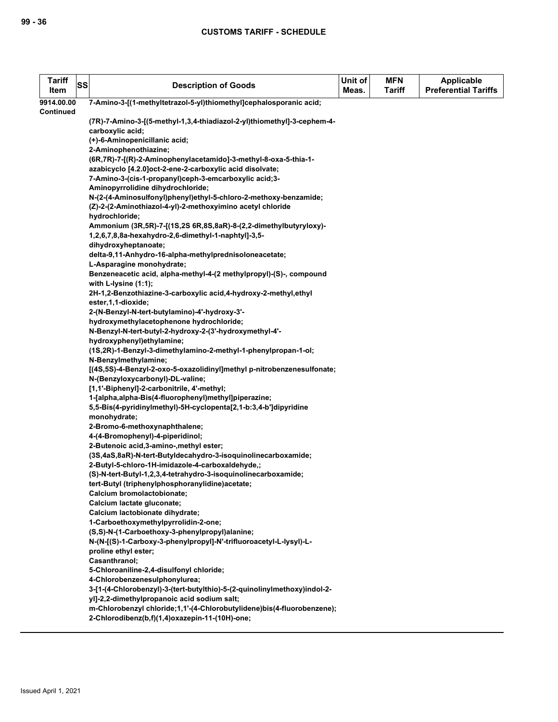| <b>Tariff</b><br>Item | SS | <b>Description of Goods</b>                                                                   | Unit of<br>Meas. | <b>MFN</b><br><b>Tariff</b> | Applicable<br><b>Preferential Tariffs</b> |
|-----------------------|----|-----------------------------------------------------------------------------------------------|------------------|-----------------------------|-------------------------------------------|
| 9914.00.00            |    | 7-Amino-3-[(1-methyltetrazol-5-yl)thiomethyl]cephalosporanic acid;                            |                  |                             |                                           |
| <b>Continued</b>      |    |                                                                                               |                  |                             |                                           |
|                       |    | (7R)-7-Amino-3-[(5-methyl-1,3,4-thiadiazol-2-yl)thiomethyl]-3-cephem-4-                       |                  |                             |                                           |
|                       |    | carboxylic acid;                                                                              |                  |                             |                                           |
|                       |    | (+)-6-Aminopenicillanic acid;                                                                 |                  |                             |                                           |
|                       |    | 2-Aminophenothiazine;                                                                         |                  |                             |                                           |
|                       |    | (6R,7R)-7-[(R)-2-Aminophenylacetamido]-3-methyl-8-oxa-5-thia-1-                               |                  |                             |                                           |
|                       |    | azabicyclo [4.2.0]oct-2-ene-2-carboxylic acid disolvate;                                      |                  |                             |                                           |
|                       |    | 7-Amino-3-(cis-1-propanyl)ceph-3-emcarboxylic acid;3-<br>Aminopyrrolidine dihydrochloride;    |                  |                             |                                           |
|                       |    | N-(2-(4-Aminosulfonyl)phenyl)ethyl-5-chloro-2-methoxy-benzamide;                              |                  |                             |                                           |
|                       |    | (Z)-2-(2-Aminothiazol-4-yl)-2-methoxyimino acetyl chloride                                    |                  |                             |                                           |
|                       |    | hydrochloride;                                                                                |                  |                             |                                           |
|                       |    | Ammonium (3R,5R)-7-[(1S,2S 6R,8S,8aR)-8-(2,2-dimethylbutyryloxy)-                             |                  |                             |                                           |
|                       |    | 1,2,6,7,8,8a-hexahydro-2,6-dimethyl-1-naphtyl]-3,5-<br>dihydroxyheptanoate;                   |                  |                             |                                           |
|                       |    | delta-9,11-Anhydro-16-alpha-methylprednisoloneacetate;                                        |                  |                             |                                           |
|                       |    | L-Asparagine monohydrate;                                                                     |                  |                             |                                           |
|                       |    | Benzeneacetic acid, alpha-methyl-4-(2 methylpropyl)-(S)-, compound<br>with L-lysine $(1:1)$ ; |                  |                             |                                           |
|                       |    | 2H-1,2-Benzothiazine-3-carboxylic acid,4-hydroxy-2-methyl,ethyl<br>ester, 1, 1-dioxide;       |                  |                             |                                           |
|                       |    | 2-(N-Benzyl-N-tert-butylamino)-4'-hydroxy-3'-                                                 |                  |                             |                                           |
|                       |    | hydroxymethylacetophenone hydrochloride;                                                      |                  |                             |                                           |
|                       |    | N-Benzyl-N-tert-butyl-2-hydroxy-2-(3'-hydroxymethyl-4'-                                       |                  |                             |                                           |
|                       |    | hydroxyphenyl)ethylamine;                                                                     |                  |                             |                                           |
|                       |    | (1S,2R)-1-Benzyl-3-dimethylamino-2-methyl-1-phenylpropan-1-ol;                                |                  |                             |                                           |
|                       |    | N-Benzylmethylamine;                                                                          |                  |                             |                                           |
|                       |    | [(4S,5S)-4-Benzyl-2-oxo-5-oxazolidinyl]methyl p-nitrobenzenesulfonate;                        |                  |                             |                                           |
|                       |    | N-(Benzyloxycarbonyl)-DL-valine;                                                              |                  |                             |                                           |
|                       |    | [1,1'-Biphenyl]-2-carbonitrile, 4'-methyl;                                                    |                  |                             |                                           |
|                       |    | 1-[alpha,alpha-Bis(4-fluorophenyl)methyl]piperazine;                                          |                  |                             |                                           |
|                       |    | 5,5-Bis(4-pyridinylmethyl)-5H-cyclopenta[2,1-b:3,4-b']dipyridine                              |                  |                             |                                           |
|                       |    | monohydrate;                                                                                  |                  |                             |                                           |
|                       |    | 2-Bromo-6-methoxynaphthalene;                                                                 |                  |                             |                                           |
|                       |    | 4-(4-Bromophenyl)-4-piperidinol;                                                              |                  |                             |                                           |
|                       |    | 2-Butenoic acid, 3-amino-, methyl ester;                                                      |                  |                             |                                           |
|                       |    | (3S,4aS,8aR)-N-tert-Butyldecahydro-3-isoquinolinecarboxamide;                                 |                  |                             |                                           |
|                       |    | 2-Butyl-5-chloro-1H-imidazole-4-carboxaldehyde,;                                              |                  |                             |                                           |
|                       |    | (S)-N-tert-Butyl-1,2,3,4-tetrahydro-3-isoquinolinecarboxamide;                                |                  |                             |                                           |
|                       |    | tert-Butyl (triphenylphosphoranylidine)acetate;                                               |                  |                             |                                           |
|                       |    | Calcium bromolactobionate;                                                                    |                  |                             |                                           |
|                       |    | Calcium lactate gluconate;                                                                    |                  |                             |                                           |
|                       |    | Calcium lactobionate dihydrate;                                                               |                  |                             |                                           |
|                       |    | 1-Carboethoxymethylpyrrolidin-2-one;                                                          |                  |                             |                                           |
|                       |    | (S,S)-N-(1-Carboethoxy-3-phenylpropyl)alanine;                                                |                  |                             |                                           |
|                       |    | N-(N-[(S)-1-Carboxy-3-phenylpropyl]-N'-trifluoroacetyl-L-lysyl)-L-                            |                  |                             |                                           |
|                       |    | proline ethyl ester;<br>Casanthranol;                                                         |                  |                             |                                           |
|                       |    | 5-Chloroaniline-2,4-disulfonyl chloride;                                                      |                  |                             |                                           |
|                       |    | 4-Chlorobenzenesulphonylurea;                                                                 |                  |                             |                                           |
|                       |    | 3-[1-(4-Chlorobenzyl)-3-(tert-butylthio)-5-(2-quinolinylmethoxy)indol-2-                      |                  |                             |                                           |
|                       |    | yl]-2,2-dimethylpropanoic acid sodium salt;                                                   |                  |                             |                                           |
|                       |    | m-Chlorobenzyl chloride;1,1'-(4-Chlorobutylidene)bis(4-fluorobenzene);                        |                  |                             |                                           |
|                       |    | 2-Chlorodibenz(b,f)(1,4)oxazepin-11-(10H)-one;                                                |                  |                             |                                           |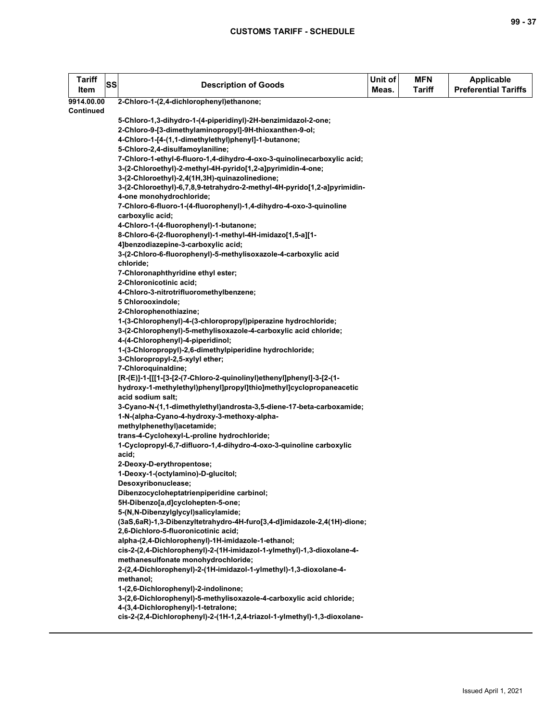| <b>Tariff</b><br>Item   | <b>SS</b> | <b>Description of Goods</b>                                                                          | Unit of<br>Meas. | <b>MFN</b><br>Tariff | <b>Applicable</b><br><b>Preferential Tariffs</b> |
|-------------------------|-----------|------------------------------------------------------------------------------------------------------|------------------|----------------------|--------------------------------------------------|
| 9914.00.00<br>Continued |           | 2-Chloro-1-(2,4-dichlorophenyl)ethanone;                                                             |                  |                      |                                                  |
|                         |           | 5-Chloro-1,3-dihydro-1-(4-piperidinyl)-2H-benzimidazol-2-one;                                        |                  |                      |                                                  |
|                         |           | 2-Chloro-9-[3-dimethylaminopropyl]-9H-thioxanthen-9-ol;                                              |                  |                      |                                                  |
|                         |           | 4-Chloro-1-[4-(1,1-dimethylethyl)phenyl]-1-butanone;                                                 |                  |                      |                                                  |
|                         |           | 5-Chloro-2,4-disulfamoylaniline;                                                                     |                  |                      |                                                  |
|                         |           | 7-Chloro-1-ethyl-6-fluoro-1,4-dihydro-4-oxo-3-quinolinecarboxylic acid;                              |                  |                      |                                                  |
|                         |           | 3-(2-Chloroethyl)-2-methyl-4H-pyrido[1,2-a]pyrimidin-4-one;                                          |                  |                      |                                                  |
|                         |           | 3-(2-Chloroethyl)-2,4(1H,3H)-quinazolinedione;                                                       |                  |                      |                                                  |
|                         |           | 3-(2-Chloroethyl)-6,7,8,9-tetrahydro-2-methyl-4H-pyrido[1,2-a]pyrimidin-<br>4-one monohydrochloride; |                  |                      |                                                  |
|                         |           | 7-Chloro-6-fluoro-1-(4-fluorophenyl)-1,4-dihydro-4-oxo-3-quinoline                                   |                  |                      |                                                  |
|                         |           | carboxylic acid;                                                                                     |                  |                      |                                                  |
|                         |           | 4-Chloro-1-(4-fluorophenyl)-1-butanone;                                                              |                  |                      |                                                  |
|                         |           | 8-Chloro-6-(2-fluorophenyl)-1-methyl-4H-imidazo[1,5-a][1-                                            |                  |                      |                                                  |
|                         |           | 4]benzodiazepine-3-carboxylic acid;                                                                  |                  |                      |                                                  |
|                         |           | 3-(2-Chloro-6-fluorophenyl)-5-methylisoxazole-4-carboxylic acid                                      |                  |                      |                                                  |
|                         |           | chloride;                                                                                            |                  |                      |                                                  |
|                         |           | 7-Chloronaphthyridine ethyl ester;                                                                   |                  |                      |                                                  |
|                         |           | 2-Chloronicotinic acid;                                                                              |                  |                      |                                                  |
|                         |           | 4-Chloro-3-nitrotrifluoromethylbenzene;                                                              |                  |                      |                                                  |
|                         |           | 5 Chlorooxindole;                                                                                    |                  |                      |                                                  |
|                         |           | 2-Chlorophenothiazine;                                                                               |                  |                      |                                                  |
|                         |           | 1-(3-Chlorophenyl)-4-(3-chloropropyl)piperazine hydrochloride;                                       |                  |                      |                                                  |
|                         |           | 3-(2-Chlorophenyl)-5-methylisoxazole-4-carboxylic acid chloride;                                     |                  |                      |                                                  |
|                         |           | 4-(4-Chlorophenyl)-4-piperidinol;                                                                    |                  |                      |                                                  |
|                         |           | 1-(3-Chloropropyl)-2,6-dimethylpiperidine hydrochloride;                                             |                  |                      |                                                  |
|                         |           | 3-Chloropropyl-2,5-xylyl ether;                                                                      |                  |                      |                                                  |
|                         |           | 7-Chloroquinaldine;                                                                                  |                  |                      |                                                  |
|                         |           | [R-(E)]-1-[[[1-[3-[2-(7-Chloro-2-quinolinyl)ethenyl]phenyl]-3-[2-(1-                                 |                  |                      |                                                  |
|                         |           | hydroxy-1-methylethyl)phenyl]propyl]thio]methyl]cyclopropaneacetic                                   |                  |                      |                                                  |
|                         |           | acid sodium salt;                                                                                    |                  |                      |                                                  |
|                         |           | 3-Cyano-N-(1,1-dimethylethyl)androsta-3,5-diene-17-beta-carboxamide;                                 |                  |                      |                                                  |
|                         |           | 1-N-(alpha-Cyano-4-hydroxy-3-methoxy-alpha-                                                          |                  |                      |                                                  |
|                         |           | methylphenethyl)acetamide;                                                                           |                  |                      |                                                  |
|                         |           | trans-4-Cyclohexyl-L-proline hydrochloride;                                                          |                  |                      |                                                  |
|                         |           | 1-Cyclopropyl-6,7-difluoro-1,4-dihydro-4-oxo-3-quinoline carboxylic                                  |                  |                      |                                                  |
|                         |           | acid;                                                                                                |                  |                      |                                                  |
|                         |           | 2-Deoxy-D-erythropentose;                                                                            |                  |                      |                                                  |
|                         |           | 1-Deoxy-1-(octylamino)-D-glucitol;                                                                   |                  |                      |                                                  |
|                         |           | Desoxyribonuclease;                                                                                  |                  |                      |                                                  |
|                         |           | Dibenzocycloheptatrienpiperidine carbinol;                                                           |                  |                      |                                                  |
|                         |           | 5H-Dibenzo[a,d]cyclohepten-5-one;                                                                    |                  |                      |                                                  |
|                         |           | 5-(N,N-Dibenzylglycyl)salicylamide;                                                                  |                  |                      |                                                  |
|                         |           | (3aS,6aR)-1,3-Dibenzyltetrahydro-4H-furo[3,4-d]imidazole-2,4(1H)-dione;                              |                  |                      |                                                  |
|                         |           | 2,6-Dichloro-5-fluoronicotinic acid;                                                                 |                  |                      |                                                  |
|                         |           | alpha-(2,4-Dichlorophenyl)-1H-imidazole-1-ethanol;                                                   |                  |                      |                                                  |
|                         |           | cis-2-(2,4-Dichlorophenyl)-2-(1H-imidazol-1-ylmethyl)-1,3-dioxolane-4-                               |                  |                      |                                                  |
|                         |           | methanesulfonate monohydrochloride;                                                                  |                  |                      |                                                  |
|                         |           | 2-(2,4-Dichlorophenyl)-2-(1H-imidazol-1-ylmethyl)-1,3-dioxolane-4-                                   |                  |                      |                                                  |
|                         |           | methanol:                                                                                            |                  |                      |                                                  |
|                         |           | 1-(2,6-Dichlorophenyl)-2-indolinone;                                                                 |                  |                      |                                                  |
|                         |           | 3-(2,6-Dichlorophenyl)-5-methylisoxazole-4-carboxylic acid chloride;                                 |                  |                      |                                                  |
|                         |           | 4-(3,4-Dichlorophenyl)-1-tetralone;                                                                  |                  |                      |                                                  |
|                         |           | cis-2-(2,4-Dichlorophenyl)-2-(1H-1,2,4-triazol-1-ylmethyl)-1,3-dioxolane-                            |                  |                      |                                                  |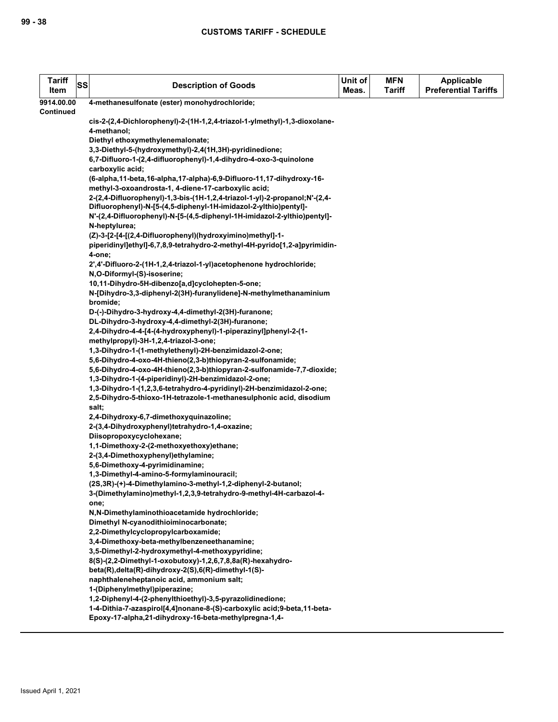| <b>Tariff</b><br>Item | SS | <b>Description of Goods</b>                                                                                                          | Unit of<br>Meas. | <b>MFN</b><br><b>Tariff</b> | Applicable<br><b>Preferential Tariffs</b> |
|-----------------------|----|--------------------------------------------------------------------------------------------------------------------------------------|------------------|-----------------------------|-------------------------------------------|
|                       |    |                                                                                                                                      |                  |                             |                                           |
| 9914.00.00            |    | 4-methanesulfonate (ester) monohydrochloride;                                                                                        |                  |                             |                                           |
| <b>Continued</b>      |    | cis-2-(2,4-Dichlorophenyl)-2-(1H-1,2,4-triazol-1-ylmethyl)-1,3-dioxolane-                                                            |                  |                             |                                           |
|                       |    | 4-methanol;                                                                                                                          |                  |                             |                                           |
|                       |    | Diethyl ethoxymethylenemalonate;                                                                                                     |                  |                             |                                           |
|                       |    | 3,3-Diethyl-5-(hydroxymethyl)-2,4(1H,3H)-pyridinedione;                                                                              |                  |                             |                                           |
|                       |    | 6,7-Difluoro-1-(2,4-difluorophenyl)-1,4-dihydro-4-oxo-3-quinolone                                                                    |                  |                             |                                           |
|                       |    | carboxylic acid;                                                                                                                     |                  |                             |                                           |
|                       |    | (6-alpha, 11-beta, 16-alpha, 17-alpha)-6, 9-Difluoro-11, 17-dihydroxy-16-                                                            |                  |                             |                                           |
|                       |    | methyl-3-oxoandrosta-1, 4-diene-17-carboxylic acid;                                                                                  |                  |                             |                                           |
|                       |    | 2-(2,4-Difluorophenyl)-1,3-bis-(1H-1,2,4-triazol-1-yl)-2-propanol;N'-(2,4-                                                           |                  |                             |                                           |
|                       |    | Difluorophenyl)-N-[5-(4,5-diphenyl-1H-imidazol-2-ylthio)pentyl]-                                                                     |                  |                             |                                           |
|                       |    | N'-(2,4-Difluorophenyl)-N-[5-(4,5-diphenyl-1H-imidazol-2-ylthio)pentyl]-                                                             |                  |                             |                                           |
|                       |    | N-heptylurea;                                                                                                                        |                  |                             |                                           |
|                       |    | (Z)-3-[2-[4-[(2,4-Difluorophenyl)(hydroxyimino)methyl]-1-                                                                            |                  |                             |                                           |
|                       |    | piperidinyl]ethyl]-6,7,8,9-tetrahydro-2-methyl-4H-pyrido[1,2-a]pyrimidin-                                                            |                  |                             |                                           |
|                       |    | 4-one;                                                                                                                               |                  |                             |                                           |
|                       |    | 2',4'-Difluoro-2-(1H-1,2,4-triazol-1-yl)acetophenone hydrochloride;                                                                  |                  |                             |                                           |
|                       |    | N,O-Diformyl-(S)-isoserine;                                                                                                          |                  |                             |                                           |
|                       |    | 10,11-Dihydro-5H-dibenzo[a,d]cyclohepten-5-one;                                                                                      |                  |                             |                                           |
|                       |    | N-[Dihydro-3,3-diphenyl-2(3H)-furanylidene]-N-methylmethanaminium                                                                    |                  |                             |                                           |
|                       |    | bromide;                                                                                                                             |                  |                             |                                           |
|                       |    | D-(-)-Dihydro-3-hydroxy-4,4-dimethyl-2(3H)-furanone;                                                                                 |                  |                             |                                           |
|                       |    | DL-Dihydro-3-hydroxy-4,4-dimethyl-2(3H)-furanone;                                                                                    |                  |                             |                                           |
|                       |    | 2,4-Dihydro-4-4-[4-(4-hydroxyphenyl)-1-piperazinyl]phenyl-2-(1-                                                                      |                  |                             |                                           |
|                       |    | methylpropyl)-3H-1,2,4-triazol-3-one;                                                                                                |                  |                             |                                           |
|                       |    | 1,3-Dihydro-1-(1-methylethenyl)-2H-benzimidazol-2-one;                                                                               |                  |                             |                                           |
|                       |    | 5,6-Dihydro-4-oxo-4H-thieno(2,3-b)thiopyran-2-sulfonamide;<br>5,6-Dihydro-4-oxo-4H-thieno(2,3-b)thiopyran-2-sulfonamide-7,7-dioxide; |                  |                             |                                           |
|                       |    | 1,3-Dihydro-1-(4-piperidinyl)-2H-benzimidazol-2-one;                                                                                 |                  |                             |                                           |
|                       |    | 1,3-Dihydro-1-(1,2,3,6-tetrahydro-4-pyridinyl)-2H-benzimidazol-2-one;                                                                |                  |                             |                                           |
|                       |    | 2,5-Dihydro-5-thioxo-1H-tetrazole-1-methanesulphonic acid, disodium                                                                  |                  |                             |                                           |
|                       |    | salt;                                                                                                                                |                  |                             |                                           |
|                       |    | 2,4-Dihydroxy-6,7-dimethoxyquinazoline;                                                                                              |                  |                             |                                           |
|                       |    | 2-(3,4-Dihydroxyphenyl)tetrahydro-1,4-oxazine;                                                                                       |                  |                             |                                           |
|                       |    | Diisopropoxycyclohexane;                                                                                                             |                  |                             |                                           |
|                       |    | 1,1-Dimethoxy-2-(2-methoxyethoxy)ethane;                                                                                             |                  |                             |                                           |
|                       |    | 2-(3,4-Dimethoxyphenyl)ethylamine;                                                                                                   |                  |                             |                                           |
|                       |    | 5,6-Dimethoxy-4-pyrimidinamine;                                                                                                      |                  |                             |                                           |
|                       |    | 1,3-Dimethyl-4-amino-5-formylaminouracil;                                                                                            |                  |                             |                                           |
|                       |    | (2S,3R)-(+)-4-Dimethylamino-3-methyl-1,2-diphenyl-2-butanol;                                                                         |                  |                             |                                           |
|                       |    | 3-(Dimethylamino)methyl-1,2,3,9-tetrahydro-9-methyl-4H-carbazol-4-                                                                   |                  |                             |                                           |
|                       |    | one;                                                                                                                                 |                  |                             |                                           |
|                       |    | N,N-Dimethylaminothioacetamide hydrochloride;                                                                                        |                  |                             |                                           |
|                       |    | Dimethyl N-cyanodithioiminocarbonate;                                                                                                |                  |                             |                                           |
|                       |    | 2,2-Dimethylcyclopropylcarboxamide;                                                                                                  |                  |                             |                                           |
|                       |    | 3,4-Dimethoxy-beta-methylbenzeneethanamine;<br>3,5-Dimethyl-2-hydroxymethyl-4-methoxypyridine;                                       |                  |                             |                                           |
|                       |    | 8(S)-(2,2-Dimethyl-1-oxobutoxy)-1,2,6,7,8,8a(R)-hexahydro-                                                                           |                  |                             |                                           |
|                       |    | beta(R), delta(R)-dihydroxy-2(S), 6(R)-dimethyl-1(S)-                                                                                |                  |                             |                                           |
|                       |    | naphthaleneheptanoic acid, ammonium salt;                                                                                            |                  |                             |                                           |
|                       |    | 1-(Diphenylmethyl)piperazine;                                                                                                        |                  |                             |                                           |
|                       |    | 1,2-Diphenyl-4-(2-phenylthioethyl)-3,5-pyrazolidinedione;                                                                            |                  |                             |                                           |
|                       |    | 1-4-Dithia-7-azaspirol[4,4]nonane-8-(S)-carboxylic acid;9-beta,11-beta-                                                              |                  |                             |                                           |
|                       |    | Epoxy-17-alpha,21-dihydroxy-16-beta-methylpregna-1,4-                                                                                |                  |                             |                                           |
|                       |    |                                                                                                                                      |                  |                             |                                           |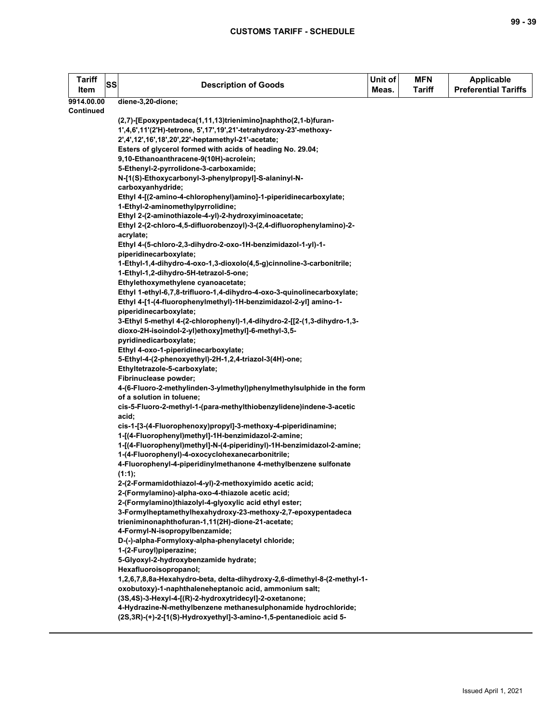**9914.00.00 Continued**

**Tariff** 

| Tariff<br>ltem      | SS | <b>Description of Goods</b>                                                                                                        | Unit of<br>Meas. | <b>MFN</b><br><b>Tariff</b> | <b>Applicable</b><br><b>Preferential Tariffs</b> |
|---------------------|----|------------------------------------------------------------------------------------------------------------------------------------|------------------|-----------------------------|--------------------------------------------------|
| 14.00.00<br>ntinued |    | diene-3,20-dione;                                                                                                                  |                  |                             |                                                  |
|                     |    | (2,7)-[Epoxypentadeca(1,11,13)trienimino]naphtho(2,1-b)furan-                                                                      |                  |                             |                                                  |
|                     |    | 1',4,6',11'(2'H)-tetrone, 5',17',19',21'-tetrahydroxy-23'-methoxy-                                                                 |                  |                             |                                                  |
|                     |    | 2',4',12',16',18',20',22'-heptamethyl-21'-acetate;                                                                                 |                  |                             |                                                  |
|                     |    | Esters of glycerol formed with acids of heading No. 29.04;                                                                         |                  |                             |                                                  |
|                     |    | 9,10-Ethanoanthracene-9(10H)-acrolein;                                                                                             |                  |                             |                                                  |
|                     |    | 5-Ethenyl-2-pyrrolidone-3-carboxamide;                                                                                             |                  |                             |                                                  |
|                     |    | N-[1(S)-Ethoxycarbonyl-3-phenylpropyl]-S-alaninyl-N-<br>carboxyanhydride;                                                          |                  |                             |                                                  |
|                     |    | Ethyl 4-[(2-amino-4-chlorophenyl)amino]-1-piperidinecarboxylate;                                                                   |                  |                             |                                                  |
|                     |    | 1-Ethyl-2-aminomethylpyrrolidine;                                                                                                  |                  |                             |                                                  |
|                     |    | Ethyl 2-(2-aminothiazole-4-yl)-2-hydroxyiminoacetate;                                                                              |                  |                             |                                                  |
|                     |    | Ethyl 2-(2-chloro-4,5-difluorobenzoyl)-3-(2,4-difluorophenylamino)-2-                                                              |                  |                             |                                                  |
|                     |    | acrylate;                                                                                                                          |                  |                             |                                                  |
|                     |    | Ethyl 4-(5-chloro-2,3-dihydro-2-oxo-1H-benzimidazol-1-yl)-1-                                                                       |                  |                             |                                                  |
|                     |    | piperidinecarboxylate;                                                                                                             |                  |                             |                                                  |
|                     |    | 1-Ethyl-1,4-dihydro-4-oxo-1,3-dioxolo(4,5-g)cinnoline-3-carbonitrile;                                                              |                  |                             |                                                  |
|                     |    | 1-Ethyl-1,2-dihydro-5H-tetrazol-5-one;<br>Ethylethoxymethylene cyanoacetate;                                                       |                  |                             |                                                  |
|                     |    | Ethyl 1-ethyl-6,7,8-trifluoro-1,4-dihydro-4-oxo-3-quinolinecarboxylate;                                                            |                  |                             |                                                  |
|                     |    | Ethyl 4-[1-(4-fluorophenylmethyl)-1H-benzimidazol-2-yl] amino-1-                                                                   |                  |                             |                                                  |
|                     |    | piperidinecarboxylate;                                                                                                             |                  |                             |                                                  |
|                     |    | 3-Ethyl 5-methyl 4-(2-chlorophenyl)-1,4-dihydro-2-[[2-(1,3-dihydro-1,3-                                                            |                  |                             |                                                  |
|                     |    | dioxo-2H-isoindol-2-yl)ethoxy]methyl]-6-methyl-3,5-                                                                                |                  |                             |                                                  |
|                     |    | pyridinedicarboxylate;                                                                                                             |                  |                             |                                                  |
|                     |    | Ethyl 4-oxo-1-piperidinecarboxylate;                                                                                               |                  |                             |                                                  |
|                     |    | 5-Ethyl-4-(2-phenoxyethyl)-2H-1,2,4-triazol-3(4H)-one;                                                                             |                  |                             |                                                  |
|                     |    | Ethyltetrazole-5-carboxylate;<br>Fibrinuclease powder;                                                                             |                  |                             |                                                  |
|                     |    | 4-(6-Fluoro-2-methylinden-3-ylmethyl)phenylmethylsulphide in the form                                                              |                  |                             |                                                  |
|                     |    | of a solution in toluene;                                                                                                          |                  |                             |                                                  |
|                     |    | cis-5-Fluoro-2-methyl-1-(para-methylthiobenzylidene)indene-3-acetic                                                                |                  |                             |                                                  |
|                     |    | acid;                                                                                                                              |                  |                             |                                                  |
|                     |    | cis-1-[3-(4-Fluorophenoxy)propyl]-3-methoxy-4-piperidinamine;                                                                      |                  |                             |                                                  |
|                     |    | 1-[(4-Fluorophenyl)methyl]-1H-benzimidazol-2-amine;                                                                                |                  |                             |                                                  |
|                     |    | 1-[(4-Fluorophenyl)methyl]-N-(4-piperidinyl)-1H-benzimidazol-2-amine;                                                              |                  |                             |                                                  |
|                     |    | 1-(4-Fluorophenyl)-4-oxocyclohexanecarbonitrile;                                                                                   |                  |                             |                                                  |
|                     |    | 4-Fluorophenyl-4-piperidinylmethanone 4-methylbenzene sulfonate<br>(1:1);                                                          |                  |                             |                                                  |
|                     |    | 2-(2-Formamidothiazol-4-yl)-2-methoxyimido acetic acid;                                                                            |                  |                             |                                                  |
|                     |    | 2-(Formylamino)-alpha-oxo-4-thiazole acetic acid;                                                                                  |                  |                             |                                                  |
|                     |    | 2-(Formylamino)thiazolyl-4-glyoxylic acid ethyl ester;                                                                             |                  |                             |                                                  |
|                     |    | 3-Formylheptamethylhexahydroxy-23-methoxy-2,7-epoxypentadeca                                                                       |                  |                             |                                                  |
|                     |    | trieniminonaphthofuran-1,11(2H)-dione-21-acetate;                                                                                  |                  |                             |                                                  |
|                     |    | 4-Formyl-N-isopropylbenzamide;                                                                                                     |                  |                             |                                                  |
|                     |    | D-(-)-alpha-Formyloxy-alpha-phenylacetyl chloride;                                                                                 |                  |                             |                                                  |
|                     |    | 1-(2-Furoyl)piperazine;                                                                                                            |                  |                             |                                                  |
|                     |    | 5-Glyoxyl-2-hydroxybenzamide hydrate;                                                                                              |                  |                             |                                                  |
|                     |    | Hexafluoroisopropanol;                                                                                                             |                  |                             |                                                  |
|                     |    | 1,2,6,7,8,8a-Hexahydro-beta, delta-dihydroxy-2,6-dimethyl-8-(2-methyl-1-<br>oxobutoxy)-1-naphthaleneheptanoic acid, ammonium salt; |                  |                             |                                                  |
|                     |    | (3S,4S)-3-Hexyl-4-[(R)-2-hydroxytridecyl]-2-oxetanone;                                                                             |                  |                             |                                                  |
|                     |    | 4-Hydrazine-N-methylbenzene methanesulphonamide hydrochloride;                                                                     |                  |                             |                                                  |
|                     |    | (2S,3R)-(+)-2-[1(S)-Hydroxyethyl]-3-amino-1,5-pentanedioic acid 5-                                                                 |                  |                             |                                                  |
|                     |    |                                                                                                                                    |                  |                             |                                                  |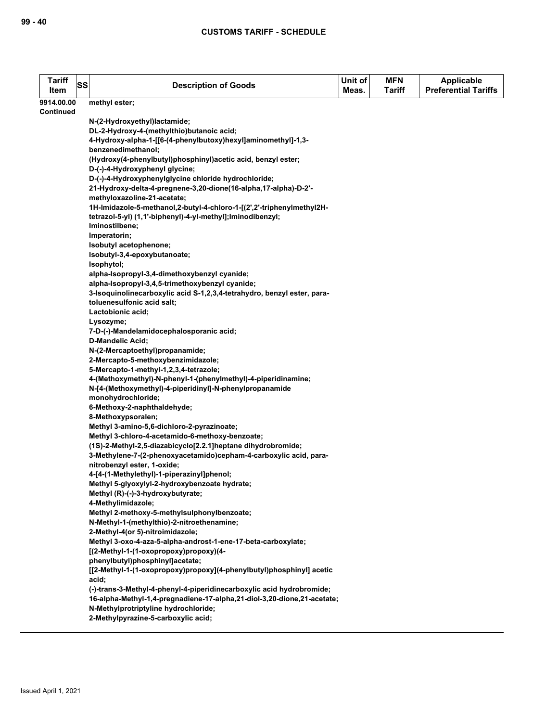| <b>Tariff</b><br>Item | SS | <b>Description of Goods</b>                                                                             | Unit of<br>Meas. | <b>MFN</b><br><b>Tariff</b> | <b>Applicable</b><br><b>Preferential Tariffs</b> |
|-----------------------|----|---------------------------------------------------------------------------------------------------------|------------------|-----------------------------|--------------------------------------------------|
| 9914.00.00            |    | methyl ester;                                                                                           |                  |                             |                                                  |
| <b>Continued</b>      |    |                                                                                                         |                  |                             |                                                  |
|                       |    | N-(2-Hydroxyethyl)lactamide;                                                                            |                  |                             |                                                  |
|                       |    | DL-2-Hydroxy-4-(methylthio)butanoic acid;                                                               |                  |                             |                                                  |
|                       |    | 4-Hydroxy-alpha-1-[[6-(4-phenylbutoxy)hexyl]aminomethyl]-1,3-<br>benzenedimethanol;                     |                  |                             |                                                  |
|                       |    | (Hydroxy(4-phenylbutyl)phosphinyl)acetic acid, benzyl ester;                                            |                  |                             |                                                  |
|                       |    | D-(-)-4-Hydroxyphenyl glycine;                                                                          |                  |                             |                                                  |
|                       |    | D-(-)-4-Hydroxyphenylglycine chloride hydrochloride;                                                    |                  |                             |                                                  |
|                       |    | 21-Hydroxy-delta-4-pregnene-3,20-dione(16-alpha,17-alpha)-D-2'-                                         |                  |                             |                                                  |
|                       |    | methyloxazoline-21-acetate;                                                                             |                  |                             |                                                  |
|                       |    | 1H-Imidazole-5-methanol,2-butyl-4-chloro-1-[(2',2'-triphenylmethyl2H-                                   |                  |                             |                                                  |
|                       |    | tetrazol-5-yl) (1,1'-biphenyl)-4-yl-methyl]; lminodibenzyl;                                             |                  |                             |                                                  |
|                       |    | Iminostilbene;                                                                                          |                  |                             |                                                  |
|                       |    | Imperatorin;                                                                                            |                  |                             |                                                  |
|                       |    | Isobutyl acetophenone;<br>Isobutyl-3,4-epoxybutanoate;                                                  |                  |                             |                                                  |
|                       |    | Isophytol;                                                                                              |                  |                             |                                                  |
|                       |    | alpha-Isopropyl-3,4-dimethoxybenzyl cyanide;                                                            |                  |                             |                                                  |
|                       |    | alpha-Isopropyl-3,4,5-trimethoxybenzyl cyanide;                                                         |                  |                             |                                                  |
|                       |    | 3-Isoquinolinecarboxylic acid S-1,2,3,4-tetrahydro, benzyl ester, para-                                 |                  |                             |                                                  |
|                       |    | toluenesulfonic acid salt;                                                                              |                  |                             |                                                  |
|                       |    | Lactobionic acid;                                                                                       |                  |                             |                                                  |
|                       |    | Lysozyme;                                                                                               |                  |                             |                                                  |
|                       |    | 7-D-(-)-Mandelamidocephalosporanic acid;                                                                |                  |                             |                                                  |
|                       |    | D-Mandelic Acid;                                                                                        |                  |                             |                                                  |
|                       |    | N-(2-Mercaptoethyl)propanamide;                                                                         |                  |                             |                                                  |
|                       |    | 2-Mercapto-5-methoxybenzimidazole;<br>5-Mercapto-1-methyl-1,2,3,4-tetrazole;                            |                  |                             |                                                  |
|                       |    | 4-(Methoxymethyl)-N-phenyl-1-(phenylmethyl)-4-piperidinamine;                                           |                  |                             |                                                  |
|                       |    | N-[4-(Methoxymethyl)-4-piperidinyl]-N-phenylpropanamide                                                 |                  |                             |                                                  |
|                       |    | monohydrochloride;                                                                                      |                  |                             |                                                  |
|                       |    | 6-Methoxy-2-naphthaldehyde;                                                                             |                  |                             |                                                  |
|                       |    | 8-Methoxypsoralen;                                                                                      |                  |                             |                                                  |
|                       |    | Methyl 3-amino-5,6-dichloro-2-pyrazinoate;                                                              |                  |                             |                                                  |
|                       |    | Methyl 3-chloro-4-acetamido-6-methoxy-benzoate;                                                         |                  |                             |                                                  |
|                       |    | (1S)-2-Methyl-2,5-diazabicyclo[2.2.1]heptane dihydrobromide;                                            |                  |                             |                                                  |
|                       |    | 3-Methylene-7-(2-phenoxyacetamido)cepham-4-carboxylic acid, para-<br>nitrobenzyl ester, 1-oxide;        |                  |                             |                                                  |
|                       |    | 4-[4-(1-Methylethyl)-1-piperazinyl]phenol;                                                              |                  |                             |                                                  |
|                       |    | Methyl 5-glyoxylyl-2-hydroxybenzoate hydrate;                                                           |                  |                             |                                                  |
|                       |    | Methyl (R)-(-)-3-hydroxybutyrate;                                                                       |                  |                             |                                                  |
|                       |    | 4-Methylimidazole;                                                                                      |                  |                             |                                                  |
|                       |    | Methyl 2-methoxy-5-methylsulphonylbenzoate;                                                             |                  |                             |                                                  |
|                       |    | N-Methyl-1-(methylthio)-2-nitroethenamine;                                                              |                  |                             |                                                  |
|                       |    | 2-Methyl-4(or 5)-nitroimidazole;                                                                        |                  |                             |                                                  |
|                       |    | Methyl 3-oxo-4-aza-5-alpha-androst-1-ene-17-beta-carboxylate;                                           |                  |                             |                                                  |
|                       |    | [(2-Methyl-1-(1-oxopropoxy)propoxy)(4-                                                                  |                  |                             |                                                  |
|                       |    | phenylbutyl)phosphinyl]acetate;<br>[[2-Methyl-1-(1-oxopropoxy)propoxy](4-phenylbutyl)phosphinyl] acetic |                  |                             |                                                  |
|                       |    | acid;                                                                                                   |                  |                             |                                                  |
|                       |    | (-)-trans-3-Methyl-4-phenyl-4-piperidinecarboxylic acid hydrobromide;                                   |                  |                             |                                                  |
|                       |    | 16-alpha-Methyl-1,4-pregnadiene-17-alpha,21-diol-3,20-dione,21-acetate;                                 |                  |                             |                                                  |
|                       |    | N-Methylprotriptyline hydrochloride;                                                                    |                  |                             |                                                  |
|                       |    | 2-Methylpyrazine-5-carboxylic acid;                                                                     |                  |                             |                                                  |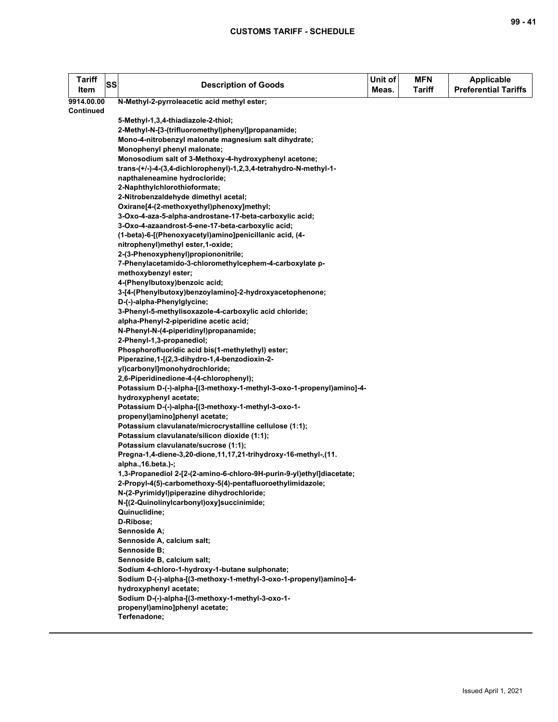| Tariff<br>Item   | SS | <b>Description of Goods</b>                                                                                      | Unit of<br>Meas. | <b>MFN</b><br><b>Tariff</b> | <b>Applicable</b><br><b>Preferential Tariffs</b> |
|------------------|----|------------------------------------------------------------------------------------------------------------------|------------------|-----------------------------|--------------------------------------------------|
| 9914.00.00       |    | N-Methyl-2-pyrroleacetic acid methyl ester;                                                                      |                  |                             |                                                  |
| <b>Continued</b> |    |                                                                                                                  |                  |                             |                                                  |
|                  |    | 5-Methyl-1,3,4-thiadiazole-2-thiol;                                                                              |                  |                             |                                                  |
|                  |    | 2-Methyl-N-[3-(trifluoromethyl)phenyl]propanamide;                                                               |                  |                             |                                                  |
|                  |    | Mono-4-nitrobenzyl malonate magnesium salt dihydrate;                                                            |                  |                             |                                                  |
|                  |    | Monophenyl phenyl malonate;                                                                                      |                  |                             |                                                  |
|                  |    | Monosodium salt of 3-Methoxy-4-hydroxyphenyl acetone;                                                            |                  |                             |                                                  |
|                  |    | trans-(+/-)-4-(3,4-dichlorophenyl)-1,2,3,4-tetrahydro-N-methyl-1-                                                |                  |                             |                                                  |
|                  |    | napthaleneamine hydrocloride;                                                                                    |                  |                             |                                                  |
|                  |    | 2-Naphthylchlorothioformate;                                                                                     |                  |                             |                                                  |
|                  |    | 2-Nitrobenzaldehyde dimethyl acetal;                                                                             |                  |                             |                                                  |
|                  |    | Oxirane[4-(2-methoxyethyl)phenoxy]methyl;                                                                        |                  |                             |                                                  |
|                  |    | 3-Oxo-4-aza-5-alpha-androstane-17-beta-carboxylic acid;                                                          |                  |                             |                                                  |
|                  |    | 3-Oxo-4-azaandrost-5-ene-17-beta-carboxylic acid;                                                                |                  |                             |                                                  |
|                  |    | (1-beta)-6-[(Phenoxyacetyl)amino]penicillanic acid, (4-                                                          |                  |                             |                                                  |
|                  |    | nitrophenyl)methyl ester,1-oxide;                                                                                |                  |                             |                                                  |
|                  |    | 2-(3-Phenoxyphenyl)propiononitrile;                                                                              |                  |                             |                                                  |
|                  |    | 7-Phenylacetamido-3-chloromethylcephem-4-carboxylate p-                                                          |                  |                             |                                                  |
|                  |    | methoxybenzyl ester;                                                                                             |                  |                             |                                                  |
|                  |    | 4-(Phenylbutoxy)benzoic acid;                                                                                    |                  |                             |                                                  |
|                  |    | 3-[4-(Phenylbutoxy)benzoylamino]-2-hydroxyacetophenone;                                                          |                  |                             |                                                  |
|                  |    | D-(-)-alpha-Phenylglycine;                                                                                       |                  |                             |                                                  |
|                  |    | 3-Phenyl-5-methylisoxazole-4-carboxylic acid chloride;                                                           |                  |                             |                                                  |
|                  |    | alpha-Phenyl-2-piperidine acetic acid;                                                                           |                  |                             |                                                  |
|                  |    | N-Phenyl-N-(4-piperidinyl)propanamide;                                                                           |                  |                             |                                                  |
|                  |    | 2-Phenyl-1,3-propanediol;                                                                                        |                  |                             |                                                  |
|                  |    | Phosphorofluoridic acid bis(1-methylethyl) ester;                                                                |                  |                             |                                                  |
|                  |    | Piperazine, 1-[(2, 3-dihydro-1, 4-benzodioxin-2-                                                                 |                  |                             |                                                  |
|                  |    | yl)carbonyl]monohydrochloride;                                                                                   |                  |                             |                                                  |
|                  |    | 2,6-Piperidinedione-4-(4-chlorophenyl);<br>Potassium D-(-)-alpha-[(3-methoxy-1-methyl-3-oxo-1-propenyl)amino]-4- |                  |                             |                                                  |
|                  |    | hydroxyphenyl acetate;                                                                                           |                  |                             |                                                  |
|                  |    | Potassium D-(-)-alpha-[(3-methoxy-1-methyl-3-oxo-1-                                                              |                  |                             |                                                  |
|                  |    | propenyl)amino]phenyl acetate;                                                                                   |                  |                             |                                                  |
|                  |    | Potassium clavulanate/microcrystalline cellulose (1:1);                                                          |                  |                             |                                                  |
|                  |    | Potassium clavulanate/silicon dioxide (1:1);                                                                     |                  |                             |                                                  |
|                  |    | Potassium clavulanate/sucrose (1:1);                                                                             |                  |                             |                                                  |
|                  |    | Pregna-1,4-diene-3,20-dione,11,17,21-trihydroxy-16-methyl-,(11.                                                  |                  |                             |                                                  |
|                  |    | alpha., 16.beta.) -;                                                                                             |                  |                             |                                                  |
|                  |    | 1,3-Propanediol 2-[2-(2-amino-6-chloro-9H-purin-9-yl)ethyl]diacetate;                                            |                  |                             |                                                  |
|                  |    | 2-Propyl-4(5)-carbomethoxy-5(4)-pentafluoroethylimidazole;                                                       |                  |                             |                                                  |
|                  |    | N-(2-Pyrimidyl)piperazine dihydrochloride;                                                                       |                  |                             |                                                  |
|                  |    | N-[(2-Quinolinylcarbonyl)oxy]succinimide;                                                                        |                  |                             |                                                  |
|                  |    | Quinuclidine;                                                                                                    |                  |                             |                                                  |
|                  |    | D-Ribose;                                                                                                        |                  |                             |                                                  |
|                  |    | Sennoside A:                                                                                                     |                  |                             |                                                  |
|                  |    | Sennoside A, calcium salt;                                                                                       |                  |                             |                                                  |
|                  |    | Sennoside B;                                                                                                     |                  |                             |                                                  |
|                  |    | Sennoside B, calcium salt;                                                                                       |                  |                             |                                                  |
|                  |    | Sodium 4-chloro-1-hydroxy-1-butane sulphonate;                                                                   |                  |                             |                                                  |
|                  |    | Sodium D-(-)-alpha-[(3-methoxy-1-methyl-3-oxo-1-propenyl)amino]-4-                                               |                  |                             |                                                  |
|                  |    | hydroxyphenyl acetate;                                                                                           |                  |                             |                                                  |
|                  |    | Sodium D-(-)-alpha-[(3-methoxy-1-methyl-3-oxo-1-                                                                 |                  |                             |                                                  |
|                  |    | propenyl)amino]phenyl acetate;                                                                                   |                  |                             |                                                  |
|                  |    | Terfenadone;                                                                                                     |                  |                             |                                                  |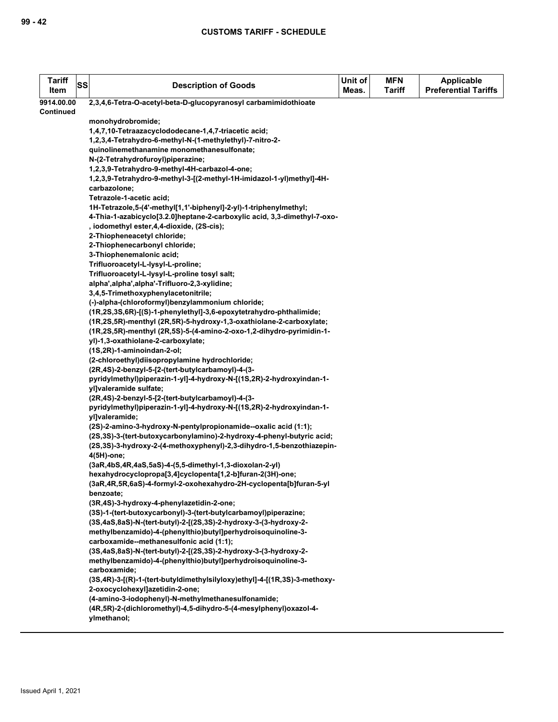| <b>Tariff</b><br>Item | <b>SS</b> | <b>Description of Goods</b>                                                                                                                    | Unit of<br>Meas. | <b>MFN</b><br><b>Tariff</b> | <b>Applicable</b><br><b>Preferential Tariffs</b> |
|-----------------------|-----------|------------------------------------------------------------------------------------------------------------------------------------------------|------------------|-----------------------------|--------------------------------------------------|
| 9914.00.00            |           | 2,3,4,6-Tetra-O-acetyl-beta-D-glucopyranosyl carbamimidothioate                                                                                |                  |                             |                                                  |
| Continued             |           |                                                                                                                                                |                  |                             |                                                  |
|                       |           | monohydrobromide;                                                                                                                              |                  |                             |                                                  |
|                       |           | 1,4,7,10-Tetraazacyclododecane-1,4,7-triacetic acid;                                                                                           |                  |                             |                                                  |
|                       |           | 1,2,3,4-Tetrahydro-6-methyl-N-(1-methylethyl)-7-nitro-2-                                                                                       |                  |                             |                                                  |
|                       |           | quinolinemethanamine monomethanesulfonate;                                                                                                     |                  |                             |                                                  |
|                       |           | N-(2-Tetrahydrofuroyl)piperazine;                                                                                                              |                  |                             |                                                  |
|                       |           | 1,2,3,9-Tetrahydro-9-methyl-4H-carbazol-4-one;                                                                                                 |                  |                             |                                                  |
|                       |           | 1,2,3,9-Tetrahydro-9-methyl-3-[(2-methyl-1H-imidazol-1-yl)methyl]-4H-                                                                          |                  |                             |                                                  |
|                       |           | carbazolone;                                                                                                                                   |                  |                             |                                                  |
|                       |           | Tetrazole-1-acetic acid;                                                                                                                       |                  |                             |                                                  |
|                       |           | 1H-Tetrazole,5-(4'-methyl[1,1'-biphenyl]-2-yl)-1-triphenylmethyl;                                                                              |                  |                             |                                                  |
|                       |           | 4-Thia-1-azabicyclo[3.2.0]heptane-2-carboxylic acid, 3,3-dimethyl-7-oxo-                                                                       |                  |                             |                                                  |
|                       |           | , iodomethyl ester, 4, 4-dioxide, (2S-cis);                                                                                                    |                  |                             |                                                  |
|                       |           | 2-Thiopheneacetyl chloride;<br>2-Thiophenecarbonyl chloride;                                                                                   |                  |                             |                                                  |
|                       |           | 3-Thiophenemalonic acid;                                                                                                                       |                  |                             |                                                  |
|                       |           | Trifluoroacetyl-L-lysyl-L-proline;                                                                                                             |                  |                             |                                                  |
|                       |           | Trifluoroacetyl-L-lysyl-L-proline tosyl salt;                                                                                                  |                  |                             |                                                  |
|                       |           | alpha',alpha',alpha'-Trifluoro-2,3-xylidine;                                                                                                   |                  |                             |                                                  |
|                       |           | 3,4,5-Trimethoxyphenylacetonitrile;                                                                                                            |                  |                             |                                                  |
|                       |           | (-)-alpha-(chloroformyl)benzylammonium chloride;                                                                                               |                  |                             |                                                  |
|                       |           | (1R,2S,3S,6R)-[(S)-1-phenylethyl]-3,6-epoxytetrahydro-phthalimide;                                                                             |                  |                             |                                                  |
|                       |           | (1R,2S,5R)-menthyl (2R,5R)-5-hydroxy-1,3-oxathiolane-2-carboxylate;                                                                            |                  |                             |                                                  |
|                       |           | (1R,2S,5R)-menthyl (2R,5S)-5-(4-amino-2-oxo-1,2-dihydro-pyrimidin-1-                                                                           |                  |                             |                                                  |
|                       |           | yl)-1,3-oxathiolane-2-carboxylate;                                                                                                             |                  |                             |                                                  |
|                       |           | $(1S, 2R)$ -1-aminoindan-2-ol;                                                                                                                 |                  |                             |                                                  |
|                       |           | (2-chloroethyl)diisopropylamine hydrochloride;                                                                                                 |                  |                             |                                                  |
|                       |           | (2R,4S)-2-benzyl-5-[2-(tert-butylcarbamoyl)-4-(3-                                                                                              |                  |                             |                                                  |
|                       |           | pyridylmethyl)piperazin-1-yl]-4-hydroxy-N-[(1S,2R)-2-hydroxyindan-1-                                                                           |                  |                             |                                                  |
|                       |           | yl]valeramide sulfate;                                                                                                                         |                  |                             |                                                  |
|                       |           | (2R,4S)-2-benzyl-5-[2-(tert-butylcarbamoyl)-4-(3-                                                                                              |                  |                             |                                                  |
|                       |           | pyridylmethyl)piperazin-1-yl]-4-hydroxy-N-[(1S,2R)-2-hydroxyindan-1-                                                                           |                  |                             |                                                  |
|                       |           | yl]valeramide;                                                                                                                                 |                  |                             |                                                  |
|                       |           | (2S)-2-amino-3-hydroxy-N-pentylpropionamide--oxalic acid (1:1);                                                                                |                  |                             |                                                  |
|                       |           | (2S.3S)-3-(tert-butoxycarbonylamino)-2-hydroxy-4-phenyl-butyric acid;<br>(2S,3S)-3-hydroxy-2-(4-methoxyphenyl)-2,3-dihydro-1,5-benzothiazepin- |                  |                             |                                                  |
|                       |           | 4(5H)-one;                                                                                                                                     |                  |                             |                                                  |
|                       |           | (3aR,4bS,4R,4aS,5aS)-4-(5,5-dimethyl-1,3-dioxolan-2-yl)                                                                                        |                  |                             |                                                  |
|                       |           | hexahydrocyclopropa[3,4]cyclopenta[1,2-b]furan-2(3H)-one;                                                                                      |                  |                             |                                                  |
|                       |           | (3aR,4R,5R,6aS)-4-formyl-2-oxohexahydro-2H-cyclopenta[b]furan-5-yl                                                                             |                  |                             |                                                  |
|                       |           | benzoate;                                                                                                                                      |                  |                             |                                                  |
|                       |           | (3R,4S)-3-hydroxy-4-phenylazetidin-2-one;                                                                                                      |                  |                             |                                                  |
|                       |           | (3S)-1-(tert-butoxycarbonyl)-3-(tert-butylcarbamoyl)piperazine;                                                                                |                  |                             |                                                  |
|                       |           | (3S,4aS,8aS)-N-(tert-butyl)-2-[(2S,3S)-2-hydroxy-3-(3-hydroxy-2-                                                                               |                  |                             |                                                  |
|                       |           | methylbenzamido)-4-(phenylthio)butyl]perhydroisoquinoline-3-                                                                                   |                  |                             |                                                  |
|                       |           | carboxamide--methanesulfonic acid (1:1);                                                                                                       |                  |                             |                                                  |
|                       |           | (3S,4aS,8aS)-N-(tert-butyl)-2-[(2S,3S)-2-hydroxy-3-(3-hydroxy-2-                                                                               |                  |                             |                                                  |
|                       |           | methylbenzamido)-4-(phenylthio)butyl]perhydroisoquinoline-3-                                                                                   |                  |                             |                                                  |
|                       |           | carboxamide;                                                                                                                                   |                  |                             |                                                  |
|                       |           | (3S,4R)-3-[(R)-1-(tert-butyldimethylsilyloxy)ethyl]-4-[(1R,3S)-3-methoxy-                                                                      |                  |                             |                                                  |
|                       |           | 2-oxocyclohexyl]azetidin-2-one;                                                                                                                |                  |                             |                                                  |
|                       |           | (4-amino-3-iodophenyl)-N-methylmethanesulfonamide;                                                                                             |                  |                             |                                                  |
|                       |           | (4R,5R)-2-(dichloromethyl)-4,5-dihydro-5-(4-mesylphenyl)oxazol-4-                                                                              |                  |                             |                                                  |
|                       |           | ylmethanol;                                                                                                                                    |                  |                             |                                                  |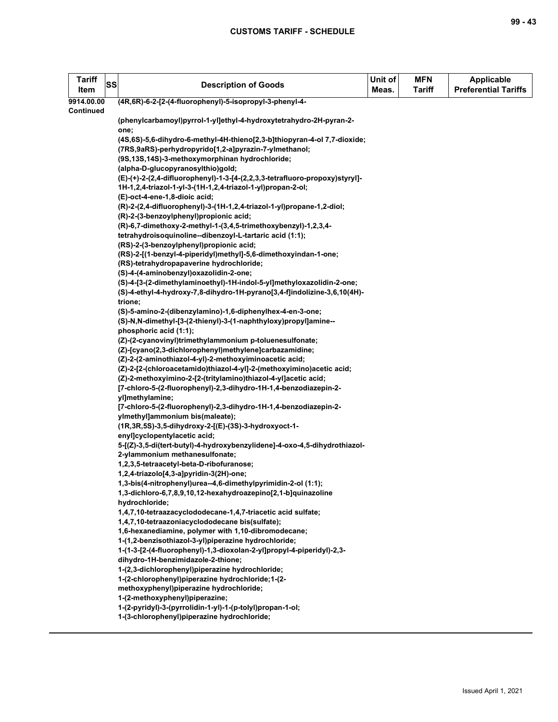| Tariff<br>Item | <b>SS</b> | <b>Description of Goods</b>                                                                                                            | Unit of<br>Meas. | <b>MFN</b><br><b>Tariff</b> | <b>Applicable</b><br><b>Preferential Tariffs</b> |
|----------------|-----------|----------------------------------------------------------------------------------------------------------------------------------------|------------------|-----------------------------|--------------------------------------------------|
| 9914.00.00     |           | (4R,6R)-6-2-[2-(4-fluorophenyl)-5-isopropyl-3-phenyl-4-                                                                                |                  |                             |                                                  |
| Continued      |           |                                                                                                                                        |                  |                             |                                                  |
|                |           | (phenylcarbamoyl)pyrrol-1-yl]ethyl-4-hydroxytetrahydro-2H-pyran-2-                                                                     |                  |                             |                                                  |
|                |           | one;<br>(4S,6S)-5,6-dihydro-6-methyl-4H-thieno[2,3-b]thiopyran-4-ol 7,7-dioxide;                                                       |                  |                             |                                                  |
|                |           | (7RS,9aRS)-perhydropyrido[1,2-a]pyrazin-7-ylmethanol;                                                                                  |                  |                             |                                                  |
|                |           | (9S,13S,14S)-3-methoxymorphinan hydrochloride;                                                                                         |                  |                             |                                                  |
|                |           | (alpha-D-glucopyranosylthio)gold;                                                                                                      |                  |                             |                                                  |
|                |           | (E)-(+)-2-(2,4-difluorophenyl)-1-3-[4-(2,2,3,3-tetrafluoro-propoxy)styryl]-                                                            |                  |                             |                                                  |
|                |           | 1H-1,2,4-triazol-1-yl-3-(1H-1,2,4-triazol-1-yl)propan-2-ol;                                                                            |                  |                             |                                                  |
|                |           | (E)-oct-4-ene-1,8-dioic acid;                                                                                                          |                  |                             |                                                  |
|                |           | (R)-2-(2,4-difluorophenyl)-3-(1H-1,2,4-triazol-1-yl)propane-1,2-diol;                                                                  |                  |                             |                                                  |
|                |           | (R)-2-(3-benzoylphenyl)propionic acid;                                                                                                 |                  |                             |                                                  |
|                |           | (R)-6,7-dimethoxy-2-methyl-1-(3,4,5-trimethoxybenzyl)-1,2,3,4-                                                                         |                  |                             |                                                  |
|                |           | tetrahydroisoquinoline--dibenzoyl-L-tartaric acid (1:1);                                                                               |                  |                             |                                                  |
|                |           | (RS)-2-(3-benzoylphenyl)propionic acid;<br>(RS)-2-[(1-benzyl-4-piperidyl)methyl]-5,6-dimethoxyindan-1-one;                             |                  |                             |                                                  |
|                |           | (RS)-tetrahydropapaverine hydrochloride;                                                                                               |                  |                             |                                                  |
|                |           | (S)-4-(4-aminobenzyl)oxazolidin-2-one;                                                                                                 |                  |                             |                                                  |
|                |           | (S)-4-[3-(2-dimethylaminoethyl)-1H-indol-5-yl]methyloxazolidin-2-one;                                                                  |                  |                             |                                                  |
|                |           | (S)-4-ethyl-4-hydroxy-7,8-dihydro-1H-pyrano[3,4-f]indolizine-3,6,10(4H)-                                                               |                  |                             |                                                  |
|                |           | trione;                                                                                                                                |                  |                             |                                                  |
|                |           | (S)-5-amino-2-(dibenzylamino)-1,6-diphenylhex-4-en-3-one;                                                                              |                  |                             |                                                  |
|                |           | (S)-N,N-dimethyl-[3-(2-thienyl)-3-(1-naphthyloxy)propyl]amine--                                                                        |                  |                             |                                                  |
|                |           | phosphoric acid (1:1);                                                                                                                 |                  |                             |                                                  |
|                |           | (Z)-(2-cyanovinyl)trimethylammonium p-toluenesulfonate;                                                                                |                  |                             |                                                  |
|                |           | (Z)-[cyano(2,3-dichlorophenyl)methylene]carbazamidine;                                                                                 |                  |                             |                                                  |
|                |           | (Z)-2-(2-aminothiazol-4-yl)-2-methoxyiminoacetic acid;                                                                                 |                  |                             |                                                  |
|                |           | (Z)-2-[2-(chloroacetamido)thiazol-4-yl]-2-(methoxyimino)acetic acid;<br>(Z)-2-methoxyimino-2-[2-(tritylamino)thiazol-4-yl]acetic acid; |                  |                             |                                                  |
|                |           | [7-chloro-5-(2-fluorophenyl)-2,3-dihydro-1H-1,4-benzodiazepin-2-                                                                       |                  |                             |                                                  |
|                |           | yl]methylamine;                                                                                                                        |                  |                             |                                                  |
|                |           | [7-chloro-5-(2-fluorophenyl)-2,3-dihydro-1H-1,4-benzodiazepin-2-                                                                       |                  |                             |                                                  |
|                |           | ylmethyl]ammonium bis(maleate);                                                                                                        |                  |                             |                                                  |
|                |           | (1R, 3R, 5S)-3, 5-dihydroxy-2-[(E)-(3S)-3-hydroxyoct-1-                                                                                |                  |                             |                                                  |
|                |           | enyl]cyclopentylacetic acid;                                                                                                           |                  |                             |                                                  |
|                |           | 5-[(Z)-3,5-di(tert-butyl)-4-hydroxybenzylidene]-4-oxo-4,5-dihydrothiazol-                                                              |                  |                             |                                                  |
|                |           | 2-ylammonium methanesulfonate;                                                                                                         |                  |                             |                                                  |
|                |           | 1,2,3,5-tetraacetyl-beta-D-ribofuranose;<br>1,2,4-triazolo[4,3-a]pyridin-3(2H)-one;                                                    |                  |                             |                                                  |
|                |           | 1,3-bis(4-nitrophenyl)urea--4,6-dimethylpyrimidin-2-ol (1:1);                                                                          |                  |                             |                                                  |
|                |           | 1,3-dichloro-6,7,8,9,10,12-hexahydroazepino[2,1-b]quinazoline                                                                          |                  |                             |                                                  |
|                |           | hydrochloride;                                                                                                                         |                  |                             |                                                  |
|                |           | 1,4,7,10-tetraazacyclododecane-1,4,7-triacetic acid sulfate;                                                                           |                  |                             |                                                  |
|                |           | 1,4,7,10-tetraazoniacyclododecane bis(sulfate);                                                                                        |                  |                             |                                                  |
|                |           | 1,6-hexanediamine, polymer with 1,10-dibromodecane;                                                                                    |                  |                             |                                                  |
|                |           | 1-(1,2-benzisothiazol-3-yl)piperazine hydrochloride;                                                                                   |                  |                             |                                                  |
|                |           | 1-(1-3-[2-(4-fluorophenyl)-1,3-dioxolan-2-yl]propyl-4-piperidyl)-2,3-                                                                  |                  |                             |                                                  |
|                |           | dihydro-1H-benzimidazole-2-thione;                                                                                                     |                  |                             |                                                  |
|                |           | 1-(2,3-dichlorophenyl)piperazine hydrochloride;<br>1-(2-chlorophenyl)piperazine hydrochloride; 1-(2-                                   |                  |                             |                                                  |
|                |           | methoxyphenyl)piperazine hydrochloride;                                                                                                |                  |                             |                                                  |
|                |           | 1-(2-methoxyphenyl)piperazine;                                                                                                         |                  |                             |                                                  |
|                |           | 1-(2-pyridyl)-3-(pyrrolidin-1-yl)-1-(p-tolyl)propan-1-ol;                                                                              |                  |                             |                                                  |
|                |           | 1-(3-chlorophenyl)piperazine hydrochloride;                                                                                            |                  |                             |                                                  |
|                |           |                                                                                                                                        |                  |                             |                                                  |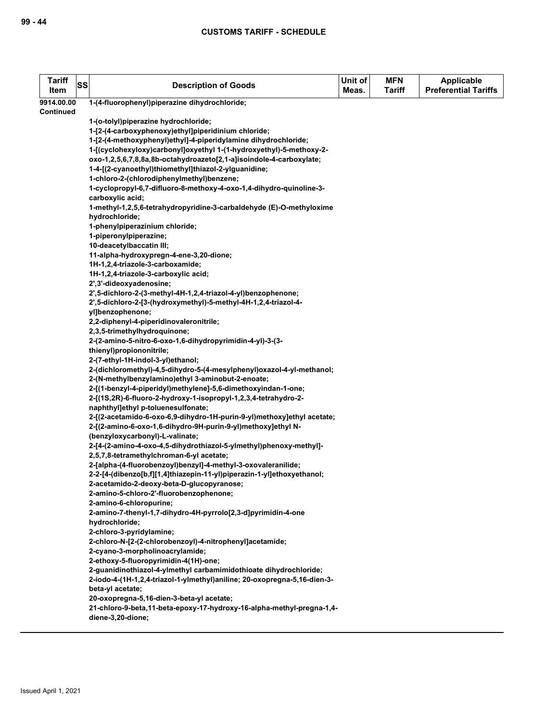| <b>Tariff</b><br>Item | SS | <b>Description of Goods</b>                                                                                                | Unit of<br>Meas. | <b>MFN</b><br><b>Tariff</b> | Applicable<br><b>Preferential Tariffs</b> |
|-----------------------|----|----------------------------------------------------------------------------------------------------------------------------|------------------|-----------------------------|-------------------------------------------|
|                       |    |                                                                                                                            |                  |                             |                                           |
| 9914.00.00            |    | 1-(4-fluorophenyl)piperazine dihydrochloride;                                                                              |                  |                             |                                           |
| Continued             |    |                                                                                                                            |                  |                             |                                           |
|                       |    | 1-(o-tolyl)piperazine hydrochloride;                                                                                       |                  |                             |                                           |
|                       |    | 1-[2-(4-carboxyphenoxy)ethyl]piperidinium chloride;                                                                        |                  |                             |                                           |
|                       |    | 1-[2-(4-methoxyphenyl)ethyl]-4-piperidylamine dihydrochloride;                                                             |                  |                             |                                           |
|                       |    | 1-[(cyclohexyloxy)carbonyl]oxyethyl 1-(1-hydroxyethyl)-5-methoxy-2-                                                        |                  |                             |                                           |
|                       |    | oxo-1,2,5,6,7,8,8a,8b-octahydroazeto[2,1-a]isoindole-4-carboxylate;                                                        |                  |                             |                                           |
|                       |    | 1-4-[(2-cyanoethyl)thiomethyl]thiazol-2-ylguanidine;                                                                       |                  |                             |                                           |
|                       |    | 1-chloro-2-(chlorodiphenylmethyl)benzene;                                                                                  |                  |                             |                                           |
|                       |    | 1-cyclopropyl-6,7-difluoro-8-methoxy-4-oxo-1,4-dihydro-quinoline-3-                                                        |                  |                             |                                           |
|                       |    | carboxylic acid;                                                                                                           |                  |                             |                                           |
|                       |    | 1-methyl-1,2,5,6-tetrahydropyridine-3-carbaldehyde (E)-O-methyloxime                                                       |                  |                             |                                           |
|                       |    | hydrochloride;                                                                                                             |                  |                             |                                           |
|                       |    | 1-phenylpiperazinium chloride;                                                                                             |                  |                             |                                           |
|                       |    | 1-piperonylpiperazine;                                                                                                     |                  |                             |                                           |
|                       |    | 10-deacetylbaccatin III;                                                                                                   |                  |                             |                                           |
|                       |    | 11-alpha-hydroxypregn-4-ene-3,20-dione;                                                                                    |                  |                             |                                           |
|                       |    | 1H-1,2,4-triazole-3-carboxamide;                                                                                           |                  |                             |                                           |
|                       |    | 1H-1,2,4-triazole-3-carboxylic acid;                                                                                       |                  |                             |                                           |
|                       |    | 2',3'-dideoxyadenosine;                                                                                                    |                  |                             |                                           |
|                       |    | 2',5-dichloro-2-(3-methyl-4H-1,2,4-triazol-4-yl)benzophenone;                                                              |                  |                             |                                           |
|                       |    | 2',5-dichloro-2-[3-(hydroxymethyl)-5-methyl-4H-1,2,4-triazol-4-                                                            |                  |                             |                                           |
|                       |    | yl]benzophenone;                                                                                                           |                  |                             |                                           |
|                       |    | 2,2-diphenyl-4-piperidinovaleronitrile;                                                                                    |                  |                             |                                           |
|                       |    | 2,3,5-trimethylhydroquinone;                                                                                               |                  |                             |                                           |
|                       |    | 2-(2-amino-5-nitro-6-oxo-1,6-dihydropyrimidin-4-yl)-3-(3-                                                                  |                  |                             |                                           |
|                       |    | thienyl)propiononitrile;<br>2-(7-ethyl-1H-indol-3-yl)ethanol;                                                              |                  |                             |                                           |
|                       |    |                                                                                                                            |                  |                             |                                           |
|                       |    | 2-(dichloromethyl)-4,5-dihydro-5-(4-mesylphenyl)oxazol-4-yl-methanol;<br>2-(N-methylbenzylamino)ethyl 3-aminobut-2-enoate; |                  |                             |                                           |
|                       |    | 2-[(1-benzyl-4-piperidyl)methylene]-5,6-dimethoxyindan-1-one;                                                              |                  |                             |                                           |
|                       |    | 2-[(1S,2R)-6-fluoro-2-hydroxy-1-isopropyl-1,2,3,4-tetrahydro-2-                                                            |                  |                             |                                           |
|                       |    | naphthyl]ethyl p-toluenesulfonate;                                                                                         |                  |                             |                                           |
|                       |    | 2-[(2-acetamido-6-oxo-6,9-dihydro-1H-purin-9-yl)methoxy]ethyl acetate;                                                     |                  |                             |                                           |
|                       |    | 2-[(2-amino-6-oxo-1,6-dihydro-9H-purin-9-yl)methoxy]ethyl N-                                                               |                  |                             |                                           |
|                       |    | (benzyloxycarbonyl)-L-valinate;                                                                                            |                  |                             |                                           |
|                       |    | 2-[4-(2-amino-4-oxo-4,5-dihydrothiazol-5-ylmethyl)phenoxy-methyl]-                                                         |                  |                             |                                           |
|                       |    | 2,5,7,8-tetramethylchroman-6-yl acetate;                                                                                   |                  |                             |                                           |
|                       |    | 2-[alpha-(4-fluorobenzoyl)benzyl]-4-methyl-3-oxovaleranilide;                                                              |                  |                             |                                           |
|                       |    | 2-2-[4-(dibenzo[b,f][1,4]thiazepin-11-yl)piperazin-1-yl]ethoxyethanol;                                                     |                  |                             |                                           |
|                       |    | 2-acetamido-2-deoxy-beta-D-glucopyranose;                                                                                  |                  |                             |                                           |
|                       |    | 2-amino-5-chloro-2'-fluorobenzophenone;                                                                                    |                  |                             |                                           |
|                       |    | 2-amino-6-chloropurine;                                                                                                    |                  |                             |                                           |
|                       |    | 2-amino-7-thenyl-1,7-dihydro-4H-pyrrolo[2,3-d]pyrimidin-4-one                                                              |                  |                             |                                           |
|                       |    | hydrochloride;                                                                                                             |                  |                             |                                           |
|                       |    | 2-chloro-3-pyridylamine;                                                                                                   |                  |                             |                                           |
|                       |    | 2-chloro-N-[2-(2-chlorobenzoyl)-4-nitrophenyl]acetamide;                                                                   |                  |                             |                                           |
|                       |    | 2-cyano-3-morpholinoacrylamide;                                                                                            |                  |                             |                                           |
|                       |    | 2-ethoxy-5-fluoropyrimidin-4(1H)-one;                                                                                      |                  |                             |                                           |
|                       |    | 2-guanidinothiazol-4-ylmethyl carbamimidothioate dihydrochloride;                                                          |                  |                             |                                           |
|                       |    | 2-iodo-4-(1H-1,2,4-triazol-1-ylmethyl)aniline; 20-oxopregna-5,16-dien-3-                                                   |                  |                             |                                           |
|                       |    | beta-yl acetate;                                                                                                           |                  |                             |                                           |
|                       |    | 20-oxopregna-5,16-dien-3-beta-yl acetate;                                                                                  |                  |                             |                                           |
|                       |    | 21-chloro-9-beta,11-beta-epoxy-17-hydroxy-16-alpha-methyl-pregna-1,4-                                                      |                  |                             |                                           |
|                       |    | diene-3,20-dione;                                                                                                          |                  |                             |                                           |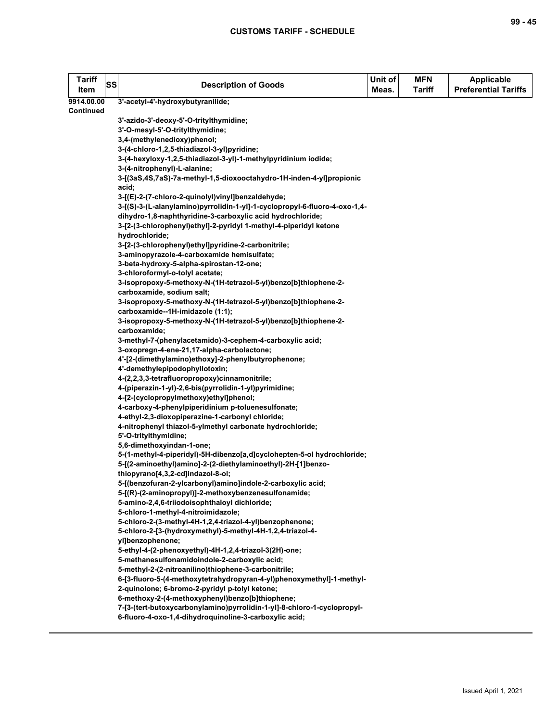| <b>Tariff</b><br>Item | <b>SS</b> | <b>Description of Goods</b>                                                                          | Unit of<br>Meas. | <b>MFN</b><br><b>Tariff</b> | Applicable<br><b>Preferential Tariffs</b> |
|-----------------------|-----------|------------------------------------------------------------------------------------------------------|------------------|-----------------------------|-------------------------------------------|
| 9914.00.00            |           | 3'-acetyl-4'-hydroxybutyranilide;                                                                    |                  |                             |                                           |
| Continued             |           |                                                                                                      |                  |                             |                                           |
|                       |           | 3'-azido-3'-deoxy-5'-O-tritylthymidine;                                                              |                  |                             |                                           |
|                       |           | 3'-O-mesyl-5'-O-tritylthymidine;                                                                     |                  |                             |                                           |
|                       |           | 3,4-(methylenedioxy)phenol;                                                                          |                  |                             |                                           |
|                       |           | 3-(4-chloro-1,2,5-thiadiazol-3-yl)pyridine;                                                          |                  |                             |                                           |
|                       |           | 3-(4-hexyloxy-1,2,5-thiadiazol-3-yl)-1-methylpyridinium iodide;                                      |                  |                             |                                           |
|                       |           | 3-(4-nitrophenyl)-L-alanine;<br>3-[(3aS,4S,7aS)-7a-methyl-1,5-dioxooctahydro-1H-inden-4-yl]propionic |                  |                             |                                           |
|                       |           | acid;                                                                                                |                  |                             |                                           |
|                       |           | 3-[(E)-2-(7-chloro-2-quinolyl)vinyl]benzaldehyde;                                                    |                  |                             |                                           |
|                       |           | 3-[(S)-3-(L-alanylamino)pyrrolidin-1-yl]-1-cyclopropyl-6-fluoro-4-oxo-1,4-                           |                  |                             |                                           |
|                       |           | dihydro-1,8-naphthyridine-3-carboxylic acid hydrochloride;                                           |                  |                             |                                           |
|                       |           | 3-[2-(3-chlorophenyl)ethyl]-2-pyridyl 1-methyl-4-piperidyl ketone                                    |                  |                             |                                           |
|                       |           | hydrochloride;                                                                                       |                  |                             |                                           |
|                       |           | 3-[2-(3-chlorophenyl)ethyl]pyridine-2-carbonitrile;                                                  |                  |                             |                                           |
|                       |           | 3-aminopyrazole-4-carboxamide hemisulfate;                                                           |                  |                             |                                           |
|                       |           | 3-beta-hydroxy-5-alpha-spirostan-12-one;                                                             |                  |                             |                                           |
|                       |           | 3-chloroformyl-o-tolyl acetate;                                                                      |                  |                             |                                           |
|                       |           | 3-isopropoxy-5-methoxy-N-(1H-tetrazol-5-yl)benzo[b]thiophene-2-                                      |                  |                             |                                           |
|                       |           | carboxamide, sodium salt;                                                                            |                  |                             |                                           |
|                       |           | 3-isopropoxy-5-methoxy-N-(1H-tetrazol-5-yl)benzo[b]thiophene-2-                                      |                  |                             |                                           |
|                       |           | carboxamide--1H-imidazole (1:1);                                                                     |                  |                             |                                           |
|                       |           | 3-isopropoxy-5-methoxy-N-(1H-tetrazol-5-yl)benzo[b]thiophene-2-                                      |                  |                             |                                           |
|                       |           | carboxamide;                                                                                         |                  |                             |                                           |
|                       |           | 3-methyl-7-(phenylacetamido)-3-cephem-4-carboxylic acid;                                             |                  |                             |                                           |
|                       |           | 3-oxopregn-4-ene-21,17-alpha-carbolactone;<br>4'-[2-(dimethylamino)ethoxy]-2-phenylbutyrophenone;    |                  |                             |                                           |
|                       |           | 4'-demethylepipodophyllotoxin;                                                                       |                  |                             |                                           |
|                       |           | 4-(2,2,3,3-tetrafluoropropoxy)cinnamonitrile;                                                        |                  |                             |                                           |
|                       |           | 4-(piperazin-1-yl)-2,6-bis(pyrrolidin-1-yl)pyrimidine;                                               |                  |                             |                                           |
|                       |           | 4-[2-(cyclopropylmethoxy)ethyl]phenol;                                                               |                  |                             |                                           |
|                       |           | 4-carboxy-4-phenylpiperidinium p-toluenesulfonate;                                                   |                  |                             |                                           |
|                       |           | 4-ethyl-2,3-dioxopiperazine-1-carbonyl chloride;                                                     |                  |                             |                                           |
|                       |           | 4-nitrophenyl thiazol-5-ylmethyl carbonate hydrochloride;                                            |                  |                             |                                           |
|                       |           | 5'-O-tritylthymidine;                                                                                |                  |                             |                                           |
|                       |           | 5,6-dimethoxyindan-1-one;                                                                            |                  |                             |                                           |
|                       |           | 5-(1-methyl-4-piperidyl)-5H-dibenzo[a,d]cyclohepten-5-ol hydrochloride;                              |                  |                             |                                           |
|                       |           | 5-[(2-aminoethyl)amino]-2-(2-diethylaminoethyl)-2H-[1]benzo-                                         |                  |                             |                                           |
|                       |           | thiopyrano[4,3,2-cd]indazol-8-ol;                                                                    |                  |                             |                                           |
|                       |           | 5-[(benzofuran-2-ylcarbonyl)amino]indole-2-carboxylic acid;                                          |                  |                             |                                           |
|                       |           | 5-[(R)-(2-aminopropyl)]-2-methoxybenzenesulfonamide;                                                 |                  |                             |                                           |
|                       |           | 5-amino-2,4,6-triiodoisophthaloyl dichloride;<br>5-chloro-1-methyl-4-nitroimidazole;                 |                  |                             |                                           |
|                       |           | 5-chloro-2-(3-methyl-4H-1,2,4-triazol-4-yl)benzophenone;                                             |                  |                             |                                           |
|                       |           | 5-chloro-2-[3-(hydroxymethyl)-5-methyl-4H-1,2,4-triazol-4-                                           |                  |                             |                                           |
|                       |           | vilbenzophenone;                                                                                     |                  |                             |                                           |
|                       |           | 5-ethyl-4-(2-phenoxyethyl)-4H-1,2,4-triazol-3(2H)-one;                                               |                  |                             |                                           |
|                       |           | 5-methanesulfonamidoindole-2-carboxylic acid;                                                        |                  |                             |                                           |
|                       |           | 5-methyl-2-(2-nitroanilino)thiophene-3-carbonitrile;                                                 |                  |                             |                                           |
|                       |           | 6-[3-fluoro-5-(4-methoxytetrahydropyran-4-yl)phenoxymethyl]-1-methyl-                                |                  |                             |                                           |
|                       |           | 2-quinolone; 6-bromo-2-pyridyl p-tolyl ketone;                                                       |                  |                             |                                           |
|                       |           | 6-methoxy-2-(4-methoxyphenyl)benzo[b]thiophene;                                                      |                  |                             |                                           |
|                       |           | 7-[3-(tert-butoxycarbonylamino)pyrrolidin-1-yl]-8-chloro-1-cyclopropyl-                              |                  |                             |                                           |
|                       |           | 6-fluoro-4-oxo-1,4-dihydroquinoline-3-carboxylic acid;                                               |                  |                             |                                           |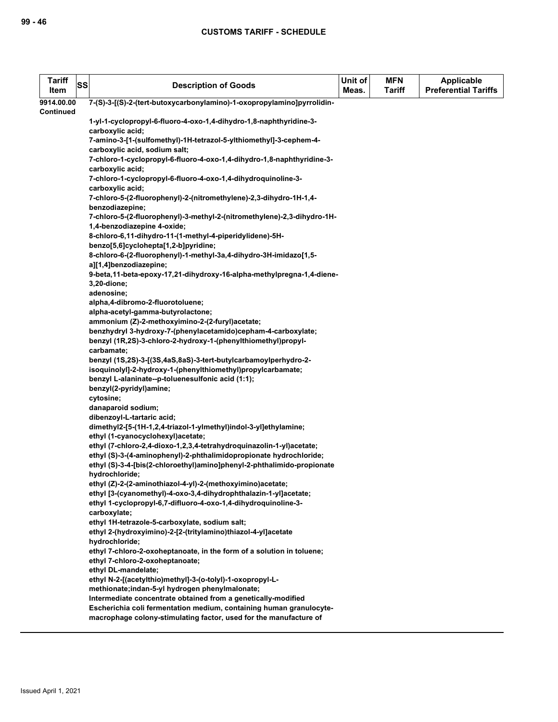| <b>Tariff</b><br>Item | <b>SS</b>        | <b>Description of Goods</b>                                                                                                                  | Unit of<br>Meas. | <b>MFN</b><br><b>Tariff</b> | <b>Applicable</b><br><b>Preferential Tariffs</b> |  |  |
|-----------------------|------------------|----------------------------------------------------------------------------------------------------------------------------------------------|------------------|-----------------------------|--------------------------------------------------|--|--|
| 9914.00.00            |                  | 7-(S)-3-[(S)-2-(tert-butoxycarbonylamino)-1-oxopropylamino]pyrrolidin-                                                                       |                  |                             |                                                  |  |  |
| Continued             |                  |                                                                                                                                              |                  |                             |                                                  |  |  |
|                       |                  | 1-yl-1-cyclopropyl-6-fluoro-4-oxo-1,4-dihydro-1,8-naphthyridine-3-                                                                           |                  |                             |                                                  |  |  |
|                       |                  | carboxylic acid;                                                                                                                             |                  |                             |                                                  |  |  |
|                       |                  | 7-amino-3-[1-(sulfomethyl)-1H-tetrazol-5-ylthiomethyl]-3-cephem-4-                                                                           |                  |                             |                                                  |  |  |
|                       |                  | carboxylic acid, sodium salt;                                                                                                                |                  |                             |                                                  |  |  |
|                       |                  | 7-chloro-1-cyclopropyl-6-fluoro-4-oxo-1,4-dihydro-1,8-naphthyridine-3-                                                                       |                  |                             |                                                  |  |  |
|                       | carboxylic acid; |                                                                                                                                              |                  |                             |                                                  |  |  |
|                       |                  | 7-chloro-1-cyclopropyl-6-fluoro-4-oxo-1,4-dihydroquinoline-3-                                                                                |                  |                             |                                                  |  |  |
|                       |                  | carboxylic acid;                                                                                                                             |                  |                             |                                                  |  |  |
|                       |                  | 7-chloro-5-(2-fluorophenyl)-2-(nitromethylene)-2,3-dihydro-1H-1,4-                                                                           |                  |                             |                                                  |  |  |
|                       |                  | benzodiazepine;                                                                                                                              |                  |                             |                                                  |  |  |
|                       |                  | 7-chloro-5-(2-fluorophenyl)-3-methyl-2-(nitromethylene)-2,3-dihydro-1H-                                                                      |                  |                             |                                                  |  |  |
|                       |                  | 1,4-benzodiazepine 4-oxide;                                                                                                                  |                  |                             |                                                  |  |  |
|                       |                  | 8-chloro-6,11-dihydro-11-(1-methyl-4-piperidylidene)-5H-                                                                                     |                  |                             |                                                  |  |  |
|                       |                  | benzo[5,6]cyclohepta[1,2-b]pyridine;                                                                                                         |                  |                             |                                                  |  |  |
|                       |                  | 8-chloro-6-(2-fluorophenyl)-1-methyl-3a,4-dihydro-3H-imidazo[1,5-                                                                            |                  |                             |                                                  |  |  |
|                       |                  | al[1,4]benzodiazepine;                                                                                                                       |                  |                             |                                                  |  |  |
|                       |                  | 9-beta, 11-beta-epoxy-17, 21-dihydroxy-16-alpha-methylpregna-1, 4-diene-<br>3,20-dione;                                                      |                  |                             |                                                  |  |  |
|                       |                  | adenosine;                                                                                                                                   |                  |                             |                                                  |  |  |
|                       |                  | alpha,4-dibromo-2-fluorotoluene;                                                                                                             |                  |                             |                                                  |  |  |
|                       |                  | alpha-acetyl-gamma-butyrolactone;                                                                                                            |                  |                             |                                                  |  |  |
|                       |                  | ammonium (Z)-2-methoxyimino-2-(2-furyl)acetate;                                                                                              |                  |                             |                                                  |  |  |
|                       |                  | benzhydryl 3-hydroxy-7-(phenylacetamido)cepham-4-carboxylate;                                                                                |                  |                             |                                                  |  |  |
|                       |                  | benzyl (1R,2S)-3-chloro-2-hydroxy-1-(phenylthiomethyl)propyl-                                                                                |                  |                             |                                                  |  |  |
|                       |                  | carbamate:                                                                                                                                   |                  |                             |                                                  |  |  |
|                       |                  | benzyl (1S,2S)-3-[(3S,4aS,8aS)-3-tert-butylcarbamoylperhydro-2-                                                                              |                  |                             |                                                  |  |  |
|                       |                  | isoquinolyl]-2-hydroxy-1-(phenylthiomethyl)propylcarbamate;                                                                                  |                  |                             |                                                  |  |  |
|                       |                  | benzyl L-alaninate--p-toluenesulfonic acid (1:1);                                                                                            |                  |                             |                                                  |  |  |
|                       |                  | benzyl(2-pyridyl)amine;                                                                                                                      |                  |                             |                                                  |  |  |
|                       |                  | cytosine;                                                                                                                                    |                  |                             |                                                  |  |  |
|                       |                  | danaparoid sodium;                                                                                                                           |                  |                             |                                                  |  |  |
|                       |                  | dibenzoyl-L-tartaric acid;                                                                                                                   |                  |                             |                                                  |  |  |
|                       |                  | dimethyl2-[5-(1H-1,2,4-triazol-1-ylmethyl)indol-3-yl]ethylamine;                                                                             |                  |                             |                                                  |  |  |
|                       |                  | ethyl (1-cyanocyclohexyl)acetate;                                                                                                            |                  |                             |                                                  |  |  |
|                       |                  | ethyl (7-chloro-2,4-dioxo-1,2,3,4-tetrahydroquinazolin-1-yl)acetate;                                                                         |                  |                             |                                                  |  |  |
|                       |                  | ethyl (S)-3-(4-aminophenyl)-2-phthalimidopropionate hydrochloride;<br>ethyl (S)-3-4-[bis(2-chloroethyl)amino]phenyl-2-phthalimido-propionate |                  |                             |                                                  |  |  |
|                       |                  | hydrochloride;                                                                                                                               |                  |                             |                                                  |  |  |
|                       |                  | ethyl (Z)-2-(2-aminothiazol-4-yl)-2-(methoxyimino)acetate;                                                                                   |                  |                             |                                                  |  |  |
|                       |                  | ethyl [3-(cyanomethyl)-4-oxo-3,4-dihydrophthalazin-1-yl]acetate;                                                                             |                  |                             |                                                  |  |  |
|                       |                  | ethyl 1-cyclopropyl-6,7-difluoro-4-oxo-1,4-dihydroquinoline-3-                                                                               |                  |                             |                                                  |  |  |
|                       |                  | carboxylate;                                                                                                                                 |                  |                             |                                                  |  |  |
|                       |                  | ethyl 1H-tetrazole-5-carboxylate, sodium salt;                                                                                               |                  |                             |                                                  |  |  |
|                       |                  | ethyl 2-(hydroxyimino)-2-[2-(tritylamino)thiazol-4-yl]acetate                                                                                |                  |                             |                                                  |  |  |
|                       |                  | hydrochloride;                                                                                                                               |                  |                             |                                                  |  |  |
|                       |                  | ethyl 7-chloro-2-oxoheptanoate, in the form of a solution in toluene;                                                                        |                  |                             |                                                  |  |  |
|                       |                  | ethyl 7-chloro-2-oxoheptanoate;                                                                                                              |                  |                             |                                                  |  |  |
|                       |                  | ethyl DL-mandelate;                                                                                                                          |                  |                             |                                                  |  |  |
|                       |                  | ethyl N-2-[(acetylthio)methyl]-3-(o-tolyl)-1-oxopropyl-L-                                                                                    |                  |                             |                                                  |  |  |
|                       |                  | methionate;indan-5-yl hydrogen phenylmalonate;                                                                                               |                  |                             |                                                  |  |  |
|                       |                  | Intermediate concentrate obtained from a genetically-modified                                                                                |                  |                             |                                                  |  |  |
|                       |                  | Escherichia coli fermentation medium, containing human granulocyte-                                                                          |                  |                             |                                                  |  |  |
|                       |                  | macrophage colony-stimulating factor, used for the manufacture of                                                                            |                  |                             |                                                  |  |  |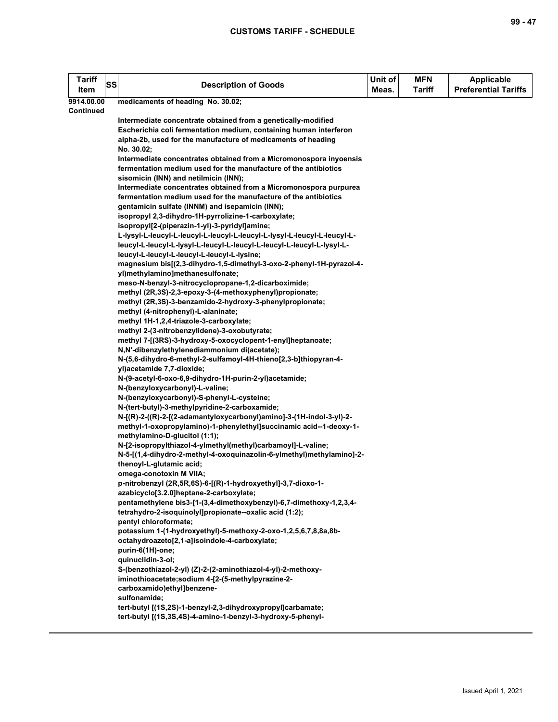| <b>Tariff</b><br>Item | <b>SS</b> | <b>Description of Goods</b>                                                                            | Unit of<br>Meas. | <b>MFN</b><br><b>Tariff</b> | <b>Applicable</b><br><b>Preferential Tariffs</b> |
|-----------------------|-----------|--------------------------------------------------------------------------------------------------------|------------------|-----------------------------|--------------------------------------------------|
| 9914.00.00            |           | medicaments of heading No. 30.02;                                                                      |                  |                             |                                                  |
| Continued             |           |                                                                                                        |                  |                             |                                                  |
|                       |           | Intermediate concentrate obtained from a genetically-modified                                          |                  |                             |                                                  |
|                       |           | Escherichia coli fermentation medium, containing human interferon                                      |                  |                             |                                                  |
|                       |           | alpha-2b, used for the manufacture of medicaments of heading                                           |                  |                             |                                                  |
|                       |           | No. 30.02;                                                                                             |                  |                             |                                                  |
|                       |           | Intermediate concentrates obtained from a Micromonospora inyoensis                                     |                  |                             |                                                  |
|                       |           | fermentation medium used for the manufacture of the antibiotics                                        |                  |                             |                                                  |
|                       |           | sisomicin (INN) and netilmicin (INN);                                                                  |                  |                             |                                                  |
|                       |           | Intermediate concentrates obtained from a Micromonospora purpurea                                      |                  |                             |                                                  |
|                       |           | fermentation medium used for the manufacture of the antibiotics                                        |                  |                             |                                                  |
|                       |           | gentamicin sulfate (INNM) and isepamicin (INN);<br>isopropyl 2,3-dihydro-1H-pyrrolizine-1-carboxylate; |                  |                             |                                                  |
|                       |           | isopropyl[2-(piperazin-1-yl)-3-pyridyl]amine;                                                          |                  |                             |                                                  |
|                       |           | L-lysyl-L-leucyl-L-leucyl-L-leucyl-L-leucyl-L-lysyl-L-leucyl-L-leucyl-L-                               |                  |                             |                                                  |
|                       |           | leucyl-L-leucyl-L-lysyl-L-leucyl-L-leucyl-L-leucyl-L-leucyl-L-lysyl-L-                                 |                  |                             |                                                  |
|                       |           | leucyl-L-leucyl-L-leucyl-L-leucyl-L-lysine;                                                            |                  |                             |                                                  |
|                       |           | magnesium bis[(2,3-dihydro-1,5-dimethyl-3-oxo-2-phenyl-1H-pyrazol-4-                                   |                  |                             |                                                  |
|                       |           | yl)methylamino]methanesulfonate;                                                                       |                  |                             |                                                  |
|                       |           | meso-N-benzyl-3-nitrocyclopropane-1,2-dicarboximide;                                                   |                  |                             |                                                  |
|                       |           | methyl (2R,3S)-2,3-epoxy-3-(4-methoxyphenyl)propionate;                                                |                  |                             |                                                  |
|                       |           | methyl (2R,3S)-3-benzamido-2-hydroxy-3-phenylpropionate;                                               |                  |                             |                                                  |
|                       |           | methyl (4-nitrophenyl)-L-alaninate;                                                                    |                  |                             |                                                  |
|                       |           | methyl 1H-1,2,4-triazole-3-carboxylate;                                                                |                  |                             |                                                  |
|                       |           | methyl 2-(3-nitrobenzylidene)-3-oxobutyrate;                                                           |                  |                             |                                                  |
|                       |           | methyl 7-[(3RS)-3-hydroxy-5-oxocyclopent-1-enyl]heptanoate;                                            |                  |                             |                                                  |
|                       |           | N,N'-dibenzylethylenediammonium di(acetate);                                                           |                  |                             |                                                  |
|                       |           | N-(5,6-dihydro-6-methyl-2-sulfamoyl-4H-thieno[2,3-b]thiopyran-4-                                       |                  |                             |                                                  |
|                       |           | yl)acetamide 7,7-dioxide;                                                                              |                  |                             |                                                  |
|                       |           | N-(9-acetyl-6-oxo-6,9-dihydro-1H-purin-2-yl)acetamide;                                                 |                  |                             |                                                  |
|                       |           | N-(benzyloxycarbonyl)-L-valine;                                                                        |                  |                             |                                                  |
|                       |           | N-(benzyloxycarbonyl)-S-phenyl-L-cysteine;<br>N-(tert-butyl)-3-methylpyridine-2-carboxamide;           |                  |                             |                                                  |
|                       |           | N-[(R)-2-((R)-2-[(2-adamantyloxycarbonyl)amino]-3-(1H-indol-3-yl)-2-                                   |                  |                             |                                                  |
|                       |           | methyl-1-oxopropylamino)-1-phenylethyl]succinamic acid--1-deoxy-1-                                     |                  |                             |                                                  |
|                       |           | methylamino-D-glucitol (1:1);                                                                          |                  |                             |                                                  |
|                       |           | N-[2-isopropylthiazol-4-ylmethyl(methyl)carbamoyl]-L-valine;                                           |                  |                             |                                                  |
|                       |           | N-5-[(1,4-dihydro-2-methyl-4-oxoquinazolin-6-ylmethyl)methylamino]-2-                                  |                  |                             |                                                  |
|                       |           | thenoyl-L-glutamic acid;                                                                               |                  |                             |                                                  |
|                       |           | omega-conotoxin M VIIA;                                                                                |                  |                             |                                                  |
|                       |           | p-nitrobenzyl (2R,5R,6S)-6-[(R)-1-hydroxyethyl]-3,7-dioxo-1-                                           |                  |                             |                                                  |
|                       |           | azabicyclo[3.2.0]heptane-2-carboxylate;                                                                |                  |                             |                                                  |
|                       |           | pentamethylene bis3-[1-(3,4-dimethoxybenzyl)-6,7-dimethoxy-1,2,3,4-                                    |                  |                             |                                                  |
|                       |           | tetrahydro-2-isoquinolyl]propionate--oxalic acid (1:2);                                                |                  |                             |                                                  |
|                       |           | pentyl chloroformate;                                                                                  |                  |                             |                                                  |
|                       |           | potassium 1-(1-hydroxyethyl)-5-methoxy-2-oxo-1,2,5,6,7,8,8a,8b-                                        |                  |                             |                                                  |
|                       |           | octahydroazeto[2,1-a]isoindole-4-carboxylate;<br>purin-6(1H)-one;                                      |                  |                             |                                                  |
|                       |           | quinuclidin-3-ol;                                                                                      |                  |                             |                                                  |
|                       |           | S-(benzothiazol-2-yl) (Z)-2-(2-aminothiazol-4-yl)-2-methoxy-                                           |                  |                             |                                                  |
|                       |           | iminothioacetate;sodium 4-[2-(5-methylpyrazine-2-                                                      |                  |                             |                                                  |
|                       |           | carboxamido)ethyl]benzene-                                                                             |                  |                             |                                                  |
|                       |           | sulfonamide;                                                                                           |                  |                             |                                                  |
|                       |           | tert-butyl [(1S,2S)-1-benzyl-2,3-dihydroxypropyl]carbamate;                                            |                  |                             |                                                  |
|                       |           | tert-butyl [(1S,3S,4S)-4-amino-1-benzyl-3-hydroxy-5-phenyl-                                            |                  |                             |                                                  |
|                       |           |                                                                                                        |                  |                             |                                                  |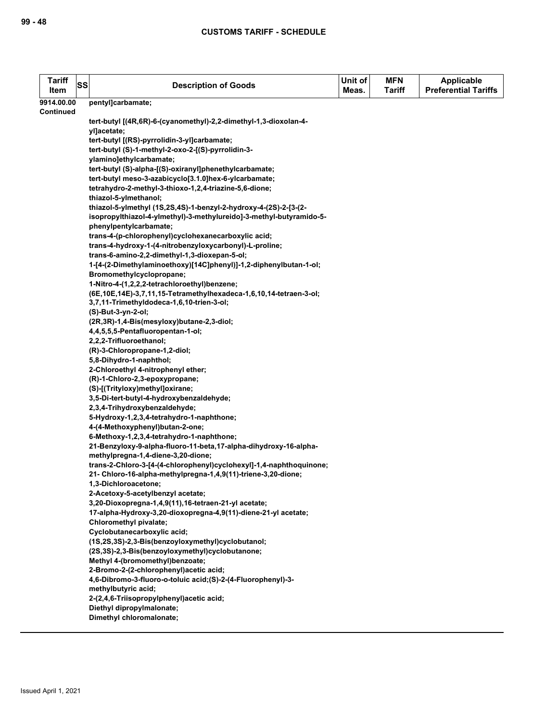| <b>Tariff</b><br>Item          | <b>SS</b> | <b>Description of Goods</b>                                                                                                          | Unit of<br>Meas. | <b>MFN</b><br>Tariff | <b>Applicable</b><br><b>Preferential Tariffs</b> |
|--------------------------------|-----------|--------------------------------------------------------------------------------------------------------------------------------------|------------------|----------------------|--------------------------------------------------|
| 9914.00.00<br><b>Continued</b> |           | pentyl]carbamate;                                                                                                                    |                  |                      |                                                  |
|                                |           | tert-butyl [(4R,6R)-6-(cyanomethyl)-2,2-dimethyl-1,3-dioxolan-4-<br>yl]acetate;                                                      |                  |                      |                                                  |
|                                |           | tert-butyl [(RS)-pyrrolidin-3-yl]carbamate;                                                                                          |                  |                      |                                                  |
|                                |           | tert-butyl (S)-1-methyl-2-oxo-2-[(S)-pyrrolidin-3-                                                                                   |                  |                      |                                                  |
|                                |           | ylamino]ethylcarbamate;                                                                                                              |                  |                      |                                                  |
|                                |           | tert-butyl (S)-alpha-[(S)-oxiranyl]phenethylcarbamate;                                                                               |                  |                      |                                                  |
|                                |           | tert-butyl meso-3-azabicyclo[3.1.0]hex-6-ylcarbamate;                                                                                |                  |                      |                                                  |
|                                |           | tetrahydro-2-methyl-3-thioxo-1,2,4-triazine-5,6-dione;                                                                               |                  |                      |                                                  |
|                                |           | thiazol-5-ylmethanol;                                                                                                                |                  |                      |                                                  |
|                                |           | thiazol-5-ylmethyl (1S,2S,4S)-1-benzyl-2-hydroxy-4-(2S)-2-[3-(2-                                                                     |                  |                      |                                                  |
|                                |           | isopropylthiazol-4-ylmethyl)-3-methylureido]-3-methyl-butyramido-5-<br>phenylpentylcarbamate;                                        |                  |                      |                                                  |
|                                |           | trans-4-(p-chlorophenyl)cyclohexanecarboxylic acid;                                                                                  |                  |                      |                                                  |
|                                |           | trans-4-hydroxy-1-(4-nitrobenzyloxycarbonyl)-L-proline;                                                                              |                  |                      |                                                  |
|                                |           | trans-6-amino-2,2-dimethyl-1,3-dioxepan-5-ol;                                                                                        |                  |                      |                                                  |
|                                |           | 1-[4-(2-Dimethylaminoethoxy)[14C]phenyl)]-1,2-diphenylbutan-1-ol;                                                                    |                  |                      |                                                  |
|                                |           | Bromomethylcyclopropane;                                                                                                             |                  |                      |                                                  |
|                                |           | 1-Nitro-4-(1,2,2,2-tetrachloroethyl)benzene;                                                                                         |                  |                      |                                                  |
|                                |           | (6E, 10E, 14E)-3, 7, 11, 15-Tetramethylhexadeca-1, 6, 10, 14-tetraen-3-ol;                                                           |                  |                      |                                                  |
|                                |           | 3,7,11-Trimethyldodeca-1,6,10-trien-3-ol;                                                                                            |                  |                      |                                                  |
|                                |           | (S)-But-3-yn-2-ol;                                                                                                                   |                  |                      |                                                  |
|                                |           | (2R,3R)-1,4-Bis(mesyloxy)butane-2,3-diol;                                                                                            |                  |                      |                                                  |
|                                |           | 4,4,5,5,5-Pentafluoropentan-1-ol;                                                                                                    |                  |                      |                                                  |
|                                |           | 2,2,2-Trifluoroethanol;                                                                                                              |                  |                      |                                                  |
|                                |           | (R)-3-Chloropropane-1,2-diol;<br>5,8-Dihydro-1-naphthol;                                                                             |                  |                      |                                                  |
|                                |           | 2-Chloroethyl 4-nitrophenyl ether;                                                                                                   |                  |                      |                                                  |
|                                |           | (R)-1-Chloro-2,3-epoxypropane;                                                                                                       |                  |                      |                                                  |
|                                |           | (S)-[(Trityloxy)methyl]oxirane;                                                                                                      |                  |                      |                                                  |
|                                |           | 3,5-Di-tert-butyl-4-hydroxybenzaldehyde;                                                                                             |                  |                      |                                                  |
|                                |           | 2,3,4-Trihydroxybenzaldehyde;                                                                                                        |                  |                      |                                                  |
|                                |           | 5-Hydroxy-1,2,3,4-tetrahydro-1-naphthone;                                                                                            |                  |                      |                                                  |
|                                |           | 4-(4-Methoxyphenyl)butan-2-one;                                                                                                      |                  |                      |                                                  |
|                                |           | 6-Methoxy-1,2,3,4-tetrahydro-1-naphthone;                                                                                            |                  |                      |                                                  |
|                                |           | 21-Benzyloxy-9-alpha-fluoro-11-beta,17-alpha-dihydroxy-16-alpha-                                                                     |                  |                      |                                                  |
|                                |           | methylpregna-1,4-diene-3,20-dione;                                                                                                   |                  |                      |                                                  |
|                                |           | trans-2-Chloro-3-[4-(4-chlorophenyl)cyclohexyl]-1,4-naphthoquinone;<br>21- Chloro-16-alpha-methylpregna-1,4,9(11)-triene-3,20-dione; |                  |                      |                                                  |
|                                |           | 1,3-Dichloroacetone;                                                                                                                 |                  |                      |                                                  |
|                                |           | 2-Acetoxy-5-acetylbenzyl acetate;                                                                                                    |                  |                      |                                                  |
|                                |           | 3,20-Dioxopregna-1,4,9(11),16-tetraen-21-yl acetate;                                                                                 |                  |                      |                                                  |
|                                |           | 17-alpha-Hydroxy-3,20-dioxopregna-4,9(11)-diene-21-yl acetate;                                                                       |                  |                      |                                                  |
|                                |           | Chloromethyl pivalate;                                                                                                               |                  |                      |                                                  |
|                                |           | Cyclobutanecarboxylic acid;                                                                                                          |                  |                      |                                                  |
|                                |           | (1S,2S,3S)-2,3-Bis(benzoyloxymethyl)cyclobutanol;                                                                                    |                  |                      |                                                  |
|                                |           | (2S,3S)-2,3-Bis(benzoyloxymethyl)cyclobutanone;                                                                                      |                  |                      |                                                  |
|                                |           | Methyl 4-(bromomethyl)benzoate;                                                                                                      |                  |                      |                                                  |
|                                |           | 2-Bromo-2-(2-chlorophenyl) acetic acid;                                                                                              |                  |                      |                                                  |
|                                |           | 4,6-Dibromo-3-fluoro-o-toluic acid;(S)-2-(4-Fluorophenyl)-3-                                                                         |                  |                      |                                                  |
|                                |           | methylbutyric acid;<br>2-(2,4,6-Triisopropylphenyl)acetic acid;                                                                      |                  |                      |                                                  |
|                                |           | Diethyl dipropylmalonate;                                                                                                            |                  |                      |                                                  |
|                                |           | Dimethyl chloromalonate;                                                                                                             |                  |                      |                                                  |
|                                |           |                                                                                                                                      |                  |                      |                                                  |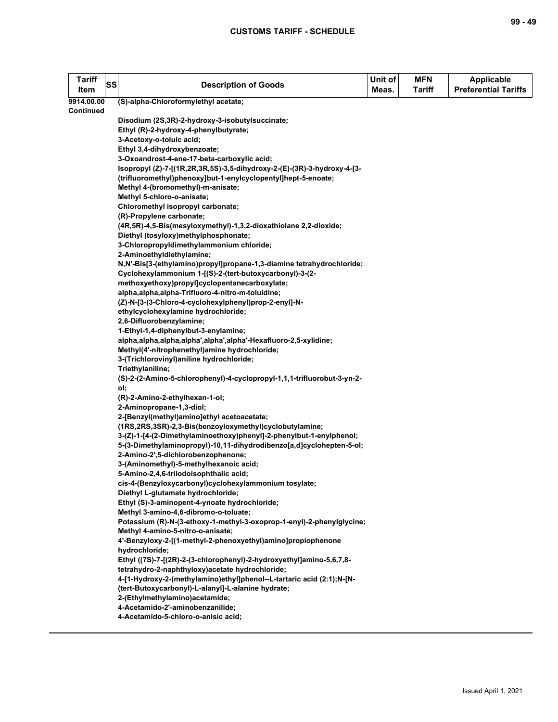| <b>Tariff</b><br>Item | <b>SS</b> | <b>Description of Goods</b>                                                                                                      | Unit of<br>Meas. | <b>MFN</b><br><b>Tariff</b> | <b>Applicable</b><br><b>Preferential Tariffs</b> |
|-----------------------|-----------|----------------------------------------------------------------------------------------------------------------------------------|------------------|-----------------------------|--------------------------------------------------|
| 9914.00.00            |           | (S)-alpha-Chloroformylethyl acetate;                                                                                             |                  |                             |                                                  |
| Continued             |           |                                                                                                                                  |                  |                             |                                                  |
|                       |           | Disodium (2S, 3R)-2-hydroxy-3-isobutylsuccinate;                                                                                 |                  |                             |                                                  |
|                       |           | Ethyl (R)-2-hydroxy-4-phenylbutyrate;                                                                                            |                  |                             |                                                  |
|                       |           | 3-Acetoxy-o-toluic acid;                                                                                                         |                  |                             |                                                  |
|                       |           | Ethyl 3,4-dihydroxybenzoate;                                                                                                     |                  |                             |                                                  |
|                       |           | 3-Oxoandrost-4-ene-17-beta-carboxylic acid;                                                                                      |                  |                             |                                                  |
|                       |           | Isopropyl (Z)-7-[(1R,2R,3R,5S)-3,5-dihydroxy-2-(E)-(3R)-3-hydroxy-4-[3-                                                          |                  |                             |                                                  |
|                       |           | (trifluoromethyl)phenoxy]but-1-enylcyclopentyl]hept-5-enoate;                                                                    |                  |                             |                                                  |
|                       |           | Methyl 4-(bromomethyl)-m-anisate;                                                                                                |                  |                             |                                                  |
|                       |           | Methyl 5-chloro-o-anisate;                                                                                                       |                  |                             |                                                  |
|                       |           | Chloromethyl isopropyl carbonate;                                                                                                |                  |                             |                                                  |
|                       |           | (R)-Propylene carbonate;                                                                                                         |                  |                             |                                                  |
|                       |           | (4R,5R)-4,5-Bis(mesyloxymethyl)-1,3,2-dioxathiolane 2,2-dioxide;                                                                 |                  |                             |                                                  |
|                       |           | Diethyl (tosyloxy)methylphosphonate;                                                                                             |                  |                             |                                                  |
|                       |           | 3-Chloropropyldimethylammonium chloride;<br>2-Aminoethyldiethylamine;                                                            |                  |                             |                                                  |
|                       |           |                                                                                                                                  |                  |                             |                                                  |
|                       |           | N,N'-Bis[3-(ethylamino)propyl]propane-1,3-diamine tetrahydrochloride;<br>Cyclohexylammonium 1-[(S)-2-(tert-butoxycarbonyl)-3-(2- |                  |                             |                                                  |
|                       |           | methoxyethoxy)propyl]cyclopentanecarboxylate;                                                                                    |                  |                             |                                                  |
|                       |           | alpha, alpha, alpha-Trifluoro-4-nitro-m-toluidine;                                                                               |                  |                             |                                                  |
|                       |           | (Z)-N-[3-(3-Chloro-4-cyclohexylphenyl)prop-2-enyl]-N-                                                                            |                  |                             |                                                  |
|                       |           | ethylcyclohexylamine hydrochloride;                                                                                              |                  |                             |                                                  |
|                       |           | 2,6-Difluorobenzylamine;                                                                                                         |                  |                             |                                                  |
|                       |           | 1-Ethyl-1,4-diphenylbut-3-enylamine;                                                                                             |                  |                             |                                                  |
|                       |           | alpha,alpha,alpha,alpha',alpha',alpha'-Hexafluoro-2,5-xylidine;                                                                  |                  |                             |                                                  |
|                       |           | Methyl(4'-nitrophenethyl)amine hydrochloride;                                                                                    |                  |                             |                                                  |
|                       |           | 3-(Trichlorovinyl) aniline hydrochloride;                                                                                        |                  |                             |                                                  |
|                       |           | Triethylaniline;                                                                                                                 |                  |                             |                                                  |
|                       |           | (S)-2-(2-Amino-5-chlorophenyl)-4-cyclopropyl-1,1,1-trifluorobut-3-yn-2-                                                          |                  |                             |                                                  |
|                       |           | ol;                                                                                                                              |                  |                             |                                                  |
|                       |           | (R)-2-Amino-2-ethylhexan-1-ol;                                                                                                   |                  |                             |                                                  |
|                       |           | 2-Aminopropane-1,3-diol;                                                                                                         |                  |                             |                                                  |
|                       |           | 2-[Benzyl(methyl)amino]ethyl acetoacetate;                                                                                       |                  |                             |                                                  |
|                       |           | (1RS,2RS,3SR)-2,3-Bis(benzoyloxymethyl)cyclobutylamine;                                                                          |                  |                             |                                                  |
|                       |           | 3-(Z)-1-[4-(2-Dimethylaminoethoxy)phenyl]-2-phenylbut-1-enylphenol;                                                              |                  |                             |                                                  |
|                       |           | 5-(3-Dimethylaminopropyl)-10,11-dihydrodibenzo[a,d]cyclohepten-5-ol;                                                             |                  |                             |                                                  |
|                       |           | 2-Amino-2',5-dichlorobenzophenone;                                                                                               |                  |                             |                                                  |
|                       |           | 3-(Aminomethyl)-5-methylhexanoic acid;                                                                                           |                  |                             |                                                  |
|                       |           | 5-Amino-2,4,6-triiodoisophthalic acid;                                                                                           |                  |                             |                                                  |
|                       |           | cis-4-(Benzyloxycarbonyl)cyclohexylammonium tosylate;                                                                            |                  |                             |                                                  |
|                       |           | Diethyl L-glutamate hydrochloride;                                                                                               |                  |                             |                                                  |
|                       |           | Ethyl (S)-3-aminopent-4-ynoate hydrochloride;                                                                                    |                  |                             |                                                  |
|                       |           | Methyl 3-amino-4,6-dibromo-o-toluate;                                                                                            |                  |                             |                                                  |
|                       |           | Potassium (R)-N-(3-ethoxy-1-methyl-3-oxoprop-1-enyl)-2-phenylglycine;                                                            |                  |                             |                                                  |
|                       |           | Methyl 4-amino-5-nitro-o-anisate;                                                                                                |                  |                             |                                                  |
|                       |           | 4'-Benzyloxy-2-[(1-methyl-2-phenoxyethyl)amino]propiophenone                                                                     |                  |                             |                                                  |
|                       |           | hydrochloride;<br>Ethyl ((7S)-7-[(2R)-2-(3-chlorophenyl)-2-hydroxyethyl]amino-5,6,7,8-                                           |                  |                             |                                                  |
|                       |           | tetrahydro-2-naphthyloxy) acetate hydrochloride;                                                                                 |                  |                             |                                                  |
|                       |           | 4-[1-Hydroxy-2-(methylamino)ethyl]phenol--L-tartaric acid (2:1);N-[N-                                                            |                  |                             |                                                  |
|                       |           | (tert-Butoxycarbonyl)-L-alanyl]-L-alanine hydrate;                                                                               |                  |                             |                                                  |
|                       |           | 2-(Ethylmethylamino)acetamide;                                                                                                   |                  |                             |                                                  |
|                       |           | 4-Acetamido-2'-aminobenzanilide;                                                                                                 |                  |                             |                                                  |
|                       |           | 4-Acetamido-5-chloro-o-anisic acid;                                                                                              |                  |                             |                                                  |
|                       |           |                                                                                                                                  |                  |                             |                                                  |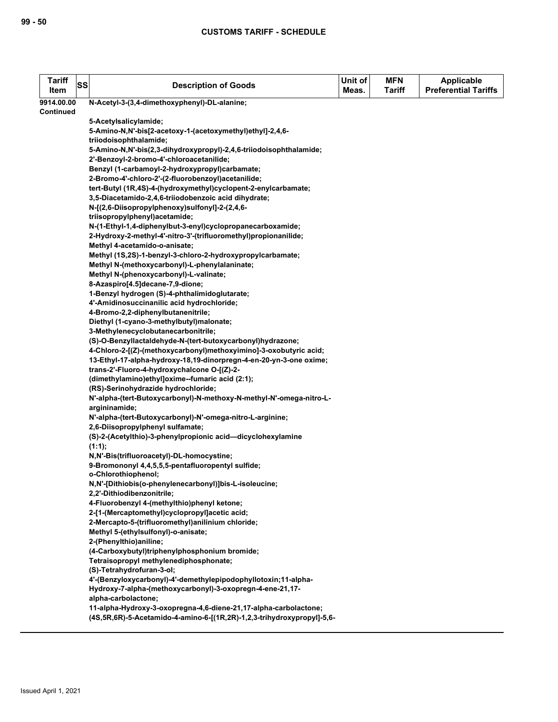| <b>Tariff</b><br>Item | SS | <b>Description of Goods</b>                                                                                                                | Unit of<br>Meas. | <b>MFN</b><br><b>Tariff</b> | <b>Applicable</b><br><b>Preferential Tariffs</b> |
|-----------------------|----|--------------------------------------------------------------------------------------------------------------------------------------------|------------------|-----------------------------|--------------------------------------------------|
| 9914.00.00            |    | N-Acetyl-3-(3,4-dimethoxyphenyl)-DL-alanine;                                                                                               |                  |                             |                                                  |
| <b>Continued</b>      |    |                                                                                                                                            |                  |                             |                                                  |
|                       |    | 5-Acetylsalicylamide;                                                                                                                      |                  |                             |                                                  |
|                       |    | 5-Amino-N,N'-bis[2-acetoxy-1-(acetoxymethyl)ethyl]-2,4,6-                                                                                  |                  |                             |                                                  |
|                       |    | triiodoisophthalamide;                                                                                                                     |                  |                             |                                                  |
|                       |    | 5-Amino-N,N'-bis(2,3-dihydroxypropyl)-2,4,6-triiodoisophthalamide;                                                                         |                  |                             |                                                  |
|                       |    | 2'-Benzoyl-2-bromo-4'-chloroacetanilide;                                                                                                   |                  |                             |                                                  |
|                       |    | Benzyl (1-carbamoyl-2-hydroxypropyl)carbamate;                                                                                             |                  |                             |                                                  |
|                       |    | 2-Bromo-4'-chloro-2'-(2-fluorobenzoyl)acetanilide;                                                                                         |                  |                             |                                                  |
|                       |    | tert-Butyl (1R,4S)-4-(hydroxymethyl)cyclopent-2-enylcarbamate;                                                                             |                  |                             |                                                  |
|                       |    | 3,5-Diacetamido-2,4,6-triiodobenzoic acid dihydrate;                                                                                       |                  |                             |                                                  |
|                       |    | N-[(2,6-Diisopropylphenoxy)sulfonyl]-2-(2,4,6-                                                                                             |                  |                             |                                                  |
|                       |    | triisopropylphenyl)acetamide;                                                                                                              |                  |                             |                                                  |
|                       |    | N-(1-Ethyl-1,4-diphenylbut-3-enyl)cyclopropanecarboxamide;                                                                                 |                  |                             |                                                  |
|                       |    | 2-Hydroxy-2-methyl-4'-nitro-3'-(trifluoromethyl)propionanilide;                                                                            |                  |                             |                                                  |
|                       |    | Methyl 4-acetamido-o-anisate;                                                                                                              |                  |                             |                                                  |
|                       |    | Methyl (1S,2S)-1-benzyl-3-chloro-2-hydroxypropylcarbamate;                                                                                 |                  |                             |                                                  |
|                       |    | Methyl N-(methoxycarbonyl)-L-phenylalaninate;                                                                                              |                  |                             |                                                  |
|                       |    | Methyl N-(phenoxycarbonyl)-L-valinate;                                                                                                     |                  |                             |                                                  |
|                       |    | 8-Azaspiro[4.5]decane-7,9-dione;                                                                                                           |                  |                             |                                                  |
|                       |    | 1-Benzyl hydrogen (S)-4-phthalimidoglutarate;                                                                                              |                  |                             |                                                  |
|                       |    | 4'-Amidinosuccinanilic acid hydrochloride;                                                                                                 |                  |                             |                                                  |
|                       |    | 4-Bromo-2,2-diphenylbutanenitrile;                                                                                                         |                  |                             |                                                  |
|                       |    | Diethyl (1-cyano-3-methylbutyl)malonate;                                                                                                   |                  |                             |                                                  |
|                       |    | 3-Methylenecyclobutanecarbonitrile;                                                                                                        |                  |                             |                                                  |
|                       |    | (S)-O-Benzyllactaldehyde-N-(tert-butoxycarbonyl)hydrazone;                                                                                 |                  |                             |                                                  |
|                       |    | 4-Chloro-2-[(Z)-(methoxycarbonyl)methoxyimino]-3-oxobutyric acid;                                                                          |                  |                             |                                                  |
|                       |    | 13-Ethyl-17-alpha-hydroxy-18,19-dinorpregn-4-en-20-yn-3-one oxime;                                                                         |                  |                             |                                                  |
|                       |    | trans-2'-Fluoro-4-hydroxychalcone O-[(Z)-2-                                                                                                |                  |                             |                                                  |
|                       |    | (dimethylamino)ethyl]oxime--fumaric acid (2:1);<br>(RS)-Serinohydrazide hydrochloride;                                                     |                  |                             |                                                  |
|                       |    | N'-alpha-(tert-Butoxycarbonyl)-N-methoxy-N-methyl-N'-omega-nitro-L-                                                                        |                  |                             |                                                  |
|                       |    | argininamide;                                                                                                                              |                  |                             |                                                  |
|                       |    | N'-alpha-(tert-Butoxycarbonyl)-N'-omega-nitro-L-arginine;                                                                                  |                  |                             |                                                  |
|                       |    | 2.6-Diisopropylphenyl sulfamate;                                                                                                           |                  |                             |                                                  |
|                       |    | (S)-2-(Acetylthio)-3-phenylpropionic acid-dicyclohexylamine                                                                                |                  |                             |                                                  |
|                       |    | $(1:1)$ :                                                                                                                                  |                  |                             |                                                  |
|                       |    | N,N'-Bis(trifluoroacetyl)-DL-homocystine;                                                                                                  |                  |                             |                                                  |
|                       |    | 9-Bromononyl 4,4,5,5,5-pentafluoropentyl sulfide;                                                                                          |                  |                             |                                                  |
|                       |    | o-Chlorothiophenol;                                                                                                                        |                  |                             |                                                  |
|                       |    | N,N'-[Dithiobis(o-phenylenecarbonyl)]bis-L-isoleucine;                                                                                     |                  |                             |                                                  |
|                       |    | 2,2'-Dithiodibenzonitrile;                                                                                                                 |                  |                             |                                                  |
|                       |    | 4-Fluorobenzyl 4-(methylthio)phenyl ketone;                                                                                                |                  |                             |                                                  |
|                       |    | 2-[1-(Mercaptomethyl)cyclopropyl]acetic acid;                                                                                              |                  |                             |                                                  |
|                       |    | 2-Mercapto-5-(trifluoromethyl) anilinium chloride;                                                                                         |                  |                             |                                                  |
|                       |    | Methyl 5-(ethylsulfonyl)-o-anisate;                                                                                                        |                  |                             |                                                  |
|                       |    | 2-(Phenylthio) aniline;                                                                                                                    |                  |                             |                                                  |
|                       |    | (4-Carboxybutyl)triphenylphosphonium bromide;                                                                                              |                  |                             |                                                  |
|                       |    | Tetraisopropyl methylenediphosphonate;                                                                                                     |                  |                             |                                                  |
|                       |    | (S)-Tetrahydrofuran-3-ol;                                                                                                                  |                  |                             |                                                  |
|                       |    | 4'-(Benzyloxycarbonyl)-4'-demethylepipodophyllotoxin;11-alpha-                                                                             |                  |                             |                                                  |
|                       |    | Hydroxy-7-alpha-(methoxycarbonyl)-3-oxopregn-4-ene-21,17-                                                                                  |                  |                             |                                                  |
|                       |    | alpha-carbolactone;                                                                                                                        |                  |                             |                                                  |
|                       |    | 11-alpha-Hydroxy-3-oxopregna-4,6-diene-21,17-alpha-carbolactone;<br>(4S,5R,6R)-5-Acetamido-4-amino-6-[(1R,2R)-1,2,3-trihydroxypropyl]-5,6- |                  |                             |                                                  |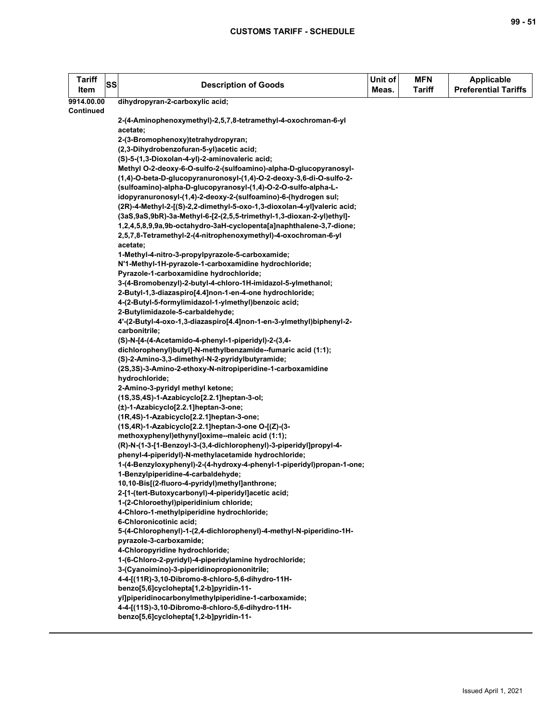| <b>Tariff</b><br>Item | <b>SS</b> | <b>Description of Goods</b>                                                              | Unit of<br>Meas. | <b>MFN</b><br><b>Tariff</b> | <b>Applicable</b><br><b>Preferential Tariffs</b> |
|-----------------------|-----------|------------------------------------------------------------------------------------------|------------------|-----------------------------|--------------------------------------------------|
| 9914.00.00            |           | dihydropyran-2-carboxylic acid;                                                          |                  |                             |                                                  |
| <b>Continued</b>      |           |                                                                                          |                  |                             |                                                  |
|                       |           | 2-(4-Aminophenoxymethyl)-2,5,7,8-tetramethyl-4-oxochroman-6-yl                           |                  |                             |                                                  |
|                       |           | acetate;                                                                                 |                  |                             |                                                  |
|                       |           | 2-(3-Bromophenoxy)tetrahydropyran;                                                       |                  |                             |                                                  |
|                       |           | (2,3-Dihydrobenzofuran-5-yl)acetic acid;                                                 |                  |                             |                                                  |
|                       |           | (S)-5-(1,3-Dioxolan-4-yl)-2-aminovaleric acid;                                           |                  |                             |                                                  |
|                       |           | Methyl O-2-deoxy-6-O-sulfo-2-(sulfoamino)-alpha-D-glucopyranosyl-                        |                  |                             |                                                  |
|                       |           | (1,4)-O-beta-D-glucopyranuronosyl-(1,4)-O-2-deoxy-3,6-di-O-sulfo-2-                      |                  |                             |                                                  |
|                       |           | (sulfoamino)-alpha-D-glucopyranosyl-(1,4)-O-2-O-sulfo-alpha-L-                           |                  |                             |                                                  |
|                       |           | idopyranuronosyl-(1,4)-2-deoxy-2-(sulfoamino)-6-(hydrogen sul;                           |                  |                             |                                                  |
|                       |           | (2R)-4-Methyl-2-[(S)-2,2-dimethyl-5-oxo-1,3-dioxolan-4-yl]valeric acid;                  |                  |                             |                                                  |
|                       |           | (3aS,9aS,9bR)-3a-Methyl-6-[2-(2,5,5-trimethyl-1,3-dioxan-2-yl)ethyl]-                    |                  |                             |                                                  |
|                       |           | 1,2,4,5,8,9,9a,9b-octahydro-3aH-cyclopenta[a]naphthalene-3,7-dione;                      |                  |                             |                                                  |
|                       |           | 2,5,7,8-Tetramethyl-2-(4-nitrophenoxymethyl)-4-oxochroman-6-yl                           |                  |                             |                                                  |
|                       |           | acetate;                                                                                 |                  |                             |                                                  |
|                       |           | 1-Methyl-4-nitro-3-propylpyrazole-5-carboxamide;                                         |                  |                             |                                                  |
|                       |           | N'1-Methyl-1H-pyrazole-1-carboxamidine hydrochloride;                                    |                  |                             |                                                  |
|                       |           | Pyrazole-1-carboxamidine hydrochloride;                                                  |                  |                             |                                                  |
|                       |           | 3-(4-Bromobenzyl)-2-butyl-4-chloro-1H-imidazol-5-ylmethanol;                             |                  |                             |                                                  |
|                       |           | 2-Butyl-1,3-diazaspiro[4.4]non-1-en-4-one hydrochloride;                                 |                  |                             |                                                  |
|                       |           | 4-(2-Butyl-5-formylimidazol-1-ylmethyl)benzoic acid;<br>2-Butylimidazole-5-carbaldehyde; |                  |                             |                                                  |
|                       |           |                                                                                          |                  |                             |                                                  |
|                       |           | 4'-(2-Butyl-4-oxo-1,3-diazaspiro[4.4]non-1-en-3-ylmethyl)biphenyl-2-<br>carbonitrile;    |                  |                             |                                                  |
|                       |           | (S)-N-[4-(4-Acetamido-4-phenyl-1-piperidyl)-2-(3,4-                                      |                  |                             |                                                  |
|                       |           | dichlorophenyl)butyl]-N-methylbenzamide--fumaric acid (1:1);                             |                  |                             |                                                  |
|                       |           | (S)-2-Amino-3,3-dimethyl-N-2-pyridylbutyramide;                                          |                  |                             |                                                  |
|                       |           | (2S,3S)-3-Amino-2-ethoxy-N-nitropiperidine-1-carboxamidine                               |                  |                             |                                                  |
|                       |           | hydrochloride;                                                                           |                  |                             |                                                  |
|                       |           | 2-Amino-3-pyridyl methyl ketone;                                                         |                  |                             |                                                  |
|                       |           | (1S,3S,4S)-1-Azabicyclo[2.2.1]heptan-3-ol;                                               |                  |                             |                                                  |
|                       |           | (±)-1-Azabicyclo[2.2.1]heptan-3-one;                                                     |                  |                             |                                                  |
|                       |           | (1R,4S)-1-Azabicyclo[2.2.1]heptan-3-one;                                                 |                  |                             |                                                  |
|                       |           | (1S,4R)-1-Azabicyclo[2.2.1]heptan-3-one O-[(Z)-(3-                                       |                  |                             |                                                  |
|                       |           | methoxyphenyl)ethynyl]oxime--maleic acid (1:1);                                          |                  |                             |                                                  |
|                       |           | (R)-N-(1-3-[1-Benzoyl-3-(3,4-dichlorophenyl)-3-piperidyl]propyl-4-                       |                  |                             |                                                  |
|                       |           | phenyl-4-piperidyl)-N-methylacetamide hydrochloride;                                     |                  |                             |                                                  |
|                       |           | 1-(4-Benzyloxyphenyl)-2-(4-hydroxy-4-phenyl-1-piperidyl)propan-1-one;                    |                  |                             |                                                  |
|                       |           | 1-Benzylpiperidine-4-carbaldehyde;                                                       |                  |                             |                                                  |
|                       |           | 10,10-Bis[(2-fluoro-4-pyridyl)methyl]anthrone;                                           |                  |                             |                                                  |
|                       |           | 2-[1-(tert-Butoxycarbonyl)-4-piperidyl]acetic acid;                                      |                  |                             |                                                  |
|                       |           | 1-(2-Chloroethyl)piperidinium chloride;                                                  |                  |                             |                                                  |
|                       |           | 4-Chloro-1-methylpiperidine hydrochloride;                                               |                  |                             |                                                  |
|                       |           | 6-Chloronicotinic acid;                                                                  |                  |                             |                                                  |
|                       |           | 5-(4-Chlorophenyl)-1-(2,4-dichlorophenyl)-4-methyl-N-piperidino-1H-                      |                  |                             |                                                  |
|                       |           | pyrazole-3-carboxamide;                                                                  |                  |                             |                                                  |
|                       |           | 4-Chloropyridine hydrochloride;                                                          |                  |                             |                                                  |
|                       |           | 1-(6-Chloro-2-pyridyl)-4-piperidylamine hydrochloride;                                   |                  |                             |                                                  |
|                       |           | 3-(Cyanoimino)-3-piperidinopropiononitrile;                                              |                  |                             |                                                  |
|                       |           | 4-4-[(11R)-3,10-Dibromo-8-chloro-5,6-dihydro-11H-                                        |                  |                             |                                                  |
|                       |           | benzo[5,6]cyclohepta[1,2-b]pyridin-11-                                                   |                  |                             |                                                  |
|                       |           | yl]piperidinocarbonylmethylpiperidine-1-carboxamide;                                     |                  |                             |                                                  |
|                       |           | 4-4-[(11S)-3,10-Dibromo-8-chloro-5,6-dihydro-11H-                                        |                  |                             |                                                  |
|                       |           | benzo[5,6]cyclohepta[1,2-b]pyridin-11-                                                   |                  |                             |                                                  |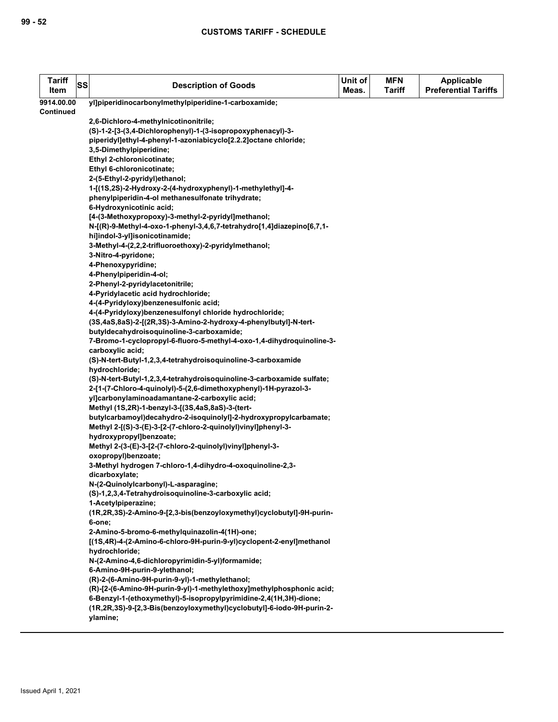| <b>Tariff</b><br>Item | SS | <b>Description of Goods</b>                                                      | Unit of<br>Meas. | <b>MFN</b><br><b>Tariff</b> | <b>Applicable</b><br><b>Preferential Tariffs</b> |
|-----------------------|----|----------------------------------------------------------------------------------|------------------|-----------------------------|--------------------------------------------------|
| 9914.00.00            |    | yl]piperidinocarbonylmethylpiperidine-1-carboxamide;                             |                  |                             |                                                  |
| <b>Continued</b>      |    |                                                                                  |                  |                             |                                                  |
|                       |    | 2,6-Dichloro-4-methylnicotinonitrile;                                            |                  |                             |                                                  |
|                       |    | (S)-1-2-[3-(3,4-Dichlorophenyl)-1-(3-isopropoxyphenacyl)-3-                      |                  |                             |                                                  |
|                       |    | piperidyl]ethyl-4-phenyl-1-azoniabicyclo[2.2.2]octane chloride;                  |                  |                             |                                                  |
|                       |    | 3,5-Dimethylpiperidine;                                                          |                  |                             |                                                  |
|                       |    | Ethyl 2-chloronicotinate;                                                        |                  |                             |                                                  |
|                       |    | Ethyl 6-chloronicotinate;                                                        |                  |                             |                                                  |
|                       |    | 2-(5-Ethyl-2-pyridyl)ethanol;                                                    |                  |                             |                                                  |
|                       |    | 1-[(1S,2S)-2-Hydroxy-2-(4-hydroxyphenyl)-1-methylethyl]-4-                       |                  |                             |                                                  |
|                       |    | phenylpiperidin-4-ol methanesulfonate trihydrate;                                |                  |                             |                                                  |
|                       |    | 6-Hydroxynicotinic acid;                                                         |                  |                             |                                                  |
|                       |    | [4-(3-Methoxypropoxy)-3-methyl-2-pyridyl]methanol;                               |                  |                             |                                                  |
|                       |    | N-[(R)-9-Methyl-4-oxo-1-phenyl-3,4,6,7-tetrahydro[1,4]diazepino[6,7,1-           |                  |                             |                                                  |
|                       |    | hi]indol-3-yl]isonicotinamide;                                                   |                  |                             |                                                  |
|                       |    | 3-Methyl-4-(2,2,2-trifluoroethoxy)-2-pyridylmethanol;                            |                  |                             |                                                  |
|                       |    | 3-Nitro-4-pyridone;                                                              |                  |                             |                                                  |
|                       |    | 4-Phenoxypyridine;                                                               |                  |                             |                                                  |
|                       |    | 4-Phenylpiperidin-4-ol;                                                          |                  |                             |                                                  |
|                       |    | 2-Phenyl-2-pyridylacetonitrile;                                                  |                  |                             |                                                  |
|                       |    | 4-Pyridylacetic acid hydrochloride;                                              |                  |                             |                                                  |
|                       |    | 4-(4-Pyridyloxy)benzenesulfonic acid;                                            |                  |                             |                                                  |
|                       |    | 4-(4-Pyridyloxy)benzenesulfonyl chloride hydrochloride;                          |                  |                             |                                                  |
|                       |    | (3S,4aS,8aS)-2-[(2R,3S)-3-Amino-2-hydroxy-4-phenylbutyl]-N-tert-                 |                  |                             |                                                  |
|                       |    | butyldecahydroisoquinoline-3-carboxamide;                                        |                  |                             |                                                  |
|                       |    | 7-Bromo-1-cyclopropyl-6-fluoro-5-methyl-4-oxo-1,4-dihydroquinoline-3-            |                  |                             |                                                  |
|                       |    | carboxylic acid;                                                                 |                  |                             |                                                  |
|                       |    | (S)-N-tert-Butyl-1,2,3,4-tetrahydroisoquinoline-3-carboxamide                    |                  |                             |                                                  |
|                       |    | hydrochloride;                                                                   |                  |                             |                                                  |
|                       |    | (S)-N-tert-Butyl-1,2,3,4-tetrahydroisoquinoline-3-carboxamide sulfate;           |                  |                             |                                                  |
|                       |    | 2-[1-(7-Chloro-4-quinolyl)-5-(2,6-dimethoxyphenyl)-1H-pyrazol-3-                 |                  |                             |                                                  |
|                       |    | yl]carbonylaminoadamantane-2-carboxylic acid;                                    |                  |                             |                                                  |
|                       |    | Methyl (1S,2R)-1-benzyl-3-[(3S,4aS,8aS)-3-(tert-                                 |                  |                             |                                                  |
|                       |    | butylcarbamoyl)decahydro-2-isoquinolyl]-2-hydroxypropylcarbamate;                |                  |                             |                                                  |
|                       |    | Methyl 2-[(S)-3-(E)-3-[2-(7-chloro-2-quinolyl)vinyl]phenyl-3-                    |                  |                             |                                                  |
|                       |    | hydroxypropyl]benzoate;                                                          |                  |                             |                                                  |
|                       |    | Methyl 2-(3-(E)-3-[2-(7-chloro-2-quinolyl)vinyl]phenyl-3-<br>oxopropyl)benzoate; |                  |                             |                                                  |
|                       |    | 3-Methyl hydrogen 7-chloro-1,4-dihydro-4-oxoquinoline-2,3-                       |                  |                             |                                                  |
|                       |    | dicarboxylate;                                                                   |                  |                             |                                                  |
|                       |    | N-(2-QuinolyIcarbonyl)-L-asparagine;                                             |                  |                             |                                                  |
|                       |    | (S)-1,2,3,4-Tetrahydroisoquinoline-3-carboxylic acid;                            |                  |                             |                                                  |
|                       |    | 1-Acetylpiperazine;                                                              |                  |                             |                                                  |
|                       |    | (1R,2R,3S)-2-Amino-9-[2,3-bis(benzoyloxymethyl)cyclobutyl]-9H-purin-             |                  |                             |                                                  |
|                       |    | 6-one;                                                                           |                  |                             |                                                  |
|                       |    | 2-Amino-5-bromo-6-methylquinazolin-4(1H)-one;                                    |                  |                             |                                                  |
|                       |    | [(1S,4R)-4-(2-Amino-6-chloro-9H-purin-9-yl)cyclopent-2-enyl]methanol             |                  |                             |                                                  |
|                       |    | hydrochloride;                                                                   |                  |                             |                                                  |
|                       |    | N-(2-Amino-4,6-dichloropyrimidin-5-yl)formamide;                                 |                  |                             |                                                  |
|                       |    | 6-Amino-9H-purin-9-ylethanol;                                                    |                  |                             |                                                  |
|                       |    | (R)-2-(6-Amino-9H-purin-9-yl)-1-methylethanol;                                   |                  |                             |                                                  |
|                       |    | (R)-[2-(6-Amino-9H-purin-9-yl)-1-methylethoxy]methylphosphonic acid;             |                  |                             |                                                  |
|                       |    | 6-Benzyl-1-(ethoxymethyl)-5-isopropylpyrimidine-2,4(1H,3H)-dione;                |                  |                             |                                                  |
|                       |    | (1R,2R,3S)-9-[2,3-Bis(benzoyloxymethyl)cyclobutyl]-6-iodo-9H-purin-2-            |                  |                             |                                                  |
|                       |    | ylamine;                                                                         |                  |                             |                                                  |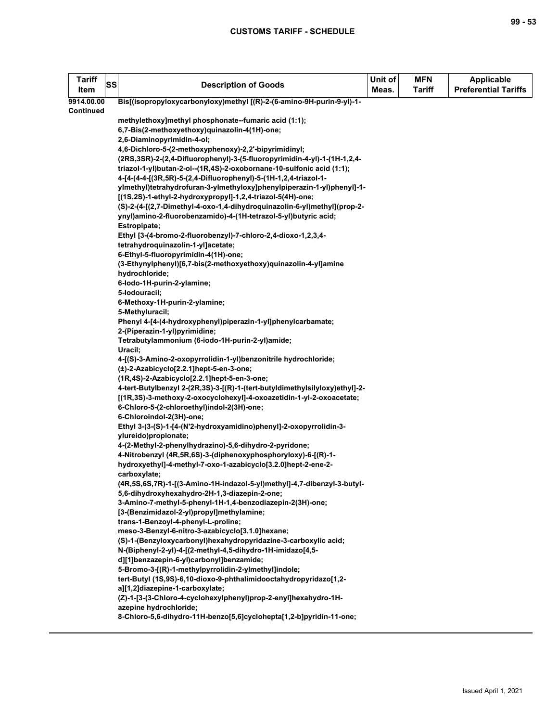| <b>Tariff</b><br>Item | SS | <b>Description of Goods</b>                                                                                | Unit of<br>Meas. | <b>MFN</b><br><b>Tariff</b> | <b>Applicable</b><br><b>Preferential Tariffs</b> |
|-----------------------|----|------------------------------------------------------------------------------------------------------------|------------------|-----------------------------|--------------------------------------------------|
| 9914.00.00            |    | Bis[(isopropyloxycarbonyloxy)methyl [(R)-2-(6-amino-9H-purin-9-yl)-1-                                      |                  |                             |                                                  |
| <b>Continued</b>      |    |                                                                                                            |                  |                             |                                                  |
|                       |    | methylethoxy]methyl phosphonate--fumaric acid (1:1);                                                       |                  |                             |                                                  |
|                       |    | 6,7-Bis(2-methoxyethoxy)quinazolin-4(1H)-one;                                                              |                  |                             |                                                  |
|                       |    | 2,6-Diaminopyrimidin-4-ol;                                                                                 |                  |                             |                                                  |
|                       |    | 4,6-Dichloro-5-(2-methoxyphenoxy)-2,2'-bipyrimidinyl;                                                      |                  |                             |                                                  |
|                       |    | (2RS,3SR)-2-(2,4-Difluorophenyl)-3-(5-fluoropyrimidin-4-yl)-1-(1H-1,2,4-                                   |                  |                             |                                                  |
|                       |    | triazol-1-yl)butan-2-ol--(1R,4S)-2-oxobornane-10-sulfonic acid (1:1);                                      |                  |                             |                                                  |
|                       |    | 4-[4-(4-4-[(3R,5R)-5-(2,4-Difluorophenyl)-5-(1H-1,2,4-triazol-1-                                           |                  |                             |                                                  |
|                       |    | ylmethyl)tetrahydrofuran-3-ylmethyloxy]phenylpiperazin-1-yl)phenyl]-1-                                     |                  |                             |                                                  |
|                       |    | [(1S,2S)-1-ethyl-2-hydroxypropyl]-1,2,4-triazol-5(4H)-one;                                                 |                  |                             |                                                  |
|                       |    | (S)-2-(4-[(2,7-Dimethyl-4-oxo-1,4-dihydroquinazolin-6-yl)methyl](prop-2-                                   |                  |                             |                                                  |
|                       |    | ynyl)amino-2-fluorobenzamido)-4-(1H-tetrazol-5-yl)butyric acid;                                            |                  |                             |                                                  |
|                       |    | Estropipate;                                                                                               |                  |                             |                                                  |
|                       |    | Ethyl [3-(4-bromo-2-fluorobenzyl)-7-chloro-2,4-dioxo-1,2,3,4-                                              |                  |                             |                                                  |
|                       |    | tetrahydroquinazolin-1-yl]acetate;                                                                         |                  |                             |                                                  |
|                       |    | 6-Ethyl-5-fluoropyrimidin-4(1H)-one;                                                                       |                  |                             |                                                  |
|                       |    | (3-Ethynylphenyl)[6,7-bis(2-methoxyethoxy)quinazolin-4-yl]amine                                            |                  |                             |                                                  |
|                       |    | hydrochloride;                                                                                             |                  |                             |                                                  |
|                       |    | 6-lodo-1H-purin-2-ylamine;                                                                                 |                  |                             |                                                  |
|                       |    | 5-lodouracil;                                                                                              |                  |                             |                                                  |
|                       |    | 6-Methoxy-1H-purin-2-ylamine;                                                                              |                  |                             |                                                  |
|                       |    | 5-Methyluracil;                                                                                            |                  |                             |                                                  |
|                       |    | Phenyl 4-[4-(4-hydroxyphenyl)piperazin-1-yl]phenylcarbamate;                                               |                  |                             |                                                  |
|                       |    | 2-(Piperazin-1-yl)pyrimidine;                                                                              |                  |                             |                                                  |
|                       |    | Tetrabutylammonium (6-iodo-1H-purin-2-yl)amide;                                                            |                  |                             |                                                  |
|                       |    | Uracil;                                                                                                    |                  |                             |                                                  |
|                       |    | 4-[(S)-3-Amino-2-oxopyrrolidin-1-yl)benzonitrile hydrochloride;<br>(±)-2-Azabicyclo[2.2.1]hept-5-en-3-one; |                  |                             |                                                  |
|                       |    | (1R,4S)-2-Azabicyclo[2.2.1]hept-5-en-3-one;                                                                |                  |                             |                                                  |
|                       |    | 4-tert-Butylbenzyl 2-(2R,3S)-3-[(R)-1-(tert-butyldimethylsilyloxy)ethyl]-2-                                |                  |                             |                                                  |
|                       |    | [(1R,3S)-3-methoxy-2-oxocyclohexyl]-4-oxoazetidin-1-yl-2-oxoacetate;                                       |                  |                             |                                                  |
|                       |    | 6-Chloro-5-(2-chloroethyl)indol-2(3H)-one;                                                                 |                  |                             |                                                  |
|                       |    | 6-Chloroindol-2(3H)-one;                                                                                   |                  |                             |                                                  |
|                       |    | Ethyl 3-(3-(S)-1-[4-(N'2-hydroxyamidino)phenyl]-2-oxopyrrolidin-3-                                         |                  |                             |                                                  |
|                       |    | ylureido)propionate;                                                                                       |                  |                             |                                                  |
|                       |    | 4-(2-Methyl-2-phenylhydrazino)-5,6-dihydro-2-pyridone;                                                     |                  |                             |                                                  |
|                       |    | 4-Nitrobenzyl (4R,5R,6S)-3-(diphenoxyphosphoryloxy)-6-[(R)-1-                                              |                  |                             |                                                  |
|                       |    | hydroxyethyl]-4-methyl-7-oxo-1-azabicyclo[3.2.0]hept-2-ene-2-                                              |                  |                             |                                                  |
|                       |    | carboxylate;                                                                                               |                  |                             |                                                  |
|                       |    | (4R,5S,6S,7R)-1-[(3-Amino-1H-indazol-5-yl)methyl]-4,7-dibenzyl-3-butyl-                                    |                  |                             |                                                  |
|                       |    | 5,6-dihydroxyhexahydro-2H-1,3-diazepin-2-one;                                                              |                  |                             |                                                  |
|                       |    | 3-Amino-7-methyl-5-phenyl-1H-1,4-benzodiazepin-2(3H)-one;                                                  |                  |                             |                                                  |
|                       |    | [3-(Benzimidazol-2-yl)propyl]methylamine;                                                                  |                  |                             |                                                  |
|                       |    | trans-1-Benzoyl-4-phenyl-L-proline;                                                                        |                  |                             |                                                  |
|                       |    | meso-3-Benzyl-6-nitro-3-azabicyclo[3.1.0]hexane;                                                           |                  |                             |                                                  |
|                       |    | (S)-1-(Benzyloxycarbonyl)hexahydropyridazine-3-carboxylic acid;                                            |                  |                             |                                                  |
|                       |    | N-(Biphenyl-2-yl)-4-[(2-methyl-4,5-dihydro-1H-imidazo[4,5-                                                 |                  |                             |                                                  |
|                       |    | d][1]benzazepin-6-yl)carbonyl]benzamide;                                                                   |                  |                             |                                                  |
|                       |    | 5-Bromo-3-[(R)-1-methylpyrrolidin-2-ylmethyl]indole;                                                       |                  |                             |                                                  |
|                       |    | tert-Butyl (1S,9S)-6,10-dioxo-9-phthalimidooctahydropyridazo[1,2-                                          |                  |                             |                                                  |
|                       |    | a][1,2]diazepine-1-carboxylate;                                                                            |                  |                             |                                                  |
|                       |    | (Z)-1-[3-(3-Chloro-4-cyclohexylphenyl)prop-2-enyl]hexahydro-1H-                                            |                  |                             |                                                  |
|                       |    | azepine hydrochloride;                                                                                     |                  |                             |                                                  |
|                       |    | 8-Chloro-5,6-dihydro-11H-benzo[5,6]cyclohepta[1,2-b]pyridin-11-one;                                        |                  |                             |                                                  |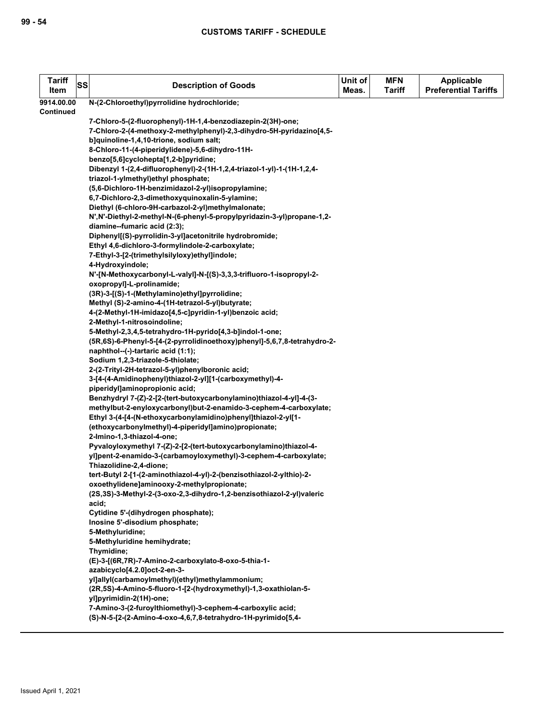| <b>Tariff</b><br>Item | SS | <b>Description of Goods</b>                                                                                                           | Unit of<br>Meas. | <b>MFN</b><br><b>Tariff</b> | <b>Applicable</b><br><b>Preferential Tariffs</b> |
|-----------------------|----|---------------------------------------------------------------------------------------------------------------------------------------|------------------|-----------------------------|--------------------------------------------------|
| 9914.00.00            |    | N-(2-Chloroethyl)pyrrolidine hydrochloride;                                                                                           |                  |                             |                                                  |
| <b>Continued</b>      |    |                                                                                                                                       |                  |                             |                                                  |
|                       |    | 7-Chloro-5-(2-fluorophenyl)-1H-1,4-benzodiazepin-2(3H)-one;                                                                           |                  |                             |                                                  |
|                       |    | 7-Chloro-2-(4-methoxy-2-methylphenyl)-2,3-dihydro-5H-pyridazino[4,5-                                                                  |                  |                             |                                                  |
|                       |    | b]quinoline-1,4,10-trione, sodium salt;                                                                                               |                  |                             |                                                  |
|                       |    | 8-Chloro-11-(4-piperidylidene)-5,6-dihydro-11H-                                                                                       |                  |                             |                                                  |
|                       |    | benzo[5,6]cyclohepta[1,2-b]pyridine;                                                                                                  |                  |                             |                                                  |
|                       |    | Dibenzyl 1-(2,4-difluorophenyl)-2-(1H-1,2,4-triazol-1-yl)-1-(1H-1,2,4-                                                                |                  |                             |                                                  |
|                       |    | triazol-1-ylmethyl)ethyl phosphate;                                                                                                   |                  |                             |                                                  |
|                       |    | (5,6-Dichloro-1H-benzimidazol-2-yl)isopropylamine;                                                                                    |                  |                             |                                                  |
|                       |    | 6,7-Dichloro-2,3-dimethoxyquinoxalin-5-ylamine;<br>Diethyl (6-chloro-9H-carbazol-2-yl)methylmalonate;                                 |                  |                             |                                                  |
|                       |    | N', N'-Diethyl-2-methyl-N-(6-phenyl-5-propylpyridazin-3-yl)propane-1,2-                                                               |                  |                             |                                                  |
|                       |    | diamine--fumaric acid (2:3);                                                                                                          |                  |                             |                                                  |
|                       |    | Diphenyl[(S)-pyrrolidin-3-yl]acetonitrile hydrobromide;                                                                               |                  |                             |                                                  |
|                       |    | Ethyl 4,6-dichloro-3-formylindole-2-carboxylate;                                                                                      |                  |                             |                                                  |
|                       |    | 7-Ethyl-3-[2-(trimethylsilyloxy)ethyl]indole;                                                                                         |                  |                             |                                                  |
|                       |    | 4-Hydroxyindole;                                                                                                                      |                  |                             |                                                  |
|                       |    | N'-[N-Methoxycarbonyl-L-valyl]-N-[(S)-3,3,3-trifluoro-1-isopropyl-2-                                                                  |                  |                             |                                                  |
|                       |    | oxopropyl]-L-prolinamide;                                                                                                             |                  |                             |                                                  |
|                       |    | (3R)-3-[(S)-1-(Methylamino)ethyl]pyrrolidine;                                                                                         |                  |                             |                                                  |
|                       |    | Methyl (S)-2-amino-4-(1H-tetrazol-5-yl)butyrate;                                                                                      |                  |                             |                                                  |
|                       |    | 4-(2-Methyl-1H-imidazo[4,5-c]pyridin-1-yl)benzoic acid;                                                                               |                  |                             |                                                  |
|                       |    | 2-Methyl-1-nitrosoindoline;                                                                                                           |                  |                             |                                                  |
|                       |    | 5-Methyl-2,3,4,5-tetrahydro-1H-pyrido[4,3-b]indol-1-one;                                                                              |                  |                             |                                                  |
|                       |    | (5R,6S)-6-Phenyl-5-[4-(2-pyrrolidinoethoxy)phenyl]-5,6,7,8-tetrahydro-2-<br>naphthol--(-)-tartaric acid (1:1);                        |                  |                             |                                                  |
|                       |    | Sodium 1,2,3-triazole-5-thiolate;                                                                                                     |                  |                             |                                                  |
|                       |    | 2-(2-Trityl-2H-tetrazol-5-yl)phenylboronic acid;                                                                                      |                  |                             |                                                  |
|                       |    | 3-[4-(4-Amidinophenyl)thiazol-2-yl][1-(carboxymethyl)-4-                                                                              |                  |                             |                                                  |
|                       |    | piperidyl]aminopropionic acid;                                                                                                        |                  |                             |                                                  |
|                       |    | Benzhydryl 7-(Z)-2-[2-(tert-butoxycarbonylamino)thiazol-4-yl]-4-(3-                                                                   |                  |                             |                                                  |
|                       |    | methylbut-2-enyloxycarbonyl)but-2-enamido-3-cephem-4-carboxylate;                                                                     |                  |                             |                                                  |
|                       |    | Ethyl 3-(4-[4-(N-ethoxycarbonylamidino)phenyl]thiazol-2-yl[1-                                                                         |                  |                             |                                                  |
|                       |    | (ethoxycarbonylmethyl)-4-piperidyl]amino)propionate;                                                                                  |                  |                             |                                                  |
|                       |    | 2-Imino-1,3-thiazol-4-one;                                                                                                            |                  |                             |                                                  |
|                       |    | Pyvaloyloxymethyl 7-(Z)-2-[2-(tert-butoxycarbonylamino)thiazol-4-<br>yl]pent-2-enamido-3-(carbamoyloxymethyl)-3-cephem-4-carboxylate; |                  |                             |                                                  |
|                       |    | Thiazolidine-2,4-dione;                                                                                                               |                  |                             |                                                  |
|                       |    | tert-Butyl 2-[1-(2-aminothiazol-4-yl)-2-(benzisothiazol-2-ylthio)-2-                                                                  |                  |                             |                                                  |
|                       |    | oxoethylidene]aminooxy-2-methylpropionate;                                                                                            |                  |                             |                                                  |
|                       |    | (2S,3S)-3-Methyl-2-(3-oxo-2,3-dihydro-1,2-benzisothiazol-2-yl)valeric                                                                 |                  |                             |                                                  |
|                       |    | acid;                                                                                                                                 |                  |                             |                                                  |
|                       |    | Cytidine 5'-(dihydrogen phosphate);                                                                                                   |                  |                             |                                                  |
|                       |    | Inosine 5'-disodium phosphate;                                                                                                        |                  |                             |                                                  |
|                       |    | 5-Methyluridine;                                                                                                                      |                  |                             |                                                  |
|                       |    | 5-Methyluridine hemihydrate;                                                                                                          |                  |                             |                                                  |
|                       |    | Thymidine;                                                                                                                            |                  |                             |                                                  |
|                       |    | (E)-3-[(6R,7R)-7-Amino-2-carboxylato-8-oxo-5-thia-1-<br>azabicyclo[4.2.0]oct-2-en-3-                                                  |                  |                             |                                                  |
|                       |    | yl]allyl(carbamoylmethyl)(ethyl)methylammonium;                                                                                       |                  |                             |                                                  |
|                       |    | (2R,5S)-4-Amino-5-fluoro-1-[2-(hydroxymethyl)-1,3-oxathiolan-5-                                                                       |                  |                             |                                                  |
|                       |    | yl]pyrimidin-2(1H)-one;                                                                                                               |                  |                             |                                                  |
|                       |    | 7-Amino-3-(2-furoyIthiomethyl)-3-cephem-4-carboxylic acid;                                                                            |                  |                             |                                                  |
|                       |    | (S)-N-5-[2-(2-Amino-4-oxo-4,6,7,8-tetrahydro-1H-pyrimido[5,4-                                                                         |                  |                             |                                                  |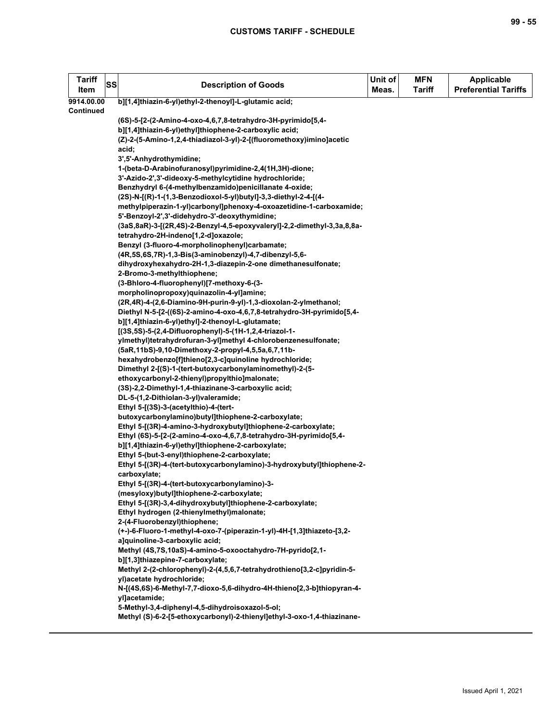| <b>Tariff</b><br>SS<br>Item | <b>Description of Goods</b>                                                                                                    | Unit of<br>Meas. | <b>MFN</b><br><b>Tariff</b> | <b>Applicable</b><br><b>Preferential Tariffs</b> |
|-----------------------------|--------------------------------------------------------------------------------------------------------------------------------|------------------|-----------------------------|--------------------------------------------------|
| 9914.00.00                  | b][1,4]thiazin-6-yl)ethyl-2-thenoyl]-L-glutamic acid;                                                                          |                  |                             |                                                  |
| Continued                   |                                                                                                                                |                  |                             |                                                  |
|                             | (6S)-5-[2-(2-Amino-4-oxo-4,6,7,8-tetrahydro-3H-pyrimido[5,4-                                                                   |                  |                             |                                                  |
|                             | b][1,4]thiazin-6-yl)ethyl]thiophene-2-carboxylic acid;<br>(Z)-2-(5-Amino-1,2,4-thiadiazol-3-yl)-2-[(fluoromethoxy)imino]acetic |                  |                             |                                                  |
|                             | acid;                                                                                                                          |                  |                             |                                                  |
|                             | 3',5'-Anhydrothymidine;                                                                                                        |                  |                             |                                                  |
|                             | 1-(beta-D-Arabinofuranosyl)pyrimidine-2,4(1H,3H)-dione;                                                                        |                  |                             |                                                  |
|                             | 3'-Azido-2',3'-dideoxy-5-methylcytidine hydrochloride;                                                                         |                  |                             |                                                  |
|                             | Benzhydryl 6-(4-methylbenzamido)penicillanate 4-oxide;                                                                         |                  |                             |                                                  |
|                             | (2S)-N-[(R)-1-(1,3-Benzodioxol-5-yl)butyl]-3,3-diethyl-2-4-[(4-                                                                |                  |                             |                                                  |
|                             | methylpiperazin-1-yl)carbonyl]phenoxy-4-oxoazetidine-1-carboxamide;                                                            |                  |                             |                                                  |
|                             | 5'-Benzoyl-2',3'-didehydro-3'-deoxythymidine;                                                                                  |                  |                             |                                                  |
|                             | (3aS,8aR)-3-[(2R,4S)-2-Benzyl-4,5-epoxyvaleryl]-2,2-dimethyl-3,3a,8,8a-                                                        |                  |                             |                                                  |
|                             | tetrahydro-2H-indeno[1,2-d]oxazole;                                                                                            |                  |                             |                                                  |
|                             | Benzyl (3-fluoro-4-morpholinophenyl)carbamate;                                                                                 |                  |                             |                                                  |
|                             | (4R,5S,6S,7R)-1,3-Bis(3-aminobenzyl)-4,7-dibenzyl-5,6-                                                                         |                  |                             |                                                  |
|                             | dihydroxyhexahydro-2H-1,3-diazepin-2-one dimethanesulfonate;                                                                   |                  |                             |                                                  |
|                             | 2-Bromo-3-methylthiophene;                                                                                                     |                  |                             |                                                  |
|                             | (3-Bhloro-4-fluorophenyl)[7-methoxy-6-(3-<br>morpholinopropoxy)quinazolin-4-yl]amine;                                          |                  |                             |                                                  |
|                             | (2R,4R)-4-(2,6-Diamino-9H-purin-9-yl)-1,3-dioxolan-2-ylmethanol;                                                               |                  |                             |                                                  |
|                             | Diethyl N-5-[2-((6S)-2-amino-4-oxo-4,6,7,8-tetrahydro-3H-pyrimido[5,4-                                                         |                  |                             |                                                  |
|                             | b][1,4]thiazin-6-yl)ethyl]-2-thenoyl-L-glutamate;                                                                              |                  |                             |                                                  |
|                             | [(3S,5S)-5-(2,4-Difluorophenyl)-5-(1H-1,2,4-triazol-1-                                                                         |                  |                             |                                                  |
|                             | ylmethyl)tetrahydrofuran-3-yl]methyl 4-chlorobenzenesulfonate;                                                                 |                  |                             |                                                  |
|                             | (5aR, 11bS)-9, 10-Dimethoxy-2-propyl-4, 5, 5a, 6, 7, 11b-                                                                      |                  |                             |                                                  |
|                             | hexahydrobenzo[f]thieno[2,3-c]quinoline hydrochloride;                                                                         |                  |                             |                                                  |
|                             | Dimethyl 2-[(S)-1-(tert-butoxycarbonylaminomethyl)-2-(5-                                                                       |                  |                             |                                                  |
|                             | ethoxycarbonyl-2-thienyl)propylthio]malonate;                                                                                  |                  |                             |                                                  |
|                             | (3S)-2,2-Dimethyl-1,4-thiazinane-3-carboxylic acid;                                                                            |                  |                             |                                                  |
|                             | DL-5-(1,2-Dithiolan-3-yl)valeramide;                                                                                           |                  |                             |                                                  |
|                             | Ethyl 5-[(3S)-3-(acetylthio)-4-(tert-                                                                                          |                  |                             |                                                  |
|                             | butoxycarbonylamino)butyl]thiophene-2-carboxylate;<br>Ethyl 5-[(3R)-4-amino-3-hydroxybutyl]thiophene-2-carboxylate;            |                  |                             |                                                  |
|                             | Ethyl (6S)-5-[2-(2-amino-4-oxo-4,6,7,8-tetrahydro-3H-pyrimido[5,4-                                                             |                  |                             |                                                  |
|                             | b][1,4]thiazin-6-yl)ethyl]thiophene-2-carboxylate;                                                                             |                  |                             |                                                  |
|                             | Ethyl 5-(but-3-enyl)thiophene-2-carboxylate;                                                                                   |                  |                             |                                                  |
|                             | Ethyl 5-[(3R)-4-(tert-butoxycarbonylamino)-3-hydroxybutyl]thiophene-2-                                                         |                  |                             |                                                  |
|                             | carboxylate;                                                                                                                   |                  |                             |                                                  |
|                             | Ethyl 5-[(3R)-4-(tert-butoxycarbonylamino)-3-                                                                                  |                  |                             |                                                  |
|                             | (mesyloxy)butyl]thiophene-2-carboxylate;                                                                                       |                  |                             |                                                  |
|                             | Ethyl 5-[(3R)-3,4-dihydroxybutyl]thiophene-2-carboxylate;                                                                      |                  |                             |                                                  |
|                             | Ethyl hydrogen (2-thienylmethyl)malonate;                                                                                      |                  |                             |                                                  |
|                             | 2-(4-Fluorobenzyl)thiophene;                                                                                                   |                  |                             |                                                  |
|                             | (+-)-6-Fluoro-1-methyl-4-oxo-7-(piperazin-1-yl)-4H-[1,3]thiazeto-[3,2-<br>a]quinoline-3-carboxylic acid;                       |                  |                             |                                                  |
|                             | Methyl (4S,7S,10aS)-4-amino-5-oxooctahydro-7H-pyrido[2,1-                                                                      |                  |                             |                                                  |
|                             | b][1,3]thiazepine-7-carboxylate;                                                                                               |                  |                             |                                                  |
|                             | Methyl 2-(2-chlorophenyl)-2-(4,5,6,7-tetrahydrothieno[3,2-c]pyridin-5-                                                         |                  |                             |                                                  |
|                             | yl)acetate hydrochloride;                                                                                                      |                  |                             |                                                  |
|                             | N-[(4S,6S)-6-Methyl-7,7-dioxo-5,6-dihydro-4H-thieno[2,3-b]thiopyran-4-                                                         |                  |                             |                                                  |
|                             | yl]acetamide;                                                                                                                  |                  |                             |                                                  |
|                             | 5-Methyl-3,4-diphenyl-4,5-dihydroisoxazol-5-ol;                                                                                |                  |                             |                                                  |
|                             | Methyl (S)-6-2-[5-ethoxycarbonyl)-2-thienyl]ethyl-3-oxo-1,4-thiazinane-                                                        |                  |                             |                                                  |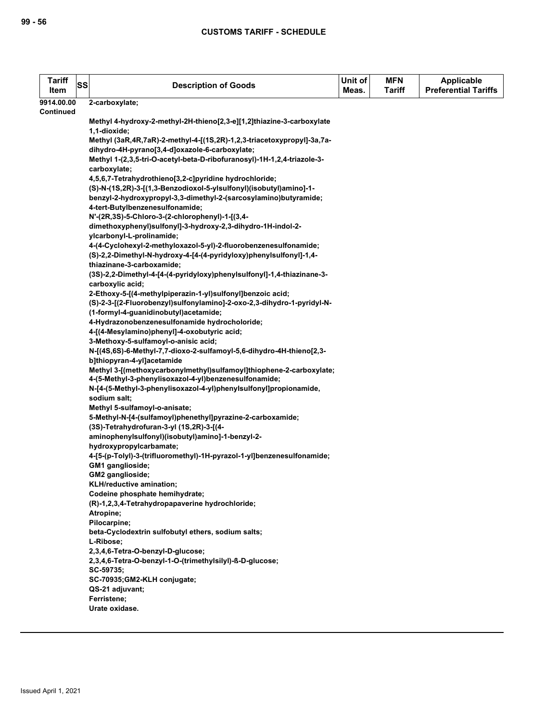| <b>Tariff</b><br>Item | SS | <b>Description of Goods</b>                                                                                                  | Unit of<br>Meas. | <b>MFN</b><br><b>Tariff</b> | <b>Applicable</b><br><b>Preferential Tariffs</b> |
|-----------------------|----|------------------------------------------------------------------------------------------------------------------------------|------------------|-----------------------------|--------------------------------------------------|
| 9914.00.00            |    | 2-carboxylate;                                                                                                               |                  |                             |                                                  |
| <b>Continued</b>      |    |                                                                                                                              |                  |                             |                                                  |
|                       |    | Methyl 4-hydroxy-2-methyl-2H-thieno[2,3-e][1,2]thiazine-3-carboxylate                                                        |                  |                             |                                                  |
|                       |    | 1,1-dioxide;                                                                                                                 |                  |                             |                                                  |
|                       |    | Methyl (3aR,4R,7aR)-2-methyl-4-[(1S,2R)-1,2,3-triacetoxypropyl]-3a,7a-                                                       |                  |                             |                                                  |
|                       |    | dihydro-4H-pyrano[3,4-d]oxazole-6-carboxylate;                                                                               |                  |                             |                                                  |
|                       |    | Methyl 1-(2,3,5-tri-O-acetyl-beta-D-ribofuranosyl)-1H-1,2,4-triazole-3-                                                      |                  |                             |                                                  |
|                       |    | carboxylate;                                                                                                                 |                  |                             |                                                  |
|                       |    | 4,5,6,7-Tetrahydrothieno[3,2-c]pyridine hydrochloride;<br>(S)-N-(1S,2R)-3-[(1,3-Benzodioxol-5-ylsulfonyl)(isobutyl)amino]-1- |                  |                             |                                                  |
|                       |    | benzyl-2-hydroxypropyl-3,3-dimethyl-2-(sarcosylamino)butyramide;                                                             |                  |                             |                                                  |
|                       |    | 4-tert-Butylbenzenesulfonamide;                                                                                              |                  |                             |                                                  |
|                       |    | N'-(2R,3S)-5-Chloro-3-(2-chlorophenyl)-1-[(3,4-                                                                              |                  |                             |                                                  |
|                       |    | dimethoxyphenyl)sulfonyl]-3-hydroxy-2,3-dihydro-1H-indol-2-                                                                  |                  |                             |                                                  |
|                       |    | ylcarbonyl-L-prolinamide;                                                                                                    |                  |                             |                                                  |
|                       |    | 4-(4-Cyclohexyl-2-methyloxazol-5-yl)-2-fluorobenzenesulfonamide;                                                             |                  |                             |                                                  |
|                       |    | (S)-2,2-Dimethyl-N-hydroxy-4-[4-(4-pyridyloxy)phenylsulfonyl]-1,4-                                                           |                  |                             |                                                  |
|                       |    | thiazinane-3-carboxamide;                                                                                                    |                  |                             |                                                  |
|                       |    | (3S)-2,2-Dimethyl-4-[4-(4-pyridyloxy)phenylsulfonyl]-1,4-thiazinane-3-                                                       |                  |                             |                                                  |
|                       |    | carboxylic acid;                                                                                                             |                  |                             |                                                  |
|                       |    | 2-Ethoxy-5-[(4-methylpiperazin-1-yl)sulfonyl]benzoic acid;                                                                   |                  |                             |                                                  |
|                       |    | (S)-2-3-[(2-Fluorobenzyl)sulfonylamino]-2-oxo-2,3-dihydro-1-pyridyl-N-                                                       |                  |                             |                                                  |
|                       |    | (1-formyl-4-guanidinobutyl) acetamide;                                                                                       |                  |                             |                                                  |
|                       |    | 4-Hydrazonobenzenesulfonamide hydrocholoride;                                                                                |                  |                             |                                                  |
|                       |    | 4-[(4-Mesylamino)phenyl]-4-oxobutyric acid;                                                                                  |                  |                             |                                                  |
|                       |    | 3-Methoxy-5-sulfamoyl-o-anisic acid;<br>N-[(4S,6S)-6-Methyl-7,7-dioxo-2-sulfamoyl-5,6-dihydro-4H-thieno[2,3-                 |                  |                             |                                                  |
|                       |    | b]thiopyran-4-yl]acetamide                                                                                                   |                  |                             |                                                  |
|                       |    | Methyl 3-[(methoxycarbonylmethyl)sulfamoyl]thiophene-2-carboxylate;                                                          |                  |                             |                                                  |
|                       |    | 4-(5-Methyl-3-phenylisoxazol-4-yl)benzenesulfonamide;                                                                        |                  |                             |                                                  |
|                       |    | N-[4-(5-Methyl-3-phenylisoxazol-4-yl)phenylsulfonyl]propionamide,                                                            |                  |                             |                                                  |
|                       |    | sodium salt;                                                                                                                 |                  |                             |                                                  |
|                       |    | Methyl 5-sulfamoyl-o-anisate;                                                                                                |                  |                             |                                                  |
|                       |    | 5-Methyl-N-[4-(sulfamoyl)phenethyl]pyrazine-2-carboxamide;                                                                   |                  |                             |                                                  |
|                       |    | (3S)-Tetrahydrofuran-3-yl (1S,2R)-3-[(4-                                                                                     |                  |                             |                                                  |
|                       |    | aminophenylsulfonyl)(isobutyl)amino]-1-benzyl-2-                                                                             |                  |                             |                                                  |
|                       |    | hydroxypropylcarbamate;                                                                                                      |                  |                             |                                                  |
|                       |    | 4-[5-(p-Tolyl)-3-(trifluoromethyl)-1H-pyrazol-1-yl]benzenesulfonamide;                                                       |                  |                             |                                                  |
|                       |    | GM1 ganglioside;<br>GM2 ganglioside;                                                                                         |                  |                             |                                                  |
|                       |    | KLH/reductive amination;                                                                                                     |                  |                             |                                                  |
|                       |    | Codeine phosphate hemihydrate;                                                                                               |                  |                             |                                                  |
|                       |    | (R)-1,2,3,4-Tetrahydropapaverine hydrochloride;                                                                              |                  |                             |                                                  |
|                       |    | Atropine;                                                                                                                    |                  |                             |                                                  |
|                       |    | Pilocarpine;                                                                                                                 |                  |                             |                                                  |
|                       |    | beta-Cyclodextrin sulfobutyl ethers, sodium salts;                                                                           |                  |                             |                                                  |
|                       |    | L-Ribose;                                                                                                                    |                  |                             |                                                  |
|                       |    | 2,3,4,6-Tetra-O-benzyl-D-glucose;                                                                                            |                  |                             |                                                  |
|                       |    | 2,3,4,6-Tetra-O-benzyl-1-O-(trimethylsilyl)-ß-D-glucose;                                                                     |                  |                             |                                                  |
|                       |    | SC-59735;                                                                                                                    |                  |                             |                                                  |
|                       |    | SC-70935;GM2-KLH conjugate;                                                                                                  |                  |                             |                                                  |
|                       |    | QS-21 adjuvant;<br>Ferristene;                                                                                               |                  |                             |                                                  |
|                       |    | Urate oxidase.                                                                                                               |                  |                             |                                                  |
|                       |    |                                                                                                                              |                  |                             |                                                  |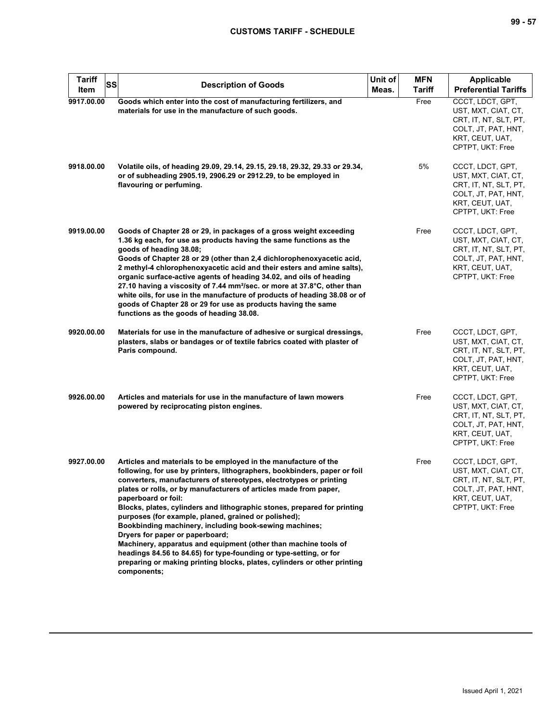| <b>Tariff</b><br><b>SS</b><br>Item | <b>Description of Goods</b>                                                                                                                                                                                                                                                                                                                                                                                                                                                                                                                                                                                                                                                                                                                                                         | Unit of<br>Meas. | <b>MFN</b><br>Tariff | <b>Applicable</b><br><b>Preferential Tariffs</b>                                                                               |
|------------------------------------|-------------------------------------------------------------------------------------------------------------------------------------------------------------------------------------------------------------------------------------------------------------------------------------------------------------------------------------------------------------------------------------------------------------------------------------------------------------------------------------------------------------------------------------------------------------------------------------------------------------------------------------------------------------------------------------------------------------------------------------------------------------------------------------|------------------|----------------------|--------------------------------------------------------------------------------------------------------------------------------|
| 9917.00.00                         | Goods which enter into the cost of manufacturing fertilizers, and<br>materials for use in the manufacture of such goods.                                                                                                                                                                                                                                                                                                                                                                                                                                                                                                                                                                                                                                                            |                  | Free                 | CCCT, LDCT, GPT,<br>UST, MXT, CIAT, CT,<br>CRT, IT, NT, SLT, PT,<br>COLT, JT, PAT, HNT,<br>KRT, CEUT, UAT,<br>CPTPT, UKT: Free |
| 9918.00.00                         | Volatile oils, of heading 29.09, 29.14, 29.15, 29.18, 29.32, 29.33 or 29.34,<br>or of subheading 2905.19, 2906.29 or 2912.29, to be employed in<br>flavouring or perfuming.                                                                                                                                                                                                                                                                                                                                                                                                                                                                                                                                                                                                         |                  | 5%                   | CCCT, LDCT, GPT,<br>UST, MXT, CIAT, CT,<br>CRT, IT, NT, SLT, PT,<br>COLT, JT, PAT, HNT,<br>KRT, CEUT, UAT,<br>CPTPT, UKT: Free |
| 9919.00.00                         | Goods of Chapter 28 or 29, in packages of a gross weight exceeding<br>1.36 kg each, for use as products having the same functions as the<br>goods of heading 38.08;<br>Goods of Chapter 28 or 29 (other than 2,4 dichlorophenoxyacetic acid,<br>2 methyl-4 chlorophenoxyacetic acid and their esters and amine salts).<br>organic surface-active agents of heading 34.02, and oils of heading<br>27.10 having a viscosity of 7.44 mm <sup>2</sup> /sec. or more at 37.8°C, other than<br>white oils, for use in the manufacture of products of heading 38.08 or of<br>goods of Chapter 28 or 29 for use as products having the same<br>functions as the goods of heading 38.08.                                                                                                     |                  | Free                 | CCCT, LDCT, GPT,<br>UST, MXT, CIAT, CT,<br>CRT, IT, NT, SLT, PT,<br>COLT, JT, PAT, HNT,<br>KRT, CEUT, UAT,<br>CPTPT, UKT: Free |
| 9920.00.00                         | Materials for use in the manufacture of adhesive or surgical dressings,<br>plasters, slabs or bandages or of textile fabrics coated with plaster of<br>Paris compound.                                                                                                                                                                                                                                                                                                                                                                                                                                                                                                                                                                                                              |                  | Free                 | CCCT, LDCT, GPT,<br>UST, MXT, CIAT, CT,<br>CRT, IT, NT, SLT, PT,<br>COLT, JT, PAT, HNT,<br>KRT, CEUT, UAT,<br>CPTPT, UKT: Free |
| 9926.00.00                         | Articles and materials for use in the manufacture of lawn mowers<br>powered by reciprocating piston engines.                                                                                                                                                                                                                                                                                                                                                                                                                                                                                                                                                                                                                                                                        |                  | Free                 | CCCT, LDCT, GPT,<br>UST, MXT, CIAT, CT,<br>CRT, IT, NT, SLT, PT,<br>COLT, JT, PAT, HNT,<br>KRT, CEUT, UAT,<br>CPTPT, UKT: Free |
| 9927.00.00                         | Articles and materials to be employed in the manufacture of the<br>following, for use by printers, lithographers, bookbinders, paper or foil<br>converters, manufacturers of stereotypes, electrotypes or printing<br>plates or rolls, or by manufacturers of articles made from paper,<br>paperboard or foil:<br>Blocks, plates, cylinders and lithographic stones, prepared for printing<br>purposes (for example, planed, grained or polished);<br>Bookbinding machinery, including book-sewing machines;<br>Dryers for paper or paperboard;<br>Machinery, apparatus and equipment (other than machine tools of<br>headings 84.56 to 84.65) for type-founding or type-setting, or for<br>preparing or making printing blocks, plates, cylinders or other printing<br>components; |                  | Free                 | CCCT, LDCT, GPT,<br>UST, MXT, CIAT, CT,<br>CRT, IT, NT, SLT, PT,<br>COLT, JT, PAT, HNT,<br>KRT, CEUT, UAT,<br>CPTPT, UKT: Free |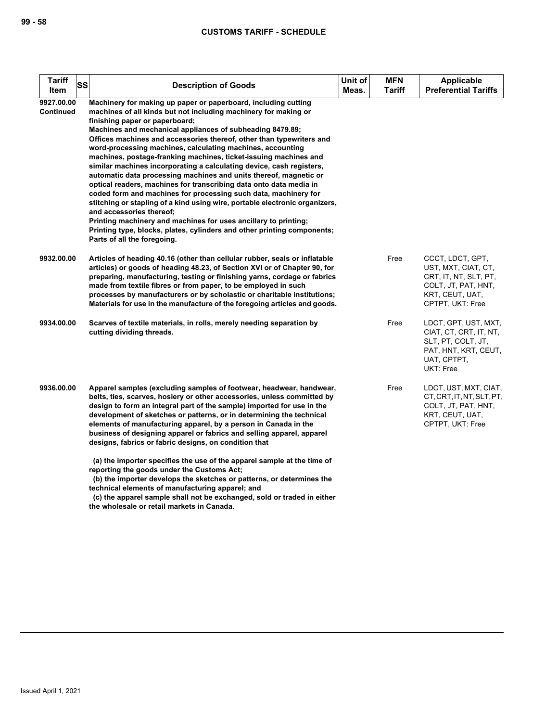| <b>Tariff</b><br><b>SS</b><br>Item | <b>Description of Goods</b>                                                                                                                                                                                                                                                                                                                                                                                                                                                                                                                                                                                                                                                                                                                                                                                                                                                                                                                                                                                              | Unit of<br>Meas. | <b>MFN</b><br>Tariff | <b>Applicable</b><br><b>Preferential Tariffs</b>                                                                               |
|------------------------------------|--------------------------------------------------------------------------------------------------------------------------------------------------------------------------------------------------------------------------------------------------------------------------------------------------------------------------------------------------------------------------------------------------------------------------------------------------------------------------------------------------------------------------------------------------------------------------------------------------------------------------------------------------------------------------------------------------------------------------------------------------------------------------------------------------------------------------------------------------------------------------------------------------------------------------------------------------------------------------------------------------------------------------|------------------|----------------------|--------------------------------------------------------------------------------------------------------------------------------|
| 9927.00.00<br><b>Continued</b>     | Machinery for making up paper or paperboard, including cutting<br>machines of all kinds but not including machinery for making or<br>finishing paper or paperboard;<br>Machines and mechanical appliances of subheading 8479.89;<br>Offices machines and accessories thereof, other than typewriters and<br>word-processing machines, calculating machines, accounting<br>machines, postage-franking machines, ticket-issuing machines and<br>similar machines incorporating a calculating device, cash registers,<br>automatic data processing machines and units thereof, magnetic or<br>optical readers, machines for transcribing data onto data media in<br>coded form and machines for processing such data, machinery for<br>stitching or stapling of a kind using wire, portable electronic organizers,<br>and accessories thereof;<br>Printing machinery and machines for uses ancillary to printing;<br>Printing type, blocks, plates, cylinders and other printing components;<br>Parts of all the foregoing. |                  |                      |                                                                                                                                |
| 9932.00.00                         | Articles of heading 40.16 (other than cellular rubber, seals or inflatable<br>articles) or goods of heading 48.23, of Section XVI or of Chapter 90, for<br>preparing, manufacturing, testing or finishing yarns, cordage or fabrics<br>made from textile fibres or from paper, to be employed in such<br>processes by manufacturers or by scholastic or charitable institutions;<br>Materials for use in the manufacture of the foregoing articles and goods.                                                                                                                                                                                                                                                                                                                                                                                                                                                                                                                                                            |                  | Free                 | CCCT, LDCT, GPT,<br>UST, MXT, CIAT, CT,<br>CRT, IT, NT, SLT, PT,<br>COLT, JT, PAT, HNT,<br>KRT, CEUT, UAT,<br>CPTPT, UKT: Free |
| 9934.00.00                         | Scarves of textile materials, in rolls, merely needing separation by<br>cutting dividing threads.                                                                                                                                                                                                                                                                                                                                                                                                                                                                                                                                                                                                                                                                                                                                                                                                                                                                                                                        |                  | Free                 | LDCT, GPT, UST, MXT,<br>CIAT, CT, CRT, IT, NT,<br>SLT, PT, COLT, JT,<br>PAT, HNT, KRT, CEUT,<br>UAT, CPTPT,<br>UKT: Free       |
| 9936.00.00                         | Apparel samples (excluding samples of footwear, headwear, handwear,<br>belts, ties, scarves, hosiery or other accessories, unless committed by<br>design to form an integral part of the sample) imported for use in the<br>development of sketches or patterns, or in determining the technical<br>elements of manufacturing apparel, by a person in Canada in the<br>business of designing apparel or fabrics and selling apparel, apparel<br>designs, fabrics or fabric designs, on condition that                                                                                                                                                                                                                                                                                                                                                                                                                                                                                                                    |                  | Free                 | LDCT, UST, MXT, CIAT,<br>CT, CRT, IT, NT, SLT, PT,<br>COLT, JT, PAT, HNT,<br>KRT, CEUT, UAT,<br>CPTPT, UKT: Free               |
|                                    | (a) the importer specifies the use of the apparel sample at the time of<br>reporting the goods under the Customs Act;<br>(b) the importer develops the sketches or patterns, or determines the<br>technical elements of manufacturing apparel; and                                                                                                                                                                                                                                                                                                                                                                                                                                                                                                                                                                                                                                                                                                                                                                       |                  |                      |                                                                                                                                |

 **(c) the apparel sample shall not be exchanged, sold or traded in either the wholesale or retail markets in Canada.**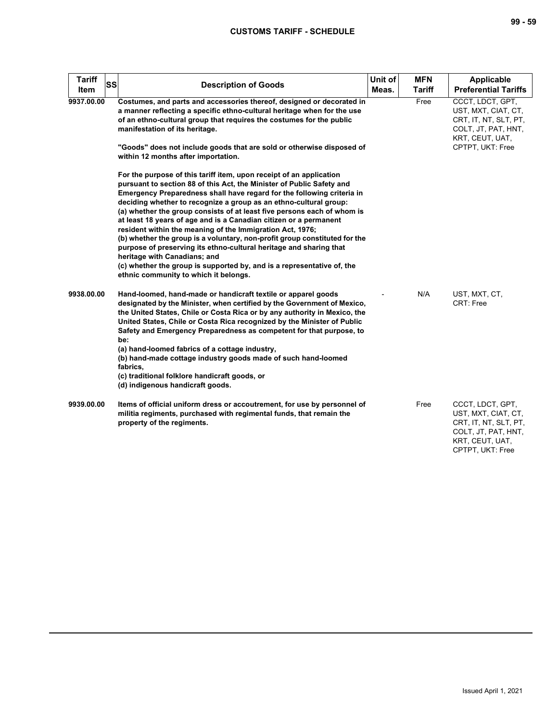| <b>Tariff</b><br>ltem | SS<br><b>Description of Goods</b>                                                                                                                                                                                                                                                                                                                                                                                                                                                                                                                                                                                                                                                                                                                                                                               | Unit of<br>Meas. | <b>MFN</b><br><b>Tariff</b> | <b>Applicable</b><br><b>Preferential Tariffs</b>                                                                               |
|-----------------------|-----------------------------------------------------------------------------------------------------------------------------------------------------------------------------------------------------------------------------------------------------------------------------------------------------------------------------------------------------------------------------------------------------------------------------------------------------------------------------------------------------------------------------------------------------------------------------------------------------------------------------------------------------------------------------------------------------------------------------------------------------------------------------------------------------------------|------------------|-----------------------------|--------------------------------------------------------------------------------------------------------------------------------|
| 9937.00.00            | Costumes, and parts and accessories thereof, designed or decorated in<br>a manner reflecting a specific ethno-cultural heritage when for the use<br>of an ethno-cultural group that requires the costumes for the public<br>manifestation of its heritage.                                                                                                                                                                                                                                                                                                                                                                                                                                                                                                                                                      |                  | Free                        | CCCT, LDCT, GPT,<br>UST, MXT, CIAT, CT,<br>CRT, IT, NT, SLT, PT,<br>COLT, JT, PAT, HNT,<br>KRT, CEUT, UAT,                     |
|                       | "Goods" does not include goods that are sold or otherwise disposed of<br>within 12 months after importation.                                                                                                                                                                                                                                                                                                                                                                                                                                                                                                                                                                                                                                                                                                    |                  |                             | CPTPT, UKT: Free                                                                                                               |
|                       | For the purpose of this tariff item, upon receipt of an application<br>pursuant to section 88 of this Act, the Minister of Public Safety and<br>Emergency Preparedness shall have regard for the following criteria in<br>deciding whether to recognize a group as an ethno-cultural group:<br>(a) whether the group consists of at least five persons each of whom is<br>at least 18 years of age and is a Canadian citizen or a permanent<br>resident within the meaning of the Immigration Act, 1976;<br>(b) whether the group is a voluntary, non-profit group constituted for the<br>purpose of preserving its ethno-cultural heritage and sharing that<br>heritage with Canadians; and<br>(c) whether the group is supported by, and is a representative of, the<br>ethnic community to which it belongs. |                  |                             |                                                                                                                                |
| 9938.00.00            | Hand-loomed, hand-made or handicraft textile or apparel goods<br>designated by the Minister, when certified by the Government of Mexico,<br>the United States, Chile or Costa Rica or by any authority in Mexico, the<br>United States, Chile or Costa Rica recognized by the Minister of Public<br>Safety and Emergency Preparedness as competent for that purpose, to<br>be:<br>(a) hand-loomed fabrics of a cottage industry,<br>(b) hand-made cottage industry goods made of such hand-loomed<br>fabrics.<br>(c) traditional folklore handicraft goods, or<br>(d) indigenous handicraft goods.                                                                                                                                                                                                              |                  | N/A                         | UST, MXT, CT,<br>CRT: Free                                                                                                     |
| 9939.00.00            | Items of official uniform dress or accoutrement, for use by personnel of<br>militia regiments, purchased with regimental funds, that remain the<br>property of the regiments.                                                                                                                                                                                                                                                                                                                                                                                                                                                                                                                                                                                                                                   |                  | Free                        | CCCT, LDCT, GPT,<br>UST, MXT, CIAT, CT,<br>CRT, IT, NT, SLT, PT,<br>COLT, JT, PAT, HNT,<br>KRT, CEUT, UAT,<br>CPTPT, UKT: Free |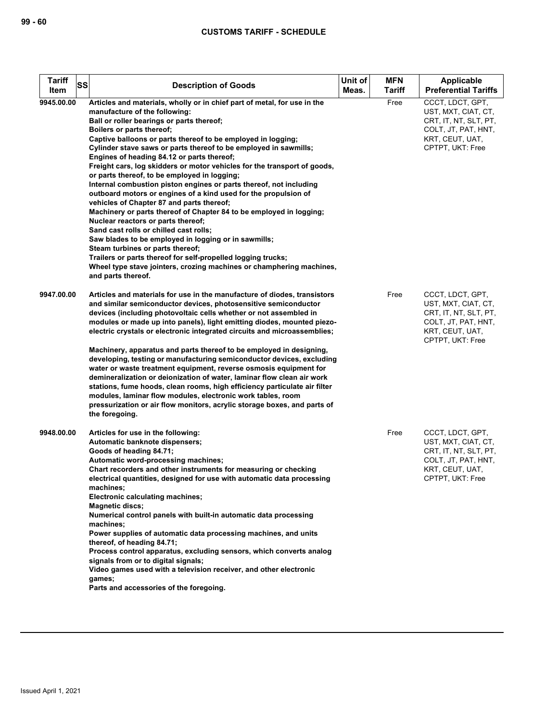| <b>Tariff</b><br>SS<br>Item | <b>Description of Goods</b>                                                                                                                                                                                                                                                                                                                                                                                                                                                                                                                                                                                                                                                                                                                                                                                                                                                                                                                                                                                                                                                                              | Unit of<br>Meas. | <b>MFN</b><br><b>Tariff</b> | <b>Applicable</b><br><b>Preferential Tariffs</b>                                                                               |
|-----------------------------|----------------------------------------------------------------------------------------------------------------------------------------------------------------------------------------------------------------------------------------------------------------------------------------------------------------------------------------------------------------------------------------------------------------------------------------------------------------------------------------------------------------------------------------------------------------------------------------------------------------------------------------------------------------------------------------------------------------------------------------------------------------------------------------------------------------------------------------------------------------------------------------------------------------------------------------------------------------------------------------------------------------------------------------------------------------------------------------------------------|------------------|-----------------------------|--------------------------------------------------------------------------------------------------------------------------------|
| 9945.00.00                  | Articles and materials, wholly or in chief part of metal, for use in the<br>manufacture of the following:<br>Ball or roller bearings or parts thereof;<br>Boilers or parts thereof;<br>Captive balloons or parts thereof to be employed in logging;<br>Cylinder stave saws or parts thereof to be employed in sawmills;<br>Engines of heading 84.12 or parts thereof;<br>Freight cars, log skidders or motor vehicles for the transport of goods,<br>or parts thereof, to be employed in logging;<br>Internal combustion piston engines or parts thereof, not including<br>outboard motors or engines of a kind used for the propulsion of<br>vehicles of Chapter 87 and parts thereof;<br>Machinery or parts thereof of Chapter 84 to be employed in logging;<br>Nuclear reactors or parts thereof;<br>Sand cast rolls or chilled cast rolls;<br>Saw blades to be employed in logging or in sawmills;<br>Steam turbines or parts thereof;<br>Trailers or parts thereof for self-propelled logging trucks;<br>Wheel type stave jointers, crozing machines or champhering machines,<br>and parts thereof. |                  | Free                        | CCCT, LDCT, GPT,<br>UST, MXT, CIAT, CT,<br>CRT, IT, NT, SLT, PT,<br>COLT, JT, PAT, HNT,<br>KRT, CEUT, UAT,<br>CPTPT, UKT: Free |
| 9947.00.00                  | Articles and materials for use in the manufacture of diodes, transistors<br>and similar semiconductor devices, photosensitive semiconductor<br>devices (including photovoltaic cells whether or not assembled in<br>modules or made up into panels), light emitting diodes, mounted piezo-<br>electric crystals or electronic integrated circuits and microassemblies;<br>Machinery, apparatus and parts thereof to be employed in designing,<br>developing, testing or manufacturing semiconductor devices, excluding<br>water or waste treatment equipment, reverse osmosis equipment for<br>demineralization or deionization of water, laminar flow clean air work<br>stations, fume hoods, clean rooms, high efficiency particulate air filter<br>modules, laminar flow modules, electronic work tables, room<br>pressurization or air flow monitors, acrylic storage boxes, and parts of<br>the foregoing.                                                                                                                                                                                          |                  | Free                        | CCCT, LDCT, GPT,<br>UST, MXT, CIAT, CT,<br>CRT, IT, NT, SLT, PT,<br>COLT, JT, PAT, HNT,<br>KRT, CEUT, UAT,<br>CPTPT, UKT: Free |
| 9948.00.00                  | Articles for use in the following:<br>Automatic banknote dispensers;<br>Goods of heading 84.71;<br>Automatic word-processing machines;<br>Chart recorders and other instruments for measuring or checking<br>electrical quantities, designed for use with automatic data processing<br>machines;<br>Electronic calculating machines;<br><b>Magnetic discs:</b><br>Numerical control panels with built-in automatic data processing<br>machines;<br>Power supplies of automatic data processing machines, and units<br>thereof, of heading 84.71;<br>Process control apparatus, excluding sensors, which converts analog<br>signals from or to digital signals;<br>Video games used with a television receiver, and other electronic<br>games;<br>Parts and accessories of the foregoing.                                                                                                                                                                                                                                                                                                                 |                  | Free                        | CCCT, LDCT, GPT,<br>UST, MXT, CIAT, CT,<br>CRT, IT, NT, SLT, PT,<br>COLT, JT, PAT, HNT,<br>KRT, CEUT, UAT,<br>CPTPT, UKT: Free |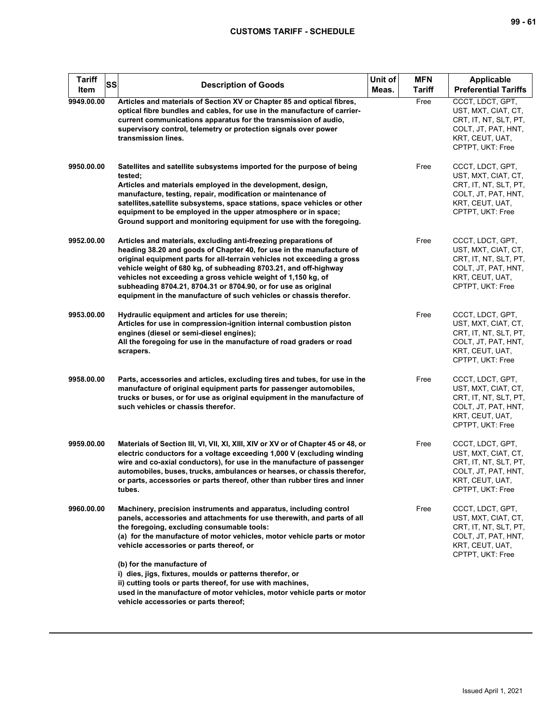| Tariff<br><b>SS</b><br>Item | <b>Description of Goods</b>                                                                                                                                                                                                                                                                                                                                                                                                                                                                     | Unit of<br>Meas. | <b>MFN</b><br><b>Tariff</b> | Applicable<br><b>Preferential Tariffs</b>                                                                                      |
|-----------------------------|-------------------------------------------------------------------------------------------------------------------------------------------------------------------------------------------------------------------------------------------------------------------------------------------------------------------------------------------------------------------------------------------------------------------------------------------------------------------------------------------------|------------------|-----------------------------|--------------------------------------------------------------------------------------------------------------------------------|
| 9949.00.00                  | Articles and materials of Section XV or Chapter 85 and optical fibres,<br>optical fibre bundles and cables, for use in the manufacture of carrier-<br>current communications apparatus for the transmission of audio,<br>supervisory control, telemetry or protection signals over power<br>transmission lines.                                                                                                                                                                                 |                  | Free                        | CCCT, LDCT, GPT,<br>UST, MXT, CIAT, CT,<br>CRT, IT, NT, SLT, PT,<br>COLT, JT, PAT, HNT,<br>KRT, CEUT, UAT,<br>CPTPT, UKT: Free |
| 9950.00.00                  | Satellites and satellite subsystems imported for the purpose of being<br>tested;<br>Articles and materials employed in the development, design,<br>manufacture, testing, repair, modification or maintenance of<br>satellites, satellite subsystems, space stations, space vehicles or other<br>equipment to be employed in the upper atmosphere or in space;<br>Ground support and monitoring equipment for use with the foregoing.                                                            |                  | Free                        | CCCT, LDCT, GPT,<br>UST, MXT, CIAT, CT,<br>CRT, IT, NT, SLT, PT,<br>COLT, JT, PAT, HNT,<br>KRT, CEUT, UAT,<br>CPTPT, UKT: Free |
| 9952.00.00                  | Articles and materials, excluding anti-freezing preparations of<br>heading 38.20 and goods of Chapter 40, for use in the manufacture of<br>original equipment parts for all-terrain vehicles not exceeding a gross<br>vehicle weight of 680 kg, of subheading 8703.21, and off-highway<br>vehicles not exceeding a gross vehicle weight of 1,150 kg, of<br>subheading 8704.21, 8704.31 or 8704.90, or for use as original<br>equipment in the manufacture of such vehicles or chassis therefor. |                  | Free                        | CCCT, LDCT, GPT,<br>UST, MXT, CIAT, CT,<br>CRT, IT, NT, SLT, PT,<br>COLT, JT, PAT, HNT,<br>KRT, CEUT, UAT,<br>CPTPT, UKT: Free |
| 9953.00.00                  | Hydraulic equipment and articles for use therein;<br>Articles for use in compression-ignition internal combustion piston<br>engines (diesel or semi-diesel engines);<br>All the foregoing for use in the manufacture of road graders or road<br>scrapers.                                                                                                                                                                                                                                       |                  | Free                        | CCCT, LDCT, GPT,<br>UST, MXT, CIAT, CT,<br>CRT, IT, NT, SLT, PT,<br>COLT, JT, PAT, HNT,<br>KRT, CEUT, UAT,<br>CPTPT, UKT: Free |
| 9958.00.00                  | Parts, accessories and articles, excluding tires and tubes, for use in the<br>manufacture of original equipment parts for passenger automobiles,<br>trucks or buses, or for use as original equipment in the manufacture of<br>such vehicles or chassis therefor.                                                                                                                                                                                                                               |                  | Free                        | CCCT, LDCT, GPT,<br>UST, MXT, CIAT, CT,<br>CRT, IT, NT, SLT, PT,<br>COLT, JT, PAT, HNT,<br>KRT, CEUT, UAT,<br>CPTPT, UKT: Free |
| 9959.00.00                  | Materials of Section III, VI, VII, XI, XIII, XIV or XV or of Chapter 45 or 48, or<br>electric conductors for a voltage exceeding 1,000 V (excluding winding<br>wire and co-axial conductors), for use in the manufacture of passenger<br>automobiles, buses, trucks, ambulances or hearses, or chassis therefor,<br>or parts, accessories or parts thereof, other than rubber tires and inner<br>tubes.                                                                                         |                  | Free                        | CCCT, LDCT, GPT,<br>UST, MXT, CIAT, CT,<br>CRT, IT, NT, SLT, PT,<br>COLT, JT, PAT, HNT,<br>KRT, CEUT, UAT,<br>CPTPT, UKT: Free |
| 9960.00.00                  | Machinery, precision instruments and apparatus, including control<br>panels, accessories and attachments for use therewith, and parts of all<br>the foregoing, excluding consumable tools:<br>(a) for the manufacture of motor vehicles, motor vehicle parts or motor<br>vehicle accessories or parts thereof, or                                                                                                                                                                               |                  | Free                        | CCCT, LDCT, GPT,<br>UST, MXT, CIAT, CT,<br>CRT, IT, NT, SLT, PT,<br>COLT, JT, PAT, HNT,<br>KRT, CEUT, UAT,<br>CPTPT, UKT: Free |
|                             | (b) for the manufacture of<br>i) dies, jigs, fixtures, moulds or patterns therefor, or<br>ii) cutting tools or parts thereof, for use with machines,<br>used in the manufacture of motor vehicles, motor vehicle parts or motor<br>vehicle accessories or parts thereof;                                                                                                                                                                                                                        |                  |                             |                                                                                                                                |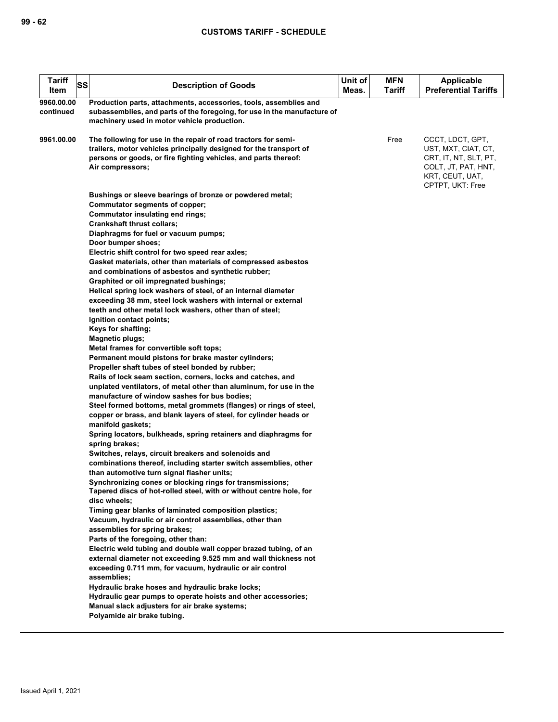| <b>Tariff</b><br>Item   | SS | <b>Description of Goods</b>                                                                                                                                                                                                                                                                                                                                                                                                                                                                                                                                                                                                                                                                                                                                                                                                                                                                                                                                                                                                                                                                                                                                                                                                                                                                                                                                                                                                                                                                               | Unit of<br>Meas. | <b>MFN</b><br>Tariff | Applicable<br><b>Preferential Tariffs</b>                                                                                      |
|-------------------------|----|-----------------------------------------------------------------------------------------------------------------------------------------------------------------------------------------------------------------------------------------------------------------------------------------------------------------------------------------------------------------------------------------------------------------------------------------------------------------------------------------------------------------------------------------------------------------------------------------------------------------------------------------------------------------------------------------------------------------------------------------------------------------------------------------------------------------------------------------------------------------------------------------------------------------------------------------------------------------------------------------------------------------------------------------------------------------------------------------------------------------------------------------------------------------------------------------------------------------------------------------------------------------------------------------------------------------------------------------------------------------------------------------------------------------------------------------------------------------------------------------------------------|------------------|----------------------|--------------------------------------------------------------------------------------------------------------------------------|
| 9960.00.00<br>continued |    | Production parts, attachments, accessories, tools, assemblies and<br>subassemblies, and parts of the foregoing, for use in the manufacture of<br>machinery used in motor vehicle production.                                                                                                                                                                                                                                                                                                                                                                                                                                                                                                                                                                                                                                                                                                                                                                                                                                                                                                                                                                                                                                                                                                                                                                                                                                                                                                              |                  |                      |                                                                                                                                |
| 9961.00.00              |    | The following for use in the repair of road tractors for semi-<br>trailers, motor vehicles principally designed for the transport of<br>persons or goods, or fire fighting vehicles, and parts thereof:<br>Air compressors;                                                                                                                                                                                                                                                                                                                                                                                                                                                                                                                                                                                                                                                                                                                                                                                                                                                                                                                                                                                                                                                                                                                                                                                                                                                                               |                  | Free                 | CCCT, LDCT, GPT,<br>UST, MXT, CIAT, CT,<br>CRT, IT, NT, SLT, PT,<br>COLT, JT, PAT, HNT,<br>KRT, CEUT, UAT,<br>CPTPT, UKT: Free |
|                         |    | Bushings or sleeve bearings of bronze or powdered metal;<br>Commutator segments of copper;<br>Commutator insulating end rings;<br><b>Crankshaft thrust collars;</b><br>Diaphragms for fuel or vacuum pumps;<br>Door bumper shoes;<br>Electric shift control for two speed rear axles;<br>Gasket materials, other than materials of compressed asbestos<br>and combinations of asbestos and synthetic rubber;<br>Graphited or oil impregnated bushings;<br>Helical spring lock washers of steel, of an internal diameter<br>exceeding 38 mm, steel lock washers with internal or external<br>teeth and other metal lock washers, other than of steel;<br>Ignition contact points;<br>Keys for shafting;<br><b>Magnetic plugs;</b><br>Metal frames for convertible soft tops;<br>Permanent mould pistons for brake master cylinders;<br>Propeller shaft tubes of steel bonded by rubber;<br>Rails of lock seam section, corners, locks and catches, and<br>unplated ventilators, of metal other than aluminum, for use in the<br>manufacture of window sashes for bus bodies;<br>Steel formed bottoms, metal grommets (flanges) or rings of steel,<br>copper or brass, and blank layers of steel, for cylinder heads or<br>manifold gaskets;<br>Spring locators, bulkheads, spring retainers and diaphragms for<br>spring brakes;<br>Switches, relays, circuit breakers and solenoids and<br>combinations thereof, including starter switch assemblies, other<br>than automotive turn signal flasher units; |                  |                      |                                                                                                                                |
|                         |    | Synchronizing cones or blocking rings for transmissions;<br>Tapered discs of hot-rolled steel, with or without centre hole, for<br>disc wheels;<br>Timing gear blanks of laminated composition plastics;<br>Vacuum, hydraulic or air control assemblies, other than<br>assemblies for spring brakes;                                                                                                                                                                                                                                                                                                                                                                                                                                                                                                                                                                                                                                                                                                                                                                                                                                                                                                                                                                                                                                                                                                                                                                                                      |                  |                      |                                                                                                                                |
|                         |    | Parts of the foregoing, other than:<br>Electric weld tubing and double wall copper brazed tubing, of an<br>external diameter not exceeding 9.525 mm and wall thickness not<br>exceeding 0.711 mm, for vacuum, hydraulic or air control<br>assemblies;<br>Hydraulic brake hoses and hydraulic brake locks;<br>Hydraulic gear pumps to operate hoists and other accessories;<br>Manual slack adjusters for air brake systems;<br>Polyamide air brake tubing.                                                                                                                                                                                                                                                                                                                                                                                                                                                                                                                                                                                                                                                                                                                                                                                                                                                                                                                                                                                                                                                |                  |                      |                                                                                                                                |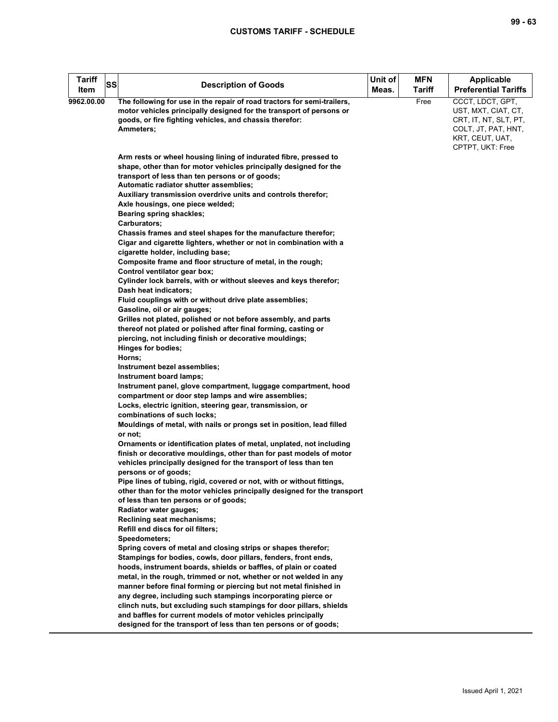| <b>Tariff</b><br>SS<br>Item | <b>Description of Goods</b>                                                                                                                                                                                                                                                                                                                    | Unit of<br>Meas. | <b>MFN</b><br>Tariff | Applicable<br><b>Preferential Tariffs</b>                                                                                      |
|-----------------------------|------------------------------------------------------------------------------------------------------------------------------------------------------------------------------------------------------------------------------------------------------------------------------------------------------------------------------------------------|------------------|----------------------|--------------------------------------------------------------------------------------------------------------------------------|
| 9962.00.00                  | The following for use in the repair of road tractors for semi-trailers,<br>motor vehicles principally designed for the transport of persons or<br>goods, or fire fighting vehicles, and chassis therefor:<br>Ammeters;                                                                                                                         |                  | Free                 | CCCT, LDCT, GPT,<br>UST, MXT, CIAT, CT,<br>CRT, IT, NT, SLT, PT,<br>COLT, JT, PAT, HNT,<br>KRT, CEUT, UAT,<br>CPTPT, UKT: Free |
|                             | Arm rests or wheel housing lining of indurated fibre, pressed to<br>shape, other than for motor vehicles principally designed for the<br>transport of less than ten persons or of goods;<br>Automatic radiator shutter assemblies;                                                                                                             |                  |                      |                                                                                                                                |
|                             | Auxiliary transmission overdrive units and controls therefor;<br>Axle housings, one piece welded;<br>Bearing spring shackles;<br>Carburators;                                                                                                                                                                                                  |                  |                      |                                                                                                                                |
|                             | Chassis frames and steel shapes for the manufacture therefor;<br>Cigar and cigarette lighters, whether or not in combination with a<br>cigarette holder, including base;<br>Composite frame and floor structure of metal, in the rough;                                                                                                        |                  |                      |                                                                                                                                |
|                             | Control ventilator gear box;<br>Cylinder lock barrels, with or without sleeves and keys therefor;<br>Dash heat indicators;                                                                                                                                                                                                                     |                  |                      |                                                                                                                                |
|                             | Fluid couplings with or without drive plate assemblies;<br>Gasoline, oil or air gauges;<br>Grilles not plated, polished or not before assembly, and parts<br>thereof not plated or polished after final forming, casting or                                                                                                                    |                  |                      |                                                                                                                                |
|                             | piercing, not including finish or decorative mouldings;<br>Hinges for bodies;<br>Horns;<br>Instrument bezel assemblies;                                                                                                                                                                                                                        |                  |                      |                                                                                                                                |
|                             | Instrument board lamps;<br>Instrument panel, glove compartment, luggage compartment, hood<br>compartment or door step lamps and wire assemblies;<br>Locks, electric ignition, steering gear, transmission, or                                                                                                                                  |                  |                      |                                                                                                                                |
|                             | combinations of such locks;<br>Mouldings of metal, with nails or prongs set in position, lead filled<br>or not:                                                                                                                                                                                                                                |                  |                      |                                                                                                                                |
|                             | Ornaments or identification plates of metal, unplated, not including<br>finish or decorative mouldings, other than for past models of motor<br>vehicles principally designed for the transport of less than ten<br>persons or of goods;                                                                                                        |                  |                      |                                                                                                                                |
|                             | Pipe lines of tubing, rigid, covered or not, with or without fittings,<br>other than for the motor vehicles principally designed for the transport<br>of less than ten persons or of goods;<br>Radiator water gauges;                                                                                                                          |                  |                      |                                                                                                                                |
|                             | Reclining seat mechanisms;<br>Refill end discs for oil filters;<br>Speedometers;                                                                                                                                                                                                                                                               |                  |                      |                                                                                                                                |
|                             | Spring covers of metal and closing strips or shapes therefor;<br>Stampings for bodies, cowls, door pillars, fenders, front ends,<br>hoods, instrument boards, shields or baffles, of plain or coated<br>metal, in the rough, trimmed or not, whether or not welded in any<br>manner before final forming or piercing but not metal finished in |                  |                      |                                                                                                                                |
|                             | any degree, including such stampings incorporating pierce or<br>clinch nuts, but excluding such stampings for door pillars, shields<br>and baffles for current models of motor vehicles principally<br>designed for the transport of less than ten persons or of goods;                                                                        |                  |                      |                                                                                                                                |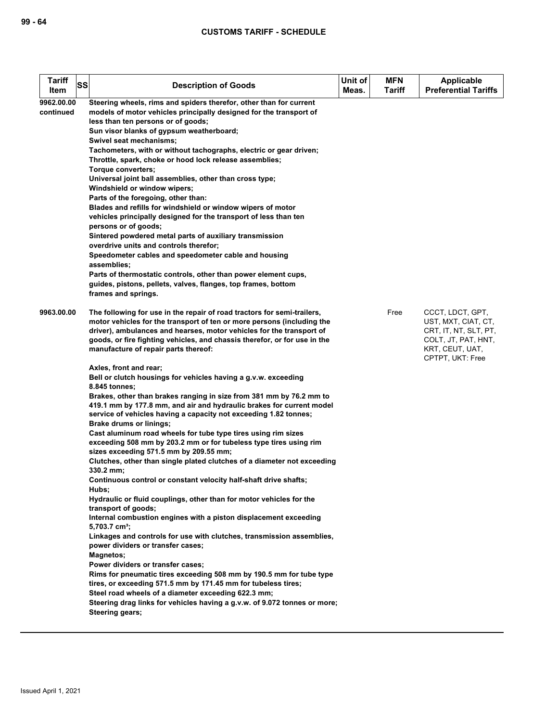| <b>Description of Goods</b>                                                                                                                                                                                                                                                                                                                                                                                                                                                                                                                                                                                                                                                                                                                                                                                                                                                                                                                                                                                                                                                                                                                                                                                                                                                                                                                                                                                                                                                                                                                                                                                                         | Unit of<br>Meas.                                                                            | <b>MFN</b><br>Tariff                                                      | <b>Applicable</b><br><b>Preferential Tariffs</b>                                                                               |
|-------------------------------------------------------------------------------------------------------------------------------------------------------------------------------------------------------------------------------------------------------------------------------------------------------------------------------------------------------------------------------------------------------------------------------------------------------------------------------------------------------------------------------------------------------------------------------------------------------------------------------------------------------------------------------------------------------------------------------------------------------------------------------------------------------------------------------------------------------------------------------------------------------------------------------------------------------------------------------------------------------------------------------------------------------------------------------------------------------------------------------------------------------------------------------------------------------------------------------------------------------------------------------------------------------------------------------------------------------------------------------------------------------------------------------------------------------------------------------------------------------------------------------------------------------------------------------------------------------------------------------------|---------------------------------------------------------------------------------------------|---------------------------------------------------------------------------|--------------------------------------------------------------------------------------------------------------------------------|
| models of motor vehicles principally designed for the transport of<br>less than ten persons or of goods;<br>Sun visor blanks of gypsum weatherboard;<br>Swivel seat mechanisms;<br>Tachometers, with or without tachographs, electric or gear driven;<br>Throttle, spark, choke or hood lock release assemblies;<br><b>Torque converters:</b><br>Universal joint ball assemblies, other than cross type;<br>Windshield or window wipers;<br>Parts of the foregoing, other than:<br>Blades and refills for windshield or window wipers of motor<br>vehicles principally designed for the transport of less than ten<br>persons or of goods;<br>Sintered powdered metal parts of auxiliary transmission<br>overdrive units and controls therefor;<br>Speedometer cables and speedometer cable and housing<br>assemblies;<br>Parts of thermostatic controls, other than power element cups,<br>guides, pistons, pellets, valves, flanges, top frames, bottom<br>frames and springs.                                                                                                                                                                                                                                                                                                                                                                                                                                                                                                                                                                                                                                                    |                                                                                             |                                                                           |                                                                                                                                |
| The following for use in the repair of road tractors for semi-trailers,<br>motor vehicles for the transport of ten or more persons (including the<br>driver), ambulances and hearses, motor vehicles for the transport of<br>goods, or fire fighting vehicles, and chassis therefor, or for use in the<br>manufacture of repair parts thereof:<br>Axles, front and rear;<br>Bell or clutch housings for vehicles having a g.v.w. exceeding<br>8.845 tonnes;<br>Brakes, other than brakes ranging in size from 381 mm by 76.2 mm to<br>419.1 mm by 177.8 mm, and air and hydraulic brakes for current model<br>service of vehicles having a capacity not exceeding 1.82 tonnes;<br>Brake drums or linings;<br>Cast aluminum road wheels for tube type tires using rim sizes<br>exceeding 508 mm by 203.2 mm or for tubeless type tires using rim<br>sizes exceeding 571.5 mm by 209.55 mm;<br>Clutches, other than single plated clutches of a diameter not exceeding<br>330.2 mm;<br>Continuous control or constant velocity half-shaft drive shafts;<br>Hubs;<br>Hydraulic or fluid couplings, other than for motor vehicles for the<br>transport of goods;<br>Internal combustion engines with a piston displacement exceeding<br>5,703.7 cm <sup>3</sup> ;<br>Linkages and controls for use with clutches, transmission assemblies,<br>power dividers or transfer cases;<br><b>Magnetos;</b><br>Power dividers or transfer cases;<br>Rims for pneumatic tires exceeding 508 mm by 190.5 mm for tube type<br>tires, or exceeding 571.5 mm by 171.45 mm for tubeless tires;<br>Steel road wheels of a diameter exceeding 622.3 mm; |                                                                                             | Free                                                                      | CCCT, LDCT, GPT,<br>UST, MXT, CIAT, CT,<br>CRT, IT, NT, SLT, PT,<br>COLT, JT, PAT, HNT,<br>KRT, CEUT, UAT,<br>CPTPT, UKT: Free |
|                                                                                                                                                                                                                                                                                                                                                                                                                                                                                                                                                                                                                                                                                                                                                                                                                                                                                                                                                                                                                                                                                                                                                                                                                                                                                                                                                                                                                                                                                                                                                                                                                                     | SS<br>Steering wheels, rims and spiders therefor, other than for current<br>Steering gears; | Steering drag links for vehicles having a g.v.w. of 9.072 tonnes or more; |                                                                                                                                |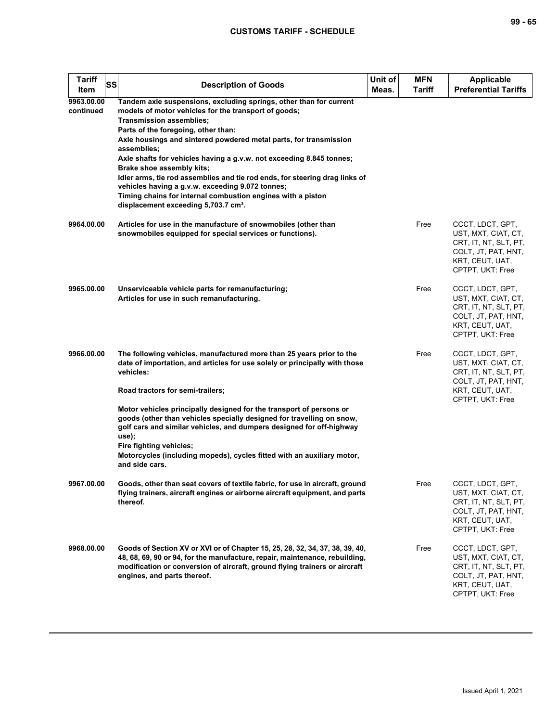| ×<br>۰.<br>۰. |  | ۰.<br>۰. |
|---------------|--|----------|
|---------------|--|----------|

| <b>Tariff</b><br>SS<br>Item | <b>Description of Goods</b>                                                                                                                                                                                                                                                                                                                                                                                                                                                                                                                                                                                                                         | Unit of<br>Meas. | <b>MFN</b><br><b>Tariff</b> | <b>Applicable</b><br><b>Preferential Tariffs</b>                                                                               |
|-----------------------------|-----------------------------------------------------------------------------------------------------------------------------------------------------------------------------------------------------------------------------------------------------------------------------------------------------------------------------------------------------------------------------------------------------------------------------------------------------------------------------------------------------------------------------------------------------------------------------------------------------------------------------------------------------|------------------|-----------------------------|--------------------------------------------------------------------------------------------------------------------------------|
| 9963.00.00<br>continued     | Tandem axle suspensions, excluding springs, other than for current<br>models of motor vehicles for the transport of goods;<br><b>Transmission assemblies;</b><br>Parts of the foregoing, other than:<br>Axle housings and sintered powdered metal parts, for transmission<br>assemblies;<br>Axle shafts for vehicles having a g.v.w. not exceeding 8.845 tonnes;<br>Brake shoe assembly kits;<br>Idler arms, tie rod assemblies and tie rod ends, for steering drag links of<br>vehicles having a g.v.w. exceeding 9.072 tonnes;<br>Timing chains for internal combustion engines with a piston<br>displacement exceeding 5,703.7 cm <sup>3</sup> . |                  |                             |                                                                                                                                |
| 9964.00.00                  | Articles for use in the manufacture of snowmobiles (other than<br>snowmobiles equipped for special services or functions).                                                                                                                                                                                                                                                                                                                                                                                                                                                                                                                          |                  | Free                        | CCCT, LDCT, GPT,<br>UST, MXT, CIAT, CT,<br>CRT, IT, NT, SLT, PT,<br>COLT, JT, PAT, HNT,<br>KRT, CEUT, UAT,<br>CPTPT, UKT: Free |
| 9965.00.00                  | Unserviceable vehicle parts for remanufacturing;<br>Articles for use in such remanufacturing.                                                                                                                                                                                                                                                                                                                                                                                                                                                                                                                                                       |                  | Free                        | CCCT, LDCT, GPT,<br>UST, MXT, CIAT, CT,<br>CRT, IT, NT, SLT, PT,<br>COLT, JT, PAT, HNT,<br>KRT, CEUT, UAT,<br>CPTPT, UKT: Free |
| 9966.00.00                  | The following vehicles, manufactured more than 25 years prior to the<br>date of importation, and articles for use solely or principally with those<br>vehicles:<br>Road tractors for semi-trailers;                                                                                                                                                                                                                                                                                                                                                                                                                                                 |                  | Free                        | CCCT, LDCT, GPT,<br>UST, MXT, CIAT, CT,<br>CRT, IT, NT, SLT, PT,<br>COLT, JT, PAT, HNT,<br>KRT, CEUT, UAT,<br>CPTPT, UKT: Free |
|                             | Motor vehicles principally designed for the transport of persons or<br>goods (other than vehicles specially designed for travelling on snow,<br>golf cars and similar vehicles, and dumpers designed for off-highway<br>use);<br>Fire fighting vehicles;<br>Motorcycles (including mopeds), cycles fitted with an auxiliary motor,<br>and side cars.                                                                                                                                                                                                                                                                                                |                  |                             |                                                                                                                                |
| 9967.00.00                  | Goods, other than seat covers of textile fabric, for use in aircraft, ground<br>flying trainers, aircraft engines or airborne aircraft equipment, and parts<br>thereof.                                                                                                                                                                                                                                                                                                                                                                                                                                                                             |                  | Free                        | CCCT, LDCT, GPT,<br>UST, MXT, CIAT, CT,<br>CRT, IT, NT, SLT, PT,<br>COLT, JT, PAT, HNT,<br>KRT, CEUT, UAT,<br>CPTPT, UKT: Free |
| 9968.00.00                  | Goods of Section XV or XVI or of Chapter 15, 25, 28, 32, 34, 37, 38, 39, 40,<br>48, 68, 69, 90 or 94, for the manufacture, repair, maintenance, rebuilding,<br>modification or conversion of aircraft, ground flying trainers or aircraft<br>engines, and parts thereof.                                                                                                                                                                                                                                                                                                                                                                            |                  | Free                        | CCCT, LDCT, GPT,<br>UST, MXT, CIAT, CT,<br>CRT, IT, NT, SLT, PT,<br>COLT, JT, PAT, HNT,<br>KRT, CEUT, UAT,<br>CPTPT, UKT: Free |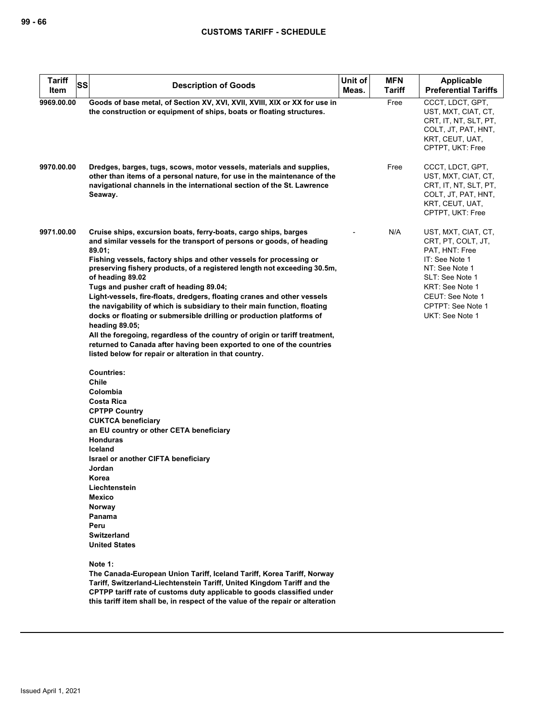| <b>Tariff</b><br><b>SS</b><br>Item | <b>Description of Goods</b>                                                                                                                                                                                                                                                                                                                              | Unit of<br>Meas. | <b>MFN</b><br>Tariff | <b>Applicable</b><br><b>Preferential Tariffs</b>                                                                               |
|------------------------------------|----------------------------------------------------------------------------------------------------------------------------------------------------------------------------------------------------------------------------------------------------------------------------------------------------------------------------------------------------------|------------------|----------------------|--------------------------------------------------------------------------------------------------------------------------------|
|                                    |                                                                                                                                                                                                                                                                                                                                                          |                  |                      |                                                                                                                                |
| 9969.00.00                         | Goods of base metal, of Section XV, XVI, XVII, XVIII, XIX or XX for use in<br>the construction or equipment of ships, boats or floating structures.                                                                                                                                                                                                      |                  | Free                 | CCCT, LDCT, GPT,<br>UST, MXT, CIAT, CT,<br>CRT, IT, NT, SLT, PT,<br>COLT, JT, PAT, HNT,<br>KRT, CEUT, UAT,<br>CPTPT, UKT: Free |
| 9970.00.00                         | Dredges, barges, tugs, scows, motor vessels, materials and supplies,<br>other than items of a personal nature, for use in the maintenance of the<br>navigational channels in the international section of the St. Lawrence<br>Seaway.                                                                                                                    |                  | Free                 | CCCT, LDCT, GPT,<br>UST, MXT, CIAT, CT,<br>CRT, IT, NT, SLT, PT,<br>COLT, JT, PAT, HNT,<br>KRT, CEUT, UAT,<br>CPTPT, UKT: Free |
| 9971.00.00                         | Cruise ships, excursion boats, ferry-boats, cargo ships, barges<br>and similar vessels for the transport of persons or goods, of heading<br>89.01;<br>Fishing vessels, factory ships and other vessels for processing or<br>preserving fishery products, of a registered length not exceeding 30.5m,<br>of heading 89.02                                 |                  | N/A                  | UST, MXT, CIAT, CT,<br>CRT, PT, COLT, JT,<br>PAT, HNT: Free<br>IT: See Note 1<br>NT: See Note 1<br>SLT: See Note 1             |
|                                    | Tugs and pusher craft of heading 89.04;                                                                                                                                                                                                                                                                                                                  |                  |                      | KRT: See Note 1                                                                                                                |
|                                    | Light-vessels, fire-floats, dredgers, floating cranes and other vessels                                                                                                                                                                                                                                                                                  |                  |                      | CEUT: See Note 1                                                                                                               |
|                                    | the navigability of which is subsidiary to their main function, floating                                                                                                                                                                                                                                                                                 |                  |                      | CPTPT: See Note 1                                                                                                              |
|                                    | docks or floating or submersible drilling or production platforms of                                                                                                                                                                                                                                                                                     |                  |                      | UKT: See Note 1                                                                                                                |
|                                    | heading 89.05;                                                                                                                                                                                                                                                                                                                                           |                  |                      |                                                                                                                                |
|                                    | All the foregoing, regardless of the country of origin or tariff treatment,<br>returned to Canada after having been exported to one of the countries<br>listed below for repair or alteration in that country.                                                                                                                                           |                  |                      |                                                                                                                                |
|                                    | <b>Countries:</b><br>Chile<br>Colombia<br><b>Costa Rica</b><br><b>CPTPP Country</b><br><b>CUKTCA beneficiary</b><br>an EU country or other CETA beneficiary<br><b>Honduras</b><br>Iceland<br>Israel or another CIFTA beneficiary<br>Jordan<br>Korea<br>Liechtenstein<br>Mexico<br>Norway<br>Panama<br>Peru<br><b>Switzerland</b><br><b>United States</b> |                  |                      |                                                                                                                                |
|                                    | Note 1:<br>The Canada-European Union Tariff, Iceland Tariff, Korea Tariff, Norway<br>Tariff, Switzerland-Liechtenstein Tariff, United Kingdom Tariff and the<br>CPTPP tariff rate of customs duty applicable to goods classified under<br>this tariff item shall be, in respect of the value of the repair or alteration                                 |                  |                      |                                                                                                                                |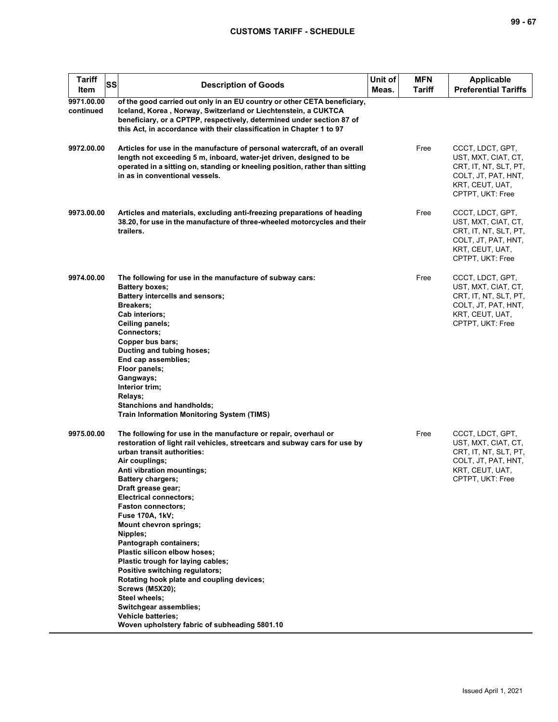| <b>Tariff</b><br>SS<br>Item | <b>Description of Goods</b>                                                                                                                                                                                                                                                                                                                                                                                                                                                                                                                                                                                                                                                                                                                       | Unit of<br>Meas. | <b>MFN</b><br>Tariff | <b>Applicable</b><br><b>Preferential Tariffs</b>                                                                               |
|-----------------------------|---------------------------------------------------------------------------------------------------------------------------------------------------------------------------------------------------------------------------------------------------------------------------------------------------------------------------------------------------------------------------------------------------------------------------------------------------------------------------------------------------------------------------------------------------------------------------------------------------------------------------------------------------------------------------------------------------------------------------------------------------|------------------|----------------------|--------------------------------------------------------------------------------------------------------------------------------|
| 9971.00.00<br>continued     | of the good carried out only in an EU country or other CETA beneficiary,<br>Iceland, Korea, Norway, Switzerland or Liechtenstein, a CUKTCA<br>beneficiary, or a CPTPP, respectively, determined under section 87 of<br>this Act, in accordance with their classification in Chapter 1 to 97                                                                                                                                                                                                                                                                                                                                                                                                                                                       |                  |                      |                                                                                                                                |
| 9972.00.00                  | Articles for use in the manufacture of personal watercraft, of an overall<br>length not exceeding 5 m, inboard, water-jet driven, designed to be<br>operated in a sitting on, standing or kneeling position, rather than sitting<br>in as in conventional vessels.                                                                                                                                                                                                                                                                                                                                                                                                                                                                                |                  | Free                 | CCCT, LDCT, GPT,<br>UST, MXT, CIAT, CT,<br>CRT, IT, NT, SLT, PT,<br>COLT, JT, PAT, HNT,<br>KRT, CEUT, UAT,<br>CPTPT, UKT: Free |
| 9973.00.00                  | Articles and materials, excluding anti-freezing preparations of heading<br>38.20, for use in the manufacture of three-wheeled motorcycles and their<br>trailers.                                                                                                                                                                                                                                                                                                                                                                                                                                                                                                                                                                                  |                  | Free                 | CCCT, LDCT, GPT,<br>UST, MXT, CIAT, CT,<br>CRT, IT, NT, SLT, PT,<br>COLT, JT, PAT, HNT,<br>KRT, CEUT, UAT,<br>CPTPT, UKT: Free |
| 9974.00.00                  | The following for use in the manufacture of subway cars:<br><b>Battery boxes:</b><br>Battery intercells and sensors;<br>Breakers;<br>Cab interiors;<br>Ceiling panels;<br>Connectors;<br>Copper bus bars;<br>Ducting and tubing hoses;<br>End cap assemblies;<br>Floor panels;<br>Gangways;<br>Interior trim;<br>Relays;<br><b>Stanchions and handholds;</b><br><b>Train Information Monitoring System (TIMS)</b>                                                                                                                                                                                                                                                                                                                                 |                  | Free                 | CCCT, LDCT, GPT,<br>UST, MXT, CIAT, CT,<br>CRT, IT, NT, SLT, PT,<br>COLT, JT, PAT, HNT,<br>KRT, CEUT, UAT,<br>CPTPT, UKT: Free |
| 9975.00.00                  | The following for use in the manufacture or repair, overhaul or<br>restoration of light rail vehicles, streetcars and subway cars for use by<br>urban transit authorities:<br>Air couplings;<br>Anti vibration mountings;<br><b>Battery chargers:</b><br>Draft grease gear;<br><b>Electrical connectors;</b><br><b>Faston connectors;</b><br><b>Fuse 170A, 1kV;</b><br><b>Mount chevron springs;</b><br>Nipples;<br>Pantograph containers;<br>Plastic silicon elbow hoses;<br>Plastic trough for laying cables;<br>Positive switching regulators;<br>Rotating hook plate and coupling devices;<br><b>Screws (M5X20);</b><br>Steel wheels;<br>Switchgear assemblies;<br><b>Vehicle batteries;</b><br>Woven upholstery fabric of subheading 5801.10 |                  | Free                 | CCCT, LDCT, GPT,<br>UST, MXT, CIAT, CT,<br>CRT, IT, NT, SLT, PT,<br>COLT, JT, PAT, HNT,<br>KRT, CEUT, UAT,<br>CPTPT, UKT: Free |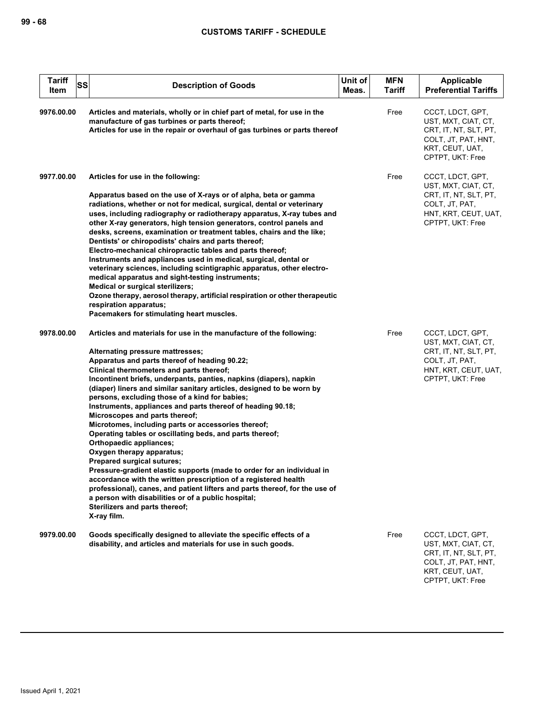| <b>Tariff</b><br>SS<br>Item | <b>Description of Goods</b>                                                                                                                                                                                                                                                                                                                                                                                                                                                                                                                                                                                                                                                                                                                                                                                                                                                                                                                                                                                                                         | Unit of<br>Meas. | <b>MFN</b><br>Tariff | Applicable<br><b>Preferential Tariffs</b>                                                                                      |
|-----------------------------|-----------------------------------------------------------------------------------------------------------------------------------------------------------------------------------------------------------------------------------------------------------------------------------------------------------------------------------------------------------------------------------------------------------------------------------------------------------------------------------------------------------------------------------------------------------------------------------------------------------------------------------------------------------------------------------------------------------------------------------------------------------------------------------------------------------------------------------------------------------------------------------------------------------------------------------------------------------------------------------------------------------------------------------------------------|------------------|----------------------|--------------------------------------------------------------------------------------------------------------------------------|
| 9976.00.00                  | Articles and materials, wholly or in chief part of metal, for use in the<br>manufacture of gas turbines or parts thereof;<br>Articles for use in the repair or overhaul of gas turbines or parts thereof                                                                                                                                                                                                                                                                                                                                                                                                                                                                                                                                                                                                                                                                                                                                                                                                                                            |                  | Free                 | CCCT, LDCT, GPT,<br>UST, MXT, CIAT, CT,<br>CRT, IT, NT, SLT, PT,<br>COLT, JT, PAT, HNT,<br>KRT, CEUT, UAT,<br>CPTPT, UKT: Free |
| 9977.00.00                  | Articles for use in the following:<br>Apparatus based on the use of X-rays or of alpha, beta or gamma<br>radiations, whether or not for medical, surgical, dental or veterinary<br>uses, including radiography or radiotherapy apparatus, X-ray tubes and<br>other X-ray generators, high tension generators, control panels and<br>desks, screens, examination or treatment tables, chairs and the like;<br>Dentists' or chiropodists' chairs and parts thereof;<br>Electro-mechanical chiropractic tables and parts thereof;<br>Instruments and appliances used in medical, surgical, dental or<br>veterinary sciences, including scintigraphic apparatus, other electro-<br>medical apparatus and sight-testing instruments;<br>Medical or surgical sterilizers;<br>Ozone therapy, aerosol therapy, artificial respiration or other therapeutic<br>respiration apparatus;<br>Pacemakers for stimulating heart muscles.                                                                                                                           |                  | Free                 | CCCT, LDCT, GPT,<br>UST, MXT, CIAT, CT,<br>CRT, IT, NT, SLT, PT,<br>COLT, JT, PAT,<br>HNT, KRT, CEUT, UAT,<br>CPTPT, UKT: Free |
| 9978.00.00                  | Articles and materials for use in the manufacture of the following:<br>Alternating pressure mattresses;<br>Apparatus and parts thereof of heading 90.22;<br>Clinical thermometers and parts thereof;<br>Incontinent briefs, underpants, panties, napkins (diapers), napkin<br>(diaper) liners and similar sanitary articles, designed to be worn by<br>persons, excluding those of a kind for babies;<br>Instruments, appliances and parts thereof of heading 90.18;<br>Microscopes and parts thereof;<br>Microtomes, including parts or accessories thereof;<br>Operating tables or oscillating beds, and parts thereof;<br>Orthopaedic appliances;<br>Oxygen therapy apparatus;<br>Prepared surgical sutures;<br>Pressure-gradient elastic supports (made to order for an individual in<br>accordance with the written prescription of a registered health<br>professional), canes, and patient lifters and parts thereof, for the use of<br>a person with disabilities or of a public hospital;<br>Sterilizers and parts thereof;<br>X-ray film. |                  | Free                 | CCCT, LDCT, GPT,<br>UST, MXT, CIAT, CT,<br>CRT, IT, NT, SLT, PT,<br>COLT, JT, PAT,<br>HNT, KRT, CEUT, UAT,<br>CPTPT, UKT: Free |
| 9979.00.00                  | Goods specifically designed to alleviate the specific effects of a<br>disability, and articles and materials for use in such goods.                                                                                                                                                                                                                                                                                                                                                                                                                                                                                                                                                                                                                                                                                                                                                                                                                                                                                                                 |                  | Free                 | CCCT, LDCT, GPT,<br>UST, MXT, CIAT, CT,<br>CRT, IT, NT, SLT, PT,<br>COLT, JT, PAT, HNT,<br>KRT, CEUT, UAT,<br>CPTPT, UKT: Free |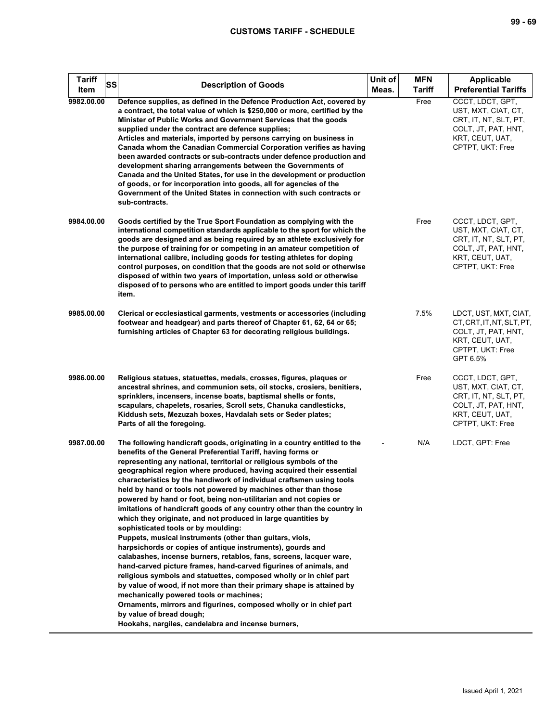| <b>Tariff</b><br>SS<br>Item | <b>Description of Goods</b>                                                                                                                                                                                                                                                                                                                                                                                                                                                                                                                                                                                                                                                                                                                                                                                                                                                                                                                                                                                                                                                                                                                                                                                                                                                                                    | Unit of<br>Meas. | <b>MFN</b><br><b>Tariff</b> | Applicable<br><b>Preferential Tariffs</b>                                                                                      |
|-----------------------------|----------------------------------------------------------------------------------------------------------------------------------------------------------------------------------------------------------------------------------------------------------------------------------------------------------------------------------------------------------------------------------------------------------------------------------------------------------------------------------------------------------------------------------------------------------------------------------------------------------------------------------------------------------------------------------------------------------------------------------------------------------------------------------------------------------------------------------------------------------------------------------------------------------------------------------------------------------------------------------------------------------------------------------------------------------------------------------------------------------------------------------------------------------------------------------------------------------------------------------------------------------------------------------------------------------------|------------------|-----------------------------|--------------------------------------------------------------------------------------------------------------------------------|
| 9982.00.00                  | Defence supplies, as defined in the Defence Production Act, covered by<br>a contract, the total value of which is \$250,000 or more, certified by the<br>Minister of Public Works and Government Services that the goods<br>supplied under the contract are defence supplies;<br>Articles and materials, imported by persons carrying on business in<br>Canada whom the Canadian Commercial Corporation verifies as having<br>been awarded contracts or sub-contracts under defence production and<br>development sharing arrangements between the Governments of<br>Canada and the United States, for use in the development or production<br>of goods, or for incorporation into goods, all for agencies of the<br>Government of the United States in connection with such contracts or<br>sub-contracts.                                                                                                                                                                                                                                                                                                                                                                                                                                                                                                    |                  | Free                        | CCCT, LDCT, GPT,<br>UST, MXT, CIAT, CT,<br>CRT, IT, NT, SLT, PT,<br>COLT, JT, PAT, HNT,<br>KRT, CEUT, UAT,<br>CPTPT, UKT: Free |
| 9984.00.00                  | Goods certified by the True Sport Foundation as complying with the<br>international competition standards applicable to the sport for which the<br>goods are designed and as being required by an athlete exclusively for<br>the purpose of training for or competing in an amateur competition of<br>international calibre, including goods for testing athletes for doping<br>control purposes, on condition that the goods are not sold or otherwise<br>disposed of within two years of importation, unless sold or otherwise<br>disposed of to persons who are entitled to import goods under this tariff<br>item.                                                                                                                                                                                                                                                                                                                                                                                                                                                                                                                                                                                                                                                                                         |                  | Free                        | CCCT, LDCT, GPT,<br>UST, MXT, CIAT, CT,<br>CRT, IT, NT, SLT, PT,<br>COLT, JT, PAT, HNT,<br>KRT, CEUT, UAT,<br>CPTPT, UKT: Free |
| 9985.00.00                  | Clerical or ecclesiastical garments, vestments or accessories (including<br>footwear and headgear) and parts thereof of Chapter 61, 62, 64 or 65;<br>furnishing articles of Chapter 63 for decorating religious buildings.                                                                                                                                                                                                                                                                                                                                                                                                                                                                                                                                                                                                                                                                                                                                                                                                                                                                                                                                                                                                                                                                                     |                  | 7.5%                        | LDCT, UST, MXT, CIAT,<br>CT, CRT, IT, NT, SLT, PT,<br>COLT, JT, PAT, HNT,<br>KRT, CEUT, UAT,<br>CPTPT, UKT: Free<br>GPT 6.5%   |
| 9986.00.00                  | Religious statues, statuettes, medals, crosses, figures, plaques or<br>ancestral shrines, and communion sets, oil stocks, crosiers, benitiers,<br>sprinklers, incensers, incense boats, baptismal shells or fonts,<br>scapulars, chapelets, rosaries, Scroll sets, Chanuka candlesticks,<br>Kiddush sets, Mezuzah boxes, Havdalah sets or Seder plates;<br>Parts of all the foregoing.                                                                                                                                                                                                                                                                                                                                                                                                                                                                                                                                                                                                                                                                                                                                                                                                                                                                                                                         |                  | Free                        | CCCT, LDCT, GPT,<br>UST, MXT, CIAT, CT,<br>CRT, IT, NT, SLT, PT,<br>COLT, JT, PAT, HNT,<br>KRT, CEUT, UAT,<br>CPTPT, UKT: Free |
| 9987.00.00                  | The following handicraft goods, originating in a country entitled to the<br>benefits of the General Preferential Tariff, having forms or<br>representing any national, territorial or religious symbols of the<br>geographical region where produced, having acquired their essential<br>characteristics by the handiwork of individual craftsmen using tools<br>held by hand or tools not powered by machines other than those<br>powered by hand or foot, being non-utilitarian and not copies or<br>imitations of handicraft goods of any country other than the country in<br>which they originate, and not produced in large quantities by<br>sophisticated tools or by moulding:<br>Puppets, musical instruments (other than guitars, viols,<br>harpsichords or copies of antique instruments), gourds and<br>calabashes, incense burners, retablos, fans, screens, lacquer ware,<br>hand-carved picture frames, hand-carved figurines of animals, and<br>religious symbols and statuettes, composed wholly or in chief part<br>by value of wood, if not more than their primary shape is attained by<br>mechanically powered tools or machines;<br>Ornaments, mirrors and figurines, composed wholly or in chief part<br>by value of bread dough;<br>Hookahs, nargiles, candelabra and incense burners, |                  | N/A                         | LDCT, GPT: Free                                                                                                                |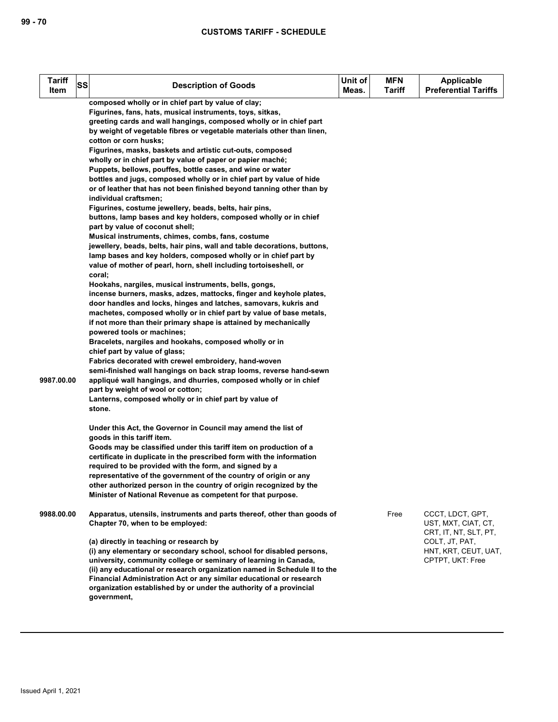| <b>Tariff</b><br>Item | SS | <b>Description of Goods</b>                                                                                                                                                                                                                                                                                                                                                                                                                                                                                                                                                                                                                                                                                                                                                                                                                                                                                                                                                                                                                                                                                                                                                                                                                                                                                                                                                                                                                                                                                                                                                                                                                                                                                                                                                                                                                                                                        | Unit of<br>Meas. | <b>MFN</b><br><b>Tariff</b> | <b>Applicable</b><br><b>Preferential Tariffs</b>                                                                               |
|-----------------------|----|----------------------------------------------------------------------------------------------------------------------------------------------------------------------------------------------------------------------------------------------------------------------------------------------------------------------------------------------------------------------------------------------------------------------------------------------------------------------------------------------------------------------------------------------------------------------------------------------------------------------------------------------------------------------------------------------------------------------------------------------------------------------------------------------------------------------------------------------------------------------------------------------------------------------------------------------------------------------------------------------------------------------------------------------------------------------------------------------------------------------------------------------------------------------------------------------------------------------------------------------------------------------------------------------------------------------------------------------------------------------------------------------------------------------------------------------------------------------------------------------------------------------------------------------------------------------------------------------------------------------------------------------------------------------------------------------------------------------------------------------------------------------------------------------------------------------------------------------------------------------------------------------------|------------------|-----------------------------|--------------------------------------------------------------------------------------------------------------------------------|
| 9987.00.00            |    | composed wholly or in chief part by value of clay;<br>Figurines, fans, hats, musical instruments, toys, sitkas,<br>greeting cards and wall hangings, composed wholly or in chief part<br>by weight of vegetable fibres or vegetable materials other than linen,<br>cotton or corn husks;<br>Figurines, masks, baskets and artistic cut-outs, composed<br>wholly or in chief part by value of paper or papier maché;<br>Puppets, bellows, pouffes, bottle cases, and wine or water<br>bottles and jugs, composed wholly or in chief part by value of hide<br>or of leather that has not been finished beyond tanning other than by<br>individual craftsmen;<br>Figurines, costume jewellery, beads, belts, hair pins,<br>buttons, lamp bases and key holders, composed wholly or in chief<br>part by value of coconut shell;<br>Musical instruments, chimes, combs, fans, costume<br>jewellery, beads, belts, hair pins, wall and table decorations, buttons,<br>lamp bases and key holders, composed wholly or in chief part by<br>value of mother of pearl, horn, shell including tortoiseshell, or<br>coral;<br>Hookahs, nargiles, musical instruments, bells, gongs,<br>incense burners, masks, adzes, mattocks, finger and keyhole plates,<br>door handles and locks, hinges and latches, samovars, kukris and<br>machetes, composed wholly or in chief part by value of base metals,<br>if not more than their primary shape is attained by mechanically<br>powered tools or machines;<br>Bracelets, nargiles and hookahs, composed wholly or in<br>chief part by value of glass;<br>Fabrics decorated with crewel embroidery, hand-woven<br>semi-finished wall hangings on back strap looms, reverse hand-sewn<br>appliqué wall hangings, and dhurries, composed wholly or in chief<br>part by weight of wool or cotton;<br>Lanterns, composed wholly or in chief part by value of<br>stone. |                  |                             |                                                                                                                                |
|                       |    | Under this Act, the Governor in Council may amend the list of<br>goods in this tariff item.<br>Goods may be classified under this tariff item on production of a<br>certificate in duplicate in the prescribed form with the information<br>required to be provided with the form, and signed by a<br>representative of the government of the country of origin or any<br>other authorized person in the country of origin recognized by the<br>Minister of National Revenue as competent for that purpose.                                                                                                                                                                                                                                                                                                                                                                                                                                                                                                                                                                                                                                                                                                                                                                                                                                                                                                                                                                                                                                                                                                                                                                                                                                                                                                                                                                                        |                  |                             |                                                                                                                                |
| 9988.00.00            |    | Apparatus, utensils, instruments and parts thereof, other than goods of<br>Chapter 70, when to be employed:<br>(a) directly in teaching or research by<br>(i) any elementary or secondary school, school for disabled persons,<br>university, community college or seminary of learning in Canada,<br>(ii) any educational or research organization named in Schedule II to the<br>Financial Administration Act or any similar educational or research<br>organization established by or under the authority of a provincial<br>government,                                                                                                                                                                                                                                                                                                                                                                                                                                                                                                                                                                                                                                                                                                                                                                                                                                                                                                                                                                                                                                                                                                                                                                                                                                                                                                                                                        |                  | Free                        | CCCT, LDCT, GPT,<br>UST, MXT, CIAT, CT,<br>CRT, IT, NT, SLT, PT,<br>COLT, JT, PAT,<br>HNT, KRT, CEUT, UAT,<br>CPTPT, UKT: Free |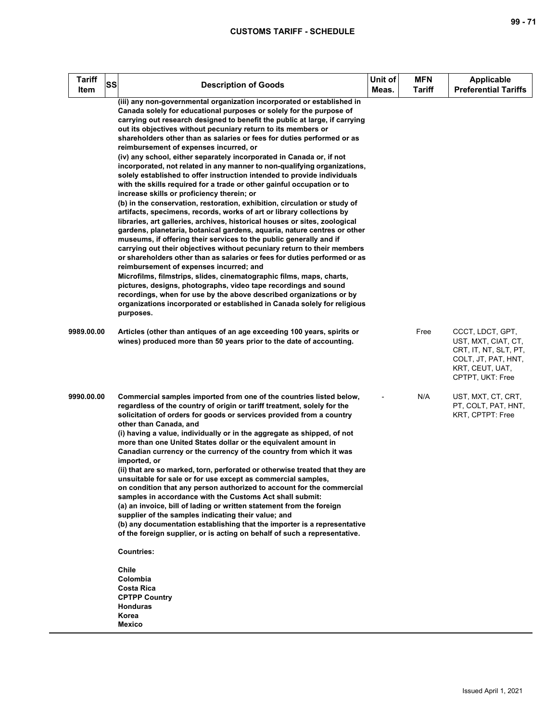| <b>Tariff</b><br>SS<br>Item | <b>Description of Goods</b>                                                                                                                                                                                                                                                                                                                                                                                                                                                                                                                                                                                                                                                                                                                                                                                                                                                                                                                                                                                                                                                                                                                                                                                                                                                                                                                                                                                                                                                                                                                                                                                                                                                 | Unit of<br>Meas. | <b>MFN</b><br><b>Tariff</b> | <b>Applicable</b><br><b>Preferential Tariffs</b>                                                                               |
|-----------------------------|-----------------------------------------------------------------------------------------------------------------------------------------------------------------------------------------------------------------------------------------------------------------------------------------------------------------------------------------------------------------------------------------------------------------------------------------------------------------------------------------------------------------------------------------------------------------------------------------------------------------------------------------------------------------------------------------------------------------------------------------------------------------------------------------------------------------------------------------------------------------------------------------------------------------------------------------------------------------------------------------------------------------------------------------------------------------------------------------------------------------------------------------------------------------------------------------------------------------------------------------------------------------------------------------------------------------------------------------------------------------------------------------------------------------------------------------------------------------------------------------------------------------------------------------------------------------------------------------------------------------------------------------------------------------------------|------------------|-----------------------------|--------------------------------------------------------------------------------------------------------------------------------|
|                             | (iii) any non-governmental organization incorporated or established in<br>Canada solely for educational purposes or solely for the purpose of<br>carrying out research designed to benefit the public at large, if carrying<br>out its objectives without pecuniary return to its members or<br>shareholders other than as salaries or fees for duties performed or as<br>reimbursement of expenses incurred, or<br>(iv) any school, either separately incorporated in Canada or, if not<br>incorporated, not related in any manner to non-qualifying organizations,<br>solely established to offer instruction intended to provide individuals<br>with the skills required for a trade or other gainful occupation or to<br>increase skills or proficiency therein; or<br>(b) in the conservation, restoration, exhibition, circulation or study of<br>artifacts, specimens, records, works of art or library collections by<br>libraries, art galleries, archives, historical houses or sites, zoological<br>gardens, planetaria, botanical gardens, aquaria, nature centres or other<br>museums, if offering their services to the public generally and if<br>carrying out their objectives without pecuniary return to their members<br>or shareholders other than as salaries or fees for duties performed or as<br>reimbursement of expenses incurred; and<br>Microfilms, filmstrips, slides, cinematographic films, maps, charts,<br>pictures, designs, photographs, video tape recordings and sound<br>recordings, when for use by the above described organizations or by<br>organizations incorporated or established in Canada solely for religious<br>purposes. |                  |                             |                                                                                                                                |
| 9989.00.00                  | Articles (other than antiques of an age exceeding 100 years, spirits or<br>wines) produced more than 50 years prior to the date of accounting.                                                                                                                                                                                                                                                                                                                                                                                                                                                                                                                                                                                                                                                                                                                                                                                                                                                                                                                                                                                                                                                                                                                                                                                                                                                                                                                                                                                                                                                                                                                              |                  | Free                        | CCCT, LDCT, GPT,<br>UST, MXT, CIAT, CT,<br>CRT, IT, NT, SLT, PT,<br>COLT, JT, PAT, HNT,<br>KRT, CEUT, UAT,<br>CPTPT, UKT: Free |
| 9990.00.00                  | Commercial samples imported from one of the countries listed below,<br>regardless of the country of origin or tariff treatment, solely for the<br>solicitation of orders for goods or services provided from a country<br>other than Canada, and<br>(i) having a value, individually or in the aggregate as shipped, of not<br>more than one United States dollar or the equivalent amount in<br>Canadian currency or the currency of the country from which it was<br>imported, or<br>(ii) that are so marked, torn, perforated or otherwise treated that they are<br>unsuitable for sale or for use except as commercial samples,<br>on condition that any person authorized to account for the commercial<br>samples in accordance with the Customs Act shall submit:<br>(a) an invoice, bill of lading or written statement from the foreign<br>supplier of the samples indicating their value; and<br>(b) any documentation establishing that the importer is a representative<br>of the foreign supplier, or is acting on behalf of such a representative.<br><b>Countries:</b><br>Chile<br>Colombia<br>Costa Rica<br><b>CPTPP Country</b><br><b>Honduras</b><br>Korea<br>Mexico                                                                                                                                                                                                                                                                                                                                                                                                                                                                                      |                  | N/A                         | UST, MXT, CT, CRT,<br>PT, COLT, PAT, HNT,<br>KRT, CPTPT: Free                                                                  |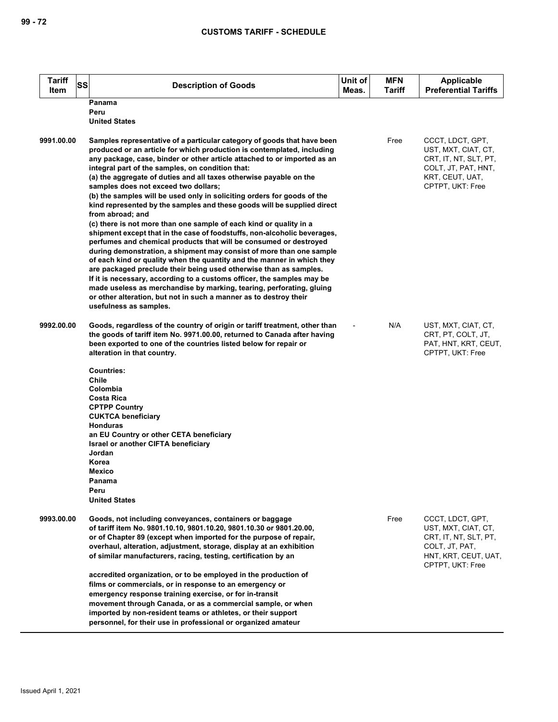| <b>Tariff</b><br>Item | SS<br><b>Description of Goods</b>                                                                                                                                                                                                                                                                                                                                                                                                                                                                                                                                                                                                                                                                                                                                                                                                                                                                                                                                                                                                                                                                                                                                                                                                                                        | Unit of<br>Meas. | <b>MFN</b><br>Tariff | <b>Applicable</b><br><b>Preferential Tariffs</b>                                                                               |
|-----------------------|--------------------------------------------------------------------------------------------------------------------------------------------------------------------------------------------------------------------------------------------------------------------------------------------------------------------------------------------------------------------------------------------------------------------------------------------------------------------------------------------------------------------------------------------------------------------------------------------------------------------------------------------------------------------------------------------------------------------------------------------------------------------------------------------------------------------------------------------------------------------------------------------------------------------------------------------------------------------------------------------------------------------------------------------------------------------------------------------------------------------------------------------------------------------------------------------------------------------------------------------------------------------------|------------------|----------------------|--------------------------------------------------------------------------------------------------------------------------------|
|                       | Panama<br>Peru<br><b>United States</b>                                                                                                                                                                                                                                                                                                                                                                                                                                                                                                                                                                                                                                                                                                                                                                                                                                                                                                                                                                                                                                                                                                                                                                                                                                   |                  |                      |                                                                                                                                |
| 9991.00.00            | Samples representative of a particular category of goods that have been<br>produced or an article for which production is contemplated, including<br>any package, case, binder or other article attached to or imported as an<br>integral part of the samples, on condition that:<br>(a) the aggregate of duties and all taxes otherwise payable on the<br>samples does not exceed two dollars;<br>(b) the samples will be used only in soliciting orders for goods of the<br>kind represented by the samples and these goods will be supplied direct<br>from abroad; and<br>(c) there is not more than one sample of each kind or quality in a<br>shipment except that in the case of foodstuffs, non-alcoholic beverages,<br>perfumes and chemical products that will be consumed or destroyed<br>during demonstration, a shipment may consist of more than one sample<br>of each kind or quality when the quantity and the manner in which they<br>are packaged preclude their being used otherwise than as samples.<br>If it is necessary, according to a customs officer, the samples may be<br>made useless as merchandise by marking, tearing, perforating, gluing<br>or other alteration, but not in such a manner as to destroy their<br>usefulness as samples. |                  | Free                 | CCCT, LDCT, GPT,<br>UST, MXT, CIAT, CT,<br>CRT, IT, NT, SLT, PT,<br>COLT, JT, PAT, HNT,<br>KRT, CEUT, UAT,<br>CPTPT, UKT: Free |
| 9992.00.00            | Goods, regardless of the country of origin or tariff treatment, other than<br>the goods of tariff item No. 9971.00.00, returned to Canada after having<br>been exported to one of the countries listed below for repair or<br>alteration in that country.<br><b>Countries:</b><br>Chile<br>Colombia<br>Costa Rica<br><b>CPTPP Country</b><br><b>CUKTCA beneficiary</b><br><b>Honduras</b><br>an EU Country or other CETA beneficiary<br>Israel or another CIFTA beneficiary<br>Jordan<br>Korea<br>Mexico<br>Panama<br>Peru<br><b>United States</b>                                                                                                                                                                                                                                                                                                                                                                                                                                                                                                                                                                                                                                                                                                                       |                  | N/A                  | UST, MXT, CIAT, CT,<br>CRT, PT, COLT, JT,<br>PAT, HNT, KRT, CEUT,<br>CPTPT, UKT: Free                                          |
| 9993.00.00            | Goods, not including conveyances, containers or baggage<br>of tariff item No. 9801.10.10, 9801.10.20, 9801.10.30 or 9801.20.00,<br>or of Chapter 89 (except when imported for the purpose of repair,<br>overhaul, alteration, adjustment, storage, display at an exhibition<br>of similar manufacturers, racing, testing, certification by an<br>accredited organization, or to be employed in the production of<br>films or commercials, or in response to an emergency or<br>emergency response training exercise, or for in-transit<br>movement through Canada, or as a commercial sample, or when<br>imported by non-resident teams or athletes, or their support<br>personnel, for their use in professional or organized amateur                                                                                                                                                                                                                                                                                                                                                                                                                                                                                                                                   |                  | Free                 | CCCT, LDCT, GPT,<br>UST, MXT, CIAT, CT,<br>CRT, IT, NT, SLT, PT,<br>COLT, JT, PAT,<br>HNT, KRT, CEUT, UAT,<br>CPTPT, UKT: Free |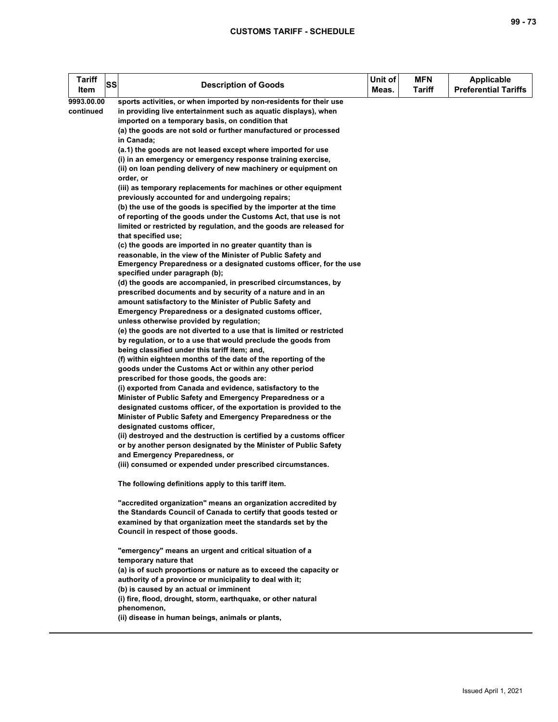## **CUSTOMS TARIFF - SCHEDULE**

| <b>Tariff</b><br><b>SS</b><br>Item | <b>Description of Goods</b>                                                                                       | Unit of<br>Meas. | <b>MFN</b><br><b>Tariff</b> | <b>Applicable</b><br><b>Preferential Tariffs</b> |
|------------------------------------|-------------------------------------------------------------------------------------------------------------------|------------------|-----------------------------|--------------------------------------------------|
| 9993.00.00                         | sports activities, or when imported by non-residents for their use                                                |                  |                             |                                                  |
| continued                          | in providing live entertainment such as aquatic displays), when                                                   |                  |                             |                                                  |
|                                    | imported on a temporary basis, on condition that                                                                  |                  |                             |                                                  |
|                                    | (a) the goods are not sold or further manufactured or processed<br>in Canada;                                     |                  |                             |                                                  |
|                                    | (a.1) the goods are not leased except where imported for use                                                      |                  |                             |                                                  |
|                                    | (i) in an emergency or emergency response training exercise,                                                      |                  |                             |                                                  |
|                                    | (ii) on loan pending delivery of new machinery or equipment on<br>order, or                                       |                  |                             |                                                  |
|                                    | (iii) as temporary replacements for machines or other equipment                                                   |                  |                             |                                                  |
|                                    | previously accounted for and undergoing repairs;                                                                  |                  |                             |                                                  |
|                                    | (b) the use of the goods is specified by the importer at the time                                                 |                  |                             |                                                  |
|                                    | of reporting of the goods under the Customs Act, that use is not                                                  |                  |                             |                                                  |
|                                    | limited or restricted by regulation, and the goods are released for<br>that specified use;                        |                  |                             |                                                  |
|                                    | (c) the goods are imported in no greater quantity than is                                                         |                  |                             |                                                  |
|                                    | reasonable, in the view of the Minister of Public Safety and                                                      |                  |                             |                                                  |
|                                    | Emergency Preparedness or a designated customs officer, for the use                                               |                  |                             |                                                  |
|                                    | specified under paragraph (b);                                                                                    |                  |                             |                                                  |
|                                    | (d) the goods are accompanied, in prescribed circumstances, by                                                    |                  |                             |                                                  |
|                                    | prescribed documents and by security of a nature and in an                                                        |                  |                             |                                                  |
|                                    | amount satisfactory to the Minister of Public Safety and                                                          |                  |                             |                                                  |
|                                    | Emergency Preparedness or a designated customs officer,                                                           |                  |                             |                                                  |
|                                    | unless otherwise provided by regulation;<br>(e) the goods are not diverted to a use that is limited or restricted |                  |                             |                                                  |
|                                    | by regulation, or to a use that would preclude the goods from                                                     |                  |                             |                                                  |
|                                    | being classified under this tariff item; and,                                                                     |                  |                             |                                                  |
|                                    | (f) within eighteen months of the date of the reporting of the                                                    |                  |                             |                                                  |
|                                    | goods under the Customs Act or within any other period                                                            |                  |                             |                                                  |
|                                    | prescribed for those goods, the goods are:                                                                        |                  |                             |                                                  |
|                                    | (i) exported from Canada and evidence, satisfactory to the                                                        |                  |                             |                                                  |
|                                    | Minister of Public Safety and Emergency Preparedness or a                                                         |                  |                             |                                                  |
|                                    | designated customs officer, of the exportation is provided to the                                                 |                  |                             |                                                  |
|                                    | Minister of Public Safety and Emergency Preparedness or the                                                       |                  |                             |                                                  |
|                                    | designated customs officer,                                                                                       |                  |                             |                                                  |
|                                    | (ii) destroyed and the destruction is certified by a customs officer                                              |                  |                             |                                                  |
|                                    | or by another person designated by the Minister of Public Safety                                                  |                  |                             |                                                  |
|                                    | and Emergency Preparedness, or<br>(iii) consumed or expended under prescribed circumstances.                      |                  |                             |                                                  |
|                                    |                                                                                                                   |                  |                             |                                                  |
|                                    | The following definitions apply to this tariff item.                                                              |                  |                             |                                                  |
|                                    | "accredited organization" means an organization accredited by                                                     |                  |                             |                                                  |
|                                    | the Standards Council of Canada to certify that goods tested or                                                   |                  |                             |                                                  |
|                                    | examined by that organization meet the standards set by the                                                       |                  |                             |                                                  |
|                                    | Council in respect of those goods.                                                                                |                  |                             |                                                  |
|                                    | "emergency" means an urgent and critical situation of a                                                           |                  |                             |                                                  |
|                                    | temporary nature that                                                                                             |                  |                             |                                                  |
|                                    | (a) is of such proportions or nature as to exceed the capacity or                                                 |                  |                             |                                                  |
|                                    | authority of a province or municipality to deal with it;                                                          |                  |                             |                                                  |
|                                    | (b) is caused by an actual or imminent<br>(i) fire, flood, drought, storm, earthquake, or other natural           |                  |                             |                                                  |
|                                    | phenomenon,                                                                                                       |                  |                             |                                                  |
|                                    | (ii) disease in human beings, animals or plants,                                                                  |                  |                             |                                                  |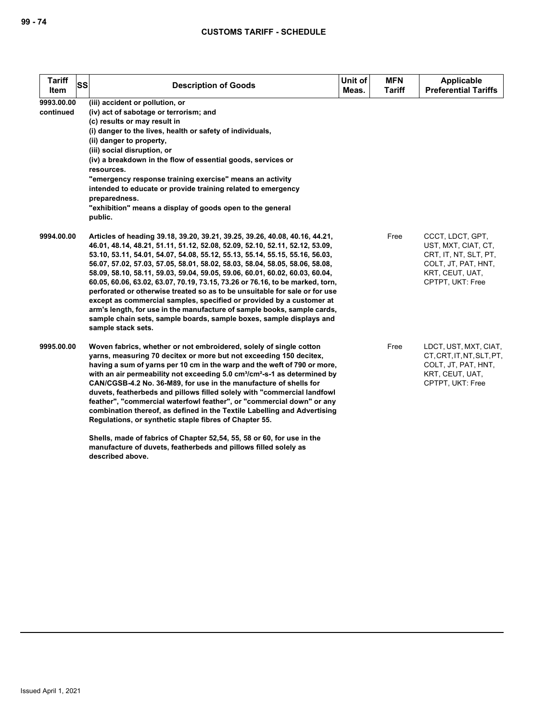| <b>Tariff</b><br>SS<br><b>Item</b> | <b>Description of Goods</b>                                                                                                                                            | Unit of<br>Meas. | <b>MFN</b><br><b>Tariff</b> | <b>Applicable</b><br><b>Preferential Tariffs</b> |
|------------------------------------|------------------------------------------------------------------------------------------------------------------------------------------------------------------------|------------------|-----------------------------|--------------------------------------------------|
| 9993.00.00                         | (iii) accident or pollution, or                                                                                                                                        |                  |                             |                                                  |
| continued                          | (iv) act of sabotage or terrorism; and                                                                                                                                 |                  |                             |                                                  |
|                                    | (c) results or may result in                                                                                                                                           |                  |                             |                                                  |
|                                    | (i) danger to the lives, health or safety of individuals,                                                                                                              |                  |                             |                                                  |
|                                    | (ii) danger to property,<br>(iii) social disruption, or                                                                                                                |                  |                             |                                                  |
|                                    | (iv) a breakdown in the flow of essential goods, services or                                                                                                           |                  |                             |                                                  |
|                                    | resources.                                                                                                                                                             |                  |                             |                                                  |
|                                    | "emergency response training exercise" means an activity                                                                                                               |                  |                             |                                                  |
|                                    | intended to educate or provide training related to emergency                                                                                                           |                  |                             |                                                  |
|                                    | preparedness.                                                                                                                                                          |                  |                             |                                                  |
|                                    | "exhibition" means a display of goods open to the general                                                                                                              |                  |                             |                                                  |
|                                    | public.                                                                                                                                                                |                  |                             |                                                  |
| 9994.00.00                         | Articles of heading 39.18, 39.20, 39.21, 39.25, 39.26, 40.08, 40.16, 44.21,                                                                                            |                  | Free                        | CCCT, LDCT, GPT,                                 |
|                                    | 46.01, 48.14, 48.21, 51.11, 51.12, 52.08, 52.09, 52.10, 52.11, 52.12, 53.09,                                                                                           |                  |                             | UST, MXT, CIAT, CT,                              |
|                                    | 53.10, 53.11, 54.01, 54.07, 54.08, 55.12, 55.13, 55.14, 55.15, 55.16, 56.03,                                                                                           |                  |                             | CRT, IT, NT, SLT, PT,                            |
|                                    | 56.07, 57.02, 57.03, 57.05, 58.01, 58.02, 58.03, 58.04, 58.05, 58.06, 58.08,                                                                                           |                  |                             | COLT, JT, PAT, HNT,                              |
|                                    | 58.09, 58.10, 58.11, 59.03, 59.04, 59.05, 59.06, 60.01, 60.02, 60.03, 60.04,<br>60.05, 60.06, 63.02, 63.07, 70.19, 73.15, 73.26 or 76.16, to be marked, torn,          |                  |                             | KRT, CEUT, UAT,<br>CPTPT, UKT: Free              |
|                                    | perforated or otherwise treated so as to be unsuitable for sale or for use                                                                                             |                  |                             |                                                  |
|                                    | except as commercial samples, specified or provided by a customer at                                                                                                   |                  |                             |                                                  |
|                                    | arm's length, for use in the manufacture of sample books, sample cards,                                                                                                |                  |                             |                                                  |
|                                    | sample chain sets, sample boards, sample boxes, sample displays and                                                                                                    |                  |                             |                                                  |
|                                    | sample stack sets.                                                                                                                                                     |                  |                             |                                                  |
| 9995.00.00                         | Woven fabrics, whether or not embroidered, solely of single cotton                                                                                                     |                  | Free                        | LDCT, UST, MXT, CIAT,                            |
|                                    | yarns, measuring 70 decitex or more but not exceeding 150 decitex,                                                                                                     |                  |                             | CT.CRT.IT.NT.SLT.PT.                             |
|                                    | having a sum of yarns per 10 cm in the warp and the weft of 790 or more,                                                                                               |                  |                             | COLT, JT, PAT, HNT,                              |
|                                    | with an air permeability not exceeding 5.0 cm <sup>3</sup> /cm <sup>2</sup> -s-1 as determined by<br>CAN/CGSB-4.2 No. 36-M89, for use in the manufacture of shells for |                  |                             | KRT, CEUT, UAT,<br>CPTPT, UKT: Free              |
|                                    | duvets, featherbeds and pillows filled solely with "commercial landfowl                                                                                                |                  |                             |                                                  |
|                                    | feather", "commercial waterfowl feather", or "commercial down" or any                                                                                                  |                  |                             |                                                  |
|                                    | combination thereof, as defined in the Textile Labelling and Advertising                                                                                               |                  |                             |                                                  |
|                                    | Regulations, or synthetic staple fibres of Chapter 55.                                                                                                                 |                  |                             |                                                  |
|                                    |                                                                                                                                                                        |                  |                             |                                                  |

**Shells, made of fabrics of Chapter 52,54, 55, 58 or 60, for use in the manufacture of duvets, featherbeds and pillows filled solely as** 

**described above.**